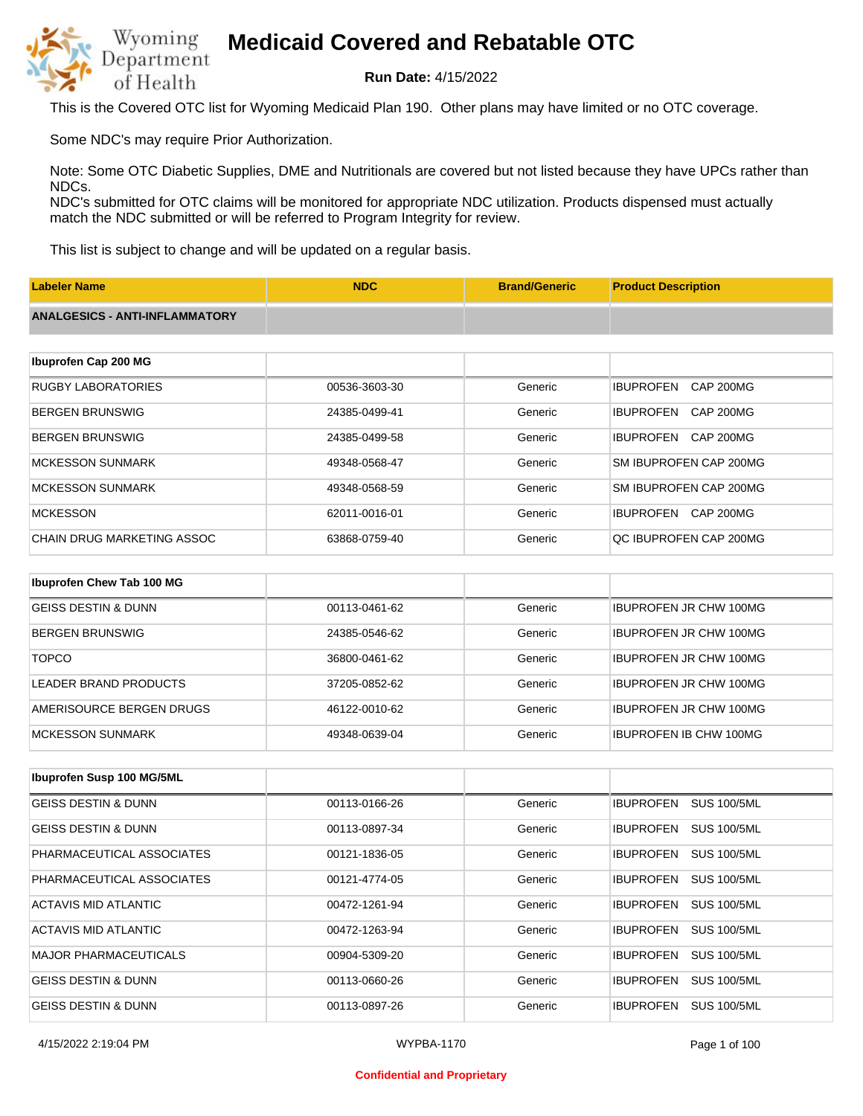

**Run Date:** 4/15/2022

This is the Covered OTC list for Wyoming Medicaid Plan 190. Other plans may have limited or no OTC coverage.

Some NDC's may require Prior Authorization.

Note: Some OTC Diabetic Supplies, DME and Nutritionals are covered but not listed because they have UPCs rather than NDCs.

NDC's submitted for OTC claims will be monitored for appropriate NDC utilization. Products dispensed must actually match the NDC submitted or will be referred to Program Integrity for review.

This list is subject to change and will be updated on a regular basis.

| <b>Labeler Name</b>                   | <b>NDC</b>    | <b>Brand/Generic</b> | <b>Product Description</b>           |
|---------------------------------------|---------------|----------------------|--------------------------------------|
| <b>ANALGESICS - ANTI-INFLAMMATORY</b> |               |                      |                                      |
|                                       |               |                      |                                      |
| Ibuprofen Cap 200 MG                  |               |                      |                                      |
| <b>RUGBY LABORATORIES</b>             | 00536-3603-30 | Generic              | <b>IBUPROFEN</b><br>CAP 200MG        |
| <b>BERGEN BRUNSWIG</b>                | 24385-0499-41 | Generic              | <b>CAP 200MG</b><br><b>IBUPROFEN</b> |
| <b>BERGEN BRUNSWIG</b>                | 24385-0499-58 | Generic              | <b>IBUPROFEN</b><br>CAP 200MG        |
| <b>MCKESSON SUNMARK</b>               | 49348-0568-47 | Generic              | SM IBUPROFEN CAP 200MG               |
| <b>MCKESSON SUNMARK</b>               | 49348-0568-59 | Generic              | SM IBUPROFEN CAP 200MG               |
| <b>MCKESSON</b>                       | 62011-0016-01 | Generic              | <b>IBUPROFEN</b><br>CAP 200MG        |
| <b>CHAIN DRUG MARKETING ASSOC</b>     | 63868-0759-40 | Generic              | QC IBUPROFEN CAP 200MG               |
|                                       |               |                      |                                      |
| Ibuprofen Chew Tab 100 MG             |               |                      |                                      |
| <b>GEISS DESTIN &amp; DUNN</b>        | 00113-0461-62 | Generic              | <b>IBUPROFEN JR CHW 100MG</b>        |

| <u>OLIUU DLUTIIV U DUIVIV</u> |               | <u>uunu m</u> |                               |
|-------------------------------|---------------|---------------|-------------------------------|
| BERGEN BRUNSWIG               | 24385-0546-62 | Generic       | <b>IBUPROFEN JR CHW 100MG</b> |
| <b>TOPCO</b>                  | 36800-0461-62 | Generic       | <b>IBUPROFEN JR CHW 100MG</b> |
| LEADER BRAND PRODUCTS         | 37205-0852-62 | Generic       | <b>IBUPROFEN JR CHW 100MG</b> |
| AMERISOURCE BERGEN DRUGS      | 46122-0010-62 | Generic       | <b>IBUPROFEN JR CHW 100MG</b> |
| <b>MCKESSON SUNMARK</b>       | 49348-0639-04 | Generic       | <b>IBUPROFEN IB CHW 100MG</b> |

| Ibuprofen Susp 100 MG/5ML      |               |         |                                        |
|--------------------------------|---------------|---------|----------------------------------------|
| GEISS DESTIN & DUNN            | 00113-0166-26 | Generic | <b>SUS 100/5ML</b><br><b>IBUPROFEN</b> |
| <b>GEISS DESTIN &amp; DUNN</b> | 00113-0897-34 | Generic | <b>SUS 100/5ML</b><br><b>IBUPROFEN</b> |
| PHARMACEUTICAL ASSOCIATES      | 00121-1836-05 | Generic | <b>SUS 100/5ML</b><br><b>IBUPROFEN</b> |
| PHARMACEUTICAL ASSOCIATES      | 00121-4774-05 | Generic | <b>IBUPROFEN</b><br><b>SUS 100/5ML</b> |
| ACTAVIS MID ATLANTIC           | 00472-1261-94 | Generic | <b>SUS 100/5ML</b><br><b>IBUPROFEN</b> |
| ACTAVIS MID ATLANTIC           | 00472-1263-94 | Generic | <b>SUS 100/5ML</b><br><b>IBUPROFEN</b> |
| <b>MAJOR PHARMACEUTICALS</b>   | 00904-5309-20 | Generic | <b>SUS 100/5ML</b><br><b>IBUPROFEN</b> |
| <b>GEISS DESTIN &amp; DUNN</b> | 00113-0660-26 | Generic | <b>SUS 100/5ML</b><br><b>IBUPROFEN</b> |
| <b>GEISS DESTIN &amp; DUNN</b> | 00113-0897-26 | Generic | <b>IBUPROFEN</b><br><b>SUS 100/5ML</b> |

#### **Confidential and Proprietary**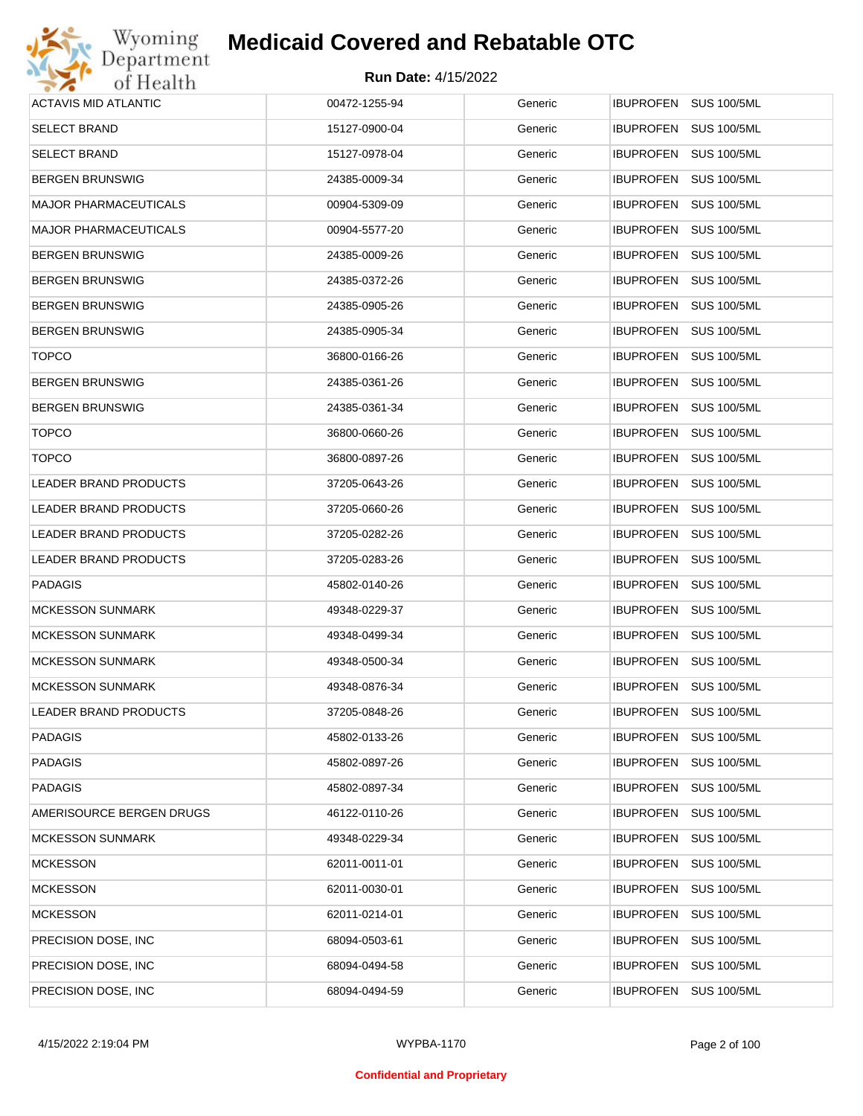# Wyoming<br>Department<br>of Health **Medicaid Covered and Rebatable OTC**

| <b>ACTAVIS MID ATLANTIC</b>  | 00472-1255-94 | Generic | IBUPROFEN SUS 100/5ML                  |
|------------------------------|---------------|---------|----------------------------------------|
| <b>SELECT BRAND</b>          | 15127-0900-04 | Generic | <b>IBUPROFEN</b><br><b>SUS 100/5ML</b> |
| <b>SELECT BRAND</b>          | 15127-0978-04 | Generic | IBUPROFEN SUS 100/5ML                  |
| <b>BERGEN BRUNSWIG</b>       | 24385-0009-34 | Generic | <b>IBUPROFEN</b><br><b>SUS 100/5ML</b> |
| <b>MAJOR PHARMACEUTICALS</b> | 00904-5309-09 | Generic | IBUPROFEN SUS 100/5ML                  |
| <b>MAJOR PHARMACEUTICALS</b> | 00904-5577-20 | Generic | <b>IBUPROFEN</b><br><b>SUS 100/5ML</b> |
| <b>BERGEN BRUNSWIG</b>       | 24385-0009-26 | Generic | IBUPROFEN SUS 100/5ML                  |
| <b>BERGEN BRUNSWIG</b>       | 24385-0372-26 | Generic | <b>IBUPROFEN</b><br><b>SUS 100/5ML</b> |
| <b>BERGEN BRUNSWIG</b>       | 24385-0905-26 | Generic | IBUPROFEN SUS 100/5ML                  |
| <b>BERGEN BRUNSWIG</b>       | 24385-0905-34 | Generic | <b>IBUPROFEN</b><br><b>SUS 100/5ML</b> |
| <b>TOPCO</b>                 | 36800-0166-26 | Generic | IBUPROFEN SUS 100/5ML                  |
| <b>BERGEN BRUNSWIG</b>       | 24385-0361-26 | Generic | <b>IBUPROFEN</b><br><b>SUS 100/5ML</b> |
| <b>BERGEN BRUNSWIG</b>       | 24385-0361-34 | Generic | IBUPROFEN SUS 100/5ML                  |
| <b>TOPCO</b>                 | 36800-0660-26 | Generic | <b>IBUPROFEN</b><br><b>SUS 100/5ML</b> |
| <b>TOPCO</b>                 | 36800-0897-26 | Generic | IBUPROFEN SUS 100/5ML                  |
| LEADER BRAND PRODUCTS        | 37205-0643-26 | Generic | <b>IBUPROFEN</b><br><b>SUS 100/5ML</b> |
| LEADER BRAND PRODUCTS        | 37205-0660-26 | Generic | IBUPROFEN SUS 100/5ML                  |
| LEADER BRAND PRODUCTS        | 37205-0282-26 | Generic | <b>IBUPROFEN</b><br><b>SUS 100/5ML</b> |
| LEADER BRAND PRODUCTS        | 37205-0283-26 | Generic | IBUPROFEN SUS 100/5ML                  |
| <b>PADAGIS</b>               | 45802-0140-26 | Generic | <b>IBUPROFEN</b><br><b>SUS 100/5ML</b> |
| <b>MCKESSON SUNMARK</b>      | 49348-0229-37 | Generic | IBUPROFEN SUS 100/5ML                  |
| <b>MCKESSON SUNMARK</b>      | 49348-0499-34 | Generic | <b>IBUPROFEN</b><br><b>SUS 100/5ML</b> |
| <b>MCKESSON SUNMARK</b>      | 49348-0500-34 | Generic | IBUPROFEN SUS 100/5ML                  |
| <b>MCKESSON SUNMARK</b>      | 49348-0876-34 | Generic | <b>IBUPROFEN</b><br><b>SUS 100/5ML</b> |
| <b>LEADER BRAND PRODUCTS</b> | 37205-0848-26 | Generic | IBUPROFEN SUS 100/5ML                  |
| <b>PADAGIS</b>               | 45802-0133-26 | Generic | IBUPROFEN SUS 100/5ML                  |
| <b>PADAGIS</b>               | 45802-0897-26 | Generic | <b>IBUPROFEN</b><br><b>SUS 100/5ML</b> |
| <b>PADAGIS</b>               | 45802-0897-34 | Generic | <b>IBUPROFEN</b><br><b>SUS 100/5ML</b> |
| AMERISOURCE BERGEN DRUGS     | 46122-0110-26 | Generic | <b>IBUPROFEN</b><br><b>SUS 100/5ML</b> |
| <b>MCKESSON SUNMARK</b>      | 49348-0229-34 | Generic | <b>IBUPROFEN</b><br><b>SUS 100/5ML</b> |
| <b>MCKESSON</b>              | 62011-0011-01 | Generic | <b>IBUPROFEN</b><br><b>SUS 100/5ML</b> |
| <b>MCKESSON</b>              | 62011-0030-01 | Generic | <b>IBUPROFEN</b><br><b>SUS 100/5ML</b> |
| <b>MCKESSON</b>              | 62011-0214-01 | Generic | <b>IBUPROFEN</b><br><b>SUS 100/5ML</b> |
| PRECISION DOSE, INC          | 68094-0503-61 | Generic | <b>IBUPROFEN</b><br><b>SUS 100/5ML</b> |
| PRECISION DOSE, INC          | 68094-0494-58 | Generic | <b>IBUPROFEN</b><br><b>SUS 100/5ML</b> |
| PRECISION DOSE, INC          | 68094-0494-59 | Generic | <b>IBUPROFEN</b><br><b>SUS 100/5ML</b> |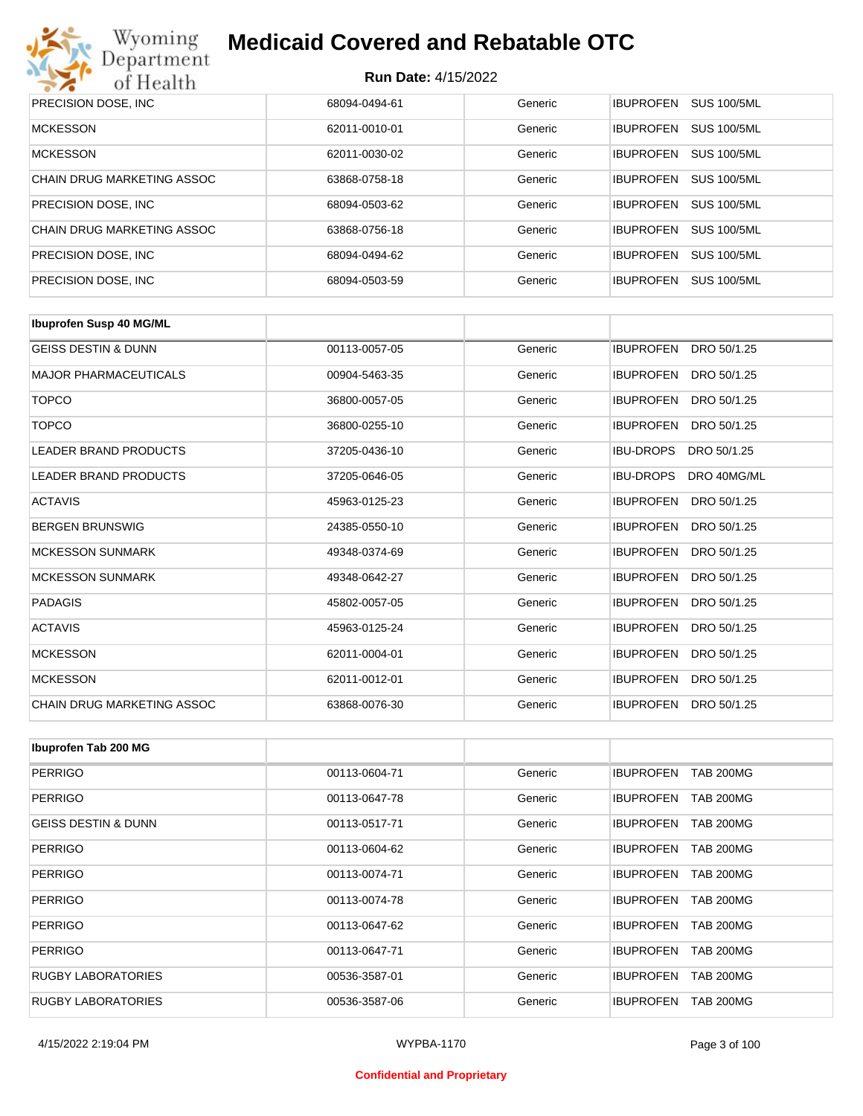

| PRECISION DOSE, INC.       | 68094-0494-61 | Generic | <b>SUS 100/5ML</b><br><b>IBUPROFEN</b> |
|----------------------------|---------------|---------|----------------------------------------|
| <b>MCKESSON</b>            | 62011-0010-01 | Generic | <b>SUS 100/5ML</b><br><b>IBUPROFEN</b> |
| <b>MCKESSON</b>            | 62011-0030-02 | Generic | <b>SUS 100/5ML</b><br><b>IBUPROFEN</b> |
| CHAIN DRUG MARKETING ASSOC | 63868-0758-18 | Generic | <b>SUS 100/5ML</b><br><b>IBUPROFEN</b> |
| PRECISION DOSE, INC.       | 68094-0503-62 | Generic | <b>SUS 100/5ML</b><br><b>IBUPROFEN</b> |
| CHAIN DRUG MARKETING ASSOC | 63868-0756-18 | Generic | <b>SUS 100/5ML</b><br><b>IBUPROFEN</b> |
| PRECISION DOSE, INC.       | 68094-0494-62 | Generic | <b>IBUPROFEN</b><br><b>SUS 100/5ML</b> |
| PRECISION DOSE, INC.       | 68094-0503-59 | Generic | <b>SUS 100/5ML</b><br><b>IBUPROFEN</b> |

| <b>Ibuprofen Susp 40 MG/ML</b> |               |         |                                 |
|--------------------------------|---------------|---------|---------------------------------|
| <b>GEISS DESTIN &amp; DUNN</b> | 00113-0057-05 | Generic | <b>IBUPROFEN</b><br>DRO 50/1.25 |
| <b>MAJOR PHARMACEUTICALS</b>   | 00904-5463-35 | Generic | <b>IBUPROFEN</b><br>DRO 50/1.25 |
| <b>TOPCO</b>                   | 36800-0057-05 | Generic | <b>IBUPROFEN</b><br>DRO 50/1.25 |
| <b>TOPCO</b>                   | 36800-0255-10 | Generic | <b>IBUPROFEN</b><br>DRO 50/1.25 |
| <b>LEADER BRAND PRODUCTS</b>   | 37205-0436-10 | Generic | <b>IBU-DROPS</b><br>DRO 50/1.25 |
| <b>LEADER BRAND PRODUCTS</b>   | 37205-0646-05 | Generic | <b>IBU-DROPS</b><br>DRO 40MG/ML |
| <b>ACTAVIS</b>                 | 45963-0125-23 | Generic | <b>IBUPROFEN</b><br>DRO 50/1.25 |
| <b>BERGEN BRUNSWIG</b>         | 24385-0550-10 | Generic | <b>IBUPROFEN</b><br>DRO 50/1.25 |
| <b>MCKESSON SUNMARK</b>        | 49348-0374-69 | Generic | <b>IBUPROFEN</b><br>DRO 50/1.25 |
| <b>MCKESSON SUNMARK</b>        | 49348-0642-27 | Generic | <b>IBUPROFEN</b><br>DRO 50/1.25 |
| <b>PADAGIS</b>                 | 45802-0057-05 | Generic | <b>IBUPROFEN</b><br>DRO 50/1.25 |
| <b>ACTAVIS</b>                 | 45963-0125-24 | Generic | <b>IBUPROFEN</b><br>DRO 50/1.25 |
| <b>MCKESSON</b>                | 62011-0004-01 | Generic | <b>IBUPROFEN</b><br>DRO 50/1.25 |
| <b>MCKESSON</b>                | 62011-0012-01 | Generic | <b>IBUPROFEN</b><br>DRO 50/1.25 |
| CHAIN DRUG MARKETING ASSOC     | 63868-0076-30 | Generic | <b>IBUPROFEN</b><br>DRO 50/1.25 |

| Ibuprofen Tab 200 MG           |               |         |                                      |
|--------------------------------|---------------|---------|--------------------------------------|
| <b>PERRIGO</b>                 | 00113-0604-71 | Generic | <b>IBUPROFEN</b><br><b>TAB 200MG</b> |
| <b>PERRIGO</b>                 | 00113-0647-78 | Generic | <b>IBUPROFEN</b><br><b>TAB 200MG</b> |
| <b>GEISS DESTIN &amp; DUNN</b> | 00113-0517-71 | Generic | <b>IBUPROFEN</b><br><b>TAB 200MG</b> |
| <b>PERRIGO</b>                 | 00113-0604-62 | Generic | <b>IBUPROFEN</b><br><b>TAB 200MG</b> |
| <b>PERRIGO</b>                 | 00113-0074-71 | Generic | <b>IBUPROFEN</b><br><b>TAB 200MG</b> |
| <b>PERRIGO</b>                 | 00113-0074-78 | Generic | <b>IBUPROFEN</b><br><b>TAB 200MG</b> |
| <b>PERRIGO</b>                 | 00113-0647-62 | Generic | <b>IBUPROFEN</b><br><b>TAB 200MG</b> |
| <b>PERRIGO</b>                 | 00113-0647-71 | Generic | <b>IBUPROFEN</b><br><b>TAB 200MG</b> |
| <b>RUGBY LABORATORIES</b>      | 00536-3587-01 | Generic | <b>IBUPROFEN</b><br><b>TAB 200MG</b> |
| RUGBY LABORATORIES             | 00536-3587-06 | Generic | <b>TAB 200MG</b><br><b>IBUPROFEN</b> |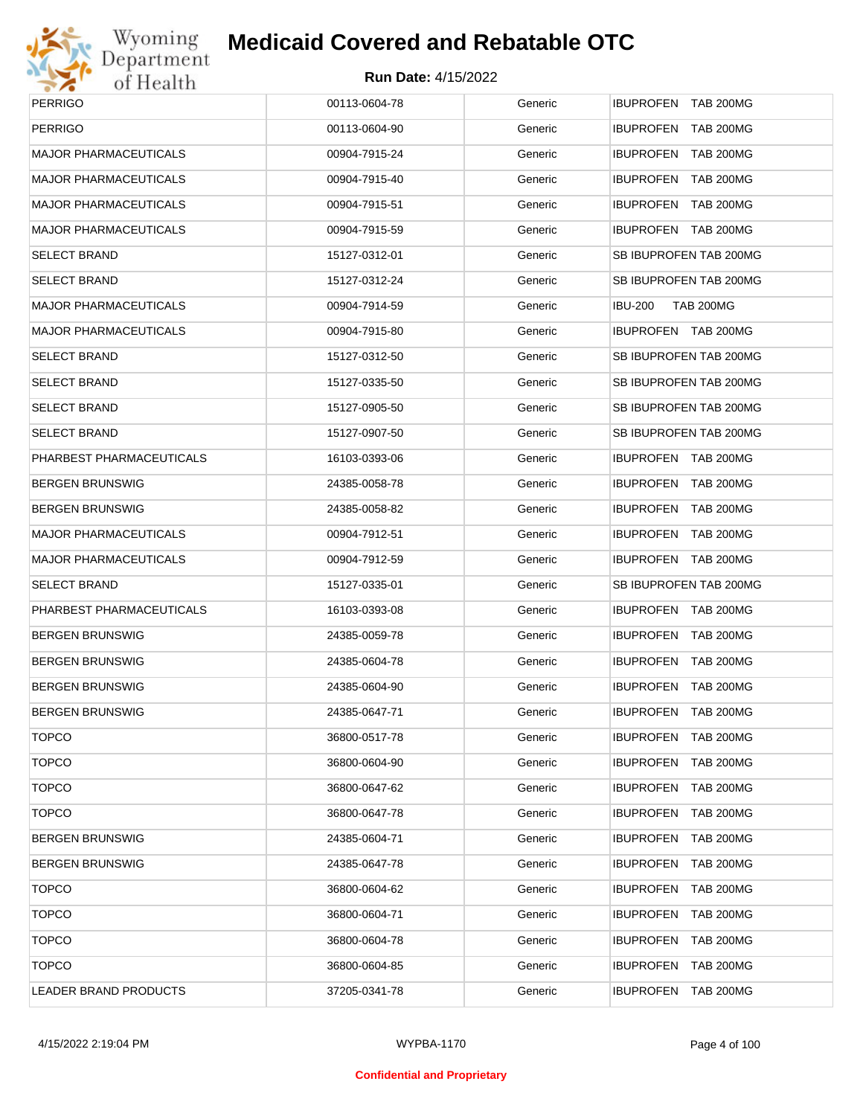

| <b>PERRIGO</b>               | 00113-0604-78 | Generic | IBUPROFEN TAB 200MG         |
|------------------------------|---------------|---------|-----------------------------|
| <b>PERRIGO</b>               | 00113-0604-90 | Generic | IBUPROFEN TAB 200MG         |
| <b>MAJOR PHARMACEUTICALS</b> | 00904-7915-24 | Generic | IBUPROFEN TAB 200MG         |
| <b>MAJOR PHARMACEUTICALS</b> | 00904-7915-40 | Generic | IBUPROFEN TAB 200MG         |
| <b>MAJOR PHARMACEUTICALS</b> | 00904-7915-51 | Generic | IBUPROFEN TAB 200MG         |
| <b>MAJOR PHARMACEUTICALS</b> | 00904-7915-59 | Generic | IBUPROFEN TAB 200MG         |
| <b>SELECT BRAND</b>          | 15127-0312-01 | Generic | SB IBUPROFEN TAB 200MG      |
| <b>SELECT BRAND</b>          | 15127-0312-24 | Generic | SB IBUPROFEN TAB 200MG      |
| <b>MAJOR PHARMACEUTICALS</b> | 00904-7914-59 | Generic | <b>TAB 200MG</b><br>IBU-200 |
| <b>MAJOR PHARMACEUTICALS</b> | 00904-7915-80 | Generic | IBUPROFEN TAB 200MG         |
| <b>SELECT BRAND</b>          | 15127-0312-50 | Generic | SB IBUPROFEN TAB 200MG      |
| <b>SELECT BRAND</b>          | 15127-0335-50 | Generic | SB IBUPROFEN TAB 200MG      |
| <b>SELECT BRAND</b>          | 15127-0905-50 | Generic | SB IBUPROFEN TAB 200MG      |
| <b>SELECT BRAND</b>          | 15127-0907-50 | Generic | SB IBUPROFEN TAB 200MG      |
| PHARBEST PHARMACEUTICALS     | 16103-0393-06 | Generic | IBUPROFEN TAB 200MG         |
| <b>BERGEN BRUNSWIG</b>       | 24385-0058-78 | Generic | IBUPROFEN TAB 200MG         |
| <b>BERGEN BRUNSWIG</b>       | 24385-0058-82 | Generic | <b>IBUPROFEN TAB 200MG</b>  |
| <b>MAJOR PHARMACEUTICALS</b> | 00904-7912-51 | Generic | IBUPROFEN TAB 200MG         |
| <b>MAJOR PHARMACEUTICALS</b> | 00904-7912-59 | Generic | IBUPROFEN TAB 200MG         |
| <b>SELECT BRAND</b>          | 15127-0335-01 | Generic | SB IBUPROFEN TAB 200MG      |
| PHARBEST PHARMACEUTICALS     | 16103-0393-08 | Generic | <b>IBUPROFEN TAB 200MG</b>  |
| <b>BERGEN BRUNSWIG</b>       | 24385-0059-78 | Generic | IBUPROFEN TAB 200MG         |
| <b>BERGEN BRUNSWIG</b>       | 24385-0604-78 | Generic | IBUPROFEN TAB 200MG         |
| <b>BERGEN BRUNSWIG</b>       | 24385-0604-90 | Generic | IBUPROFEN TAB 200MG         |
| <b>BERGEN BRUNSWIG</b>       | 24385-0647-71 | Generic | <b>IBUPROFEN TAB 200MG</b>  |
| <b>TOPCO</b>                 | 36800-0517-78 | Generic | <b>IBUPROFEN TAB 200MG</b>  |
| <b>TOPCO</b>                 | 36800-0604-90 | Generic | IBUPROFEN TAB 200MG         |
| <b>TOPCO</b>                 | 36800-0647-62 | Generic | IBUPROFEN TAB 200MG         |
| <b>TOPCO</b>                 | 36800-0647-78 | Generic | IBUPROFEN TAB 200MG         |
| <b>BERGEN BRUNSWIG</b>       | 24385-0604-71 | Generic | IBUPROFEN TAB 200MG         |
| <b>BERGEN BRUNSWIG</b>       | 24385-0647-78 | Generic | IBUPROFEN TAB 200MG         |
| <b>TOPCO</b>                 | 36800-0604-62 | Generic | IBUPROFEN TAB 200MG         |
| <b>TOPCO</b>                 | 36800-0604-71 | Generic | IBUPROFEN TAB 200MG         |
| <b>TOPCO</b>                 | 36800-0604-78 | Generic | IBUPROFEN TAB 200MG         |
| <b>TOPCO</b>                 | 36800-0604-85 | Generic | IBUPROFEN TAB 200MG         |
| LEADER BRAND PRODUCTS        | 37205-0341-78 | Generic | IBUPROFEN TAB 200MG         |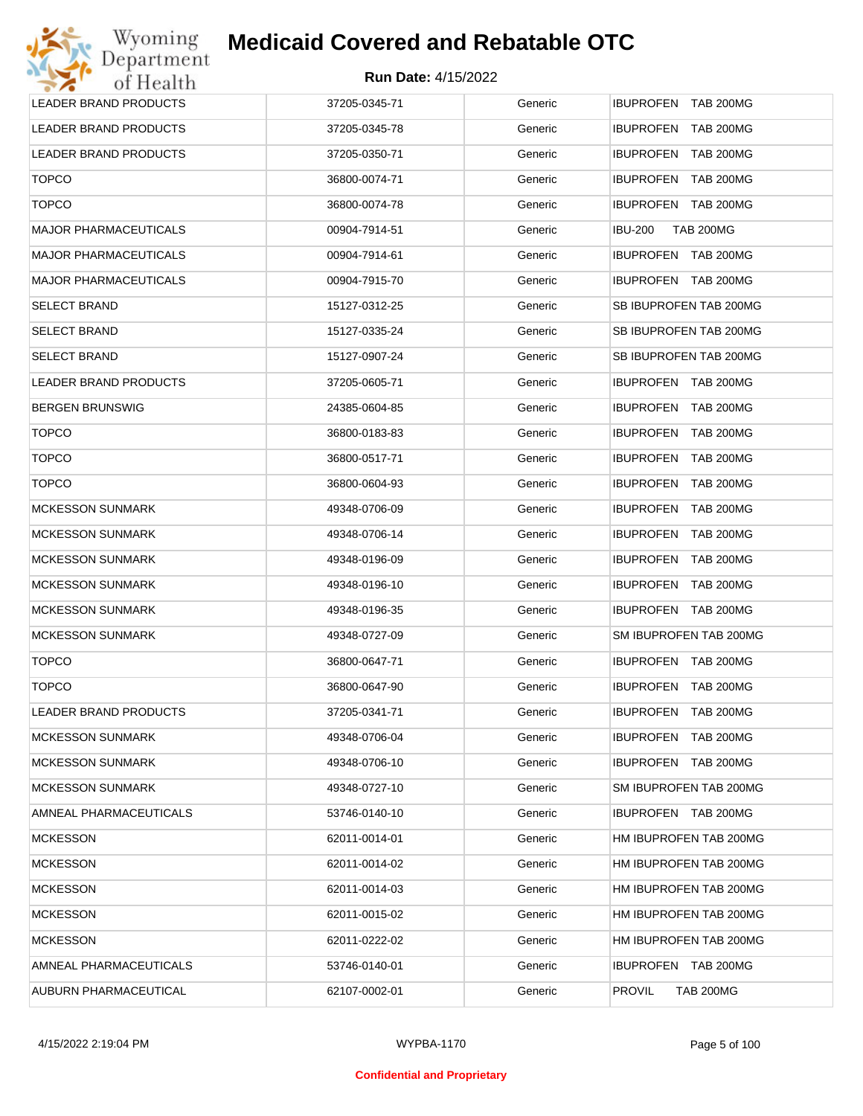| Wyoming                      | <b>Medicaid Covered and Rebatable OTC</b> |         |                                      |
|------------------------------|-------------------------------------------|---------|--------------------------------------|
| Department<br>of Health      | <b>Run Date: 4/15/2022</b>                |         |                                      |
| <b>LEADER BRAND PRODUCTS</b> | 37205-0345-71                             | Generic | <b>IBUPROFEN TAB 200MG</b>           |
| <b>LEADER BRAND PRODUCTS</b> | 37205-0345-78                             | Generic | <b>IBUPROFEN</b><br><b>TAB 200MG</b> |
| LEADER BRAND PRODUCTS        | 37205-0350-71                             | Generic | IBUPROFEN TAB 200MG                  |
| <b>TOPCO</b>                 | 36800-0074-71                             | Generic | IBUPROFEN TAB 200MG                  |
| <b>TOPCO</b>                 | 36800-0074-78                             | Generic | IBUPROFEN TAB 200MG                  |
| <b>MAJOR PHARMACEUTICALS</b> | 00904-7914-51                             | Generic | <b>IBU-200</b><br><b>TAB 200MG</b>   |
| <b>MAJOR PHARMACEUTICALS</b> | 00904-7914-61                             | Generic | IBUPROFEN TAB 200MG                  |
| <b>MAJOR PHARMACEUTICALS</b> | 00904-7915-70                             | Generic | IBUPROFEN TAB 200MG                  |
| <b>SELECT BRAND</b>          | 15127-0312-25                             | Generic | SB IBUPROFEN TAB 200MG               |
| <b>SELECT BRAND</b>          | 15127-0335-24                             | Generic | SB IBUPROFEN TAB 200MG               |
| <b>SELECT BRAND</b>          | 15127-0907-24                             | Generic | SB IBUPROFEN TAB 200MG               |
| <b>LEADER BRAND PRODUCTS</b> | 37205-0605-71                             | Generic | IBUPROFEN TAB 200MG                  |
| <b>BERGEN BRUNSWIG</b>       | 24385-0604-85                             | Generic | IBUPROFEN TAB 200MG                  |
| <b>TOPCO</b>                 | 36800-0183-83                             | Generic | IBUPROFEN TAB 200MG                  |
| <b>TOPCO</b>                 | 36800-0517-71                             | Generic | <b>IBUPROFEN</b><br>TAB 200MG        |
| <b>TOPCO</b>                 | 36800-0604-93                             | Generic | <b>IBUPROFEN</b><br><b>TAB 200MG</b> |
| MCKESSON SUNMARK             | 49348-0706-09                             | Generic | <b>IBUPROFEN</b><br><b>TAB 200MG</b> |
| <b>MCKESSON SUNMARK</b>      | 49348-0706-14                             | Generic | <b>IBUPROFEN</b><br><b>TAB 200MG</b> |
| <b>MCKESSON SUNMARK</b>      | 49348-0196-09                             | Generic | <b>IBUPROFEN</b><br><b>TAB 200MG</b> |
| <b>MCKESSON SUNMARK</b>      | 49348-0196-10                             | Generic | IBUPROFEN TAB 200MG                  |
| <b>MCKESSON SUNMARK</b>      | 49348-0196-35                             | Generic | IBUPROFEN TAB 200MG                  |
| <b>MCKESSON SUNMARK</b>      | 49348-0727-09                             | Generic | SM IBUPROFEN TAB 200MG               |
| <b>TOPCO</b>                 | 36800-0647-71                             | Generic | IBUPROFEN TAB 200MG                  |
| <b>TOPCO</b>                 | 36800-0647-90                             | Generic | IBUPROFEN TAB 200MG                  |
| LEADER BRAND PRODUCTS        | 37205-0341-71                             | Generic | <b>IBUPROFEN</b><br>TAB 200MG        |
| <b>MCKESSON SUNMARK</b>      | 49348-0706-04                             | Generic | IBUPROFEN TAB 200MG                  |
| <b>MCKESSON SUNMARK</b>      | 49348-0706-10                             | Generic | IBUPROFEN TAB 200MG                  |
| <b>MCKESSON SUNMARK</b>      | 49348-0727-10                             | Generic | SM IBUPROFEN TAB 200MG               |
| AMNEAL PHARMACEUTICALS       | 53746-0140-10                             | Generic | IBUPROFEN TAB 200MG                  |
| <b>MCKESSON</b>              | 62011-0014-01                             | Generic | HM IBUPROFEN TAB 200MG               |
| <b>MCKESSON</b>              | 62011-0014-02                             | Generic | HM IBUPROFEN TAB 200MG               |
| <b>MCKESSON</b>              | 62011-0014-03                             | Generic | HM IBUPROFEN TAB 200MG               |
| <b>MCKESSON</b>              | 62011-0015-02                             | Generic | HM IBUPROFEN TAB 200MG               |
| <b>MCKESSON</b>              | 62011-0222-02                             | Generic | HM IBUPROFEN TAB 200MG               |
| AMNEAL PHARMACEUTICALS       | 53746-0140-01                             | Generic | IBUPROFEN TAB 200MG                  |
| AUBURN PHARMACEUTICAL        | 62107-0002-01                             | Generic | <b>PROVIL</b><br><b>TAB 200MG</b>    |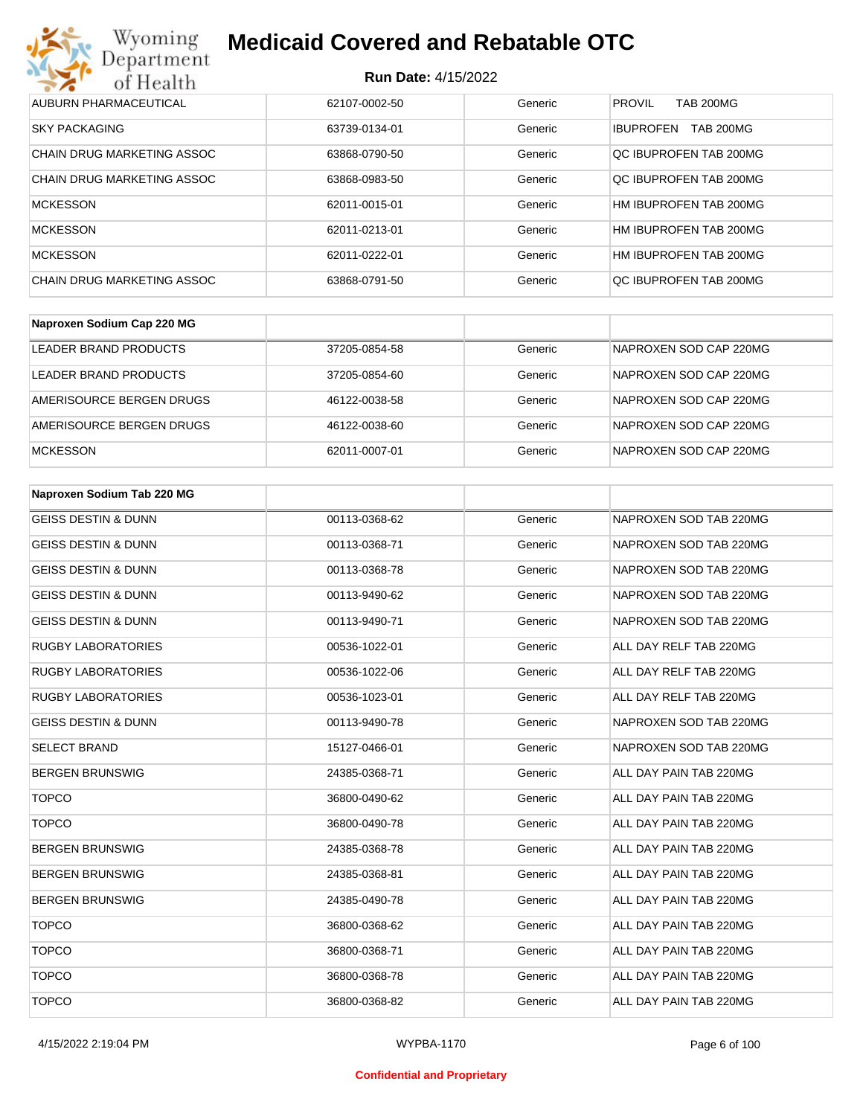

| AUBURN PHARMACEUTICAL             | 62107-0002-50 | Generic | <b>PROVIL</b><br><b>TAB 200MG</b> |
|-----------------------------------|---------------|---------|-----------------------------------|
| <b>SKY PACKAGING</b>              | 63739-0134-01 | Generic | TAB 200MG<br><b>IBUPROFEN</b>     |
| <b>CHAIN DRUG MARKETING ASSOC</b> | 63868-0790-50 | Generic | QC IBUPROFEN TAB 200MG            |
| CHAIN DRUG MARKETING ASSOC        | 63868-0983-50 | Generic | OC IBUPROFEN TAB 200MG            |
| <b>MCKESSON</b>                   | 62011-0015-01 | Generic | HM IBUPROFEN TAB 200MG            |
| <b>MCKESSON</b>                   | 62011-0213-01 | Generic | HM IBUPROFEN TAB 200MG            |
| <b>MCKESSON</b>                   | 62011-0222-01 | Generic | HM IBUPROFEN TAB 200MG            |
| CHAIN DRUG MARKETING ASSOC        | 63868-0791-50 | Generic | OC IBUPROFEN TAB 200MG            |

| Naproxen Sodium Cap 220 MG |               |         |                        |
|----------------------------|---------------|---------|------------------------|
| LEADER BRAND PRODUCTS      | 37205-0854-58 | Generic | NAPROXEN SOD CAP 220MG |
| LEADER BRAND PRODUCTS      | 37205-0854-60 | Generic | NAPROXEN SOD CAP 220MG |
| AMERISOURCE BERGEN DRUGS   | 46122-0038-58 | Generic | NAPROXEN SOD CAP 220MG |
| AMERISOURCE BERGEN DRUGS   | 46122-0038-60 | Generic | NAPROXEN SOD CAP 220MG |
| <b>MCKESSON</b>            | 62011-0007-01 | Generic | NAPROXEN SOD CAP 220MG |

| Naproxen Sodium Tab 220 MG     |               |         |                        |
|--------------------------------|---------------|---------|------------------------|
| <b>GEISS DESTIN &amp; DUNN</b> | 00113-0368-62 | Generic | NAPROXEN SOD TAB 220MG |
| <b>GEISS DESTIN &amp; DUNN</b> | 00113-0368-71 | Generic | NAPROXEN SOD TAB 220MG |
| <b>GEISS DESTIN &amp; DUNN</b> | 00113-0368-78 | Generic | NAPROXEN SOD TAB 220MG |
| <b>GEISS DESTIN &amp; DUNN</b> | 00113-9490-62 | Generic | NAPROXEN SOD TAB 220MG |
| <b>GEISS DESTIN &amp; DUNN</b> | 00113-9490-71 | Generic | NAPROXEN SOD TAB 220MG |
| <b>RUGBY LABORATORIES</b>      | 00536-1022-01 | Generic | ALL DAY RELF TAB 220MG |
| <b>RUGBY LABORATORIES</b>      | 00536-1022-06 | Generic | ALL DAY RELF TAB 220MG |
| <b>RUGBY LABORATORIES</b>      | 00536-1023-01 | Generic | ALL DAY RELF TAB 220MG |
| <b>GEISS DESTIN &amp; DUNN</b> | 00113-9490-78 | Generic | NAPROXEN SOD TAB 220MG |
| <b>SELECT BRAND</b>            | 15127-0466-01 | Generic | NAPROXEN SOD TAB 220MG |
| <b>BERGEN BRUNSWIG</b>         | 24385-0368-71 | Generic | ALL DAY PAIN TAB 220MG |
| <b>TOPCO</b>                   | 36800-0490-62 | Generic | ALL DAY PAIN TAB 220MG |
| <b>TOPCO</b>                   | 36800-0490-78 | Generic | ALL DAY PAIN TAB 220MG |
| <b>BERGEN BRUNSWIG</b>         | 24385-0368-78 | Generic | ALL DAY PAIN TAB 220MG |
| <b>BERGEN BRUNSWIG</b>         | 24385-0368-81 | Generic | ALL DAY PAIN TAB 220MG |
| <b>BERGEN BRUNSWIG</b>         | 24385-0490-78 | Generic | ALL DAY PAIN TAB 220MG |
| <b>TOPCO</b>                   | 36800-0368-62 | Generic | ALL DAY PAIN TAB 220MG |
| <b>TOPCO</b>                   | 36800-0368-71 | Generic | ALL DAY PAIN TAB 220MG |
| <b>TOPCO</b>                   | 36800-0368-78 | Generic | ALL DAY PAIN TAB 220MG |
| <b>TOPCO</b>                   | 36800-0368-82 | Generic | ALL DAY PAIN TAB 220MG |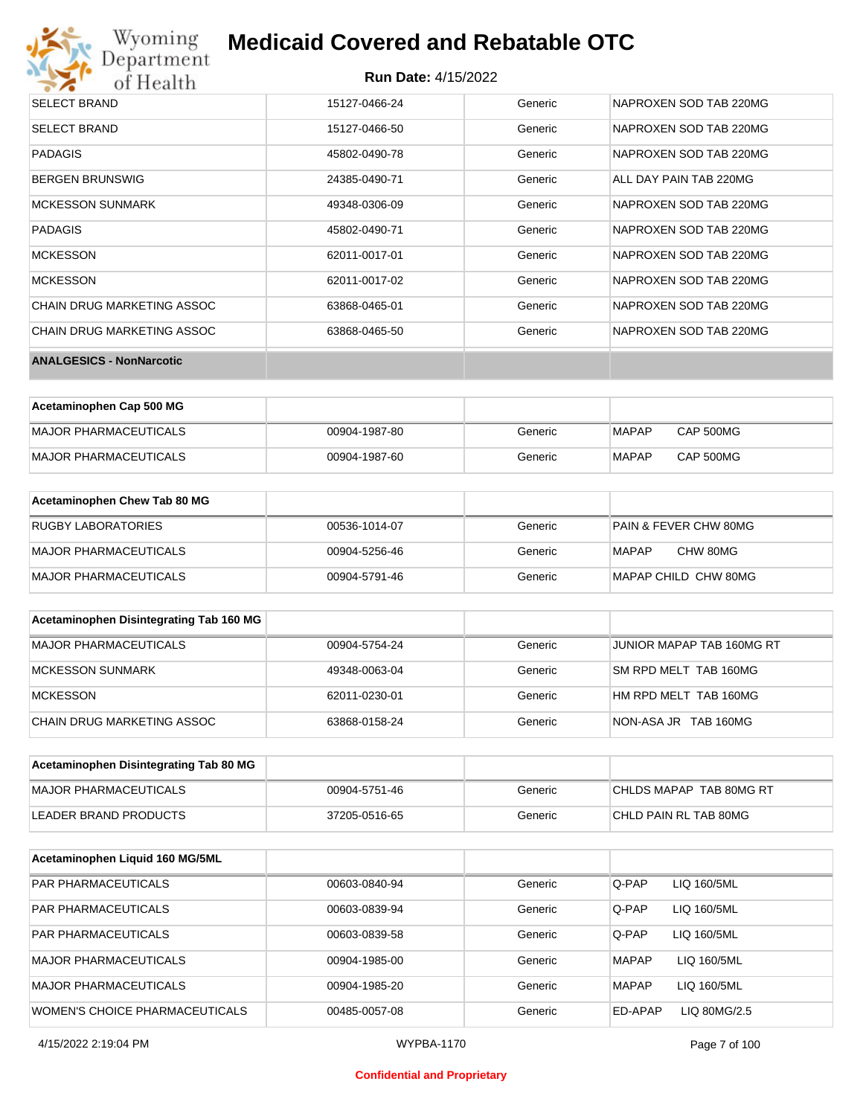

| <b>SELECT BRAND</b>             | 15127-0466-24 | Generic | NAPROXEN SOD TAB 220MG |
|---------------------------------|---------------|---------|------------------------|
| <b>SELECT BRAND</b>             | 15127-0466-50 | Generic | NAPROXEN SOD TAB 220MG |
| <b>PADAGIS</b>                  | 45802-0490-78 | Generic | NAPROXEN SOD TAB 220MG |
| <b>BERGEN BRUNSWIG</b>          | 24385-0490-71 | Generic | ALL DAY PAIN TAB 220MG |
| <b>MCKESSON SUNMARK</b>         | 49348-0306-09 | Generic | NAPROXEN SOD TAB 220MG |
| <b>PADAGIS</b>                  | 45802-0490-71 | Generic | NAPROXEN SOD TAB 220MG |
| <b>MCKESSON</b>                 | 62011-0017-01 | Generic | NAPROXEN SOD TAB 220MG |
| <b>MCKESSON</b>                 | 62011-0017-02 | Generic | NAPROXEN SOD TAB 220MG |
| CHAIN DRUG MARKETING ASSOC      | 63868-0465-01 | Generic | NAPROXEN SOD TAB 220MG |
| CHAIN DRUG MARKETING ASSOC      | 63868-0465-50 | Generic | NAPROXEN SOD TAB 220MG |
| <b>ANALGESICS - NonNarcotic</b> |               |         |                        |

| Acetaminophen Cap 500 MG |               |         |       |                  |
|--------------------------|---------------|---------|-------|------------------|
| MAJOR PHARMACEUTICALS    | 00904-1987-80 | Generic | MAPAP | CAP 500MG        |
| MAJOR PHARMACEUTICALS    | 00904-1987-60 | Generic | MAPAP | <b>CAP 500MG</b> |

| Acetaminophen Chew Tab 80 MG |               |         |                                  |
|------------------------------|---------------|---------|----------------------------------|
| <b>RUGBY LABORATORIES</b>    | 00536-1014-07 | Generic | <b>PAIN &amp; FEVER CHW 80MG</b> |
| MAJOR PHARMACEUTICALS        | 00904-5256-46 | Generic | CHW 80MG<br>MAPAP                |
| MAJOR PHARMACEUTICALS        | 00904-5791-46 | Generic | MAPAP CHILD CHW 80MG             |

| Acetaminophen Disintegrating Tab 160 MG |               |         |                           |
|-----------------------------------------|---------------|---------|---------------------------|
| MAJOR PHARMACEUTICALS                   | 00904-5754-24 | Generic | JUNIOR MAPAP TAB 160MG RT |
| <b>MCKESSON SUNMARK</b>                 | 49348-0063-04 | Generic | SM RPD MELT TAB 160MG     |
| <b>MCKESSON</b>                         | 62011-0230-01 | Generic | HM RPD MELT TAB 160MG     |
| CHAIN DRUG MARKETING ASSOC              | 63868-0158-24 | Generic | NON-ASA JR TAB 160MG      |

| Acetaminophen Disintegrating Tab 80 MG |               |         |                         |
|----------------------------------------|---------------|---------|-------------------------|
| MAJOR PHARMACEUTICALS                  | 00904-5751-46 | Generic | CHLDS MAPAP TAB 80MG RT |
| LEADER BRAND PRODUCTS                  | 37205-0516-65 | Generic | CHLD PAIN RL TAB 80MG   |

| Acetaminophen Liquid 160 MG/5ML       |               |         |                             |
|---------------------------------------|---------------|---------|-----------------------------|
| <b>PAR PHARMACEUTICALS</b>            | 00603-0840-94 | Generic | Q-PAP<br>LIQ 160/5ML        |
| <b>PAR PHARMACEUTICALS</b>            | 00603-0839-94 | Generic | Q-PAP<br>LIQ 160/5ML        |
| <b>PAR PHARMACEUTICALS</b>            | 00603-0839-58 | Generic | Q-PAP<br>LIQ 160/5ML        |
| MAJOR PHARMACEUTICALS                 | 00904-1985-00 | Generic | LIQ 160/5ML<br><b>MAPAP</b> |
| MAJOR PHARMACEUTICALS                 | 00904-1985-20 | Generic | <b>MAPAP</b><br>LIQ 160/5ML |
| <b>WOMEN'S CHOICE PHARMACEUTICALS</b> | 00485-0057-08 | Generic | ED-APAP<br>LIQ 80MG/2.5     |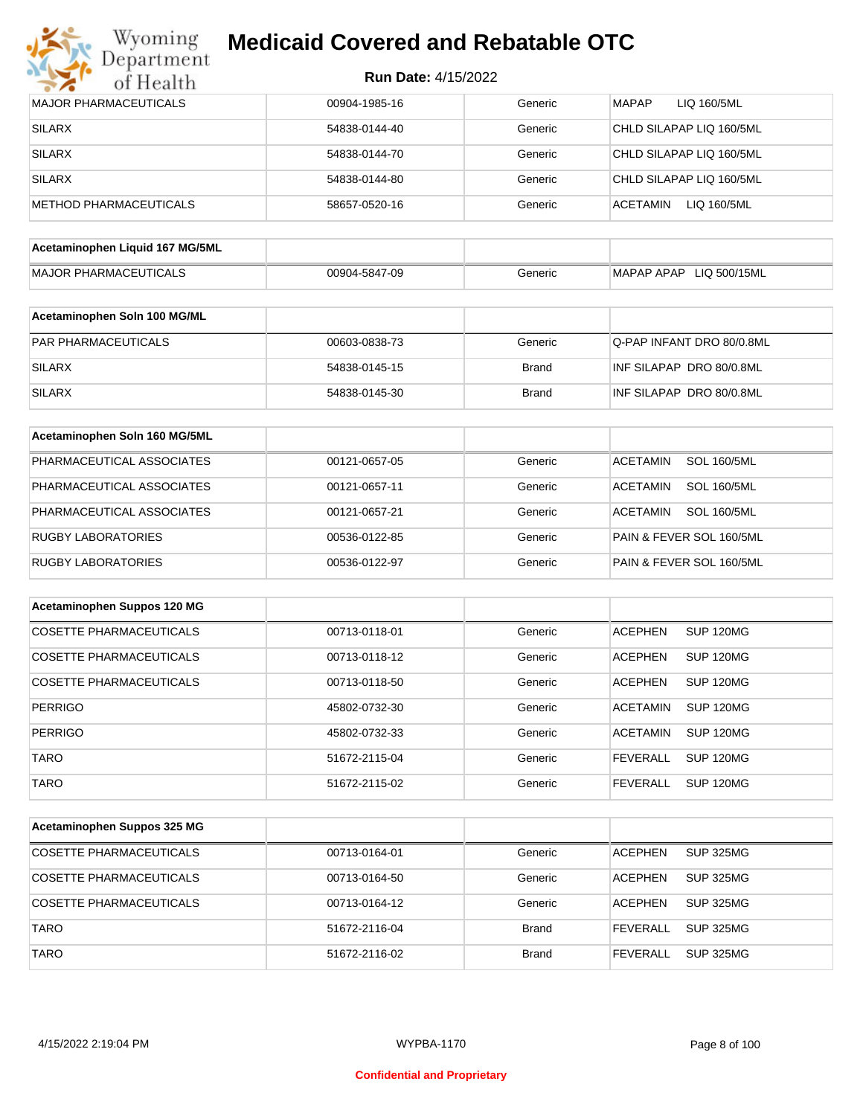

| <b>Run Date: 4/15/2022</b> |  |
|----------------------------|--|
|----------------------------|--|

| <b>MAJOR PHARMACEUTICALS</b>    | 00904-1985-16 | Generic      | <b>MAPAP</b><br>LIQ 160/5ML           |
|---------------------------------|---------------|--------------|---------------------------------------|
| <b>SILARX</b>                   | 54838-0144-40 | Generic      | CHLD SILAPAP LIQ 160/5ML              |
| <b>SILARX</b>                   | 54838-0144-70 | Generic      | CHLD SILAPAP LIQ 160/5ML              |
| <b>SILARX</b>                   | 54838-0144-80 | Generic      | CHLD SILAPAP LIQ 160/5ML              |
| <b>METHOD PHARMACEUTICALS</b>   | 58657-0520-16 | Generic      | <b>ACETAMIN</b><br>LIQ 160/5ML        |
|                                 |               |              |                                       |
| Acetaminophen Liquid 167 MG/5ML |               |              |                                       |
| <b>MAJOR PHARMACEUTICALS</b>    | 00904-5847-09 | Generic      | MAPAP APAP LIQ 500/15ML               |
| Acetaminophen Soln 100 MG/ML    |               |              |                                       |
| PAR PHARMACEUTICALS             |               |              |                                       |
|                                 | 00603-0838-73 | Generic      | Q-PAP INFANT DRO 80/0.8ML             |
| <b>SILARX</b>                   | 54838-0145-15 | <b>Brand</b> | INF SILAPAP DRO 80/0.8ML              |
| <b>SILARX</b>                   | 54838-0145-30 | <b>Brand</b> | INF SILAPAP DRO 80/0.8ML              |
| Acetaminophen Soln 160 MG/5ML   |               |              |                                       |
| PHARMACEUTICAL ASSOCIATES       | 00121-0657-05 | Generic      | <b>SOL 160/5ML</b><br><b>ACETAMIN</b> |
| PHARMACEUTICAL ASSOCIATES       | 00121-0657-11 | Generic      | <b>SOL 160/5ML</b><br><b>ACETAMIN</b> |
| PHARMACEUTICAL ASSOCIATES       | 00121-0657-21 | Generic      | <b>SOL 160/5ML</b><br><b>ACETAMIN</b> |
| <b>RUGBY LABORATORIES</b>       | 00536-0122-85 | Generic      | PAIN & FEVER SOL 160/5ML              |
| <b>RUGBY LABORATORIES</b>       | 00536-0122-97 | Generic      | PAIN & FEVER SOL 160/5ML              |
|                                 |               |              |                                       |
| Acetaminophen Suppos 120 MG     |               |              |                                       |
| <b>COSETTE PHARMACEUTICALS</b>  | 00713-0118-01 | Generic      | <b>ACEPHEN</b><br><b>SUP 120MG</b>    |
| <b>COSETTE PHARMACEUTICALS</b>  | 00713-0118-12 | Generic      | <b>ACEPHEN</b><br><b>SUP 120MG</b>    |
| <b>COSETTE PHARMACEUTICALS</b>  | 00713-0118-50 | Generic      | <b>ACEPHEN</b><br><b>SUP 120MG</b>    |
| <b>PERRIGO</b>                  | 45802-0732-30 | Generic      | <b>SUP 120MG</b><br><b>ACETAMIN</b>   |
| <b>PERRIGO</b>                  | 45802-0732-33 | Generic      | <b>ACETAMIN</b><br><b>SUP 120MG</b>   |
| <b>TARO</b>                     | 51672-2115-04 | Generic      | <b>SUP 120MG</b><br><b>FEVERALL</b>   |
| <b>TARO</b>                     | 51672-2115-02 | Generic      | <b>SUP 120MG</b><br><b>FEVERALL</b>   |
|                                 |               |              |                                       |
| Acetaminophen Suppos 325 MG     |               |              |                                       |
| <b>COSETTE PHARMACEUTICALS</b>  | 00713-0164-01 | Generic      | <b>ACEPHEN</b><br><b>SUP 325MG</b>    |
| <b>COSETTE PHARMACEUTICALS</b>  | 00713-0164-50 | Generic      | <b>ACEPHEN</b><br><b>SUP 325MG</b>    |
| <b>COSETTE PHARMACEUTICALS</b>  | 00713-0164-12 | Generic      | <b>ACEPHEN</b><br><b>SUP 325MG</b>    |
| <b>TARO</b>                     | 51672-2116-04 | <b>Brand</b> | <b>FEVERALL</b><br><b>SUP 325MG</b>   |
| <b>TARO</b>                     | 51672-2116-02 | <b>Brand</b> | <b>SUP 325MG</b><br><b>FEVERALL</b>   |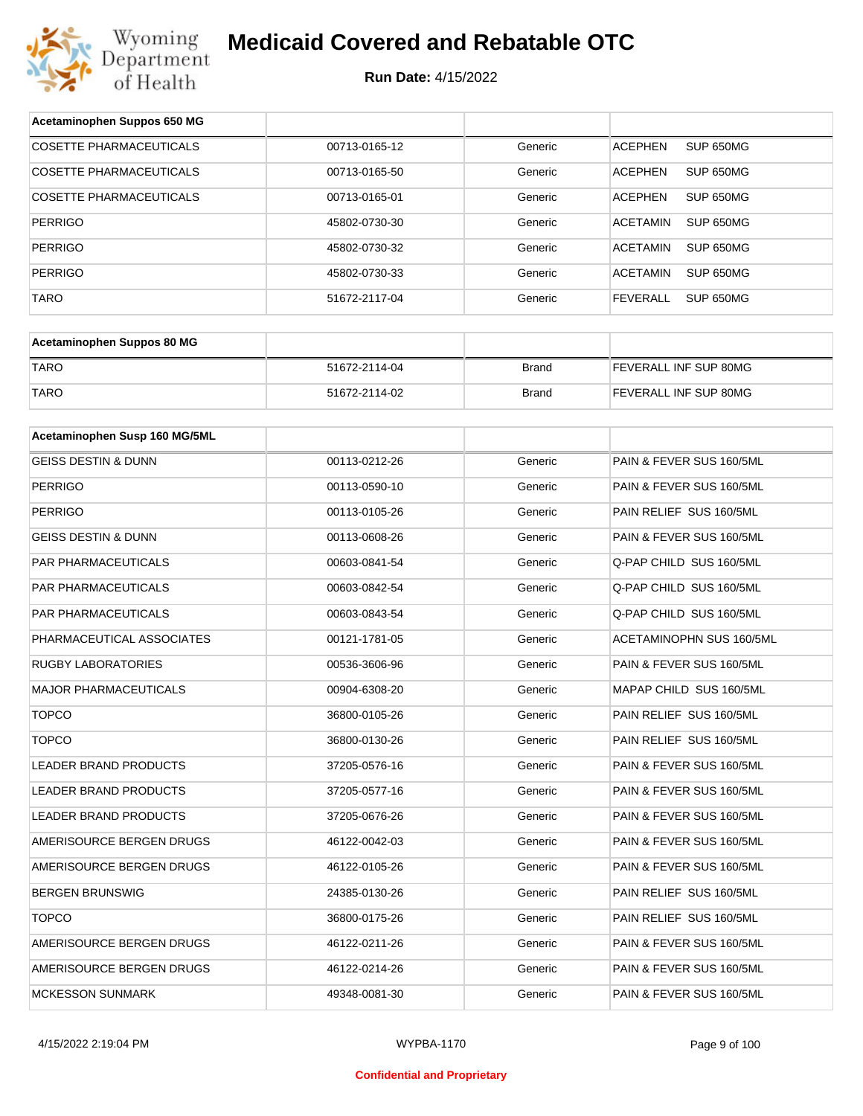

| Acetaminophen Suppos 650 MG    |               |              |                                     |
|--------------------------------|---------------|--------------|-------------------------------------|
| <b>COSETTE PHARMACEUTICALS</b> | 00713-0165-12 | Generic      | <b>ACEPHEN</b><br>SUP 650MG         |
| COSETTE PHARMACEUTICALS        | 00713-0165-50 | Generic      | <b>ACEPHEN</b><br>SUP 650MG         |
| COSETTE PHARMACEUTICALS        | 00713-0165-01 | Generic      | <b>ACEPHEN</b><br>SUP 650MG         |
| <b>PERRIGO</b>                 | 45802-0730-30 | Generic      | <b>ACETAMIN</b><br><b>SUP 650MG</b> |
| <b>PERRIGO</b>                 | 45802-0730-32 | Generic      | <b>ACETAMIN</b><br>SUP 650MG        |
| <b>PERRIGO</b>                 | 45802-0730-33 | Generic      | <b>ACETAMIN</b><br><b>SUP 650MG</b> |
| <b>TARO</b>                    | 51672-2117-04 | Generic      | <b>FEVERALL</b><br><b>SUP 650MG</b> |
|                                |               |              |                                     |
| Acetaminophen Suppos 80 MG     |               |              |                                     |
| <b>TARO</b>                    | 51672-2114-04 | <b>Brand</b> | FEVERALL INF SUP 80MG               |
| <b>TARO</b>                    | 51672-2114-02 | <b>Brand</b> | FEVERALL INF SUP 80MG               |
| Acetaminophen Susp 160 MG/5ML  |               |              |                                     |
|                                |               |              |                                     |
| <b>GEISS DESTIN &amp; DUNN</b> | 00113-0212-26 | Generic      | PAIN & FEVER SUS 160/5ML            |
| <b>PERRIGO</b>                 | 00113-0590-10 | Generic      | PAIN & FEVER SUS 160/5ML            |
| <b>PERRIGO</b>                 | 00113-0105-26 | Generic      | PAIN RELIEF SUS 160/5ML             |
| <b>GEISS DESTIN &amp; DUNN</b> | 00113-0608-26 | Generic      | PAIN & FEVER SUS 160/5ML            |
| PAR PHARMACEUTICALS            | 00603-0841-54 | Generic      | Q-PAP CHILD SUS 160/5ML             |
| PAR PHARMACEUTICALS            | 00603-0842-54 | Generic      | Q-PAP CHILD SUS 160/5ML             |
| PAR PHARMACEUTICALS            | 00603-0843-54 | Generic      | Q-PAP CHILD SUS 160/5ML             |
| PHARMACEUTICAL ASSOCIATES      | 00121-1781-05 | Generic      | ACETAMINOPHN SUS 160/5ML            |
| RUGBY LABORATORIES             | 00536-3606-96 | Generic      | PAIN & FEVER SUS 160/5ML            |
| <b>MAJOR PHARMACEUTICALS</b>   | 00904-6308-20 | Generic      | MAPAP CHILD SUS 160/5ML             |
| <b>TOPCO</b>                   | 36800-0105-26 | Generic      | PAIN RELIEF SUS 160/5ML             |
| <b>TOPCO</b>                   | 36800-0130-26 | Generic      | PAIN RELIEF SUS 160/5ML             |
| <b>LEADER BRAND PRODUCTS</b>   | 37205-0576-16 | Generic      | PAIN & FEVER SUS 160/5ML            |
| <b>LEADER BRAND PRODUCTS</b>   | 37205-0577-16 | Generic      | PAIN & FEVER SUS 160/5ML            |
| LEADER BRAND PRODUCTS          | 37205-0676-26 | Generic      | PAIN & FEVER SUS 160/5ML            |
| AMERISOURCE BERGEN DRUGS       | 46122-0042-03 | Generic      | PAIN & FEVER SUS 160/5ML            |
| AMERISOURCE BERGEN DRUGS       | 46122-0105-26 | Generic      | PAIN & FEVER SUS 160/5ML            |
| BERGEN BRUNSWIG                | 24385-0130-26 | Generic      | PAIN RELIEF SUS 160/5ML             |
| <b>TOPCO</b>                   | 36800-0175-26 | Generic      | PAIN RELIEF SUS 160/5ML             |
| AMERISOURCE BERGEN DRUGS       | 46122-0211-26 | Generic      | PAIN & FEVER SUS 160/5ML            |
| AMERISOURCE BERGEN DRUGS       | 46122-0214-26 | Generic      | PAIN & FEVER SUS 160/5ML            |
| <b>MCKESSON SUNMARK</b>        | 49348-0081-30 | Generic      | PAIN & FEVER SUS 160/5ML            |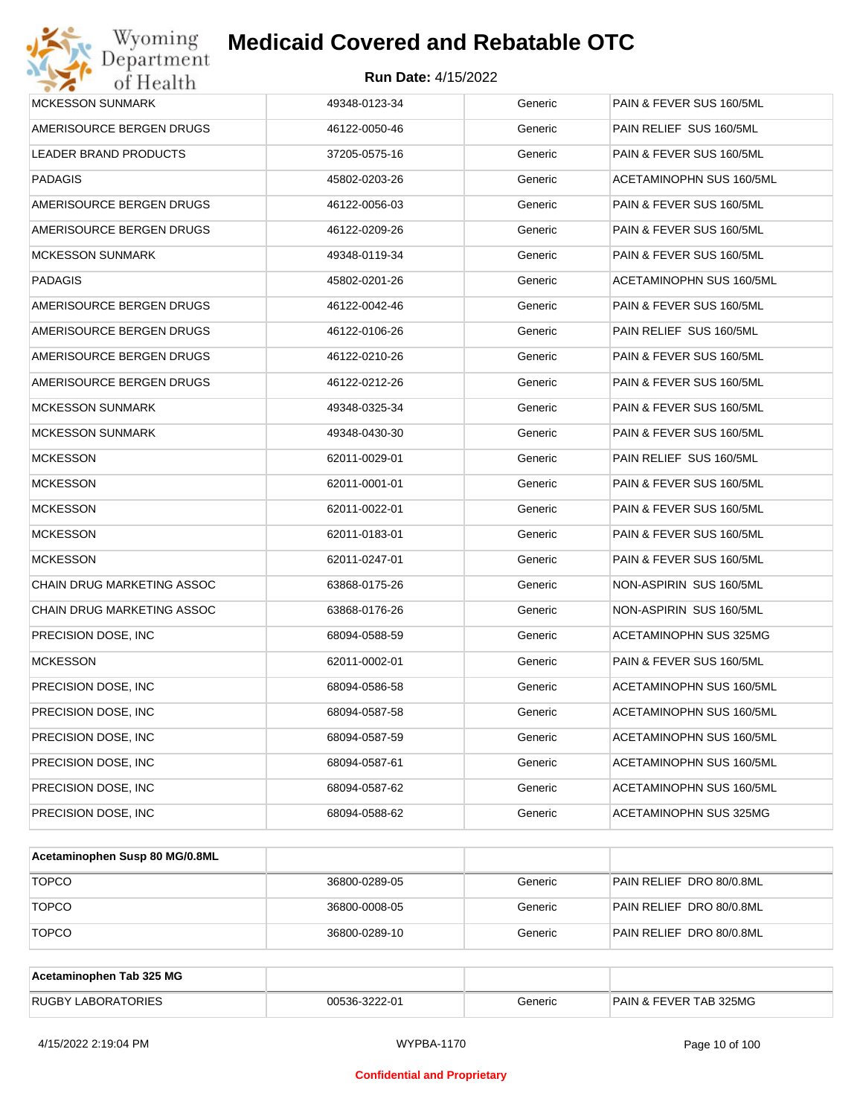| Wyoming<br>Department      | <b>Medicaid Covered and Rebatable OTC</b> |         |                          |
|----------------------------|-------------------------------------------|---------|--------------------------|
| of Health                  | <b>Run Date: 4/15/2022</b>                |         |                          |
| <b>MCKESSON SUNMARK</b>    | 49348-0123-34                             | Generic | PAIN & FEVER SUS 160/5ML |
| AMERISOURCE BERGEN DRUGS   | 46122-0050-46                             | Generic | PAIN RELIEF SUS 160/5ML  |
| LEADER BRAND PRODUCTS      | 37205-0575-16                             | Generic | PAIN & FEVER SUS 160/5ML |
| <b>PADAGIS</b>             | 45802-0203-26                             | Generic | ACETAMINOPHN SUS 160/5ML |
| AMERISOURCE BERGEN DRUGS   | 46122-0056-03                             | Generic | PAIN & FEVER SUS 160/5ML |
| AMERISOURCE BERGEN DRUGS   | 46122-0209-26                             | Generic | PAIN & FEVER SUS 160/5ML |
| <b>MCKESSON SUNMARK</b>    | 49348-0119-34                             | Generic | PAIN & FEVER SUS 160/5ML |
| <b>PADAGIS</b>             | 45802-0201-26                             | Generic | ACETAMINOPHN SUS 160/5ML |
| AMERISOURCE BERGEN DRUGS   | 46122-0042-46                             | Generic | PAIN & FEVER SUS 160/5ML |
| AMERISOURCE BERGEN DRUGS   | 46122-0106-26                             | Generic | PAIN RELIEF SUS 160/5ML  |
| AMERISOURCE BERGEN DRUGS   | 46122-0210-26                             | Generic | PAIN & FEVER SUS 160/5ML |
| AMERISOURCE BERGEN DRUGS   | 46122-0212-26                             | Generic | PAIN & FEVER SUS 160/5ML |
| <b>MCKESSON SUNMARK</b>    | 49348-0325-34                             | Generic | PAIN & FEVER SUS 160/5ML |
| <b>MCKESSON SUNMARK</b>    | 49348-0430-30                             | Generic | PAIN & FEVER SUS 160/5ML |
| <b>MCKESSON</b>            | 62011-0029-01                             | Generic | PAIN RELIEF SUS 160/5ML  |
| <b>MCKESSON</b>            | 62011-0001-01                             | Generic | PAIN & FEVER SUS 160/5ML |
| <b>MCKESSON</b>            | 62011-0022-01                             | Generic | PAIN & FEVER SUS 160/5ML |
| <b>MCKESSON</b>            | 62011-0183-01                             | Generic | PAIN & FEVER SUS 160/5ML |
| <b>MCKESSON</b>            | 62011-0247-01                             | Generic | PAIN & FEVER SUS 160/5ML |
| CHAIN DRUG MARKETING ASSOC | 63868-0175-26                             | Generic | NON-ASPIRIN SUS 160/5ML  |
| CHAIN DRUG MARKETING ASSOC | 63868-0176-26                             | Generic | NON-ASPIRIN SUS 160/5ML  |
| PRECISION DOSE, INC        | 68094-0588-59                             | Generic | ACETAMINOPHN SUS 325MG   |
| <b>MCKESSON</b>            | 62011-0002-01                             | Generic | PAIN & FEVER SUS 160/5ML |
| PRECISION DOSE, INC        | 68094-0586-58                             | Generic | ACETAMINOPHN SUS 160/5ML |
| PRECISION DOSE, INC.       | 68094-0587-58                             | Generic | ACETAMINOPHN SUS 160/5ML |
| PRECISION DOSE, INC.       | 68094-0587-59                             | Generic | ACETAMINOPHN SUS 160/5ML |
| PRECISION DOSE, INC.       | 68094-0587-61                             | Generic | ACETAMINOPHN SUS 160/5ML |
| PRECISION DOSE, INC.       | 68094-0587-62                             | Generic | ACETAMINOPHN SUS 160/5ML |
| PRECISION DOSE, INC        | 68094-0588-62                             | Generic | ACETAMINOPHN SUS 325MG   |
|                            |                                           |         |                          |

| Acetaminophen Susp 80 MG/0.8ML |               |         |                          |
|--------------------------------|---------------|---------|--------------------------|
| <b>TOPCO</b>                   | 36800-0289-05 | Generic | PAIN RELIEF DRO 80/0.8ML |
| <b>TOPCO</b>                   | 36800-0008-05 | Generic | PAIN RELIEF DRO 80/0.8ML |
| <b>TOPCO</b>                   | 36800-0289-10 | Generic | PAIN RELIEF DRO 80/0.8ML |

| Acetaminophen Tab 325 MG  |               |         |                                   |
|---------------------------|---------------|---------|-----------------------------------|
| <b>RUGBY LABORATORIES</b> | 00536-3222-01 | Beneric | <b>PAIN &amp; FEVER TAB 325MG</b> |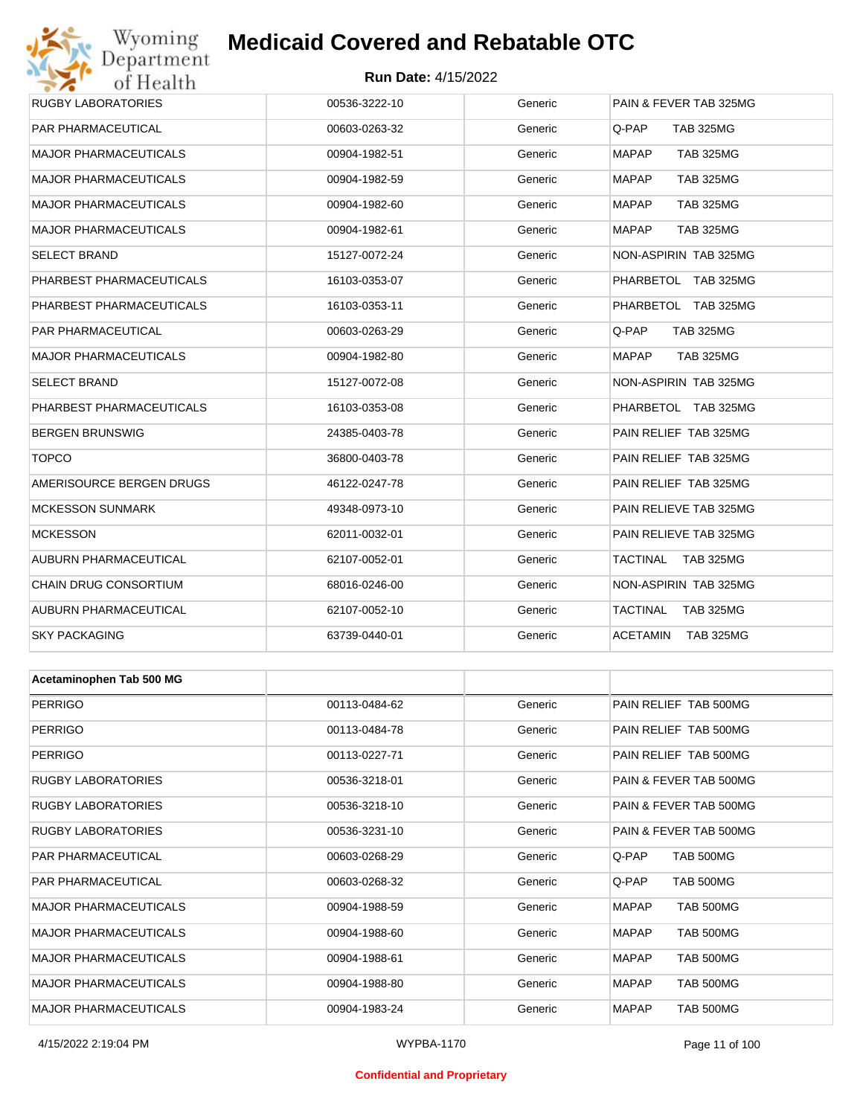# Wyoming<br>Department<br>of Health **Medicaid Covered and Rebatable OTC**

#### **Run Date:** 4/15/2022

| RUGBY LABORATORIES           | 00536-3222-10 | Generic | PAIN & FEVER TAB 325MG           |
|------------------------------|---------------|---------|----------------------------------|
| PAR PHARMACEUTICAL           | 00603-0263-32 | Generic | <b>TAB 325MG</b><br>Q-PAP        |
| <b>MAJOR PHARMACEUTICALS</b> | 00904-1982-51 | Generic | <b>MAPAP</b><br><b>TAB 325MG</b> |
| MAJOR PHARMACEUTICALS        | 00904-1982-59 | Generic | <b>MAPAP</b><br><b>TAB 325MG</b> |
| <b>MAJOR PHARMACEUTICALS</b> | 00904-1982-60 | Generic | <b>MAPAP</b><br><b>TAB 325MG</b> |
| MAJOR PHARMACEUTICALS        | 00904-1982-61 | Generic | <b>MAPAP</b><br><b>TAB 325MG</b> |
| SELECT BRAND                 | 15127-0072-24 | Generic | NON-ASPIRIN TAB 325MG            |
| PHARBEST PHARMACEUTICALS     | 16103-0353-07 | Generic | PHARBETOL TAB 325MG              |
| PHARBEST PHARMACEUTICALS     | 16103-0353-11 | Generic | PHARBETOL TAB 325MG              |
| PAR PHARMACEUTICAL           | 00603-0263-29 | Generic | <b>TAB 325MG</b><br>Q-PAP.       |
| MAJOR PHARMACEUTICALS        | 00904-1982-80 | Generic | <b>MAPAP</b><br><b>TAB 325MG</b> |
| SELECT BRAND                 | 15127-0072-08 | Generic | <b>NON-ASPIRIN TAB 325MG</b>     |
| PHARBEST PHARMACEUTICALS     | 16103-0353-08 | Generic | PHARBETOL TAB 325MG              |
| BERGEN BRUNSWIG              | 24385-0403-78 | Generic | PAIN RELIEF TAB 325MG            |
| <b>TOPCO</b>                 | 36800-0403-78 | Generic | PAIN RELIEF TAB 325MG            |
| AMERISOURCE BERGEN DRUGS     | 46122-0247-78 | Generic | PAIN RELIEF TAB 325MG            |
| <b>MCKESSON SUNMARK</b>      | 49348-0973-10 | Generic | PAIN RELIEVE TAB 325MG           |
| <b>MCKESSON</b>              | 62011-0032-01 | Generic | PAIN RELIEVE TAB 325MG           |
| AUBURN PHARMACEUTICAL        | 62107-0052-01 | Generic | TACTINAL<br>TAB 325MG            |
| CHAIN DRUG CONSORTIUM        | 68016-0246-00 | Generic | NON-ASPIRIN TAB 325MG            |
| AUBURN PHARMACEUTICAL        | 62107-0052-10 | Generic | TACTINAL<br><b>TAB 325MG</b>     |
| <b>SKY PACKAGING</b>         | 63739-0440-01 | Generic | <b>TAB 325MG</b><br>ACETAMIN     |
|                              |               |         |                                  |
| Acetaminophen Tab 500 MG     |               |         |                                  |
| PERRIGO                      | 00113-0484-62 | Generic | PAIN RELIEF TAB 500MG            |
| PERRIGO                      | 00113-0484-78 | Generic | PAIN RELIEF TAB 500MG            |
| <b>PERRIGO</b>               | 00113-0227-71 | Generic | PAIN RELIEF TAB 500MG            |
| RUGBY LABORATORIES           | 00536-3218-01 | Generic | PAIN & FEVER TAB 500MG           |
| RUGBY LABORATORIES           | 00536-3218-10 | Generic | PAIN & FEVER TAB 500MG           |
| RUGBY LABORATORIES           | 00536-3231-10 | Generic | PAIN & FEVER TAB 500MG           |
| PAR PHARMACEUTICAL           | 00603-0268-29 | Generic | Q-PAP<br><b>TAB 500MG</b>        |
| PAR PHARMACEUTICAL           | 00603-0268-32 | Generic | Q-PAP<br>TAB 500MG               |
| MAJOR PHARMACEUTICALS        | 00904-1988-59 | Generic | <b>MAPAP</b><br>TAB 500MG        |
| <b>MAJOR PHARMACEUTICALS</b> | 00904-1988-60 | Generic | MAPAP<br>TAB 500MG               |
| MAJOR PHARMACEUTICALS        | 00904-1988-61 | Generic | <b>MAPAP</b><br>TAB 500MG        |
| <b>MAJOR PHARMACEUTICALS</b> | 00904-1988-80 | Generic | MAPAP<br>TAB 500MG               |
| MAJOR PHARMACEUTICALS        | 00904-1983-24 | Generic | <b>MAPAP</b><br>TAB 500MG        |

#### **Confidential and Proprietary**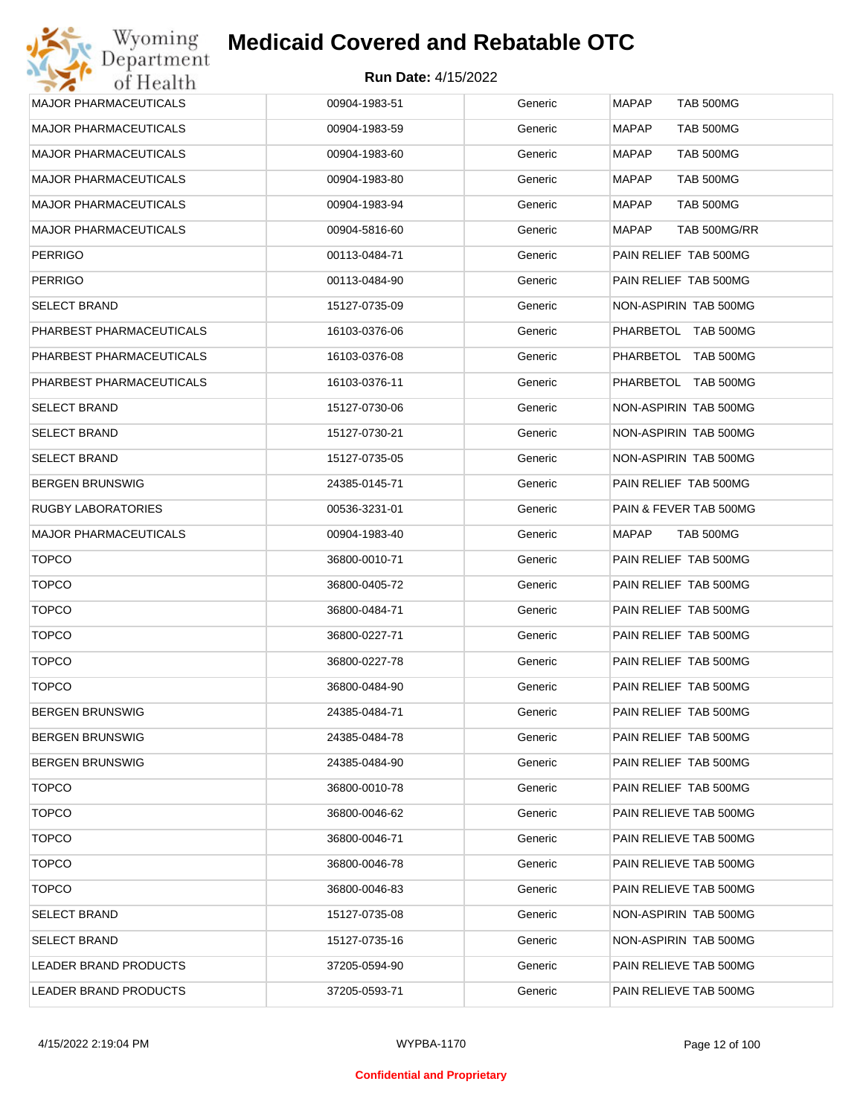| <b>MAJOR PHARMACEUTICALS</b> | 00904-1983-51 | Generic | <b>MAPAP</b><br><b>TAB 500MG</b> |
|------------------------------|---------------|---------|----------------------------------|
| <b>MAJOR PHARMACEUTICALS</b> | 00904-1983-59 | Generic | <b>MAPAP</b><br>TAB 500MG        |
| <b>MAJOR PHARMACEUTICALS</b> | 00904-1983-60 | Generic | MAPAP<br>TAB 500MG               |
| <b>MAJOR PHARMACEUTICALS</b> | 00904-1983-80 | Generic | MAPAP<br>TAB 500MG               |
| <b>MAJOR PHARMACEUTICALS</b> | 00904-1983-94 | Generic | MAPAP<br>TAB 500MG               |
| <b>MAJOR PHARMACEUTICALS</b> | 00904-5816-60 | Generic | MAPAP<br>TAB 500MG/RR            |
| <b>PERRIGO</b>               | 00113-0484-71 | Generic | PAIN RELIEF TAB 500MG            |
| <b>PERRIGO</b>               | 00113-0484-90 | Generic | PAIN RELIEF TAB 500MG            |
| <b>SELECT BRAND</b>          | 15127-0735-09 | Generic | NON-ASPIRIN TAB 500MG            |
| PHARBEST PHARMACEUTICALS     | 16103-0376-06 | Generic | PHARBETOL TAB 500MG              |
| PHARBEST PHARMACEUTICALS     | 16103-0376-08 | Generic | PHARBETOL TAB 500MG              |
| PHARBEST PHARMACEUTICALS     | 16103-0376-11 | Generic | PHARBETOL TAB 500MG              |
| <b>SELECT BRAND</b>          | 15127-0730-06 | Generic | NON-ASPIRIN TAB 500MG            |
| <b>SELECT BRAND</b>          | 15127-0730-21 | Generic | NON-ASPIRIN TAB 500MG            |
| <b>SELECT BRAND</b>          | 15127-0735-05 | Generic | NON-ASPIRIN TAB 500MG            |
| <b>BERGEN BRUNSWIG</b>       | 24385-0145-71 | Generic | PAIN RELIEF TAB 500MG            |
| RUGBY LABORATORIES           | 00536-3231-01 | Generic | PAIN & FEVER TAB 500MG           |
| <b>MAJOR PHARMACEUTICALS</b> | 00904-1983-40 | Generic | MAPAP<br>TAB 500MG               |
| <b>TOPCO</b>                 | 36800-0010-71 | Generic | PAIN RELIEF TAB 500MG            |
| <b>TOPCO</b>                 | 36800-0405-72 | Generic | PAIN RELIEF TAB 500MG            |
| <b>TOPCO</b>                 | 36800-0484-71 | Generic | PAIN RELIEF TAB 500MG            |
| <b>TOPCO</b>                 | 36800-0227-71 | Generic | PAIN RELIEF TAB 500MG            |
| <b>TOPCO</b>                 | 36800-0227-78 | Generic | PAIN RELIEF TAB 500MG            |
| <b>TOPCO</b>                 | 36800-0484-90 | Generic | PAIN RELIEF TAB 500MG            |
| <b>BERGEN BRUNSWIG</b>       | 24385-0484-71 | Generic | PAIN RELIEF TAB 500MG            |
| <b>BERGEN BRUNSWIG</b>       | 24385-0484-78 | Generic | PAIN RELIEF TAB 500MG            |
| <b>BERGEN BRUNSWIG</b>       | 24385-0484-90 | Generic | PAIN RELIEF TAB 500MG            |
| <b>TOPCO</b>                 | 36800-0010-78 | Generic | PAIN RELIEF TAB 500MG            |
| <b>TOPCO</b>                 | 36800-0046-62 | Generic | PAIN RELIEVE TAB 500MG           |
| <b>TOPCO</b>                 | 36800-0046-71 | Generic | PAIN RELIEVE TAB 500MG           |
| <b>TOPCO</b>                 | 36800-0046-78 | Generic | PAIN RELIEVE TAB 500MG           |
| <b>TOPCO</b>                 | 36800-0046-83 | Generic | PAIN RELIEVE TAB 500MG           |
| <b>SELECT BRAND</b>          | 15127-0735-08 | Generic | NON-ASPIRIN TAB 500MG            |
| <b>SELECT BRAND</b>          | 15127-0735-16 | Generic | NON-ASPIRIN TAB 500MG            |
| LEADER BRAND PRODUCTS        | 37205-0594-90 | Generic | PAIN RELIEVE TAB 500MG           |
| LEADER BRAND PRODUCTS        | 37205-0593-71 | Generic | PAIN RELIEVE TAB 500MG           |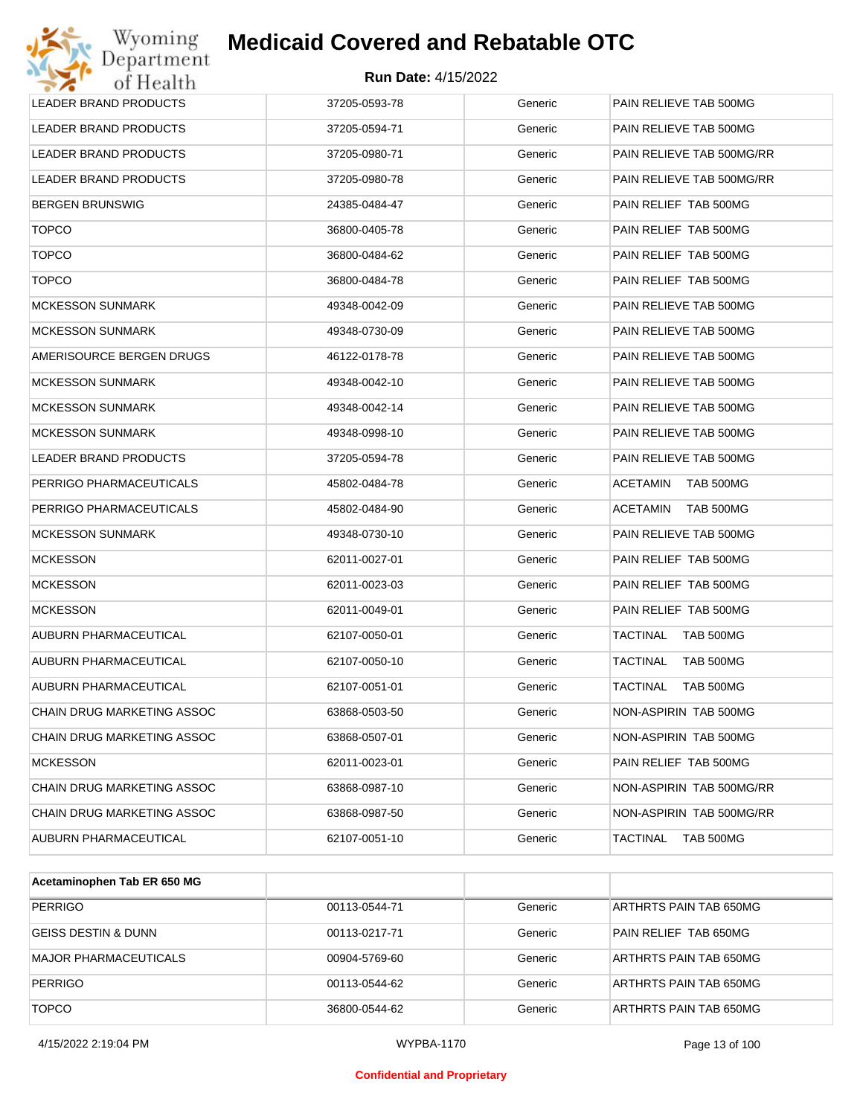| Wyoming<br>Department        | <b>Medicaid Covered and Rebatable OTC</b> |         |                              |
|------------------------------|-------------------------------------------|---------|------------------------------|
| of Health                    | <b>Run Date: 4/15/2022</b>                |         |                              |
| <b>LEADER BRAND PRODUCTS</b> | 37205-0593-78                             | Generic | PAIN RELIEVE TAB 500MG       |
| LEADER BRAND PRODUCTS        | 37205-0594-71                             | Generic | PAIN RELIEVE TAB 500MG       |
| LEADER BRAND PRODUCTS        | 37205-0980-71                             | Generic | PAIN RELIEVE TAB 500MG/RR    |
| <b>LEADER BRAND PRODUCTS</b> | 37205-0980-78                             | Generic | PAIN RELIEVE TAB 500MG/RR    |
| <b>BERGEN BRUNSWIG</b>       | 24385-0484-47                             | Generic | PAIN RELIEF TAB 500MG        |
| <b>TOPCO</b>                 | 36800-0405-78                             | Generic | PAIN RELIEF TAB 500MG        |
| <b>TOPCO</b>                 | 36800-0484-62                             | Generic | PAIN RELIEF TAB 500MG        |
| <b>TOPCO</b>                 | 36800-0484-78                             | Generic | PAIN RELIEF TAB 500MG        |
| <b>MCKESSON SUNMARK</b>      | 49348-0042-09                             | Generic | PAIN RELIEVE TAB 500MG       |
| <b>MCKESSON SUNMARK</b>      | 49348-0730-09                             | Generic | PAIN RELIEVE TAB 500MG       |
| AMERISOURCE BERGEN DRUGS     | 46122-0178-78                             | Generic | PAIN RELIEVE TAB 500MG       |
| <b>MCKESSON SUNMARK</b>      | 49348-0042-10                             | Generic | PAIN RELIEVE TAB 500MG       |
| <b>MCKESSON SUNMARK</b>      | 49348-0042-14                             | Generic | PAIN RELIEVE TAB 500MG       |
| <b>MCKESSON SUNMARK</b>      | 49348-0998-10                             | Generic | PAIN RELIEVE TAB 500MG       |
| LEADER BRAND PRODUCTS        | 37205-0594-78                             | Generic | PAIN RELIEVE TAB 500MG       |
| PERRIGO PHARMACEUTICALS      | 45802-0484-78                             | Generic | <b>ACETAMIN</b><br>TAB 500MG |
| PERRIGO PHARMACEUTICALS      | 45802-0484-90                             | Generic | <b>ACETAMIN</b><br>TAB 500MG |
| <b>MCKESSON SUNMARK</b>      | 49348-0730-10                             | Generic | PAIN RELIEVE TAB 500MG       |
| <b>MCKESSON</b>              | 62011-0027-01                             | Generic | PAIN RELIEF TAB 500MG        |
| <b>MCKESSON</b>              | 62011-0023-03                             | Generic | PAIN RELIEF TAB 500MG        |
| <b>MCKESSON</b>              | 62011-0049-01                             | Generic | PAIN RELIEF TAB 500MG        |
| AUBURN PHARMACEUTICAL        | 62107-0050-01                             | Generic | TACTINAL<br>TAB 500MG        |
| AUBURN PHARMACEUTICAL        | 62107-0050-10                             | Generic | <b>TACTINAL</b><br>TAB 500MG |
| AUBURN PHARMACEUTICAL        | 62107-0051-01                             | Generic | TACTINAL<br>TAB 500MG        |
| CHAIN DRUG MARKETING ASSOC   | 63868-0503-50                             | Generic | NON-ASPIRIN TAB 500MG        |
| CHAIN DRUG MARKETING ASSOC   | 63868-0507-01                             | Generic | NON-ASPIRIN TAB 500MG        |
| <b>MCKESSON</b>              | 62011-0023-01                             | Generic | PAIN RELIEF TAB 500MG        |
| CHAIN DRUG MARKETING ASSOC   | 63868-0987-10                             | Generic | NON-ASPIRIN TAB 500MG/RR     |
| CHAIN DRUG MARKETING ASSOC   | 63868-0987-50                             | Generic | NON-ASPIRIN TAB 500MG/RR     |
| AUBURN PHARMACEUTICAL        | 62107-0051-10                             | Generic | TACTINAL<br>TAB 500MG        |
|                              |                                           |         |                              |

| Acetaminophen Tab ER 650 MG  |               |         |                        |
|------------------------------|---------------|---------|------------------------|
| <b>PERRIGO</b>               | 00113-0544-71 | Generic | ARTHRTS PAIN TAB 650MG |
| GEISS DESTIN & DUNN          | 00113-0217-71 | Generic | PAIN RELIEF TAB 650MG  |
| <b>MAJOR PHARMACEUTICALS</b> | 00904-5769-60 | Generic | ARTHRTS PAIN TAB 650MG |
| <b>PERRIGO</b>               | 00113-0544-62 | Generic | ARTHRTS PAIN TAB 650MG |
| <b>TOPCO</b>                 | 36800-0544-62 | Generic | ARTHRTS PAIN TAB 650MG |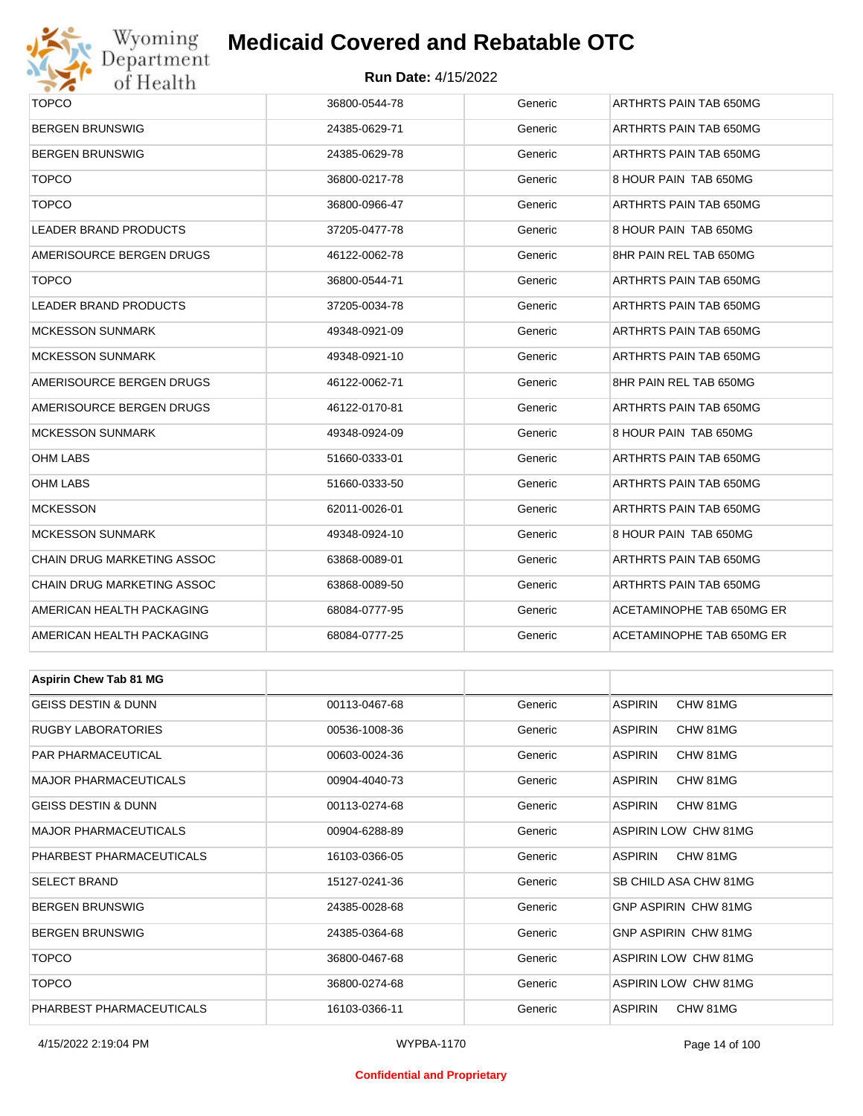

#### **Run Date:** 4/15/2022

| <b>TOPCO</b>                   | 36800-0544-78 | Generic | ARTHRTS PAIN TAB 650MG      |  |  |
|--------------------------------|---------------|---------|-----------------------------|--|--|
| <b>BERGEN BRUNSWIG</b>         | 24385-0629-71 | Generic | ARTHRTS PAIN TAB 650MG      |  |  |
| <b>BERGEN BRUNSWIG</b>         | 24385-0629-78 | Generic | ARTHRTS PAIN TAB 650MG      |  |  |
| <b>TOPCO</b>                   | 36800-0217-78 | Generic | 8 HOUR PAIN TAB 650MG       |  |  |
| <b>TOPCO</b>                   | 36800-0966-47 | Generic | ARTHRTS PAIN TAB 650MG      |  |  |
| <b>LEADER BRAND PRODUCTS</b>   | 37205-0477-78 | Generic | 8 HOUR PAIN TAB 650MG       |  |  |
| AMERISOURCE BERGEN DRUGS       | 46122-0062-78 | Generic | 8HR PAIN REL TAB 650MG      |  |  |
| <b>TOPCO</b>                   | 36800-0544-71 | Generic | ARTHRTS PAIN TAB 650MG      |  |  |
| LEADER BRAND PRODUCTS          | 37205-0034-78 | Generic | ARTHRTS PAIN TAB 650MG      |  |  |
| <b>MCKESSON SUNMARK</b>        | 49348-0921-09 | Generic | ARTHRTS PAIN TAB 650MG      |  |  |
| <b>MCKESSON SUNMARK</b>        | 49348-0921-10 | Generic | ARTHRTS PAIN TAB 650MG      |  |  |
| AMERISOURCE BERGEN DRUGS       | 46122-0062-71 | Generic | 8HR PAIN REL TAB 650MG      |  |  |
| AMERISOURCE BERGEN DRUGS       | 46122-0170-81 | Generic | ARTHRTS PAIN TAB 650MG      |  |  |
| <b>MCKESSON SUNMARK</b>        | 49348-0924-09 | Generic | 8 HOUR PAIN TAB 650MG       |  |  |
| OHM LABS                       | 51660-0333-01 | Generic | ARTHRTS PAIN TAB 650MG      |  |  |
| <b>OHM LABS</b>                | 51660-0333-50 | Generic | ARTHRTS PAIN TAB 650MG      |  |  |
| <b>MCKESSON</b>                | 62011-0026-01 | Generic | ARTHRTS PAIN TAB 650MG      |  |  |
| <b>MCKESSON SUNMARK</b>        | 49348-0924-10 | Generic | 8 HOUR PAIN TAB 650MG       |  |  |
| CHAIN DRUG MARKETING ASSOC     | 63868-0089-01 | Generic | ARTHRTS PAIN TAB 650MG      |  |  |
| CHAIN DRUG MARKETING ASSOC     | 63868-0089-50 | Generic | ARTHRTS PAIN TAB 650MG      |  |  |
| AMERICAN HEALTH PACKAGING      | 68084-0777-95 | Generic | ACETAMINOPHE TAB 650MG ER   |  |  |
| AMERICAN HEALTH PACKAGING      | 68084-0777-25 | Generic | ACETAMINOPHE TAB 650MG ER   |  |  |
|                                |               |         |                             |  |  |
| <b>Aspirin Chew Tab 81 MG</b>  |               |         |                             |  |  |
| <b>GEISS DESTIN &amp; DUNN</b> | 00113-0467-68 | Generic | <b>ASPIRIN</b><br>CHW 81MG  |  |  |
| RUGBY LABORATORIES             | 00536-1008-36 | Generic | <b>ASPIRIN</b><br>CHW 81MG  |  |  |
| PAR PHARMACEUTICAL             | 00603-0024-36 | Generic | <b>ASPIRIN</b><br>CHW 81MG  |  |  |
| <b>MAJOR PHARMACEUTICALS</b>   | 00904-4040-73 | Generic | <b>ASPIRIN</b><br>CHW 81MG  |  |  |
| GEISS DESTIN & DUNN            | 00113-0274-68 | Generic | <b>ASPIRIN</b><br>CHW 81MG  |  |  |
| <b>MAJOR PHARMACEUTICALS</b>   | 00904-6288-89 | Generic | ASPIRIN LOW CHW 81MG        |  |  |
| PHARBEST PHARMACEUTICALS       | 16103-0366-05 | Generic | <b>ASPIRIN</b><br>CHW 81MG  |  |  |
| SELECT BRAND                   | 15127-0241-36 | Generic | SB CHILD ASA CHW 81MG       |  |  |
| <b>BERGEN BRUNSWIG</b>         | 24385-0028-68 | Generic | <b>GNP ASPIRIN CHW 81MG</b> |  |  |
| <b>BERGEN BRUNSWIG</b>         | 24385-0364-68 | Generic | <b>GNP ASPIRIN CHW 81MG</b> |  |  |
| <b>TOPCO</b>                   | 36800-0467-68 | Generic | ASPIRIN LOW CHW 81MG        |  |  |

TOPCO 36800-0274-68 Generic ASPIRIN LOW CHW 81MG PHARBEST PHARMACEUTICALS 16103-0366-11 Generic ASPIRIN CHW 81MG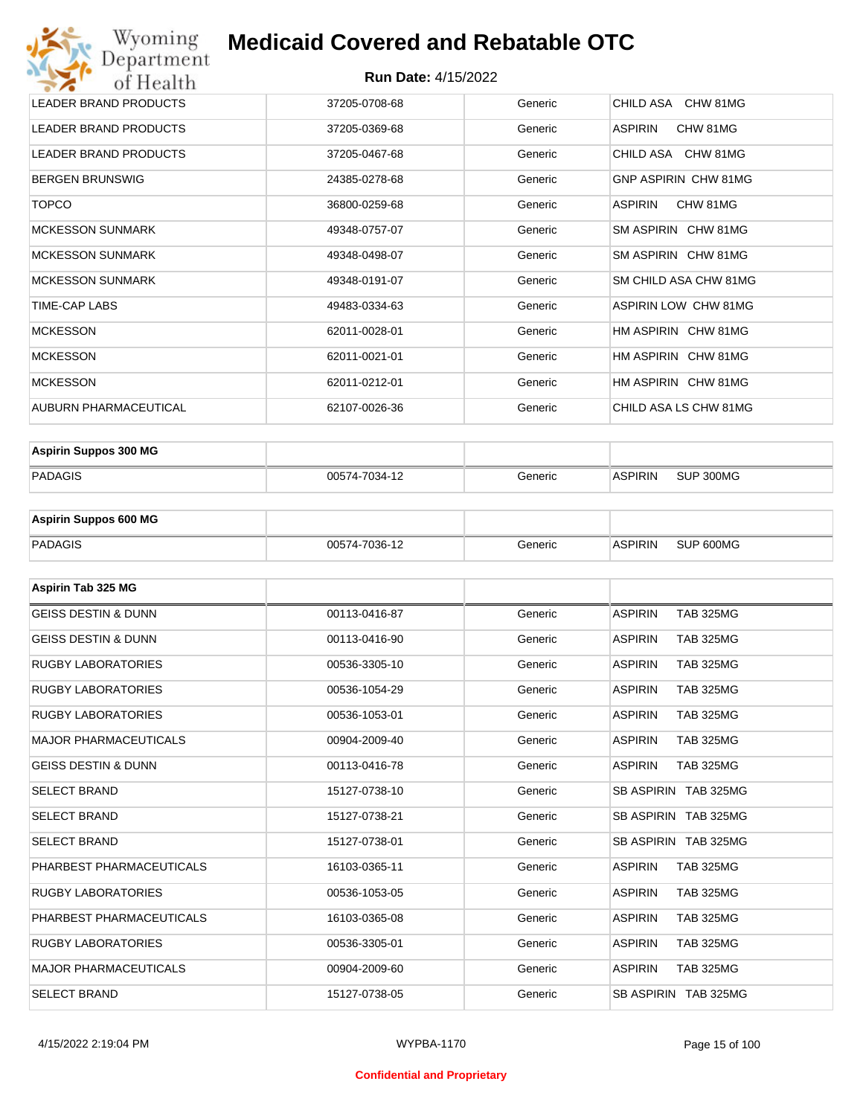#### **Run Date:** 4/15/2022

| Wyoming<br>Department        | <b>Medicaid Covered and Rebatable OTC</b> |         |                             |
|------------------------------|-------------------------------------------|---------|-----------------------------|
| of Health                    | <b>Run Date: 4/15/2022</b>                |         |                             |
| <b>LEADER BRAND PRODUCTS</b> | 37205-0708-68                             | Generic | CHILD ASA CHW 81MG          |
| <b>LEADER BRAND PRODUCTS</b> | 37205-0369-68                             | Generic | <b>ASPIRIN</b><br>CHW 81MG  |
| <b>LEADER BRAND PRODUCTS</b> | 37205-0467-68                             | Generic | CHILD ASA CHW 81MG          |
| <b>BERGEN BRUNSWIG</b>       | 24385-0278-68                             | Generic | GNP ASPIRIN CHW 81MG        |
| <b>TOPCO</b>                 | 36800-0259-68                             | Generic | <b>ASPIRIN</b><br>CHW 81MG  |
| <b>MCKESSON SUNMARK</b>      | 49348-0757-07                             | Generic | SM ASPIRIN CHW 81MG         |
| <b>MCKESSON SUNMARK</b>      | 49348-0498-07                             | Generic | SM ASPIRIN CHW 81MG         |
| <b>MCKESSON SUNMARK</b>      | 49348-0191-07                             | Generic | SM CHILD ASA CHW 81MG       |
| <b>TIME-CAP LABS</b>         | 49483-0334-63                             | Generic | <b>ASPIRIN LOW CHW 81MG</b> |
| <b>MCKESSON</b>              | 62011-0028-01                             | Generic | HM ASPIRIN CHW 81MG         |
| <b>MCKESSON</b>              | 62011-0021-01                             | Generic | HM ASPIRIN CHW 81MG         |
| <b>MCKESSON</b>              | 62011-0212-01                             | Generic | HM ASPIRIN CHW 81MG         |
| AUBURN PHARMACEUTICAL        | 62107-0026-36                             | Generic | CHILD ASA LS CHW 81MG       |

| <b>Aspirin Suppos 300 MG</b> |               |         |                |           |
|------------------------------|---------------|---------|----------------|-----------|
| PADAGIS                      | 00574-7034-12 | Generic | <b>ASPIRIN</b> | SUP 300MG |

| <b>Aspirin Suppos 600 MG</b> |               |         |                |           |
|------------------------------|---------------|---------|----------------|-----------|
| PADAGIS                      | 00574-7036-12 | Generic | <b>ASPIRIN</b> | SUP 600MG |

| Aspirin Tab 325 MG             |               |         |                                    |
|--------------------------------|---------------|---------|------------------------------------|
| <b>GEISS DESTIN &amp; DUNN</b> | 00113-0416-87 | Generic | <b>ASPIRIN</b><br><b>TAB 325MG</b> |
| <b>GEISS DESTIN &amp; DUNN</b> | 00113-0416-90 | Generic | <b>ASPIRIN</b><br><b>TAB 325MG</b> |
| <b>RUGBY LABORATORIES</b>      | 00536-3305-10 | Generic | <b>ASPIRIN</b><br><b>TAB 325MG</b> |
| <b>RUGBY LABORATORIES</b>      | 00536-1054-29 | Generic | <b>ASPIRIN</b><br><b>TAB 325MG</b> |
| <b>RUGBY LABORATORIES</b>      | 00536-1053-01 | Generic | <b>ASPIRIN</b><br><b>TAB 325MG</b> |
| <b>MAJOR PHARMACEUTICALS</b>   | 00904-2009-40 | Generic | <b>ASPIRIN</b><br><b>TAB 325MG</b> |
| <b>GEISS DESTIN &amp; DUNN</b> | 00113-0416-78 | Generic | <b>ASPIRIN</b><br><b>TAB 325MG</b> |
| <b>SELECT BRAND</b>            | 15127-0738-10 | Generic | SB ASPIRIN TAB 325MG               |
| <b>SELECT BRAND</b>            | 15127-0738-21 | Generic | SB ASPIRIN TAB 325MG               |
| <b>SELECT BRAND</b>            | 15127-0738-01 | Generic | SB ASPIRIN TAB 325MG               |
| PHARBEST PHARMACEUTICALS       | 16103-0365-11 | Generic | <b>ASPIRIN</b><br><b>TAB 325MG</b> |
| <b>RUGBY LABORATORIES</b>      | 00536-1053-05 | Generic | <b>ASPIRIN</b><br><b>TAB 325MG</b> |
| PHARBEST PHARMACEUTICALS       | 16103-0365-08 | Generic | <b>ASPIRIN</b><br><b>TAB 325MG</b> |
| <b>RUGBY LABORATORIES</b>      | 00536-3305-01 | Generic | <b>ASPIRIN</b><br><b>TAB 325MG</b> |
| <b>MAJOR PHARMACEUTICALS</b>   | 00904-2009-60 | Generic | <b>ASPIRIN</b><br><b>TAB 325MG</b> |
| <b>SELECT BRAND</b>            | 15127-0738-05 | Generic | SB ASPIRIN TAB 325MG               |

#### **Confidential and Proprietary**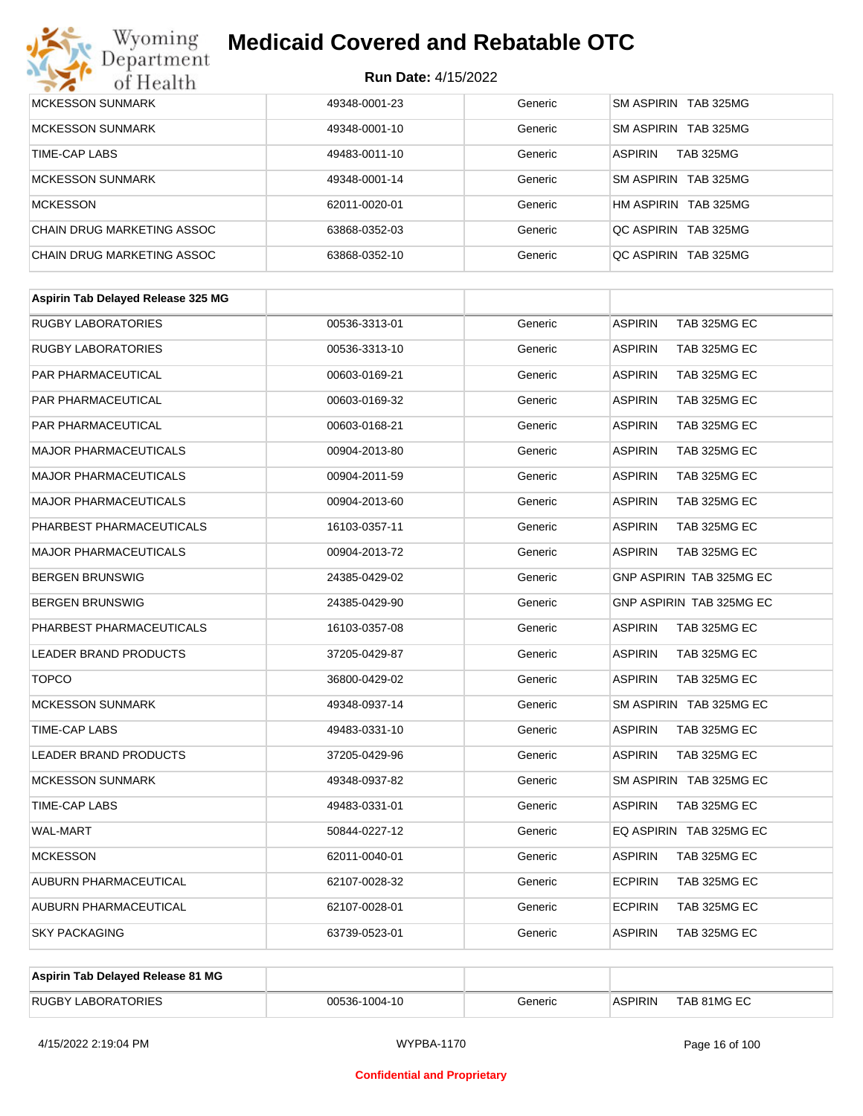

| MCKESSON SUNMARK           | 49348-0001-23 | Generic | SM ASPIRIN TAB 325MG               |
|----------------------------|---------------|---------|------------------------------------|
|                            |               |         |                                    |
| <b>MCKESSON SUNMARK</b>    | 49348-0001-10 | Generic | SM ASPIRIN TAB 325MG               |
| TIME-CAP LABS              | 49483-0011-10 | Generic | <b>TAB 325MG</b><br><b>ASPIRIN</b> |
| <b>MCKESSON SUNMARK</b>    | 49348-0001-14 | Generic | SM ASPIRIN TAB 325MG               |
| <b>MCKESSON</b>            | 62011-0020-01 | Generic | HM ASPIRIN TAB 325MG               |
| CHAIN DRUG MARKETING ASSOC | 63868-0352-03 | Generic | OC ASPIRIN TAB 325MG               |
| CHAIN DRUG MARKETING ASSOC | 63868-0352-10 | Generic | OC ASPIRIN TAB 325MG               |

| <b>RUGBY LABORATORIES</b><br><b>ASPIRIN</b><br>TAB 325MG EC<br>00536-3313-01<br>Generic<br><b>RUGBY LABORATORIES</b><br><b>ASPIRIN</b><br>TAB 325MG EC<br>00536-3313-10<br>Generic<br>PAR PHARMACEUTICAL<br>00603-0169-21<br>Generic<br><b>ASPIRIN</b><br>TAB 325MG EC<br><b>PAR PHARMACEUTICAL</b><br>00603-0169-32<br>Generic<br><b>ASPIRIN</b><br>TAB 325MG EC<br><b>PAR PHARMACEUTICAL</b><br><b>ASPIRIN</b><br>TAB 325MG EC<br>00603-0168-21<br>Generic<br><b>MAJOR PHARMACEUTICALS</b><br>00904-2013-80<br>Generic<br><b>ASPIRIN</b><br>TAB 325MG EC<br><b>MAJOR PHARMACEUTICALS</b><br><b>ASPIRIN</b><br>TAB 325MG EC<br>00904-2011-59<br>Generic<br><b>ASPIRIN</b><br><b>MAJOR PHARMACEUTICALS</b><br>00904-2013-60<br>TAB 325MG EC<br>Generic<br>PHARBEST PHARMACEUTICALS<br>Generic<br><b>ASPIRIN</b><br>TAB 325MG EC<br>16103-0357-11<br><b>MAJOR PHARMACEUTICALS</b><br>00904-2013-72<br>Generic<br><b>ASPIRIN</b><br>TAB 325MG EC<br>GNP ASPIRIN TAB 325MG EC<br><b>BERGEN BRUNSWIG</b><br>Generic<br>24385-0429-02<br><b>BERGEN BRUNSWIG</b><br>24385-0429-90<br><b>GNP ASPIRIN TAB 325MG EC</b><br>Generic |
|---------------------------------------------------------------------------------------------------------------------------------------------------------------------------------------------------------------------------------------------------------------------------------------------------------------------------------------------------------------------------------------------------------------------------------------------------------------------------------------------------------------------------------------------------------------------------------------------------------------------------------------------------------------------------------------------------------------------------------------------------------------------------------------------------------------------------------------------------------------------------------------------------------------------------------------------------------------------------------------------------------------------------------------------------------------------------------------------------------------------------|
|                                                                                                                                                                                                                                                                                                                                                                                                                                                                                                                                                                                                                                                                                                                                                                                                                                                                                                                                                                                                                                                                                                                           |
|                                                                                                                                                                                                                                                                                                                                                                                                                                                                                                                                                                                                                                                                                                                                                                                                                                                                                                                                                                                                                                                                                                                           |
|                                                                                                                                                                                                                                                                                                                                                                                                                                                                                                                                                                                                                                                                                                                                                                                                                                                                                                                                                                                                                                                                                                                           |
|                                                                                                                                                                                                                                                                                                                                                                                                                                                                                                                                                                                                                                                                                                                                                                                                                                                                                                                                                                                                                                                                                                                           |
|                                                                                                                                                                                                                                                                                                                                                                                                                                                                                                                                                                                                                                                                                                                                                                                                                                                                                                                                                                                                                                                                                                                           |
|                                                                                                                                                                                                                                                                                                                                                                                                                                                                                                                                                                                                                                                                                                                                                                                                                                                                                                                                                                                                                                                                                                                           |
|                                                                                                                                                                                                                                                                                                                                                                                                                                                                                                                                                                                                                                                                                                                                                                                                                                                                                                                                                                                                                                                                                                                           |
|                                                                                                                                                                                                                                                                                                                                                                                                                                                                                                                                                                                                                                                                                                                                                                                                                                                                                                                                                                                                                                                                                                                           |
|                                                                                                                                                                                                                                                                                                                                                                                                                                                                                                                                                                                                                                                                                                                                                                                                                                                                                                                                                                                                                                                                                                                           |
|                                                                                                                                                                                                                                                                                                                                                                                                                                                                                                                                                                                                                                                                                                                                                                                                                                                                                                                                                                                                                                                                                                                           |
|                                                                                                                                                                                                                                                                                                                                                                                                                                                                                                                                                                                                                                                                                                                                                                                                                                                                                                                                                                                                                                                                                                                           |
|                                                                                                                                                                                                                                                                                                                                                                                                                                                                                                                                                                                                                                                                                                                                                                                                                                                                                                                                                                                                                                                                                                                           |
| PHARBEST PHARMACEUTICALS<br>Generic<br><b>ASPIRIN</b><br>TAB 325MG EC<br>16103-0357-08                                                                                                                                                                                                                                                                                                                                                                                                                                                                                                                                                                                                                                                                                                                                                                                                                                                                                                                                                                                                                                    |
| LEADER BRAND PRODUCTS<br>37205-0429-87<br>Generic<br><b>ASPIRIN</b><br>TAB 325MG EC                                                                                                                                                                                                                                                                                                                                                                                                                                                                                                                                                                                                                                                                                                                                                                                                                                                                                                                                                                                                                                       |
| <b>TOPCO</b><br>Generic<br><b>ASPIRIN</b><br>TAB 325MG EC<br>36800-0429-02                                                                                                                                                                                                                                                                                                                                                                                                                                                                                                                                                                                                                                                                                                                                                                                                                                                                                                                                                                                                                                                |
| <b>MCKESSON SUNMARK</b><br>49348-0937-14<br>SM ASPIRIN TAB 325MG EC<br>Generic                                                                                                                                                                                                                                                                                                                                                                                                                                                                                                                                                                                                                                                                                                                                                                                                                                                                                                                                                                                                                                            |
| TIME-CAP LABS<br>Generic<br><b>ASPIRIN</b><br>TAB 325MG EC<br>49483-0331-10                                                                                                                                                                                                                                                                                                                                                                                                                                                                                                                                                                                                                                                                                                                                                                                                                                                                                                                                                                                                                                               |
| LEADER BRAND PRODUCTS<br>37205-0429-96<br>Generic<br><b>ASPIRIN</b><br>TAB 325MG EC                                                                                                                                                                                                                                                                                                                                                                                                                                                                                                                                                                                                                                                                                                                                                                                                                                                                                                                                                                                                                                       |
| <b>MCKESSON SUNMARK</b><br>Generic<br>SM ASPIRIN TAB 325MG EC<br>49348-0937-82                                                                                                                                                                                                                                                                                                                                                                                                                                                                                                                                                                                                                                                                                                                                                                                                                                                                                                                                                                                                                                            |
| <b>TIME-CAP LABS</b><br>49483-0331-01<br>Generic<br><b>ASPIRIN</b><br>TAB 325MG EC                                                                                                                                                                                                                                                                                                                                                                                                                                                                                                                                                                                                                                                                                                                                                                                                                                                                                                                                                                                                                                        |
| <b>WAL-MART</b><br>EQ ASPIRIN TAB 325MG EC<br>50844-0227-12<br>Generic                                                                                                                                                                                                                                                                                                                                                                                                                                                                                                                                                                                                                                                                                                                                                                                                                                                                                                                                                                                                                                                    |
| <b>MCKESSON</b><br>62011-0040-01<br>Generic<br><b>ASPIRIN</b><br>TAB 325MG EC                                                                                                                                                                                                                                                                                                                                                                                                                                                                                                                                                                                                                                                                                                                                                                                                                                                                                                                                                                                                                                             |
| AUBURN PHARMACEUTICAL<br><b>ECPIRIN</b><br>TAB 325MG EC<br>62107-0028-32<br>Generic                                                                                                                                                                                                                                                                                                                                                                                                                                                                                                                                                                                                                                                                                                                                                                                                                                                                                                                                                                                                                                       |
| <b>ECPIRIN</b><br>AUBURN PHARMACEUTICAL<br>TAB 325MG EC<br>62107-0028-01<br>Generic                                                                                                                                                                                                                                                                                                                                                                                                                                                                                                                                                                                                                                                                                                                                                                                                                                                                                                                                                                                                                                       |
| <b>SKY PACKAGING</b><br><b>ASPIRIN</b><br>TAB 325MG EC<br>63739-0523-01<br>Generic                                                                                                                                                                                                                                                                                                                                                                                                                                                                                                                                                                                                                                                                                                                                                                                                                                                                                                                                                                                                                                        |

| Aspirin Tab Delayed Release 81 MG |               |         |                |             |
|-----------------------------------|---------------|---------|----------------|-------------|
| <b>RUGBY LABORATORIES</b>         | 00536-1004-10 | Generic | <b>ASPIRIN</b> | TAB 81MG EC |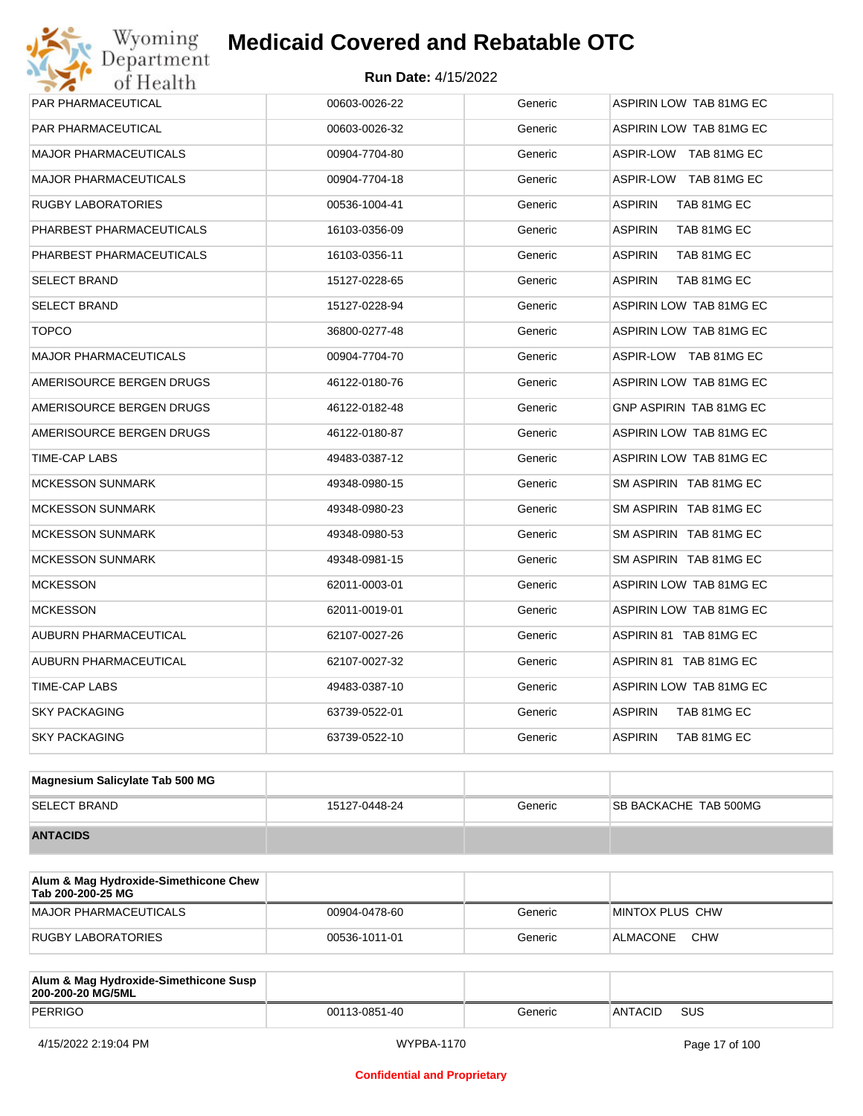| <b>PAR PHARMACEUTICAL</b>    | 00603-0026-22 | Generic | ASPIRIN LOW TAB 81MG EC        |
|------------------------------|---------------|---------|--------------------------------|
| <b>PAR PHARMACEUTICAL</b>    | 00603-0026-32 | Generic | <b>ASPIRIN LOW TAB 81MG EC</b> |
| <b>MAJOR PHARMACEUTICALS</b> | 00904-7704-80 | Generic | ASPIR-LOW TAB 81MG EC          |
| <b>MAJOR PHARMACEUTICALS</b> | 00904-7704-18 | Generic | ASPIR-LOW TAB 81MG EC          |
| <b>RUGBY LABORATORIES</b>    | 00536-1004-41 | Generic | <b>ASPIRIN</b><br>TAB 81MG EC  |
| PHARBEST PHARMACEUTICALS     | 16103-0356-09 | Generic | <b>ASPIRIN</b><br>TAB 81MG EC  |
| PHARBEST PHARMACEUTICALS     | 16103-0356-11 | Generic | <b>ASPIRIN</b><br>TAB 81MG EC  |
| <b>SELECT BRAND</b>          | 15127-0228-65 | Generic | <b>ASPIRIN</b><br>TAB 81MG EC  |
| <b>SELECT BRAND</b>          | 15127-0228-94 | Generic | ASPIRIN LOW TAB 81MG EC        |
| <b>TOPCO</b>                 | 36800-0277-48 | Generic | ASPIRIN LOW TAB 81MG EC        |
| <b>MAJOR PHARMACEUTICALS</b> | 00904-7704-70 | Generic | ASPIR-LOW TAB 81MG EC          |
| AMERISOURCE BERGEN DRUGS     | 46122-0180-76 | Generic | ASPIRIN LOW TAB 81MG EC        |
| AMERISOURCE BERGEN DRUGS     | 46122-0182-48 | Generic | GNP ASPIRIN TAB 81MG EC        |
| AMERISOURCE BERGEN DRUGS     | 46122-0180-87 | Generic | ASPIRIN LOW TAB 81MG EC        |
| TIME-CAP LABS                | 49483-0387-12 | Generic | ASPIRIN LOW TAB 81MG EC        |
| <b>MCKESSON SUNMARK</b>      | 49348-0980-15 | Generic | SM ASPIRIN TAB 81MG EC         |
| <b>MCKESSON SUNMARK</b>      | 49348-0980-23 | Generic | SM ASPIRIN TAB 81MG EC         |
| <b>MCKESSON SUNMARK</b>      | 49348-0980-53 | Generic | SM ASPIRIN TAB 81MG EC         |
| <b>MCKESSON SUNMARK</b>      | 49348-0981-15 | Generic | SM ASPIRIN TAB 81MG EC         |
| <b>MCKESSON</b>              | 62011-0003-01 | Generic | ASPIRIN LOW TAB 81MG EC        |
| <b>MCKESSON</b>              | 62011-0019-01 | Generic | ASPIRIN LOW TAB 81MG EC        |
| AUBURN PHARMACEUTICAL        | 62107-0027-26 | Generic | ASPIRIN 81 TAB 81MG EC         |
| AUBURN PHARMACEUTICAL        | 62107-0027-32 | Generic | ASPIRIN 81 TAB 81MG EC         |
| TIME-CAP LABS                | 49483-0387-10 | Generic | ASPIRIN LOW TAB 81MG EC        |
| <b>SKY PACKAGING</b>         | 63739-0522-01 | Generic | ASPIRIN<br>TAB 81MG EC         |
| <b>SKY PACKAGING</b>         | 63739-0522-10 | Generic | <b>ASPIRIN</b><br>TAB 81MG EC  |
|                              |               |         |                                |

| Magnesium Salicylate Tab 500 MG |               |         |                               |
|---------------------------------|---------------|---------|-------------------------------|
| <b>SELECT BRAND</b>             | 15127-0448-24 | Generic | <b>ISB BACKACHE TAB 500MG</b> |
| <b>ANTACIDS</b>                 |               |         |                               |

| Alum & Mag Hydroxide-Simethicone Chew<br>Tab 200-200-25 MG |               |         |                        |
|------------------------------------------------------------|---------------|---------|------------------------|
| MAJOR PHARMACEUTICALS                                      | 00904-0478-60 | Generic | MINTOX PLUS CHW        |
| RUGBY LABORATORIES                                         | 00536-1011-01 | Generic | <b>CHW</b><br>ALMACONE |

| Alum & Mag Hydroxide-Simethicone Susp<br>200-200-20 MG/5ML |               |         |                |     |
|------------------------------------------------------------|---------------|---------|----------------|-----|
| PERRIGO                                                    | 00113-0851-40 | Generic | <b>ANTACID</b> | SUS |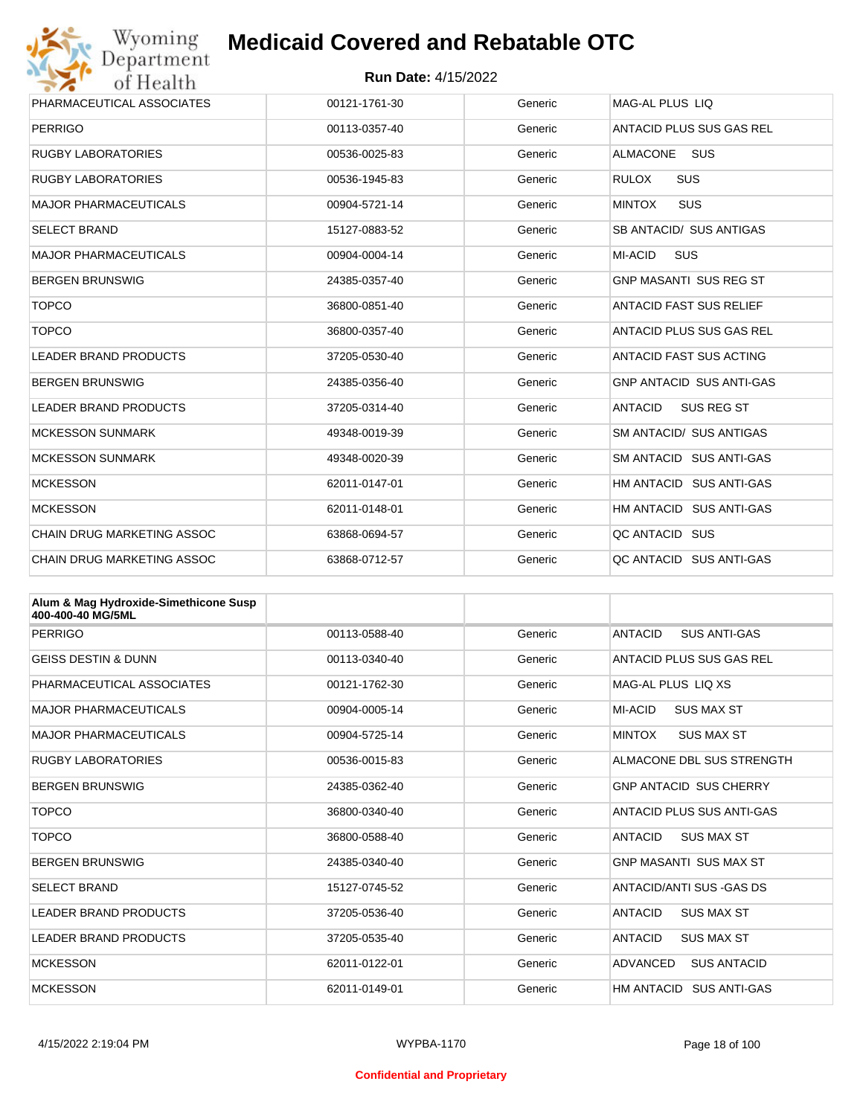

| Wyoming                                               | <b>Medicaid Covered and Rebatable OTC</b> |         |                                     |  |  |
|-------------------------------------------------------|-------------------------------------------|---------|-------------------------------------|--|--|
| Department<br><b>Run Date: 4/15/2022</b><br>of Health |                                           |         |                                     |  |  |
| PHARMACEUTICAL ASSOCIATES                             | 00121-1761-30                             | Generic | MAG-AL PLUS LIQ                     |  |  |
| <b>PERRIGO</b>                                        | 00113-0357-40                             | Generic | ANTACID PLUS SUS GAS REL            |  |  |
| <b>RUGBY LABORATORIES</b>                             | 00536-0025-83                             | Generic | <b>ALMACONE</b><br><b>SUS</b>       |  |  |
| <b>RUGBY LABORATORIES</b>                             | 00536-1945-83                             | Generic | <b>RULOX</b><br><b>SUS</b>          |  |  |
| <b>MAJOR PHARMACEUTICALS</b>                          | 00904-5721-14                             | Generic | <b>MINTOX</b><br><b>SUS</b>         |  |  |
| <b>SELECT BRAND</b>                                   | 15127-0883-52                             | Generic | SB ANTACID/ SUS ANTIGAS             |  |  |
| <b>MAJOR PHARMACEUTICALS</b>                          | 00904-0004-14                             | Generic | <b>MI-ACID</b><br><b>SUS</b>        |  |  |
| <b>BERGEN BRUNSWIG</b>                                | 24385-0357-40                             | Generic | <b>GNP MASANTI SUS REG ST</b>       |  |  |
| <b>TOPCO</b>                                          | 36800-0851-40                             | Generic | <b>ANTACID FAST SUS RELIEF</b>      |  |  |
| <b>TOPCO</b>                                          | 36800-0357-40                             | Generic | ANTACID PLUS SUS GAS REL            |  |  |
| <b>LEADER BRAND PRODUCTS</b>                          | 37205-0530-40                             | Generic | ANTACID FAST SUS ACTING             |  |  |
| <b>BERGEN BRUNSWIG</b>                                | 24385-0356-40                             | Generic | <b>GNP ANTACID SUS ANTI-GAS</b>     |  |  |
| <b>LEADER BRAND PRODUCTS</b>                          | 37205-0314-40                             | Generic | <b>ANTACID</b><br><b>SUS REG ST</b> |  |  |
| <b>MCKESSON SUNMARK</b>                               | 49348-0019-39                             | Generic | <b>SM ANTACID/ SUS ANTIGAS</b>      |  |  |
| <b>MCKESSON SUNMARK</b>                               | 49348-0020-39                             | Generic | SM ANTACID SUS ANTI-GAS             |  |  |
| <b>MCKESSON</b>                                       | 62011-0147-01                             | Generic | HM ANTACID SUS ANTI-GAS             |  |  |
| <b>MCKESSON</b>                                       | 62011-0148-01                             | Generic | HM ANTACID SUS ANTI-GAS             |  |  |
| CHAIN DRUG MARKETING ASSOC                            | 63868-0694-57                             | Generic | QC ANTACID SUS                      |  |  |
| <b>CHAIN DRUG MARKETING ASSOC</b>                     | 63868-0712-57                             | Generic | QC ANTACID SUS ANTI-GAS             |  |  |

| Alum & Mag Hydroxide-Simethicone Susp<br>400-400-40 MG/5ML |               |         |                                       |
|------------------------------------------------------------|---------------|---------|---------------------------------------|
| PERRIGO                                                    | 00113-0588-40 | Generic | <b>ANTACID</b><br><b>SUS ANTI-GAS</b> |
| <b>GEISS DESTIN &amp; DUNN</b>                             | 00113-0340-40 | Generic | ANTACID PLUS SUS GAS REL              |
| PHARMACEUTICAL ASSOCIATES                                  | 00121-1762-30 | Generic | MAG-AL PLUS LIO XS                    |
| <b>MAJOR PHARMACEUTICALS</b>                               | 00904-0005-14 | Generic | MI-ACID<br><b>SUS MAX ST</b>          |
| <b>MAJOR PHARMACEUTICALS</b>                               | 00904-5725-14 | Generic | <b>MINTOX</b><br><b>SUS MAX ST</b>    |
| <b>RUGBY LABORATORIES</b>                                  | 00536-0015-83 | Generic | ALMACONE DBL SUS STRENGTH             |
| <b>BERGEN BRUNSWIG</b>                                     | 24385-0362-40 | Generic | <b>GNP ANTACID SUS CHERRY</b>         |
| <b>TOPCO</b>                                               | 36800-0340-40 | Generic | ANTACID PLUS SUS ANTI-GAS             |
| <b>TOPCO</b>                                               | 36800-0588-40 | Generic | <b>ANTACID</b><br><b>SUS MAX ST</b>   |
| <b>BERGEN BRUNSWIG</b>                                     | 24385-0340-40 | Generic | <b>GNP MASANTI SUS MAX ST</b>         |
| <b>SELECT BRAND</b>                                        | 15127-0745-52 | Generic | ANTACID/ANTI SUS - GAS DS             |
| <b>LEADER BRAND PRODUCTS</b>                               | 37205-0536-40 | Generic | <b>ANTACID</b><br><b>SUS MAX ST</b>   |
| <b>LEADER BRAND PRODUCTS</b>                               | 37205-0535-40 | Generic | <b>ANTACID</b><br><b>SUS MAX ST</b>   |
| <b>MCKESSON</b>                                            | 62011-0122-01 | Generic | ADVANCED<br><b>SUS ANTACID</b>        |
| <b>MCKESSON</b>                                            | 62011-0149-01 | Generic | HM ANTACID<br><b>SUS ANTI-GAS</b>     |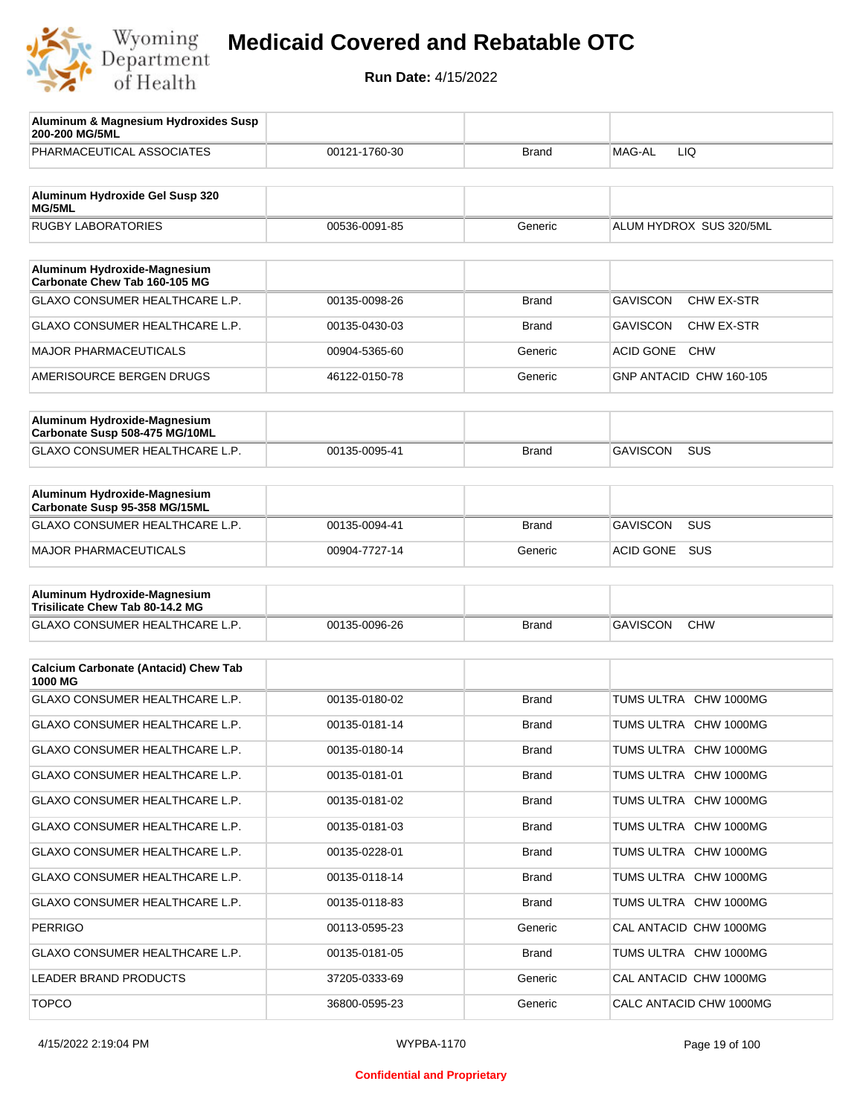

| Aluminum & Magnesium Hydroxides Susp<br>200-200 MG/5ML          |               |              |                                      |
|-----------------------------------------------------------------|---------------|--------------|--------------------------------------|
| PHARMACEUTICAL ASSOCIATES                                       | 00121-1760-30 | <b>Brand</b> | MAG-AL<br>LIQ                        |
| Aluminum Hydroxide Gel Susp 320<br>MG/5ML                       |               |              |                                      |
| <b>RUGBY LABORATORIES</b>                                       | 00536-0091-85 | Generic      | ALUM HYDROX SUS 320/5ML              |
| Aluminum Hydroxide-Magnesium<br>Carbonate Chew Tab 160-105 MG   |               |              |                                      |
| GLAXO CONSUMER HEALTHCARE L.P.                                  | 00135-0098-26 | <b>Brand</b> | <b>GAVISCON</b><br><b>CHW EX-STR</b> |
| GLAXO CONSUMER HEALTHCARE L.P.                                  | 00135-0430-03 | <b>Brand</b> | <b>GAVISCON</b><br>CHW EX-STR        |
| <b>MAJOR PHARMACEUTICALS</b>                                    | 00904-5365-60 | Generic      | <b>ACID GONE</b><br><b>CHW</b>       |
| AMERISOURCE BERGEN DRUGS                                        | 46122-0150-78 | Generic      | GNP ANTACID CHW 160-105              |
| Aluminum Hydroxide-Magnesium<br>Carbonate Susp 508-475 MG/10ML  |               |              |                                      |
| <b>GLAXO CONSUMER HEALTHCARE L.P.</b>                           | 00135-0095-41 | <b>Brand</b> | <b>GAVISCON</b><br>SUS               |
| Aluminum Hydroxide-Magnesium<br>Carbonate Susp 95-358 MG/15ML   |               |              |                                      |
| GLAXO CONSUMER HEALTHCARE L.P.                                  | 00135-0094-41 | <b>Brand</b> | <b>GAVISCON</b><br>SUS               |
| <b>MAJOR PHARMACEUTICALS</b>                                    | 00904-7727-14 | Generic      | SUS<br>ACID GONE                     |
| Aluminum Hydroxide-Magnesium<br>Trisilicate Chew Tab 80-14.2 MG |               |              |                                      |
| GLAXO CONSUMER HEALTHCARE L.P.                                  | 00135-0096-26 | <b>Brand</b> | <b>GAVISCON</b><br><b>CHW</b>        |
| <b>Calcium Carbonate (Antacid) Chew Tab</b><br>1000 MG          |               |              |                                      |
| GLAXO CONSUMER HEALTHCARE L.P.                                  | 00135-0180-02 | <b>Brand</b> | TUMS ULTRA<br><b>CHW 1000MG</b>      |
| GLAXO CONSUMER HEALTHCARE L.P.                                  | 00135-0181-14 | <b>Brand</b> | TUMS ULTRA CHW 1000MG                |
| GLAXO CONSUMER HEALTHCARE L.P.                                  | 00135-0180-14 | <b>Brand</b> | TUMS ULTRA CHW 1000MG                |
| GLAXO CONSUMER HEALTHCARE L.P.                                  | 00135-0181-01 | <b>Brand</b> | TUMS ULTRA CHW 1000MG                |
| GLAXO CONSUMER HEALTHCARE L.P.                                  | 00135-0181-02 | Brand        | TUMS ULTRA CHW 1000MG                |
| GLAXO CONSUMER HEALTHCARE L.P.                                  | 00135-0181-03 | <b>Brand</b> | TUMS ULTRA CHW 1000MG                |
| GLAXO CONSUMER HEALTHCARE L.P.                                  | 00135-0228-01 | Brand        | TUMS ULTRA CHW 1000MG                |
| GLAXO CONSUMER HEALTHCARE L.P.                                  | 00135-0118-14 | <b>Brand</b> | TUMS ULTRA CHW 1000MG                |
| GLAXO CONSUMER HEALTHCARE L.P.                                  | 00135-0118-83 | Brand        | TUMS ULTRA CHW 1000MG                |
| <b>PERRIGO</b>                                                  | 00113-0595-23 | Generic      | CAL ANTACID CHW 1000MG               |
| GLAXO CONSUMER HEALTHCARE L.P.                                  | 00135-0181-05 | Brand        | TUMS ULTRA CHW 1000MG                |
| LEADER BRAND PRODUCTS                                           | 37205-0333-69 | Generic      | CAL ANTACID CHW 1000MG               |
| <b>TOPCO</b>                                                    | 36800-0595-23 | Generic      | CALC ANTACID CHW 1000MG              |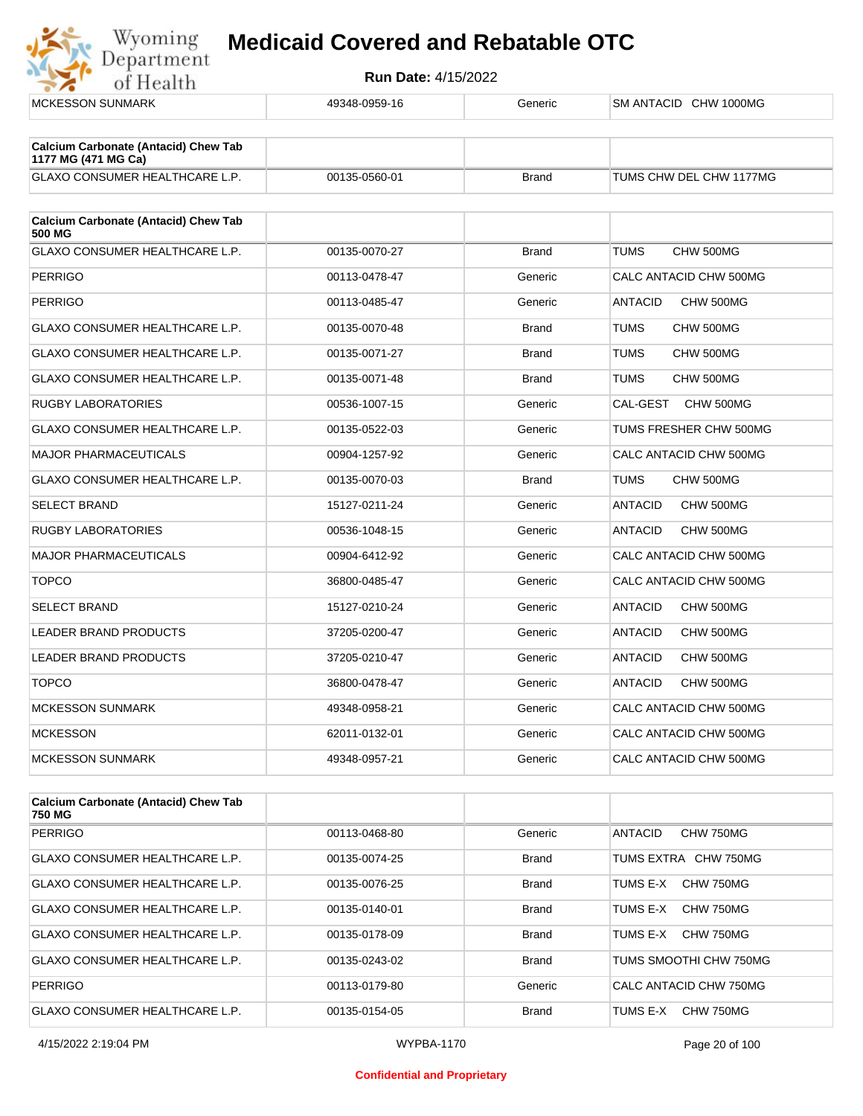

| <b>Calcium Carbonate (Antacid) Chew Tab</b><br>1177 MG (471 MG Ca) |               |              |                             |
|--------------------------------------------------------------------|---------------|--------------|-----------------------------|
| <b>GLAXO CONSUMER HEALTHCARE L.P.</b>                              | 00135-0560-01 | <b>Brand</b> | TUMS CHW DEL CHW 1177MG     |
| <b>Calcium Carbonate (Antacid) Chew Tab</b>                        |               |              |                             |
| <b>500 MG</b>                                                      |               |              |                             |
| <b>GLAXO CONSUMER HEALTHCARE L.P.</b>                              | 00135-0070-27 | <b>Brand</b> | CHW 500MG<br><b>TUMS</b>    |
| <b>PERRIGO</b>                                                     | 00113-0478-47 | Generic      | CALC ANTACID CHW 500MG      |
| <b>PERRIGO</b>                                                     | 00113-0485-47 | Generic      | ANTACID<br>CHW 500MG        |
| <b>GLAXO CONSUMER HEALTHCARE L.P.</b>                              | 00135-0070-48 | <b>Brand</b> | <b>TUMS</b><br>CHW 500MG    |
| <b>GLAXO CONSUMER HEALTHCARE L.P.</b>                              | 00135-0071-27 | <b>Brand</b> | <b>TUMS</b><br>CHW 500MG    |
| <b>GLAXO CONSUMER HEALTHCARE L.P.</b>                              | 00135-0071-48 | <b>Brand</b> | <b>TUMS</b><br>CHW 500MG    |
| <b>RUGBY LABORATORIES</b>                                          | 00536-1007-15 | Generic      | CAL-GEST<br>CHW 500MG       |
| GLAXO CONSUMER HEALTHCARE L.P.                                     | 00135-0522-03 | Generic      | TUMS FRESHER CHW 500MG      |
| <b>MAJOR PHARMACEUTICALS</b>                                       | 00904-1257-92 | Generic      | CALC ANTACID CHW 500MG      |
| GLAXO CONSUMER HEALTHCARE L.P.                                     | 00135-0070-03 | <b>Brand</b> | <b>TUMS</b><br>CHW 500MG    |
| <b>SELECT BRAND</b>                                                | 15127-0211-24 | Generic      | <b>ANTACID</b><br>CHW 500MG |
| <b>RUGBY LABORATORIES</b>                                          | 00536-1048-15 | Generic      | <b>ANTACID</b><br>CHW 500MG |
| <b>MAJOR PHARMACEUTICALS</b>                                       | 00904-6412-92 | Generic      | CALC ANTACID CHW 500MG      |
| <b>TOPCO</b>                                                       | 36800-0485-47 | Generic      | CALC ANTACID CHW 500MG      |
| <b>SELECT BRAND</b>                                                | 15127-0210-24 | Generic      | <b>ANTACID</b><br>CHW 500MG |
| LEADER BRAND PRODUCTS                                              | 37205-0200-47 | Generic      | <b>ANTACID</b><br>CHW 500MG |
| <b>LEADER BRAND PRODUCTS</b>                                       | 37205-0210-47 | Generic      | CHW 500MG<br><b>ANTACID</b> |
| <b>TOPCO</b>                                                       | 36800-0478-47 | Generic      | <b>ANTACID</b><br>CHW 500MG |
| <b>MCKESSON SUNMARK</b>                                            | 49348-0958-21 | Generic      | CALC ANTACID CHW 500MG      |
| <b>MCKESSON</b>                                                    | 62011-0132-01 | Generic      | CALC ANTACID CHW 500MG      |
| <b>MCKESSON SUNMARK</b>                                            | 49348-0957-21 | Generic      | CALC ANTACID CHW 500MG      |
|                                                                    |               |              |                             |

| <b>Calcium Carbonate (Antacid) Chew Tab</b><br>750 MG |               |              |                             |
|-------------------------------------------------------|---------------|--------------|-----------------------------|
| PERRIGO                                               | 00113-0468-80 | Generic      | <b>ANTACID</b><br>CHW 750MG |
| <b>GLAXO CONSUMER HEALTHCARE L.P.</b>                 | 00135-0074-25 | <b>Brand</b> | TUMS EXTRA CHW 750MG        |
| <b>GLAXO CONSUMER HEALTHCARE L.P.</b>                 | 00135-0076-25 | <b>Brand</b> | CHW 750MG<br>TUMS E-X       |
| <b>GLAXO CONSUMER HEALTHCARE L.P.</b>                 | 00135-0140-01 | <b>Brand</b> | TUMS E-X<br>CHW 750MG       |
| <b>GLAXO CONSUMER HEALTHCARE L.P.</b>                 | 00135-0178-09 | <b>Brand</b> | CHW 750MG<br>TUMS F-X       |
| <b>GLAXO CONSUMER HEALTHCARE L.P.</b>                 | 00135-0243-02 | <b>Brand</b> | TUMS SMOOTHI CHW 750MG      |
| PERRIGO                                               | 00113-0179-80 | Generic      | CALC ANTACID CHW 750MG      |
| GLAXO CONSUMER HEALTHCARE L.P.                        | 00135-0154-05 | <b>Brand</b> | CHW 750MG<br>TUMS E-X       |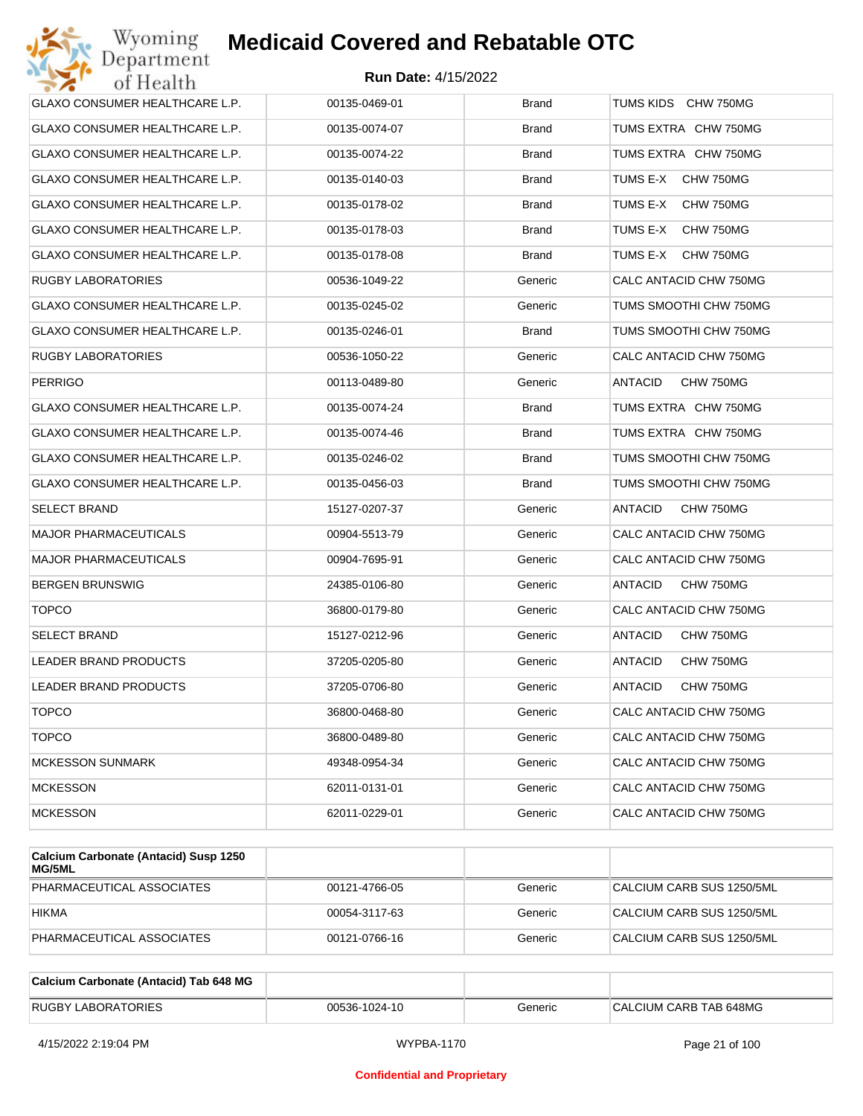| Wyoming<br>Department                 | <b>Medicaid Covered and Rebatable OTC</b> |              |                             |
|---------------------------------------|-------------------------------------------|--------------|-----------------------------|
| of Health                             | <b>Run Date: 4/15/2022</b>                |              |                             |
| <b>GLAXO CONSUMER HEALTHCARE L.P.</b> | 00135-0469-01                             | <b>Brand</b> | TUMS KIDS CHW 750MG         |
| GLAXO CONSUMER HEALTHCARE L.P.        | 00135-0074-07                             | Brand        | TUMS EXTRA CHW 750MG        |
| GLAXO CONSUMER HEALTHCARE L.P.        | 00135-0074-22                             | <b>Brand</b> | TUMS EXTRA CHW 750MG        |
| GLAXO CONSUMER HEALTHCARE L.P.        | 00135-0140-03                             | Brand        | TUMS E-X<br>CHW 750MG       |
| GLAXO CONSUMER HEALTHCARE L.P.        | 00135-0178-02                             | Brand        | TUMS E-X<br>CHW 750MG       |
| GLAXO CONSUMER HEALTHCARE L.P.        | 00135-0178-03                             | Brand        | TUMS E-X<br>CHW 750MG       |
| GLAXO CONSUMER HEALTHCARE L.P.        | 00135-0178-08                             | Brand        | TUMS E-X<br>CHW 750MG       |
| RUGBY LABORATORIES                    | 00536-1049-22                             | Generic      | CALC ANTACID CHW 750MG      |
| GLAXO CONSUMER HEALTHCARE L.P.        | 00135-0245-02                             | Generic      | TUMS SMOOTHI CHW 750MG      |
| GLAXO CONSUMER HEALTHCARE L.P.        | 00135-0246-01                             | <b>Brand</b> | TUMS SMOOTHI CHW 750MG      |
| RUGBY LABORATORIES                    | 00536-1050-22                             | Generic      | CALC ANTACID CHW 750MG      |
| <b>PERRIGO</b>                        | 00113-0489-80                             | Generic      | <b>ANTACID</b><br>CHW 750MG |
| <b>GLAXO CONSUMER HEALTHCARE L.P.</b> | 00135-0074-24                             | <b>Brand</b> | TUMS EXTRA CHW 750MG        |
| GLAXO CONSUMER HEALTHCARE L.P.        | 00135-0074-46                             | Brand        | TUMS EXTRA CHW 750MG        |
| GLAXO CONSUMER HEALTHCARE L.P.        | 00135-0246-02                             | <b>Brand</b> | TUMS SMOOTHI CHW 750MG      |
| GLAXO CONSUMER HEALTHCARE L.P.        | 00135-0456-03                             | <b>Brand</b> | TUMS SMOOTHI CHW 750MG      |
| <b>SELECT BRAND</b>                   | 15127-0207-37                             | Generic      | ANTACID<br>CHW 750MG        |
| <b>MAJOR PHARMACEUTICALS</b>          | 00904-5513-79                             | Generic      | CALC ANTACID CHW 750MG      |
| MAJOR PHARMACEUTICALS                 | 00904-7695-91                             | Generic      | CALC ANTACID CHW 750MG      |
| <b>BERGEN BRUNSWIG</b>                | 24385-0106-80                             | Generic      | ANTACID<br>CHW 750MG        |
| <b>TOPCO</b>                          | 36800-0179-80                             | Generic      | CALC ANTACID CHW 750MG      |
| <b>SELECT BRAND</b>                   | 15127-0212-96                             | Generic      | CHW 750MG<br>ANTACID        |
| <b>LEADER BRAND PRODUCTS</b>          | 37205-0205-80                             | Generic      | <b>ANTACID</b><br>CHW 750MG |
| LEADER BRAND PRODUCTS                 | 37205-0706-80                             | Generic      | CHW 750MG<br>ANTACID        |
| <b>TOPCO</b>                          | 36800-0468-80                             | Generic      | CALC ANTACID CHW 750MG      |
| <b>TOPCO</b>                          | 36800-0489-80                             | Generic      | CALC ANTACID CHW 750MG      |
| <b>MCKESSON SUNMARK</b>               | 49348-0954-34                             | Generic      | CALC ANTACID CHW 750MG      |
| <b>MCKESSON</b>                       | 62011-0131-01                             | Generic      | CALC ANTACID CHW 750MG      |
| <b>MCKESSON</b>                       | 62011-0229-01                             | Generic      | CALC ANTACID CHW 750MG      |
|                                       |                                           |              |                             |

| Calcium Carbonate (Antacid) Susp 1250<br>MG/5ML |               |         |                           |
|-------------------------------------------------|---------------|---------|---------------------------|
| PHARMACEUTICAL ASSOCIATES                       | 00121-4766-05 | Generic | CALCIUM CARB SUS 1250/5ML |
| <b>HIKMA</b>                                    | 00054-3117-63 | Generic | CALCIUM CARB SUS 1250/5ML |
| PHARMACEUTICAL ASSOCIATES                       | 00121-0766-16 | Generic | CALCIUM CARB SUS 1250/5ML |

| Calcium Carbonate (Antacid) Tab 648 MG |               |         |                        |
|----------------------------------------|---------------|---------|------------------------|
| <b>RUGBY LABORATORIES</b>              | 00536-1024-10 | Generic | CALCIUM CARB TAB 648MG |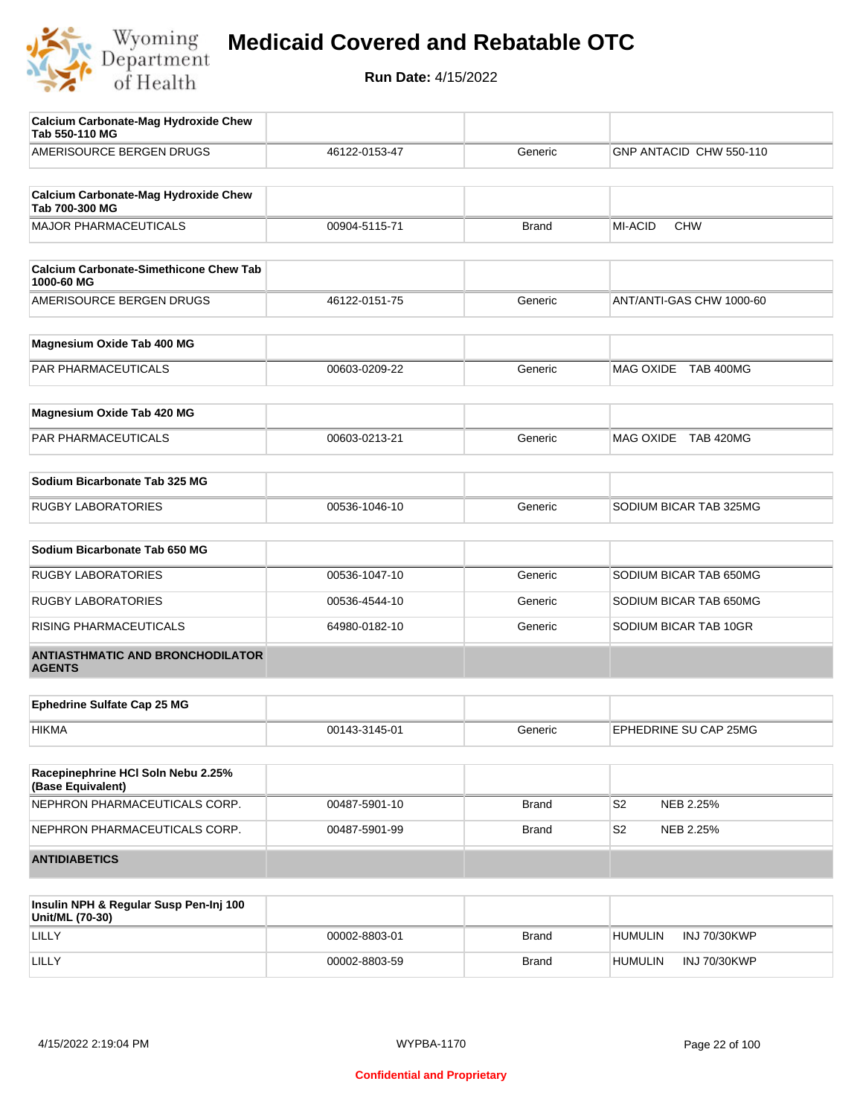

| <b>Calcium Carbonate-Mag Hydroxide Chew</b><br>Tab 550-110 MG |               |              |                             |
|---------------------------------------------------------------|---------------|--------------|-----------------------------|
| AMERISOURCE BERGEN DRUGS                                      | 46122-0153-47 | Generic      | GNP ANTACID CHW 550-110     |
|                                                               |               |              |                             |
| <b>Calcium Carbonate-Mag Hydroxide Chew</b><br>Tab 700-300 MG |               |              |                             |
| <b>MAJOR PHARMACEUTICALS</b>                                  | 00904-5115-71 | <b>Brand</b> | MI-ACID<br><b>CHW</b>       |
| <b>Calcium Carbonate-Simethicone Chew Tab</b><br>1000-60 MG   |               |              |                             |
| AMERISOURCE BERGEN DRUGS                                      | 46122-0151-75 | Generic      | ANT/ANTI-GAS CHW 1000-60    |
| Magnesium Oxide Tab 400 MG                                    |               |              |                             |
| PAR PHARMACEUTICALS                                           | 00603-0209-22 | Generic      | MAG OXIDE TAB 400MG         |
| Magnesium Oxide Tab 420 MG                                    |               |              |                             |
| PAR PHARMACEUTICALS                                           | 00603-0213-21 | Generic      | MAG OXIDE TAB 420MG         |
| Sodium Bicarbonate Tab 325 MG                                 |               |              |                             |
| <b>RUGBY LABORATORIES</b>                                     | 00536-1046-10 | Generic      | SODIUM BICAR TAB 325MG      |
| Sodium Bicarbonate Tab 650 MG                                 |               |              |                             |
| <b>RUGBY LABORATORIES</b>                                     | 00536-1047-10 | Generic      | SODIUM BICAR TAB 650MG      |
| <b>RUGBY LABORATORIES</b>                                     | 00536-4544-10 | Generic      | SODIUM BICAR TAB 650MG      |
| RISING PHARMACEUTICALS                                        | 64980-0182-10 | Generic      | SODIUM BICAR TAB 10GR       |
|                                                               |               |              |                             |
| <b>ANTIASTHMATIC AND BRONCHODILATOR</b><br><b>AGENTS</b>      |               |              |                             |
| <b>Ephedrine Sulfate Cap 25 MG</b>                            |               |              |                             |
| <b>HIKMA</b>                                                  | 00143-3145-01 | Generic      | EPHEDRINE SU CAP 25MG       |
| Racepinephrine HCI Soln Nebu 2.25%                            |               |              |                             |
| (Base Equivalent)                                             |               |              |                             |
| NEPHRON PHARMACEUTICALS CORP.                                 | 00487-5901-10 | Brand        | S <sub>2</sub><br>NEB 2.25% |
| NEPHRON PHARMACEUTICALS CORP.                                 | 00487-5901-99 | <b>Brand</b> | S <sub>2</sub><br>NEB 2.25% |
| <b>ANTIDIABETICS</b>                                          |               |              |                             |
|                                                               |               |              |                             |

| Insulin NPH & Regular Susp Pen-Inj 100<br>Unit/ML (70-30) |               |              |                |                     |
|-----------------------------------------------------------|---------------|--------------|----------------|---------------------|
| LILLY                                                     | 00002-8803-01 | <b>Brand</b> | <b>HUMULIN</b> | INJ 70/30KWP        |
| LILLY                                                     | 00002-8803-59 | <b>Brand</b> | <b>HUMULIN</b> | <b>INJ 70/30KWP</b> |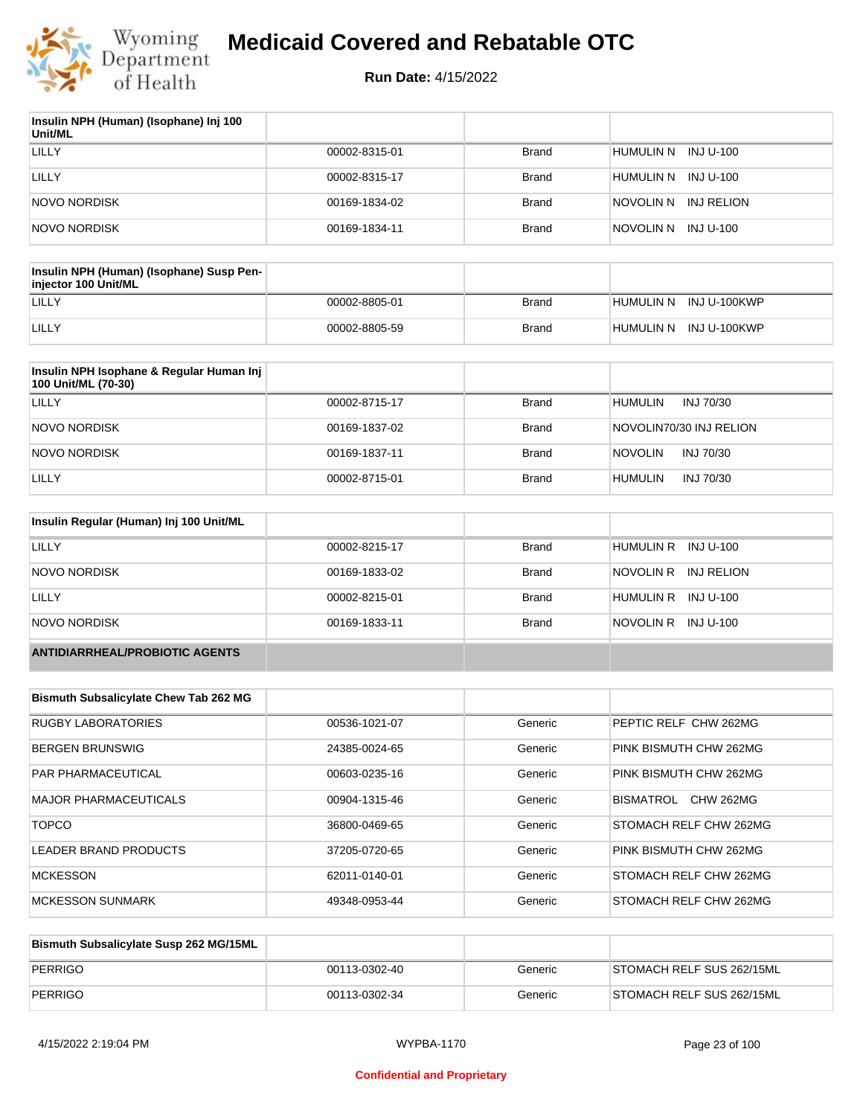

| Insulin NPH (Human) (Isophane) Inj 100<br>Unit/ML |               |              |                         |
|---------------------------------------------------|---------------|--------------|-------------------------|
| LILLY                                             | 00002-8315-01 | <b>Brand</b> | HUMULIN N<br>INJ U-100  |
| LILLY                                             | 00002-8315-17 | <b>Brand</b> | HUMULIN N<br>INJ U-100  |
| NOVO NORDISK                                      | 00169-1834-02 | Brand        | NOVOLIN N<br>INJ RELION |
| <b>NOVO NORDISK</b>                               | 00169-1834-11 | <b>Brand</b> | INJ U-100<br>NOVOLIN N  |

| Insulin NPH (Human) (Isophane) Susp Pen-<br>injector 100 Unit/ML |               |              |                        |
|------------------------------------------------------------------|---------------|--------------|------------------------|
| LILLY                                                            | 00002-8805-01 | Brand        | HUMULIN N INJ U-100KWP |
| LILLY                                                            | 00002-8805-59 | <b>Brand</b> | HUMULIN N INJ U-100KWP |

| Insulin NPH Isophane & Regular Human Inj<br>100 Unit/ML (70-30) |               |              |                             |
|-----------------------------------------------------------------|---------------|--------------|-----------------------------|
| LILLY                                                           | 00002-8715-17 | <b>Brand</b> | <b>HUMULIN</b><br>INJ 70/30 |
| NOVO NORDISK                                                    | 00169-1837-02 | <b>Brand</b> | NOVOLIN70/30 INJ RELION     |
| NOVO NORDISK                                                    | 00169-1837-11 | <b>Brand</b> | <b>NOVOLIN</b><br>INJ 70/30 |
| LILLY                                                           | 00002-8715-01 | <b>Brand</b> | <b>HUMULIN</b><br>INJ 70/30 |

| Insulin Regular (Human) Inj 100 Unit/ML |               |              |                         |
|-----------------------------------------|---------------|--------------|-------------------------|
| LILLY                                   | 00002-8215-17 | <b>Brand</b> | HUMULIN R INJ U-100     |
| NOVO NORDISK                            | 00169-1833-02 | <b>Brand</b> | NOVOLIN R<br>INJ RELION |
| LILLY                                   | 00002-8215-01 | <b>Brand</b> | HUMULIN R INJ U-100     |
| NOVO NORDISK                            | 00169-1833-11 | <b>Brand</b> | NOVOLIN R INJ U-100     |
| <b>ANTIDIARRHEAL/PROBIOTIC AGENTS</b>   |               |              |                         |

| <b>Bismuth Subsalicylate Chew Tab 262 MG</b> |               |         |                               |
|----------------------------------------------|---------------|---------|-------------------------------|
| <b>RUGBY LABORATORIES</b>                    | 00536-1021-07 | Generic | PEPTIC RELF CHW 262MG         |
| <b>BERGEN BRUNSWIG</b>                       | 24385-0024-65 | Generic | PINK BISMUTH CHW 262MG        |
| <b>PAR PHARMACEUTICAL</b>                    | 00603-0235-16 | Generic | PINK BISMUTH CHW 262MG        |
| MAJOR PHARMACEUTICALS                        | 00904-1315-46 | Generic | BISMATROL<br><b>CHW 262MG</b> |
| <b>TOPCO</b>                                 | 36800-0469-65 | Generic | STOMACH RELF CHW 262MG        |
| <b>LEADER BRAND PRODUCTS</b>                 | 37205-0720-65 | Generic | PINK BISMUTH CHW 262MG        |
| <b>MCKESSON</b>                              | 62011-0140-01 | Generic | STOMACH RELF CHW 262MG        |
| <b>MCKESSON SUNMARK</b>                      | 49348-0953-44 | Generic | STOMACH RELF CHW 262MG        |

| Bismuth Subsalicylate Susp 262 MG/15ML |               |         |                           |
|----------------------------------------|---------------|---------|---------------------------|
| PERRIGO                                | 00113-0302-40 | Generic | STOMACH RELF SUS 262/15ML |
| PERRIGO                                | 00113-0302-34 | Generic | STOMACH RELF SUS 262/15ML |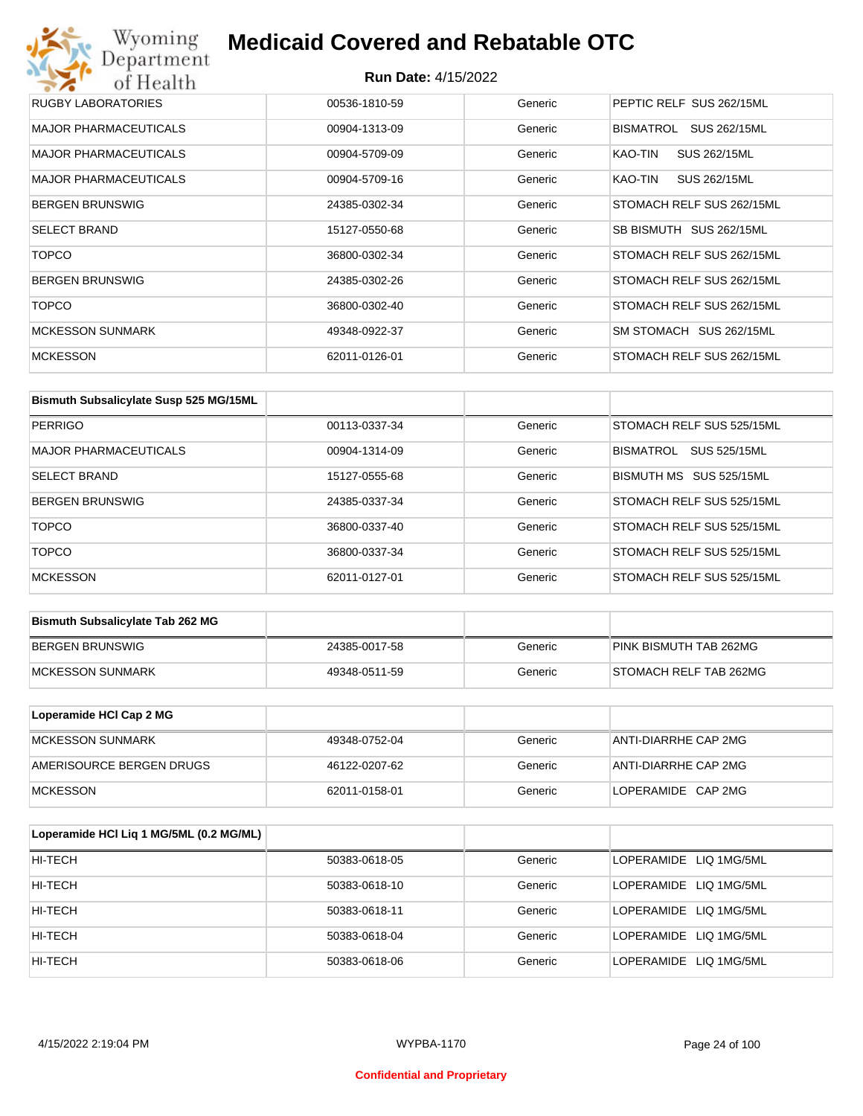| RUGBY LABORATORIES           | 00536-1810-59 | Generic | PEPTIC RELF SUS 262/15ML  |
|------------------------------|---------------|---------|---------------------------|
| <b>MAJOR PHARMACEUTICALS</b> | 00904-1313-09 | Generic | BISMATROL<br>SUS 262/15ML |
| <b>MAJOR PHARMACEUTICALS</b> | 00904-5709-09 | Generic | SUS 262/15ML<br>KAO-TIN   |
| <b>MAJOR PHARMACEUTICALS</b> | 00904-5709-16 | Generic | KAO-TIN<br>SUS 262/15ML   |
| <b>BERGEN BRUNSWIG</b>       | 24385-0302-34 | Generic | STOMACH RELF SUS 262/15ML |
| <b>SELECT BRAND</b>          | 15127-0550-68 | Generic | SB BISMUTH SUS 262/15ML   |
| <b>TOPCO</b>                 | 36800-0302-34 | Generic | STOMACH RELF SUS 262/15ML |
| <b>BERGEN BRUNSWIG</b>       | 24385-0302-26 | Generic | STOMACH RELF SUS 262/15ML |
| <b>TOPCO</b>                 | 36800-0302-40 | Generic | STOMACH RELF SUS 262/15ML |
| <b>MCKESSON SUNMARK</b>      | 49348-0922-37 | Generic | SM STOMACH SUS 262/15ML   |
| <b>MCKESSON</b>              | 62011-0126-01 | Generic | STOMACH RELF SUS 262/15ML |

| Bismuth Subsalicylate Susp 525 MG/15ML |               |         |                                         |
|----------------------------------------|---------------|---------|-----------------------------------------|
| PERRIGO                                | 00113-0337-34 | Generic | STOMACH RELF SUS 525/15ML               |
| <b>MAJOR PHARMACEUTICALS</b>           | 00904-1314-09 | Generic | <b>SUS 525/15ML</b><br><b>BISMATROL</b> |
| <b>SELECT BRAND</b>                    | 15127-0555-68 | Generic | BISMUTH MS SUS 525/15ML                 |
| <b>BERGEN BRUNSWIG</b>                 | 24385-0337-34 | Generic | STOMACH RELF SUS 525/15ML               |
| <b>TOPCO</b>                           | 36800-0337-40 | Generic | STOMACH RELF SUS 525/15ML               |
| <b>TOPCO</b>                           | 36800-0337-34 | Generic | STOMACH RELF SUS 525/15ML               |
| <b>MCKESSON</b>                        | 62011-0127-01 | Generic | STOMACH RELF SUS 525/15ML               |

| <b>Bismuth Subsalicylate Tab 262 MG</b> |               |         |                        |
|-----------------------------------------|---------------|---------|------------------------|
| BERGEN BRUNSWIG                         | 24385-0017-58 | Generic | PINK BISMUTH TAB 262MG |
| <b>IMCKESSON SUNMARK</b>                | 49348-0511-59 | Generic | STOMACH RELF TAB 262MG |

| Loperamide HCI Cap 2 MG  |               |         |                      |
|--------------------------|---------------|---------|----------------------|
| IMCKESSON SUNMARK        | 49348-0752-04 | Generic | ANTI-DIARRHE CAP 2MG |
| AMERISOURCE BERGEN DRUGS | 46122-0207-62 | Generic | ANTI-DIARRHE CAP 2MG |
| <b>IMCKESSON</b>         | 62011-0158-01 | Generic | LOPERAMIDE CAP 2MG   |

| Loperamide HCI Liq 1 MG/5ML (0.2 MG/ML) |               |         |                        |
|-----------------------------------------|---------------|---------|------------------------|
| HI-TECH                                 | 50383-0618-05 | Generic | LOPERAMIDE LIQ 1MG/5ML |
| HI-TECH                                 | 50383-0618-10 | Generic | LOPERAMIDE LIQ 1MG/5ML |
| HI-TECH                                 | 50383-0618-11 | Generic | LOPERAMIDE LIQ 1MG/5ML |
| HI-TECH                                 | 50383-0618-04 | Generic | LOPERAMIDE LIQ 1MG/5ML |
| HI-TECH                                 | 50383-0618-06 | Generic | LOPERAMIDE LIQ 1MG/5ML |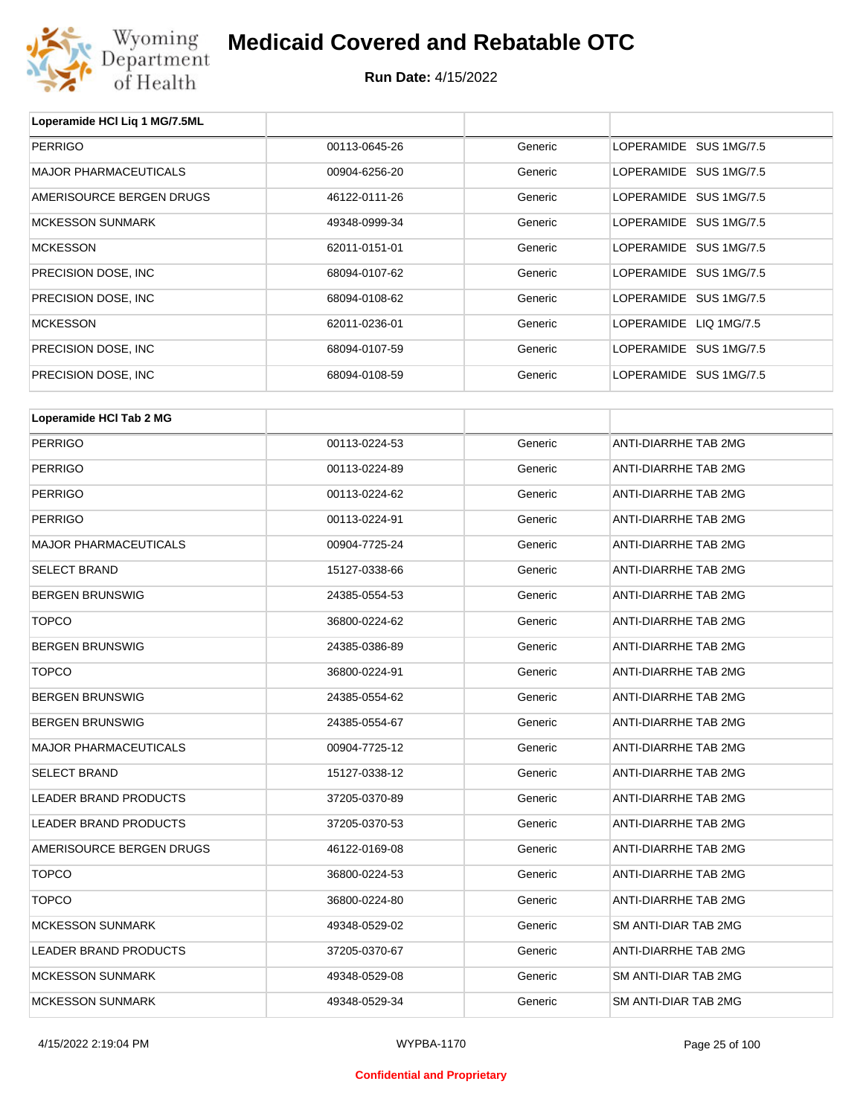

**Run Date:** 4/15/2022

| Loperamide HCI Lig 1 MG/7.5ML |               |         |                             |
|-------------------------------|---------------|---------|-----------------------------|
| <b>PERRIGO</b>                | 00113-0645-26 | Generic | LOPERAMIDE SUS 1MG/7.5      |
| <b>MAJOR PHARMACEUTICALS</b>  | 00904-6256-20 | Generic | LOPERAMIDE SUS 1MG/7.5      |
| AMERISOURCE BERGEN DRUGS      | 46122-0111-26 | Generic | LOPERAMIDE SUS 1MG/7.5      |
| <b>MCKESSON SUNMARK</b>       | 49348-0999-34 | Generic | LOPERAMIDE SUS 1MG/7.5      |
| <b>MCKESSON</b>               | 62011-0151-01 | Generic | LOPERAMIDE SUS 1MG/7.5      |
| PRECISION DOSE, INC           | 68094-0107-62 | Generic | LOPERAMIDE SUS 1MG/7.5      |
| PRECISION DOSE, INC.          | 68094-0108-62 | Generic | LOPERAMIDE SUS 1MG/7.5      |
| <b>MCKESSON</b>               | 62011-0236-01 | Generic | LOPERAMIDE LIQ 1MG/7.5      |
| PRECISION DOSE, INC.          | 68094-0107-59 | Generic | LOPERAMIDE SUS 1MG/7.5      |
| PRECISION DOSE, INC.          | 68094-0108-59 | Generic | LOPERAMIDE SUS 1MG/7.5      |
|                               |               |         |                             |
| Loperamide HCI Tab 2 MG       |               |         |                             |
| <b>PERRIGO</b>                | 00113-0224-53 | Generic | ANTI-DIARRHE TAB 2MG        |
| <b>PERRIGO</b>                | 00113-0224-89 | Generic | <b>ANTI-DIARRHE TAB 2MG</b> |
| <b>PERRIGO</b>                | 00113-0224-62 | Generic | ANTI-DIARRHE TAB 2MG        |
| <b>PERRIGO</b>                | 00113-0224-91 | Generic | ANTI-DIARRHE TAB 2MG        |
| <b>MAJOR PHARMACEUTICALS</b>  | 00904-7725-24 | Generic | ANTI-DIARRHE TAB 2MG        |

| <b>PERRIGO</b>               | 00113-0224-62 | Generic | <b>ANTI-DIARRHE TAB 2MG</b> |
|------------------------------|---------------|---------|-----------------------------|
| <b>PERRIGO</b>               | 00113-0224-91 | Generic | ANTI-DIARRHE TAB 2MG        |
| <b>MAJOR PHARMACEUTICALS</b> | 00904-7725-24 | Generic | <b>ANTI-DIARRHE TAB 2MG</b> |
| <b>SELECT BRAND</b>          | 15127-0338-66 | Generic | ANTI-DIARRHE TAB 2MG        |
| <b>BERGEN BRUNSWIG</b>       | 24385-0554-53 | Generic | <b>ANTI-DIARRHE TAB 2MG</b> |
| <b>TOPCO</b>                 | 36800-0224-62 | Generic | ANTI-DIARRHE TAB 2MG        |
| <b>BERGEN BRUNSWIG</b>       | 24385-0386-89 | Generic | ANTI-DIARRHE TAB 2MG        |
| <b>TOPCO</b>                 | 36800-0224-91 | Generic | <b>ANTI-DIARRHE TAB 2MG</b> |
| <b>BERGEN BRUNSWIG</b>       | 24385-0554-62 | Generic | ANTI-DIARRHE TAB 2MG        |
| <b>BERGEN BRUNSWIG</b>       | 24385-0554-67 | Generic | <b>ANTI-DIARRHE TAB 2MG</b> |
| <b>MAJOR PHARMACEUTICALS</b> | 00904-7725-12 | Generic | ANTI-DIARRHE TAB 2MG        |
| <b>SELECT BRAND</b>          | 15127-0338-12 | Generic | <b>ANTI-DIARRHE TAB 2MG</b> |
| <b>LEADER BRAND PRODUCTS</b> | 37205-0370-89 | Generic | <b>ANTI-DIARRHE TAB 2MG</b> |
| <b>LEADER BRAND PRODUCTS</b> | 37205-0370-53 | Generic | ANTI-DIARRHE TAB 2MG        |
| AMERISOURCE BERGEN DRUGS     | 46122-0169-08 | Generic | ANTI-DIARRHE TAB 2MG        |
| <b>TOPCO</b>                 | 36800-0224-53 | Generic | <b>ANTI-DIARRHE TAB 2MG</b> |
| <b>TOPCO</b>                 | 36800-0224-80 | Generic | <b>ANTI-DIARRHE TAB 2MG</b> |
| <b>MCKESSON SUNMARK</b>      | 49348-0529-02 | Generic | <b>SM ANTI-DIAR TAB 2MG</b> |
| <b>LEADER BRAND PRODUCTS</b> | 37205-0370-67 | Generic | <b>ANTI-DIARRHE TAB 2MG</b> |
| <b>MCKESSON SUNMARK</b>      | 49348-0529-08 | Generic | <b>SM ANTI-DIAR TAB 2MG</b> |
| <b>MCKESSON SUNMARK</b>      | 49348-0529-34 | Generic | SM ANTI-DIAR TAB 2MG        |

4/15/2022 2:19:04 PM WYPBA-1170 Page 25 of 100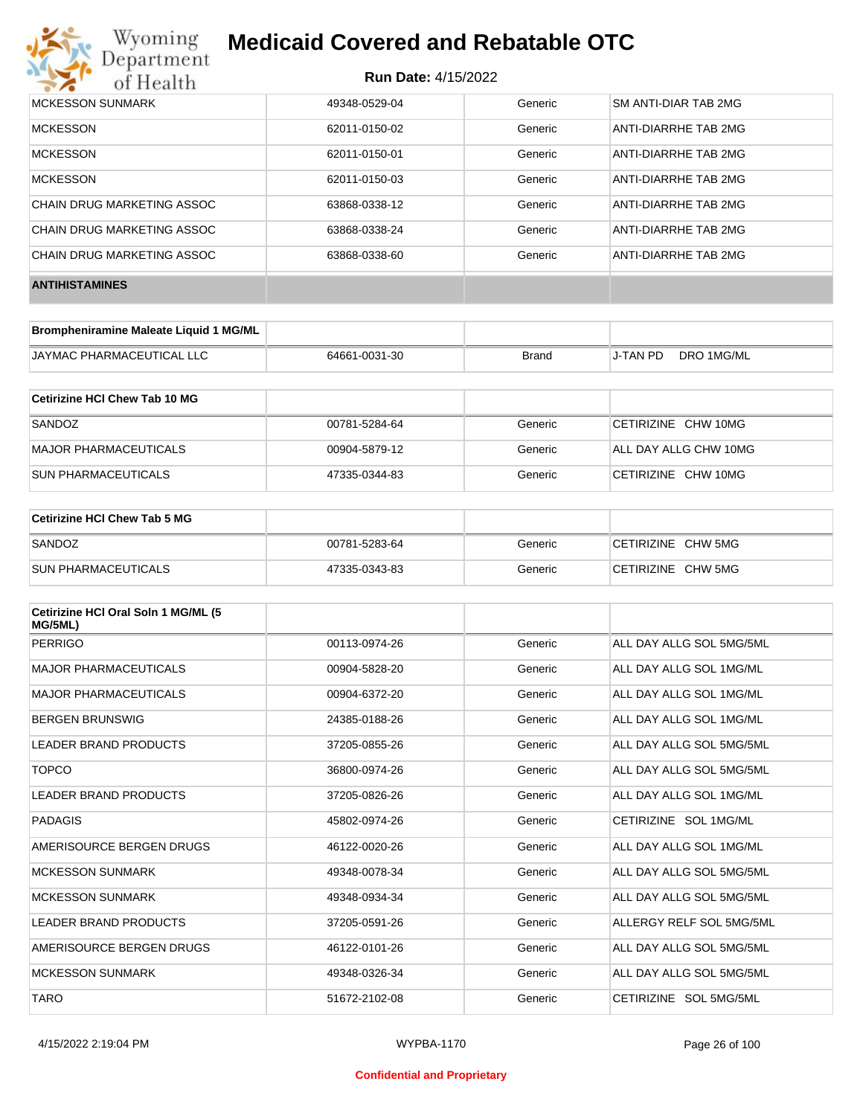

| <b>MCKESSON SUNMARK</b>    | 49348-0529-04 | Generic | <b>SM ANTI-DIAR TAB 2MG</b> |
|----------------------------|---------------|---------|-----------------------------|
| <b>MCKESSON</b>            | 62011-0150-02 | Generic | ANTI-DIARRHE TAB 2MG        |
| <b>MCKESSON</b>            | 62011-0150-01 | Generic | ANTI-DIARRHE TAB 2MG        |
| <b>MCKESSON</b>            | 62011-0150-03 | Generic | ANTI-DIARRHE TAB 2MG        |
| CHAIN DRUG MARKETING ASSOC | 63868-0338-12 | Generic | ANTI-DIARRHE TAB 2MG        |
| CHAIN DRUG MARKETING ASSOC | 63868-0338-24 | Generic | ANTI-DIARRHE TAB 2MG        |
| CHAIN DRUG MARKETING ASSOC | 63868-0338-60 | Generic | ANTI-DIARRHE TAB 2MG        |
| <b>ANTIHISTAMINES</b>      |               |         |                             |

| Brompheniramine Maleate Liquid 1 MG/ML |               |       |          |            |
|----------------------------------------|---------------|-------|----------|------------|
| <b>JAYMAC PHARMACEUTICAL LLC</b>       | 64661-0031-30 | Brand | J-TAN PD | DRO 1MG/ML |

| Cetirizine HCI Chew Tab 10 MG |               |         |                       |
|-------------------------------|---------------|---------|-----------------------|
| SANDOZ                        | 00781-5284-64 | Generic | CETIRIZINE CHW 10MG   |
| MAJOR PHARMACEUTICALS         | 00904-5879-12 | Generic | ALL DAY ALLG CHW 10MG |
| <b>SUN PHARMACEUTICALS</b>    | 47335-0344-83 | Generic | CETIRIZINE CHW 10MG   |

| <b>Cetirizine HCI Chew Tab 5 MG</b> |               |         |                    |
|-------------------------------------|---------------|---------|--------------------|
| SANDOZ                              | 00781-5283-64 | Generic | CETIRIZINE CHW 5MG |
| <b>SUN PHARMACEUTICALS</b>          | 47335-0343-83 | Generic | CETIRIZINE CHW 5MG |

| Cetirizine HCI Oral Soln 1 MG/ML (5<br>MG/5ML) |               |         |                          |
|------------------------------------------------|---------------|---------|--------------------------|
| <b>PERRIGO</b>                                 | 00113-0974-26 | Generic | ALL DAY ALLG SOL 5MG/5ML |
| <b>MAJOR PHARMACEUTICALS</b>                   | 00904-5828-20 | Generic | ALL DAY ALLG SOL 1MG/ML  |
| <b>MAJOR PHARMACEUTICALS</b>                   | 00904-6372-20 | Generic | ALL DAY ALLG SOL 1MG/ML  |
| <b>BERGEN BRUNSWIG</b>                         | 24385-0188-26 | Generic | ALL DAY ALLG SOL 1MG/ML  |
| LEADER BRAND PRODUCTS                          | 37205-0855-26 | Generic | ALL DAY ALLG SOL 5MG/5ML |
| <b>TOPCO</b>                                   | 36800-0974-26 | Generic | ALL DAY ALLG SOL 5MG/5ML |
| LEADER BRAND PRODUCTS                          | 37205-0826-26 | Generic | ALL DAY ALLG SOL 1MG/ML  |
| PADAGIS                                        | 45802-0974-26 | Generic | CETIRIZINE SOL 1MG/ML    |
| AMERISOURCE BERGEN DRUGS                       | 46122-0020-26 | Generic | ALL DAY ALLG SOL 1MG/ML  |
| <b>MCKESSON SUNMARK</b>                        | 49348-0078-34 | Generic | ALL DAY ALLG SOL 5MG/5ML |
| <b>MCKESSON SUNMARK</b>                        | 49348-0934-34 | Generic | ALL DAY ALLG SOL 5MG/5ML |
| LEADER BRAND PRODUCTS                          | 37205-0591-26 | Generic | ALLERGY RELF SOL 5MG/5ML |
| AMERISOURCE BERGEN DRUGS                       | 46122-0101-26 | Generic | ALL DAY ALLG SOL 5MG/5ML |
| <b>MCKESSON SUNMARK</b>                        | 49348-0326-34 | Generic | ALL DAY ALLG SOL 5MG/5ML |
| <b>TARO</b>                                    | 51672-2102-08 | Generic | CETIRIZINE SOL 5MG/5ML   |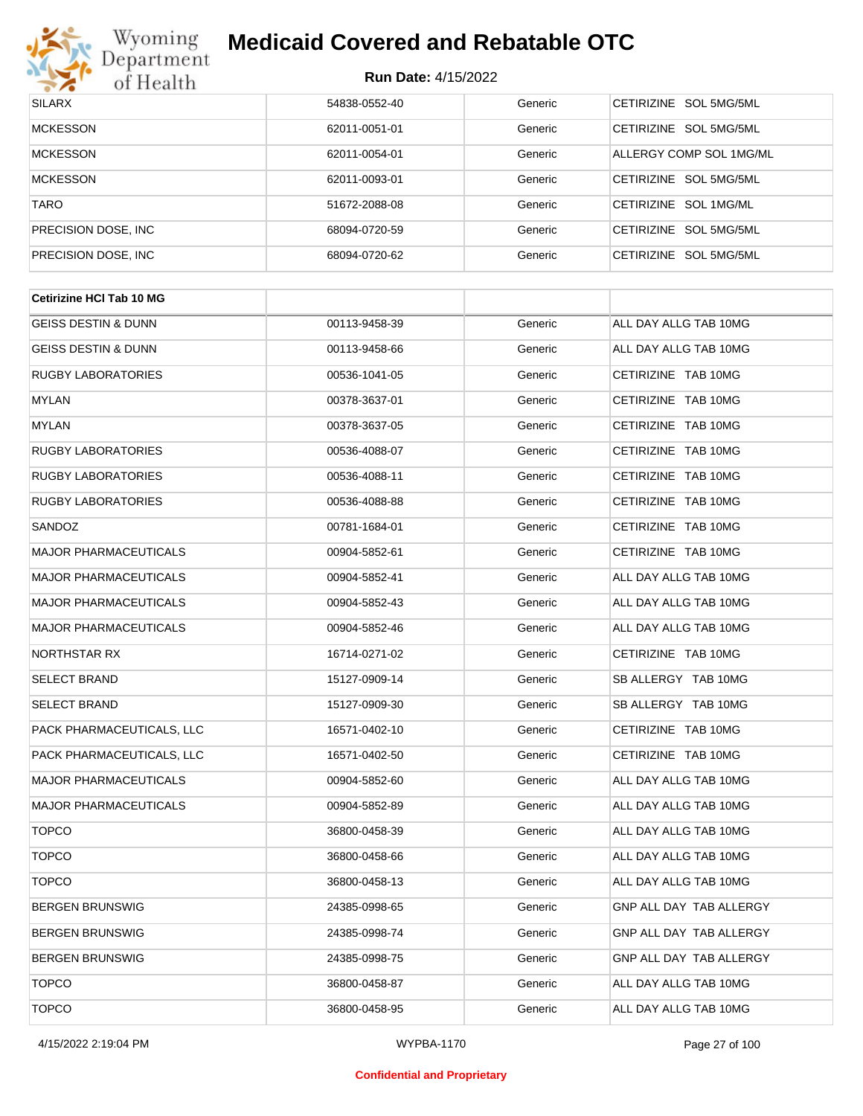

| <b>SILARX</b>        | 54838-0552-40 | Generic | CETIRIZINE SOL 5MG/5ML  |
|----------------------|---------------|---------|-------------------------|
| <b>MCKESSON</b>      | 62011-0051-01 | Generic | CETIRIZINE SOL 5MG/5ML  |
| <b>MCKESSON</b>      | 62011-0054-01 | Generic | ALLERGY COMP SOL 1MG/ML |
| <b>MCKESSON</b>      | 62011-0093-01 | Generic | CETIRIZINE SOL 5MG/5ML  |
| <b>TARO</b>          | 51672-2088-08 | Generic | CETIRIZINE SOL 1MG/ML   |
| PRECISION DOSE, INC. | 68094-0720-59 | Generic | CETIRIZINE SOL 5MG/5ML  |
| PRECISION DOSE, INC  | 68094-0720-62 | Generic | CETIRIZINE SOL 5MG/5ML  |

| <b>Cetirizine HCI Tab 10 MG</b> |               |         |                         |
|---------------------------------|---------------|---------|-------------------------|
| <b>GEISS DESTIN &amp; DUNN</b>  | 00113-9458-39 | Generic | ALL DAY ALLG TAB 10MG   |
| GEISS DESTIN & DUNN             | 00113-9458-66 | Generic | ALL DAY ALLG TAB 10MG   |
| <b>RUGBY LABORATORIES</b>       | 00536-1041-05 | Generic | CETIRIZINE TAB 10MG     |
| <b>MYLAN</b>                    | 00378-3637-01 | Generic | CETIRIZINE TAB 10MG     |
| <b>MYLAN</b>                    | 00378-3637-05 | Generic | CETIRIZINE TAB 10MG     |
| <b>RUGBY LABORATORIES</b>       | 00536-4088-07 | Generic | CETIRIZINE TAB 10MG     |
| <b>RUGBY LABORATORIES</b>       | 00536-4088-11 | Generic | CETIRIZINE TAB 10MG     |
| <b>RUGBY LABORATORIES</b>       | 00536-4088-88 | Generic | CETIRIZINE TAB 10MG     |
| SANDOZ                          | 00781-1684-01 | Generic | CETIRIZINE TAB 10MG     |
| <b>MAJOR PHARMACEUTICALS</b>    | 00904-5852-61 | Generic | CETIRIZINE TAB 10MG     |
| <b>MAJOR PHARMACEUTICALS</b>    | 00904-5852-41 | Generic | ALL DAY ALLG TAB 10MG   |
| <b>MAJOR PHARMACEUTICALS</b>    | 00904-5852-43 | Generic | ALL DAY ALLG TAB 10MG   |
| <b>MAJOR PHARMACEUTICALS</b>    | 00904-5852-46 | Generic | ALL DAY ALLG TAB 10MG   |
| NORTHSTAR RX                    | 16714-0271-02 | Generic | CETIRIZINE TAB 10MG     |
| <b>SELECT BRAND</b>             | 15127-0909-14 | Generic | SB ALLERGY TAB 10MG     |
| <b>SELECT BRAND</b>             | 15127-0909-30 | Generic | SB ALLERGY TAB 10MG     |
| PACK PHARMACEUTICALS, LLC       | 16571-0402-10 | Generic | CETIRIZINE TAB 10MG     |
| PACK PHARMACEUTICALS, LLC       | 16571-0402-50 | Generic | CETIRIZINE TAB 10MG     |
| <b>MAJOR PHARMACEUTICALS</b>    | 00904-5852-60 | Generic | ALL DAY ALLG TAB 10MG   |
| <b>MAJOR PHARMACEUTICALS</b>    | 00904-5852-89 | Generic | ALL DAY ALLG TAB 10MG   |
| <b>TOPCO</b>                    | 36800-0458-39 | Generic | ALL DAY ALLG TAB 10MG   |
| <b>TOPCO</b>                    | 36800-0458-66 | Generic | ALL DAY ALLG TAB 10MG   |
| <b>TOPCO</b>                    | 36800-0458-13 | Generic | ALL DAY ALLG TAB 10MG   |
| <b>BERGEN BRUNSWIG</b>          | 24385-0998-65 | Generic | GNP ALL DAY TAB ALLERGY |
| <b>BERGEN BRUNSWIG</b>          | 24385-0998-74 | Generic | GNP ALL DAY TAB ALLERGY |
| <b>BERGEN BRUNSWIG</b>          | 24385-0998-75 | Generic | GNP ALL DAY TAB ALLERGY |
| <b>TOPCO</b>                    | 36800-0458-87 | Generic | ALL DAY ALLG TAB 10MG   |
| <b>TOPCO</b>                    | 36800-0458-95 | Generic | ALL DAY ALLG TAB 10MG   |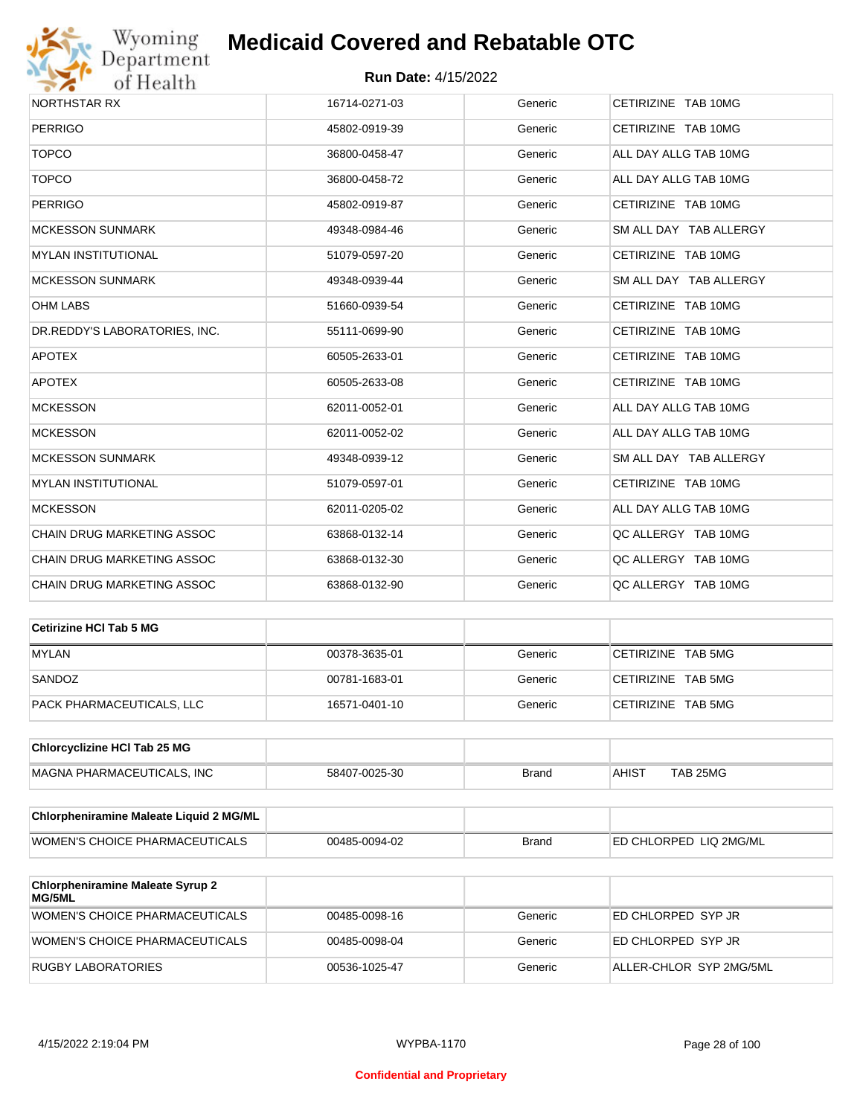

| NORTHSTAR RX                  | 16714-0271-03 | Generic | CETIRIZINE TAB 10MG    |
|-------------------------------|---------------|---------|------------------------|
| <b>PERRIGO</b>                | 45802-0919-39 | Generic | CETIRIZINE TAB 10MG    |
| <b>TOPCO</b>                  | 36800-0458-47 | Generic | ALL DAY ALLG TAB 10MG  |
| <b>TOPCO</b>                  | 36800-0458-72 | Generic | ALL DAY ALLG TAB 10MG  |
| <b>PERRIGO</b>                | 45802-0919-87 | Generic | CETIRIZINE TAB 10MG    |
| <b>MCKESSON SUNMARK</b>       | 49348-0984-46 | Generic | SM ALL DAY TAB ALLERGY |
| <b>MYLAN INSTITUTIONAL</b>    | 51079-0597-20 | Generic | CETIRIZINE TAB 10MG    |
| <b>MCKESSON SUNMARK</b>       | 49348-0939-44 | Generic | SM ALL DAY TAB ALLERGY |
| <b>OHM LABS</b>               | 51660-0939-54 | Generic | CETIRIZINE TAB 10MG    |
| DR.REDDY'S LABORATORIES, INC. | 55111-0699-90 | Generic | CETIRIZINE TAB 10MG    |
| <b>APOTEX</b>                 | 60505-2633-01 | Generic | CETIRIZINE TAB 10MG    |
| <b>APOTEX</b>                 | 60505-2633-08 | Generic | CETIRIZINE TAB 10MG    |
| <b>MCKESSON</b>               | 62011-0052-01 | Generic | ALL DAY ALLG TAB 10MG  |
| <b>MCKESSON</b>               | 62011-0052-02 | Generic | ALL DAY ALLG TAB 10MG  |
| <b>MCKESSON SUNMARK</b>       | 49348-0939-12 | Generic | SM ALL DAY TAB ALLERGY |
| <b>MYLAN INSTITUTIONAL</b>    | 51079-0597-01 | Generic | CETIRIZINE TAB 10MG    |
| <b>MCKESSON</b>               | 62011-0205-02 | Generic | ALL DAY ALLG TAB 10MG  |
| CHAIN DRUG MARKETING ASSOC    | 63868-0132-14 | Generic | QC ALLERGY TAB 10MG    |
| CHAIN DRUG MARKETING ASSOC    | 63868-0132-30 | Generic | QC ALLERGY TAB 10MG    |
| CHAIN DRUG MARKETING ASSOC    | 63868-0132-90 | Generic | OC ALLERGY TAB 10MG    |

| Cetirizine HCI Tab 5 MG   |               |         |                    |
|---------------------------|---------------|---------|--------------------|
| <b>MYLAN</b>              | 00378-3635-01 | Generic | CETIRIZINE TAB 5MG |
| SANDOZ                    | 00781-1683-01 | Generic | CETIRIZINE TAB 5MG |
| PACK PHARMACEUTICALS, LLC | 16571-0401-10 | Generic | CETIRIZINE TAB 5MG |

| <b>Chlorcyclizine HCI Tab 25 MG</b> |               |       |              |          |
|-------------------------------------|---------------|-------|--------------|----------|
| MAGNA PHARMACEUTICALS. INC          | 58407-0025-30 | Brand | <b>AHIST</b> | TAB 25MG |

| <b>Chlorpheniramine Maleate Liquid 2 MG/ML</b> |               |              |                                |
|------------------------------------------------|---------------|--------------|--------------------------------|
| WOMEN'S CHOICE PHARMACEUTICALS                 | 00485-0094-02 | <b>Brand</b> | <b>IED CHLORPED LIQ 2MG/ML</b> |

| <b>Chlorpheniramine Maleate Syrup 2</b><br><b>MG/5ML</b> |               |         |                         |
|----------------------------------------------------------|---------------|---------|-------------------------|
| WOMEN'S CHOICE PHARMACEUTICALS                           | 00485-0098-16 | Generic | ED CHLORPED SYP JR      |
| WOMEN'S CHOICE PHARMACEUTICALS                           | 00485-0098-04 | Generic | ED CHLORPED SYP JR      |
| RUGBY LABORATORIES                                       | 00536-1025-47 | Generic | ALLER-CHLOR SYP 2MG/5ML |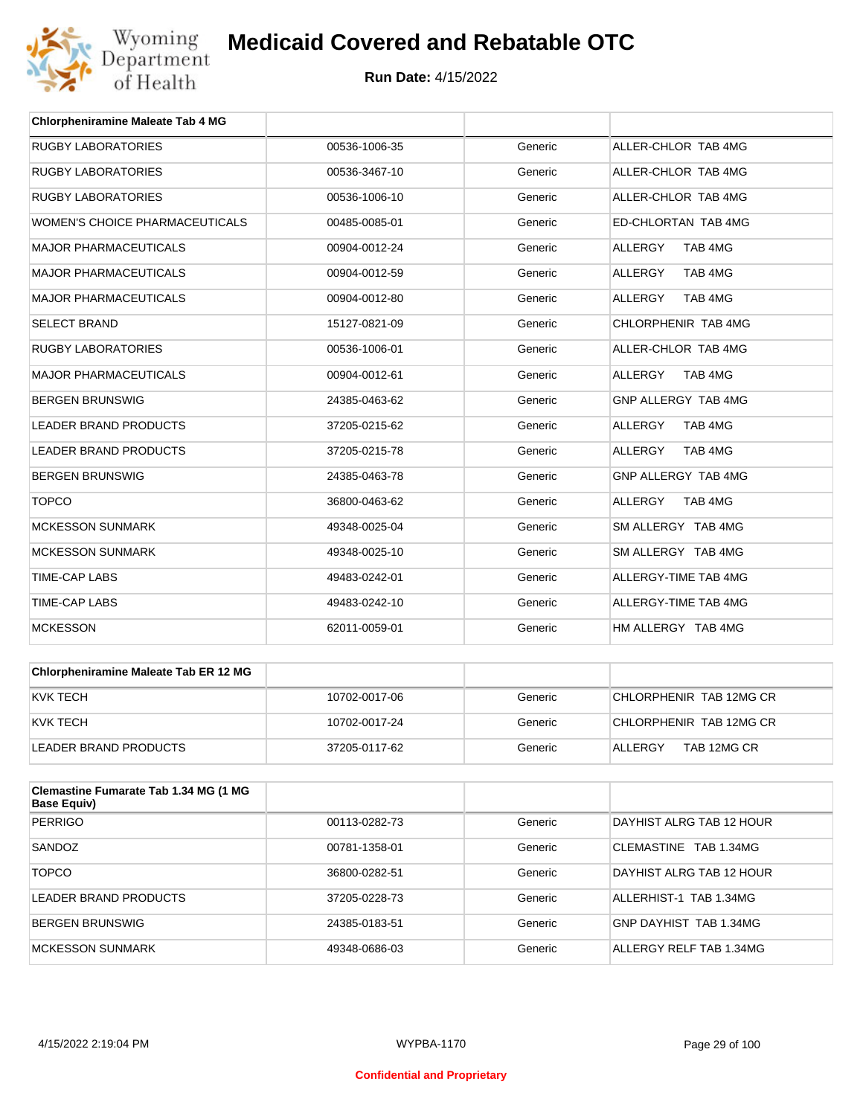

| <b>Chlorpheniramine Maleate Tab 4 MG</b> |               |         |                           |
|------------------------------------------|---------------|---------|---------------------------|
| <b>RUGBY LABORATORIES</b>                | 00536-1006-35 | Generic | ALLER-CHLOR TAB 4MG       |
| <b>RUGBY LABORATORIES</b>                | 00536-3467-10 | Generic | ALLER-CHLOR TAB 4MG       |
| <b>RUGBY LABORATORIES</b>                | 00536-1006-10 | Generic | ALLER-CHLOR TAB 4MG       |
| <b>WOMEN'S CHOICE PHARMACEUTICALS</b>    | 00485-0085-01 | Generic | ED-CHLORTAN TAB 4MG       |
| <b>MAJOR PHARMACEUTICALS</b>             | 00904-0012-24 | Generic | TAB 4MG<br><b>ALLERGY</b> |
| <b>MAJOR PHARMACEUTICALS</b>             | 00904-0012-59 | Generic | <b>ALLERGY</b><br>TAB 4MG |
| <b>MAJOR PHARMACEUTICALS</b>             | 00904-0012-80 | Generic | <b>ALLERGY</b><br>TAB 4MG |
| <b>SELECT BRAND</b>                      | 15127-0821-09 | Generic | CHLORPHENIR TAB 4MG       |
| <b>RUGBY LABORATORIES</b>                | 00536-1006-01 | Generic | ALLER-CHLOR TAB 4MG       |
| <b>MAJOR PHARMACEUTICALS</b>             | 00904-0012-61 | Generic | TAB 4MG<br><b>ALLERGY</b> |
| <b>BERGEN BRUNSWIG</b>                   | 24385-0463-62 | Generic | GNP ALLERGY TAB 4MG       |
| <b>LEADER BRAND PRODUCTS</b>             | 37205-0215-62 | Generic | <b>ALLERGY</b><br>TAB 4MG |
| <b>LEADER BRAND PRODUCTS</b>             | 37205-0215-78 | Generic | <b>ALLERGY</b><br>TAB 4MG |
| <b>BERGEN BRUNSWIG</b>                   | 24385-0463-78 | Generic | GNP ALLERGY TAB 4MG       |
| <b>TOPCO</b>                             | 36800-0463-62 | Generic | TAB 4MG<br><b>ALLERGY</b> |
| <b>MCKESSON SUNMARK</b>                  | 49348-0025-04 | Generic | SM ALLERGY TAB 4MG        |
| <b>MCKESSON SUNMARK</b>                  | 49348-0025-10 | Generic | SM ALLERGY TAB 4MG        |
| <b>TIME-CAP LABS</b>                     | 49483-0242-01 | Generic | ALLERGY-TIME TAB 4MG      |
| <b>TIME-CAP LABS</b>                     | 49483-0242-10 | Generic | ALLERGY-TIME TAB 4MG      |
| <b>MCKESSON</b>                          | 62011-0059-01 | Generic | HM ALLERGY TAB 4MG        |

| Chlorpheniramine Maleate Tab ER 12 MG |               |         |                         |
|---------------------------------------|---------------|---------|-------------------------|
| IKVK TECH                             | 10702-0017-06 | Generic | CHLORPHENIR TAB 12MG CR |
| IKVK TECH                             | 10702-0017-24 | Generic | CHLORPHENIR TAB 12MG CR |
| LEADER BRAND PRODUCTS                 | 37205-0117-62 | Generic | TAB 12MG CR<br>ALLERGY  |

| <b>Clemastine Fumarate Tab 1.34 MG (1 MG</b><br><b>Base Equiv)</b> |               |         |                          |
|--------------------------------------------------------------------|---------------|---------|--------------------------|
| <b>PERRIGO</b>                                                     | 00113-0282-73 | Generic | DAYHIST ALRG TAB 12 HOUR |
| SANDOZ                                                             | 00781-1358-01 | Generic | CLEMASTINE TAB 1.34MG    |
| <b>TOPCO</b>                                                       | 36800-0282-51 | Generic | DAYHIST ALRG TAB 12 HOUR |
| LEADER BRAND PRODUCTS                                              | 37205-0228-73 | Generic | ALLERHIST-1 TAB 1.34MG   |
| BERGEN BRUNSWIG                                                    | 24385-0183-51 | Generic | GNP DAYHIST TAB 1.34MG   |
| MCKESSON SUNMARK                                                   | 49348-0686-03 | Generic | ALLERGY RELF TAB 1.34MG  |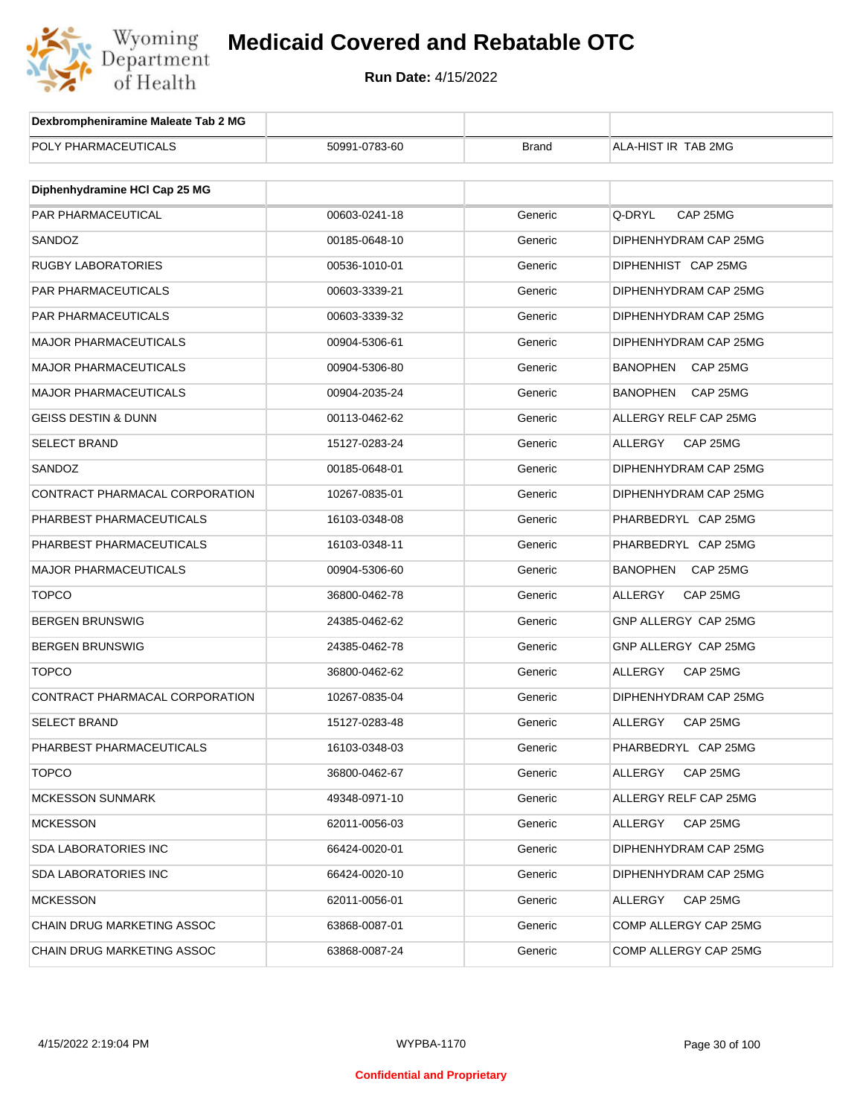

| Dexbrompheniramine Maleate Tab 2 MG |               |              |                            |
|-------------------------------------|---------------|--------------|----------------------------|
| POLY PHARMACEUTICALS                | 50991-0783-60 | <b>Brand</b> | ALA-HIST IR TAB 2MG        |
|                                     |               |              |                            |
| Diphenhydramine HCI Cap 25 MG       |               |              |                            |
| PAR PHARMACEUTICAL                  | 00603-0241-18 | Generic      | Q-DRYL<br>CAP 25MG         |
| SANDOZ                              | 00185-0648-10 | Generic      | DIPHENHYDRAM CAP 25MG      |
| <b>RUGBY LABORATORIES</b>           | 00536-1010-01 | Generic      | DIPHENHIST CAP 25MG        |
| PAR PHARMACEUTICALS                 | 00603-3339-21 | Generic      | DIPHENHYDRAM CAP 25MG      |
| PAR PHARMACEUTICALS                 | 00603-3339-32 | Generic      | DIPHENHYDRAM CAP 25MG      |
| <b>MAJOR PHARMACEUTICALS</b>        | 00904-5306-61 | Generic      | DIPHENHYDRAM CAP 25MG      |
| <b>MAJOR PHARMACEUTICALS</b>        | 00904-5306-80 | Generic      | BANOPHEN<br>CAP 25MG       |
| <b>MAJOR PHARMACEUTICALS</b>        | 00904-2035-24 | Generic      | BANOPHEN<br>CAP 25MG       |
| <b>GEISS DESTIN &amp; DUNN</b>      | 00113-0462-62 | Generic      | ALLERGY RELF CAP 25MG      |
| <b>SELECT BRAND</b>                 | 15127-0283-24 | Generic      | ALLERGY<br>CAP 25MG        |
| SANDOZ                              | 00185-0648-01 | Generic      | DIPHENHYDRAM CAP 25MG      |
| CONTRACT PHARMACAL CORPORATION      | 10267-0835-01 | Generic      | DIPHENHYDRAM CAP 25MG      |
| PHARBEST PHARMACEUTICALS            | 16103-0348-08 | Generic      | PHARBEDRYL CAP 25MG        |
| PHARBEST PHARMACEUTICALS            | 16103-0348-11 | Generic      | PHARBEDRYL CAP 25MG        |
| <b>MAJOR PHARMACEUTICALS</b>        | 00904-5306-60 | Generic      | BANOPHEN<br>CAP 25MG       |
| <b>TOPCO</b>                        | 36800-0462-78 | Generic      | ALLERGY<br>CAP 25MG        |
| <b>BERGEN BRUNSWIG</b>              | 24385-0462-62 | Generic      | GNP ALLERGY CAP 25MG       |
| <b>BERGEN BRUNSWIG</b>              | 24385-0462-78 | Generic      | GNP ALLERGY CAP 25MG       |
| <b>TOPCO</b>                        | 36800-0462-62 | Generic      | ALLERGY<br>CAP 25MG        |
| CONTRACT PHARMACAL CORPORATION      | 10267-0835-04 | Generic      | DIPHENHYDRAM CAP 25MG      |
| <b>SELECT BRAND</b>                 | 15127-0283-48 | Generic      | <b>ALLERGY</b><br>CAP 25MG |
| PHARBEST PHARMACEUTICALS            | 16103-0348-03 | Generic      | PHARBEDRYL CAP 25MG        |
| <b>TOPCO</b>                        | 36800-0462-67 | Generic      | CAP 25MG<br>ALLERGY        |
| <b>MCKESSON SUNMARK</b>             | 49348-0971-10 | Generic      | ALLERGY RELF CAP 25MG      |
| MCKESSON                            | 62011-0056-03 | Generic      | ALLERGY<br>CAP 25MG        |
| <b>SDA LABORATORIES INC</b>         | 66424-0020-01 | Generic      | DIPHENHYDRAM CAP 25MG      |
| <b>SDA LABORATORIES INC</b>         | 66424-0020-10 | Generic      | DIPHENHYDRAM CAP 25MG      |
| MCKESSON                            | 62011-0056-01 | Generic      | ALLERGY<br>CAP 25MG        |
| <b>CHAIN DRUG MARKETING ASSOC</b>   | 63868-0087-01 | Generic      | COMP ALLERGY CAP 25MG      |
| CHAIN DRUG MARKETING ASSOC          | 63868-0087-24 | Generic      | COMP ALLERGY CAP 25MG      |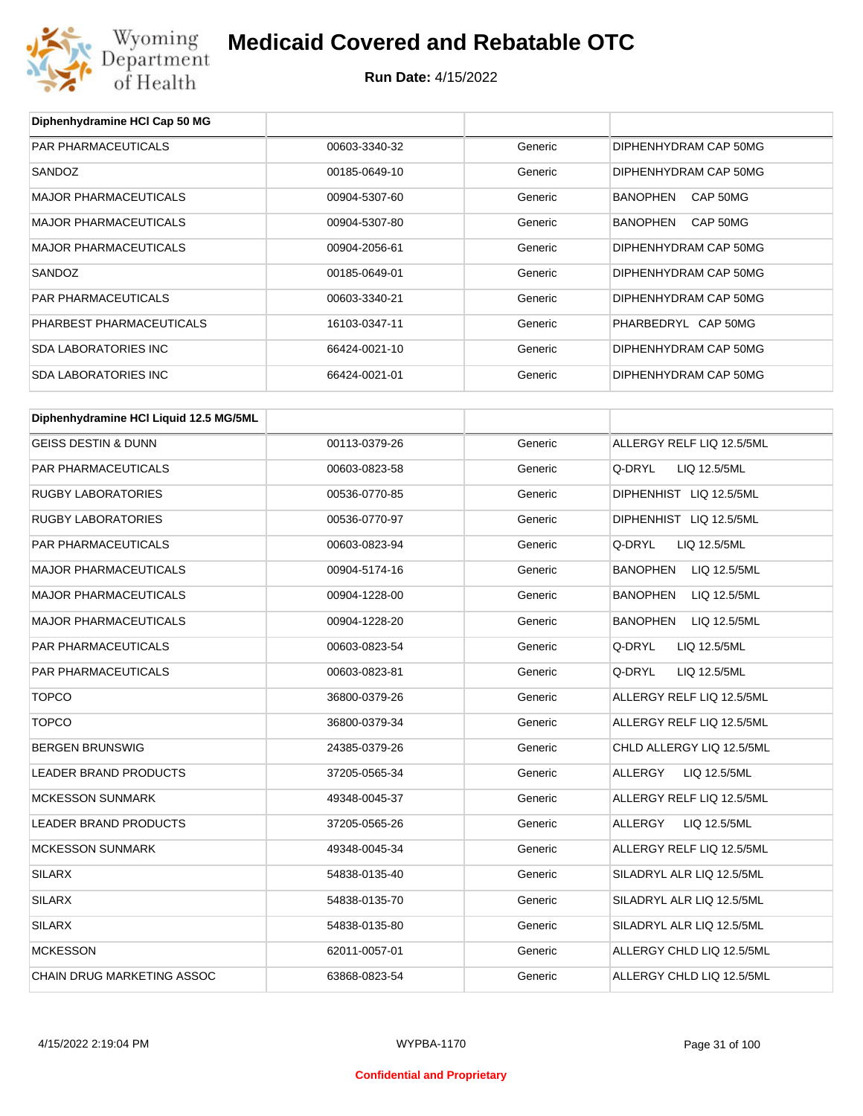

**Diphenhydramine HCl Cap 50 MG**

### **Medicaid Covered and Rebatable OTC**

| PAR PHARMACEUTICALS                    | 00603-3340-32 | Generic | DIPHENHYDRAM CAP 50MG           |
|----------------------------------------|---------------|---------|---------------------------------|
| SANDOZ                                 | 00185-0649-10 | Generic | DIPHENHYDRAM CAP 50MG           |
| <b>MAJOR PHARMACEUTICALS</b>           | 00904-5307-60 | Generic | CAP 50MG<br>BANOPHEN            |
| <b>MAJOR PHARMACEUTICALS</b>           | 00904-5307-80 | Generic | <b>BANOPHEN</b><br>CAP 50MG     |
| <b>MAJOR PHARMACEUTICALS</b>           | 00904-2056-61 | Generic | DIPHENHYDRAM CAP 50MG           |
| SANDOZ                                 | 00185-0649-01 | Generic | DIPHENHYDRAM CAP 50MG           |
| PAR PHARMACEUTICALS                    | 00603-3340-21 | Generic | DIPHENHYDRAM CAP 50MG           |
| PHARBEST PHARMACEUTICALS               | 16103-0347-11 | Generic | PHARBEDRYL CAP 50MG             |
| <b>SDA LABORATORIES INC</b>            | 66424-0021-10 | Generic | DIPHENHYDRAM CAP 50MG           |
| <b>SDA LABORATORIES INC</b>            | 66424-0021-01 | Generic | DIPHENHYDRAM CAP 50MG           |
|                                        |               |         |                                 |
| Diphenhydramine HCI Liquid 12.5 MG/5ML |               |         |                                 |
| <b>GEISS DESTIN &amp; DUNN</b>         | 00113-0379-26 | Generic | ALLERGY RELF LIQ 12.5/5ML       |
| <b>PAR PHARMACEUTICALS</b>             | 00603-0823-58 | Generic | Q-DRYL<br>LIQ 12.5/5ML          |
| <b>RUGBY LABORATORIES</b>              | 00536-0770-85 | Generic | DIPHENHIST LIQ 12.5/5ML         |
| <b>RUGBY LABORATORIES</b>              | 00536-0770-97 | Generic | DIPHENHIST LIQ 12.5/5ML         |
| PAR PHARMACEUTICALS                    | 00603-0823-94 | Generic | Q-DRYL<br>LIQ 12.5/5ML          |
| <b>MAJOR PHARMACEUTICALS</b>           | 00904-5174-16 | Generic | <b>BANOPHEN</b><br>LIQ 12.5/5ML |
| <b>MAJOR PHARMACEUTICALS</b>           | 00904-1228-00 | Generic | <b>BANOPHEN</b><br>LIQ 12.5/5ML |
| <b>MAJOR PHARMACEUTICALS</b>           | 00904-1228-20 | Generic | <b>BANOPHEN</b><br>LIQ 12.5/5ML |
| PAR PHARMACEUTICALS                    | 00603-0823-54 | Generic | Q-DRYL<br>LIQ 12.5/5ML          |
| PAR PHARMACEUTICALS                    | 00603-0823-81 | Generic | Q-DRYL<br>LIQ 12.5/5ML          |
| <b>TOPCO</b>                           | 36800-0379-26 | Generic | ALLERGY RELF LIQ 12.5/5ML       |
| <b>TOPCO</b>                           | 36800-0379-34 | Generic | ALLERGY RELF LIQ 12.5/5ML       |
| <b>BERGEN BRUNSWIG</b>                 | 24385-0379-26 | Generic | CHLD ALLERGY LIQ 12.5/5ML       |
| <b>LEADER BRAND PRODUCTS</b>           | 37205-0565-34 | Generic | ALLERGY<br>LIQ 12.5/5ML         |
| <b>MCKESSON SUNMARK</b>                | 49348-0045-37 | Generic | ALLERGY RELF LIQ 12.5/5ML       |
| LEADER BRAND PRODUCTS                  | 37205-0565-26 | Generic | LIQ 12.5/5ML<br>ALLERGY         |
| <b>MCKESSON SUNMARK</b>                | 49348-0045-34 | Generic | ALLERGY RELF LIQ 12.5/5ML       |
| <b>SILARX</b>                          | 54838-0135-40 | Generic | SILADRYL ALR LIQ 12.5/5ML       |
| <b>SILARX</b>                          | 54838-0135-70 | Generic | SILADRYL ALR LIQ 12.5/5ML       |
| <b>SILARX</b>                          | 54838-0135-80 | Generic | SILADRYL ALR LIQ 12.5/5ML       |
| <b>MCKESSON</b>                        | 62011-0057-01 | Generic | ALLERGY CHLD LIQ 12.5/5ML       |
| CHAIN DRUG MARKETING ASSOC             | 63868-0823-54 | Generic | ALLERGY CHLD LIQ 12.5/5ML       |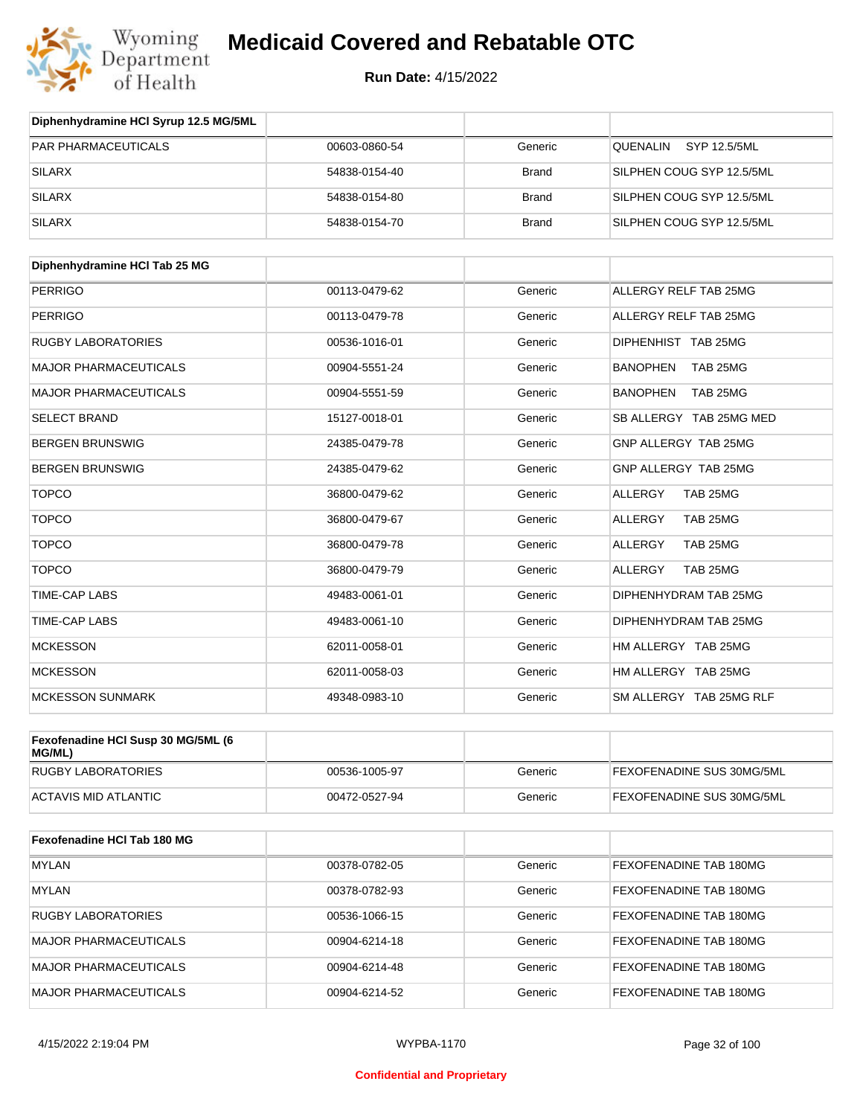

| Diphenhydramine HCI Syrup 12.5 MG/5ML |               |              |                           |
|---------------------------------------|---------------|--------------|---------------------------|
| <b>PAR PHARMACEUTICALS</b>            | 00603-0860-54 | Generic      | SYP 12.5/5ML<br>QUENALIN  |
| <b>SILARX</b>                         | 54838-0154-40 | <b>Brand</b> | SILPHEN COUG SYP 12.5/5ML |
| <b>SILARX</b>                         | 54838-0154-80 | <b>Brand</b> | SILPHEN COUG SYP 12.5/5ML |
| <b>SILARX</b>                         | 54838-0154-70 | <b>Brand</b> | SILPHEN COUG SYP 12.5/5ML |

| Diphenhydramine HCI Tab 25 MG |               |         |                             |
|-------------------------------|---------------|---------|-----------------------------|
| <b>PERRIGO</b>                | 00113-0479-62 | Generic | ALLERGY RELF TAB 25MG       |
| <b>PERRIGO</b>                | 00113-0479-78 | Generic | ALLERGY RELF TAB 25MG       |
| <b>RUGBY LABORATORIES</b>     | 00536-1016-01 | Generic | DIPHENHIST TAB 25MG         |
| <b>MAJOR PHARMACEUTICALS</b>  | 00904-5551-24 | Generic | <b>BANOPHEN</b><br>TAB 25MG |
| <b>MAJOR PHARMACEUTICALS</b>  | 00904-5551-59 | Generic | <b>BANOPHEN</b><br>TAB 25MG |
| <b>SELECT BRAND</b>           | 15127-0018-01 | Generic | SB ALLERGY TAB 25MG MED     |
| <b>BERGEN BRUNSWIG</b>        | 24385-0479-78 | Generic | GNP ALLERGY TAB 25MG        |
| <b>BERGEN BRUNSWIG</b>        | 24385-0479-62 | Generic | GNP ALLERGY TAB 25MG        |
| <b>TOPCO</b>                  | 36800-0479-62 | Generic | <b>ALLERGY</b><br>TAB 25MG  |
| <b>TOPCO</b>                  | 36800-0479-67 | Generic | ALLERGY<br>TAB 25MG         |
| <b>TOPCO</b>                  | 36800-0479-78 | Generic | <b>ALLERGY</b><br>TAB 25MG  |
| <b>TOPCO</b>                  | 36800-0479-79 | Generic | <b>ALLERGY</b><br>TAB 25MG  |
| <b>TIME-CAP LABS</b>          | 49483-0061-01 | Generic | DIPHENHYDRAM TAB 25MG       |
| <b>TIME-CAP LABS</b>          | 49483-0061-10 | Generic | DIPHENHYDRAM TAB 25MG       |
| <b>MCKESSON</b>               | 62011-0058-01 | Generic | HM ALLERGY TAB 25MG         |
| <b>MCKESSON</b>               | 62011-0058-03 | Generic | HM ALLERGY TAB 25MG         |
| <b>MCKESSON SUNMARK</b>       | 49348-0983-10 | Generic | SM ALLERGY TAB 25MG RLF     |

| Fexofenadine HCI Susp 30 MG/5ML (6<br>MG/ML) |               |         |                                  |
|----------------------------------------------|---------------|---------|----------------------------------|
| RUGBY LABORATORIES                           | 00536-1005-97 | Generic | <b>FEXOFENADINE SUS 30MG/5ML</b> |
| ACTAVIS MID ATLANTIC                         | 00472-0527-94 | Generic | <b>FEXOFENADINE SUS 30MG/5ML</b> |

| Fexofenadine HCI Tab 180 MG |               |         |                        |
|-----------------------------|---------------|---------|------------------------|
| <b>MYLAN</b>                | 00378-0782-05 | Generic | FEXOFENADINE TAB 180MG |
| <b>MYLAN</b>                | 00378-0782-93 | Generic | FEXOFENADINE TAB 180MG |
| RUGBY LABORATORIES          | 00536-1066-15 | Generic | FEXOFENADINE TAB 180MG |
| MAJOR PHARMACEUTICALS       | 00904-6214-18 | Generic | FEXOFENADINE TAB 180MG |
| MAJOR PHARMACEUTICALS       | 00904-6214-48 | Generic | FEXOFENADINE TAB 180MG |
| MAJOR PHARMACEUTICALS       | 00904-6214-52 | Generic | FEXOFENADINE TAB 180MG |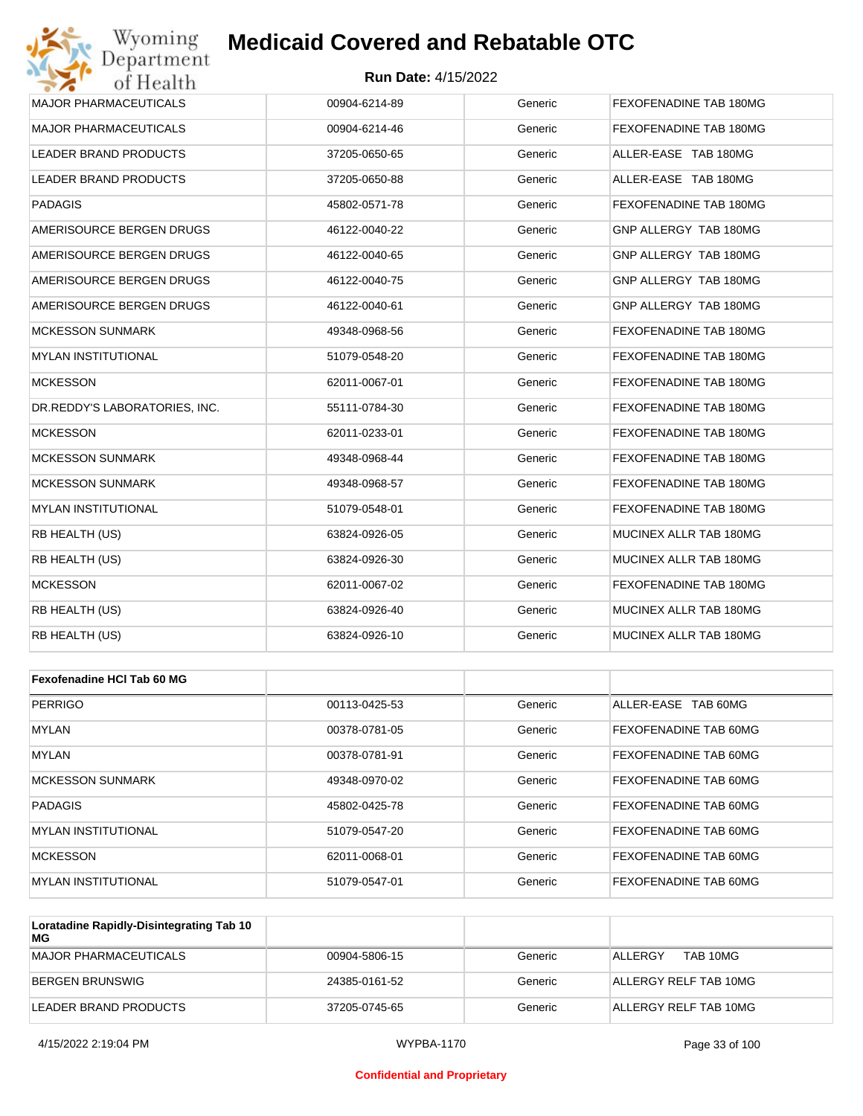#### **Run Date:** 4/15/2022

| Wyoming                       | <b>Medicaid Covered and Rebatable OTC</b> |         |                        |
|-------------------------------|-------------------------------------------|---------|------------------------|
| Department<br>of Health       | <b>Run Date: 4/15/2022</b>                |         |                        |
| <b>MAJOR PHARMACEUTICALS</b>  | 00904-6214-89                             | Generic | FEXOFENADINE TAB 180MG |
| <b>MAJOR PHARMACEUTICALS</b>  | 00904-6214-46                             | Generic | FEXOFENADINE TAB 180MG |
| LEADER BRAND PRODUCTS         | 37205-0650-65                             | Generic | ALLER-EASE TAB 180MG   |
| LEADER BRAND PRODUCTS         | 37205-0650-88                             | Generic | ALLER-EASE TAB 180MG   |
| <b>PADAGIS</b>                | 45802-0571-78                             | Generic | FEXOFENADINE TAB 180MG |
| AMERISOURCE BERGEN DRUGS      | 46122-0040-22                             | Generic | GNP ALLERGY TAB 180MG  |
| AMERISOURCE BERGEN DRUGS      | 46122-0040-65                             | Generic | GNP ALLERGY TAB 180MG  |
| AMERISOURCE BERGEN DRUGS      | 46122-0040-75                             | Generic | GNP ALLERGY TAB 180MG  |
| AMERISOURCE BERGEN DRUGS      | 46122-0040-61                             | Generic | GNP ALLERGY TAB 180MG  |
| <b>MCKESSON SUNMARK</b>       | 49348-0968-56                             | Generic | FEXOFENADINE TAB 180MG |
| <b>MYLAN INSTITUTIONAL</b>    | 51079-0548-20                             | Generic | FEXOFENADINE TAB 180MG |
| <b>MCKESSON</b>               | 62011-0067-01                             | Generic | FEXOFENADINE TAB 180MG |
| DR.REDDY'S LABORATORIES, INC. | 55111-0784-30                             | Generic | FEXOFENADINE TAB 180MG |
| <b>MCKESSON</b>               | 62011-0233-01                             | Generic | FEXOFENADINE TAB 180MG |
| <b>MCKESSON SUNMARK</b>       | 49348-0968-44                             | Generic | FEXOFENADINE TAB 180MG |
| <b>MCKESSON SUNMARK</b>       | 49348-0968-57                             | Generic | FEXOFENADINE TAB 180MG |
| <b>MYLAN INSTITUTIONAL</b>    | 51079-0548-01                             | Generic | FEXOFENADINE TAB 180MG |
| RB HEALTH (US)                | 63824-0926-05                             | Generic | MUCINEX ALLR TAB 180MG |
| RB HEALTH (US)                | 63824-0926-30                             | Generic | MUCINEX ALLR TAB 180MG |
| <b>MCKESSON</b>               | 62011-0067-02                             | Generic | FEXOFENADINE TAB 180MG |
| RB HEALTH (US)                | 63824-0926-40                             | Generic | MUCINEX ALLR TAB 180MG |
| RB HEALTH (US)                | 63824-0926-10                             | Generic | MUCINEX ALLR TAB 180MG |
|                               |                                           |         |                        |
| Fexofenadine HCI Tab 60 MG    |                                           |         |                        |
| <b>PERRIGO</b>                | 00113-0425-53                             | Generic | ALLER-EASE TAB 60MG    |
| MYLAN                         | 00378-0781-05                             | Generic | FEXOFENADINE TAB 60MG  |
| <b>MYLAN</b>                  | 00378-0781-91                             | Generic | FEXOFENADINE TAB 60MG  |

| <b>MYLAN</b>               | 00378-0781-91 | Generic | FEXOFENADINE TAB 60MG |
|----------------------------|---------------|---------|-----------------------|
| <b>MCKESSON SUNMARK</b>    | 49348-0970-02 | Generic | FEXOFENADINE TAB 60MG |
| PADAGIS                    | 45802-0425-78 | Generic | FEXOFENADINE TAB 60MG |
| <b>MYLAN INSTITUTIONAL</b> | 51079-0547-20 | Generic | FEXOFENADINE TAB 60MG |
| <b>MCKESSON</b>            | 62011-0068-01 | Generic | FEXOFENADINE TAB 60MG |
| IMYLAN INSTITUTIONAL       | 51079-0547-01 | Generic | FEXOFENADINE TAB 60MG |

| Loratadine Rapidly-Disintegrating Tab 10<br>MG |               |         |                       |
|------------------------------------------------|---------------|---------|-----------------------|
| MAJOR PHARMACEUTICALS                          | 00904-5806-15 | Generic | TAB 10MG<br>ALLERGY   |
| BERGEN BRUNSWIG                                | 24385-0161-52 | Generic | ALLERGY RELF TAB 10MG |
| LEADER BRAND PRODUCTS                          | 37205-0745-65 | Generic | ALLERGY RELF TAB 10MG |

#### **Confidential and Proprietary**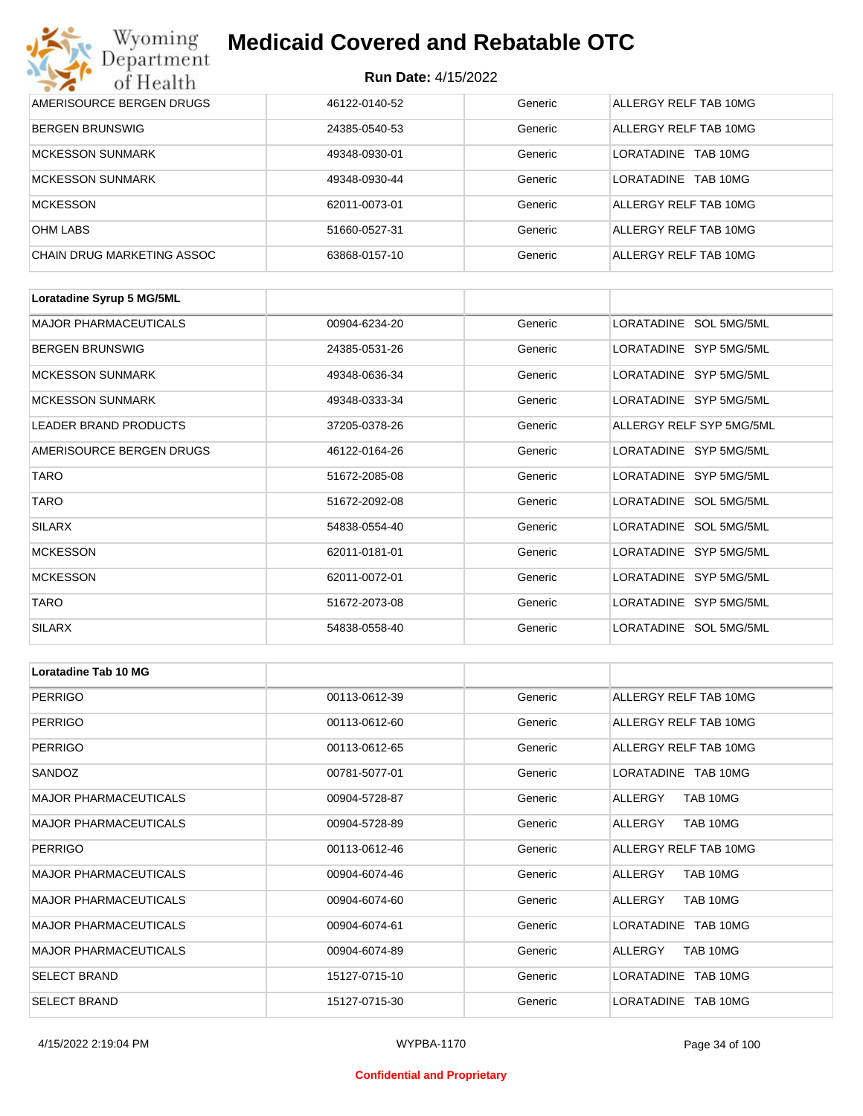| Wyoming                    | <b>Medicaid Covered and Rebatable OTC</b><br>Department<br><b>Run Date: 4/15/2022</b><br>of Health |         |                         |  |  |
|----------------------------|----------------------------------------------------------------------------------------------------|---------|-------------------------|--|--|
|                            |                                                                                                    |         |                         |  |  |
| AMERISOURCE BERGEN DRUGS   | 46122-0140-52                                                                                      | Generic | ALLERGY RELF TAB 10MG   |  |  |
| <b>BERGEN BRUNSWIG</b>     | 24385-0540-53                                                                                      | Generic | ALLERGY RELF TAB 10MG   |  |  |
| <b>MCKESSON SUNMARK</b>    | 49348-0930-01                                                                                      | Generic | TAB 10MG<br>LORATADINE  |  |  |
| <b>MCKESSON SUNMARK</b>    | 49348-0930-44                                                                                      | Generic | I ORATADINE<br>TAB 10MG |  |  |
| <b>MCKESSON</b>            | 62011-0073-01                                                                                      | Generic | ALLERGY RELF TAB 10MG   |  |  |
| <b>OHM LABS</b>            | 51660-0527-31                                                                                      | Generic | ALLERGY RELF TAB 10MG   |  |  |
| CHAIN DRUG MARKETING ASSOC | 63868-0157-10                                                                                      | Generic | ALLERGY RELF TAB 10MG   |  |  |

| Loratadine Syrup 5 MG/5ML    |               |         |                          |
|------------------------------|---------------|---------|--------------------------|
| <b>MAJOR PHARMACEUTICALS</b> | 00904-6234-20 | Generic | LORATADINE SOL 5MG/5ML   |
| <b>BERGEN BRUNSWIG</b>       | 24385-0531-26 | Generic | LORATADINE SYP 5MG/5ML   |
| <b>MCKESSON SUNMARK</b>      | 49348-0636-34 | Generic | LORATADINE SYP 5MG/5ML   |
| <b>MCKESSON SUNMARK</b>      | 49348-0333-34 | Generic | LORATADINE SYP 5MG/5ML   |
| <b>LEADER BRAND PRODUCTS</b> | 37205-0378-26 | Generic | ALLERGY RELF SYP 5MG/5ML |
| AMERISOURCE BERGEN DRUGS     | 46122-0164-26 | Generic | LORATADINE SYP 5MG/5ML   |
| <b>TARO</b>                  | 51672-2085-08 | Generic | LORATADINE SYP 5MG/5ML   |
| <b>TARO</b>                  | 51672-2092-08 | Generic | LORATADINE SOL 5MG/5ML   |
| <b>SILARX</b>                | 54838-0554-40 | Generic | LORATADINE SOL 5MG/5ML   |
| <b>MCKESSON</b>              | 62011-0181-01 | Generic | LORATADINE SYP 5MG/5ML   |
| <b>MCKESSON</b>              | 62011-0072-01 | Generic | LORATADINE SYP 5MG/5ML   |
| <b>TARO</b>                  | 51672-2073-08 | Generic | LORATADINE SYP 5MG/5ML   |
| <b>SILARX</b>                | 54838-0558-40 | Generic | LORATADINE SOL 5MG/5ML   |

| Loratadine Tab 10 MG         |               |         |                       |
|------------------------------|---------------|---------|-----------------------|
| <b>PERRIGO</b>               | 00113-0612-39 | Generic | ALLERGY RELF TAB 10MG |
| <b>PERRIGO</b>               | 00113-0612-60 | Generic | ALLERGY RELF TAB 10MG |
| <b>PERRIGO</b>               | 00113-0612-65 | Generic | ALLERGY RELF TAB 10MG |
| SANDOZ                       | 00781-5077-01 | Generic | LORATADINE TAB 10MG   |
| <b>MAJOR PHARMACEUTICALS</b> | 00904-5728-87 | Generic | ALLERGY<br>TAB 10MG   |
| <b>MAJOR PHARMACEUTICALS</b> | 00904-5728-89 | Generic | TAB 10MG<br>ALLERGY   |
| <b>PERRIGO</b>               | 00113-0612-46 | Generic | ALLERGY RELF TAB 10MG |
| <b>MAJOR PHARMACEUTICALS</b> | 00904-6074-46 | Generic | TAB 10MG<br>ALLERGY   |
| <b>MAJOR PHARMACEUTICALS</b> | 00904-6074-60 | Generic | ALLERGY<br>TAB 10MG   |
| <b>MAJOR PHARMACEUTICALS</b> | 00904-6074-61 | Generic | LORATADINE TAB 10MG   |
| <b>MAJOR PHARMACEUTICALS</b> | 00904-6074-89 | Generic | TAB 10MG<br>ALLERGY   |
| <b>SELECT BRAND</b>          | 15127-0715-10 | Generic | LORATADINE TAB 10MG   |
| <b>SELECT BRAND</b>          | 15127-0715-30 | Generic | LORATADINE TAB 10MG   |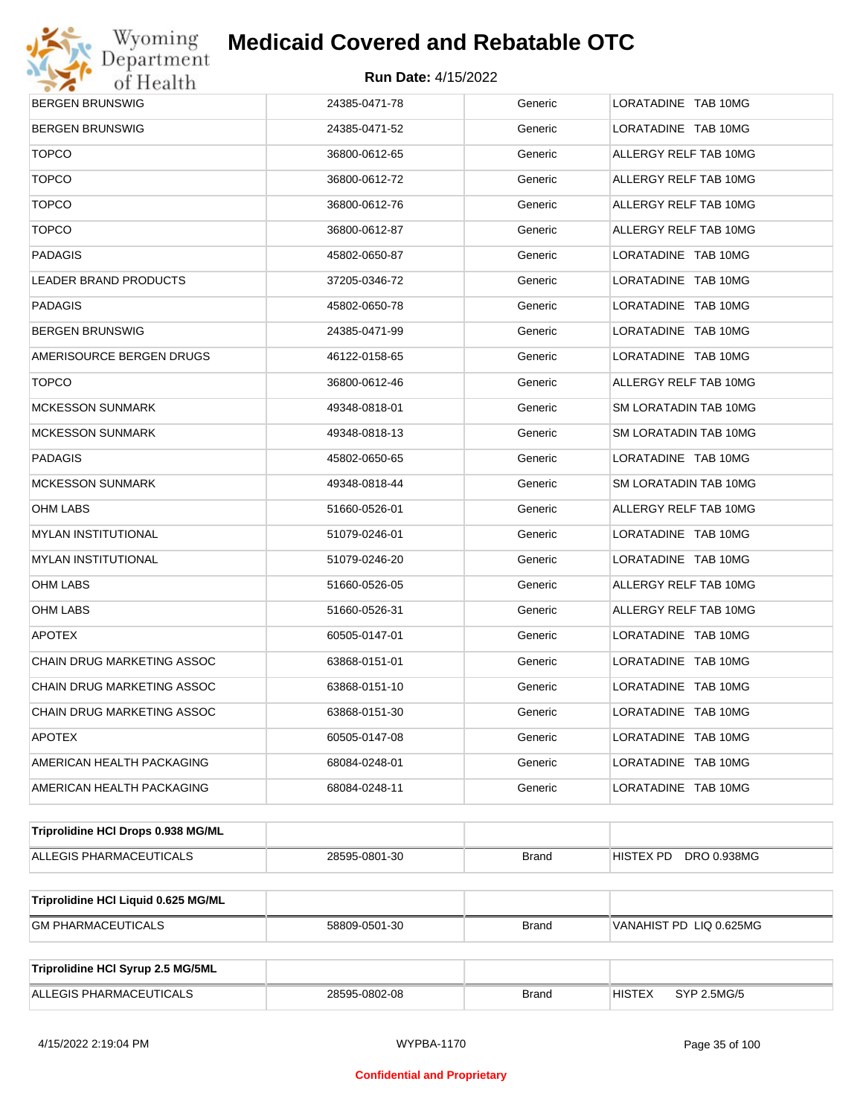

| <b>BERGEN BRUNSWIG</b>              | 24385-0471-78 | Generic      | LORATADINE TAB 10MG          |
|-------------------------------------|---------------|--------------|------------------------------|
| <b>BERGEN BRUNSWIG</b>              | 24385-0471-52 | Generic      | LORATADINE TAB 10MG          |
| <b>TOPCO</b>                        | 36800-0612-65 | Generic      | ALLERGY RELF TAB 10MG        |
| <b>TOPCO</b>                        | 36800-0612-72 | Generic      | ALLERGY RELF TAB 10MG        |
| <b>TOPCO</b>                        | 36800-0612-76 | Generic      | ALLERGY RELF TAB 10MG        |
| <b>TOPCO</b>                        | 36800-0612-87 | Generic      | ALLERGY RELF TAB 10MG        |
| <b>PADAGIS</b>                      | 45802-0650-87 | Generic      | LORATADINE TAB 10MG          |
| <b>LEADER BRAND PRODUCTS</b>        | 37205-0346-72 | Generic      | LORATADINE TAB 10MG          |
| <b>PADAGIS</b>                      | 45802-0650-78 | Generic      | LORATADINE TAB 10MG          |
| <b>BERGEN BRUNSWIG</b>              | 24385-0471-99 | Generic      | LORATADINE TAB 10MG          |
| AMERISOURCE BERGEN DRUGS            | 46122-0158-65 | Generic      | LORATADINE TAB 10MG          |
| <b>TOPCO</b>                        | 36800-0612-46 | Generic      | ALLERGY RELF TAB 10MG        |
| <b>MCKESSON SUNMARK</b>             | 49348-0818-01 | Generic      | SM LORATADIN TAB 10MG        |
| <b>MCKESSON SUNMARK</b>             | 49348-0818-13 | Generic      | SM LORATADIN TAB 10MG        |
| <b>PADAGIS</b>                      | 45802-0650-65 | Generic      | LORATADINE TAB 10MG          |
| <b>MCKESSON SUNMARK</b>             | 49348-0818-44 | Generic      | SM LORATADIN TAB 10MG        |
| OHM LABS                            | 51660-0526-01 | Generic      | ALLERGY RELF TAB 10MG        |
| <b>MYLAN INSTITUTIONAL</b>          | 51079-0246-01 | Generic      | LORATADINE TAB 10MG          |
| <b>MYLAN INSTITUTIONAL</b>          | 51079-0246-20 | Generic      | LORATADINE TAB 10MG          |
| OHM LABS                            | 51660-0526-05 | Generic      | ALLERGY RELF TAB 10MG        |
| OHM LABS                            | 51660-0526-31 | Generic      | ALLERGY RELF TAB 10MG        |
| <b>APOTEX</b>                       | 60505-0147-01 | Generic      | LORATADINE TAB 10MG          |
| CHAIN DRUG MARKETING ASSOC          | 63868-0151-01 | Generic      | LORATADINE TAB 10MG          |
| CHAIN DRUG MARKETING ASSOC          | 63868-0151-10 | Generic      | LORATADINE TAB 10MG          |
| <b>CHAIN DRUG MARKETING ASSOC</b>   | 63868-0151-30 | Generic      | LORATADINE TAB 10MG          |
| <b>APOTEX</b>                       | 60505-0147-08 | Generic      | LORATADINE TAB 10MG          |
| AMERICAN HEALTH PACKAGING           | 68084-0248-01 | Generic      | LORATADINE TAB 10MG          |
| AMERICAN HEALTH PACKAGING           | 68084-0248-11 | Generic      | LORATADINE TAB 10MG          |
| Triprolidine HCI Drops 0.938 MG/ML  |               |              |                              |
| ALLEGIS PHARMACEUTICALS             | 28595-0801-30 | <b>Brand</b> | DRO 0.938MG<br>HISTEX PD     |
| Triprolidine HCI Liquid 0.625 MG/ML |               |              |                              |
| <b>GM PHARMACEUTICALS</b>           | 58809-0501-30 | Brand        | VANAHIST PD LIQ 0.625MG      |
|                                     |               |              |                              |
| Triprolidine HCI Syrup 2.5 MG/5ML   |               |              |                              |
| ALLEGIS PHARMACEUTICALS             | 28595-0802-08 | <b>Brand</b> | <b>HISTEX</b><br>SYP 2.5MG/5 |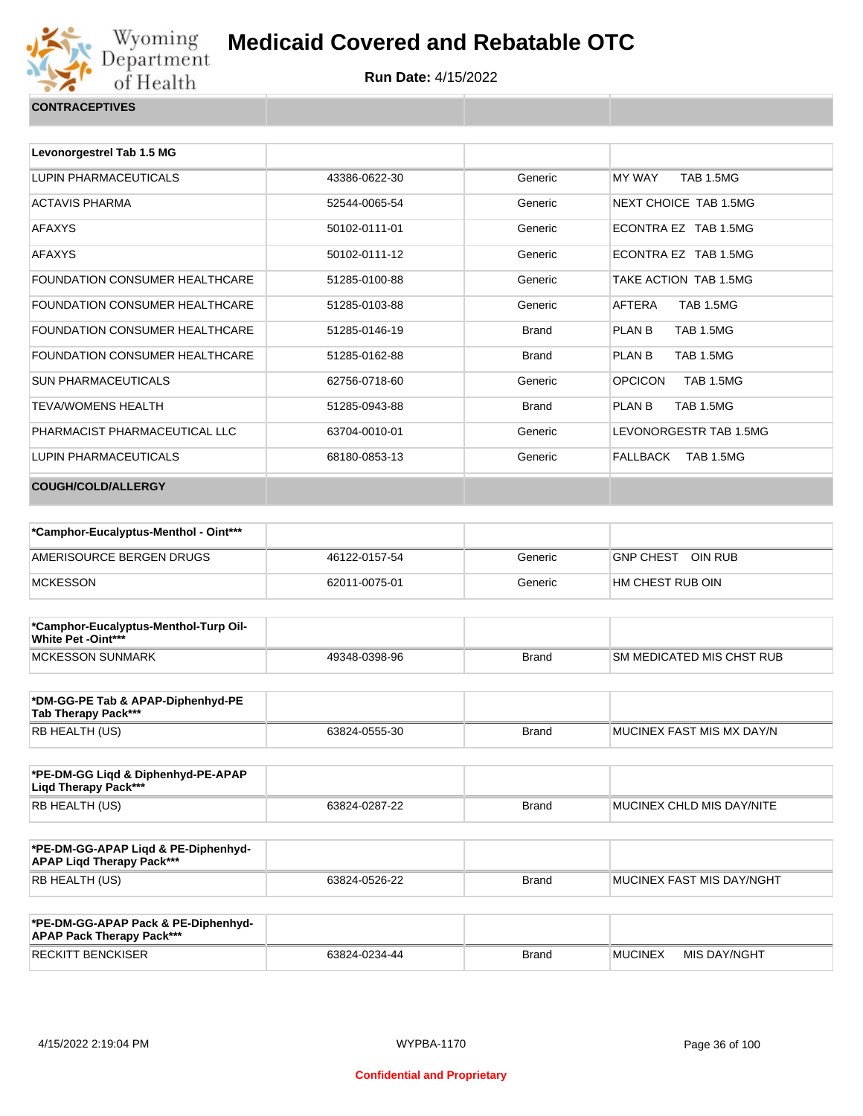

| Levonorgestrel Tab 1.5 MG      |               |              |                                    |  |
|--------------------------------|---------------|--------------|------------------------------------|--|
| LUPIN PHARMACEUTICALS          | 43386-0622-30 | Generic      | TAB 1.5MG<br>MY WAY                |  |
| ACTAVIS PHARMA                 | 52544-0065-54 | Generic      | <b>NEXT CHOICE TAB 1.5MG</b>       |  |
| AFAXYS                         | 50102-0111-01 | Generic      | ECONTRA EZ TAB 1.5MG               |  |
| AFAXYS                         | 50102-0111-12 | Generic      | ECONTRA EZ TAB 1.5MG               |  |
| FOUNDATION CONSUMER HEALTHCARE | 51285-0100-88 | Generic      | TAKE ACTION TAB 1.5MG              |  |
| FOUNDATION CONSUMER HEALTHCARE | 51285-0103-88 | Generic      | AFTERA<br>TAB 1.5MG                |  |
| FOUNDATION CONSUMER HEALTHCARE | 51285-0146-19 | <b>Brand</b> | <b>TAB 1.5MG</b><br>PLAN B         |  |
| FOUNDATION CONSUMER HEALTHCARE | 51285-0162-88 | <b>Brand</b> | <b>PLAN B</b><br>TAB 1.5MG         |  |
| SUN PHARMACEUTICALS            | 62756-0718-60 | Generic      | <b>OPCICON</b><br><b>TAB 1.5MG</b> |  |
| TEVA/WOMENS HEALTH             | 51285-0943-88 | <b>Brand</b> | <b>TAB 1.5MG</b><br>PLAN B         |  |
| PHARMACIST PHARMACEUTICAL LLC  | 63704-0010-01 | Generic      | LEVONORGESTR TAB 1.5MG             |  |
| LUPIN PHARMACEUTICALS          | 68180-0853-13 | Generic      | FALLBACK<br><b>TAB 1.5MG</b>       |  |
| <b>COUGH/COLD/ALLERGY</b>      |               |              |                                    |  |
|                                |               |              |                                    |  |

| *Camphor-Eucalyptus-Menthol - Oint*** |               |         |                             |
|---------------------------------------|---------------|---------|-----------------------------|
| AMERISOURCE BERGEN DRUGS              | 46122-0157-54 | Generic | OIN RUB<br><b>GNP CHEST</b> |
| MCKESSON                              | 62011-0075-01 | Generic | I HM CHEST RUB OIN          |

| *Camphor-Eucalyptus-Menthol-Turp Oil-<br>White Pet -Oint*** |               |       |                                  |
|-------------------------------------------------------------|---------------|-------|----------------------------------|
| <b>IMCKESSON SUNMARK</b>                                    | 49348-0398-96 | Brand | <b>SM MEDICATED MIS CHST RUB</b> |

| *DM-GG-PE Tab & APAP-Diphenhyd-PE<br>Tab Therapy Pack*** |               |       |                            |
|----------------------------------------------------------|---------------|-------|----------------------------|
| RB HEALTH (US)                                           | 63824-0555-30 | Brand | IMUCINEX FAST MIS MX DAY/N |

| *PE-DM-GG Ligd & Diphenhyd-PE-APAP<br>Ligd Therapy Pack*** |               |       |                           |
|------------------------------------------------------------|---------------|-------|---------------------------|
| RB HEALTH (US)                                             | 63824-0287-22 | Brand | MUCINEX CHLD MIS DAY/NITE |

| *PE-DM-GG-APAP Ligd & PE-Diphenhyd-<br><b>APAP Ligd Therapy Pack***</b> |               |              |                                   |
|-------------------------------------------------------------------------|---------------|--------------|-----------------------------------|
| RB HEALTH (US)                                                          | 63824-0526-22 | <b>Brand</b> | <b>IMUCINEX FAST MIS DAY/NGHT</b> |

| *PE-DM-GG-APAP Pack & PE-Diphenhyd-<br><b>APAP Pack Therapy Pack***</b> |               |              |                |              |
|-------------------------------------------------------------------------|---------------|--------------|----------------|--------------|
| <b>RECKITT BENCKISER</b>                                                | 63824-0234-44 | <b>Brand</b> | <b>MUCINEX</b> | MIS DAY/NGHT |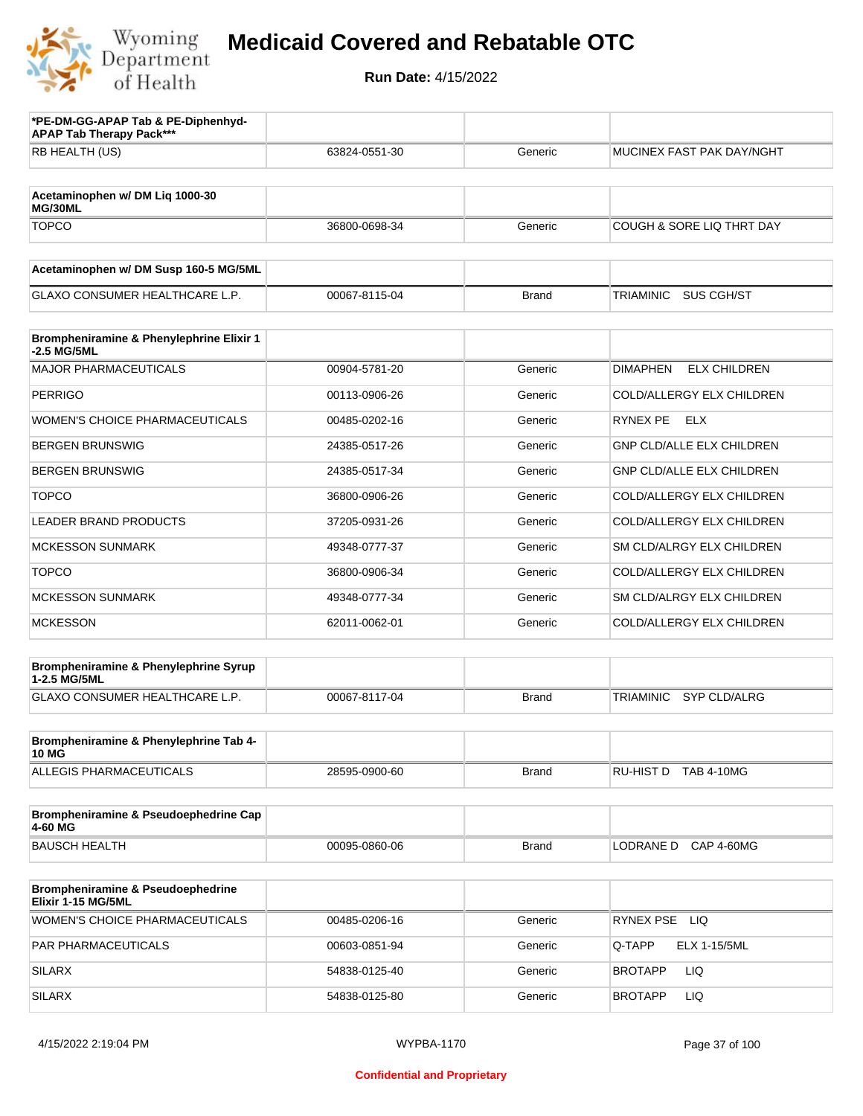

| *PE-DM-GG-APAP Tab & PE-Diphenhyd-<br><b>APAP Tab Therapy Pack***</b> |               |              |                                         |
|-----------------------------------------------------------------------|---------------|--------------|-----------------------------------------|
| RB HEALTH (US)                                                        | 63824-0551-30 | Generic      | MUCINEX FAST PAK DAY/NGHT               |
| Acetaminophen w/ DM Liq 1000-30<br>MG/30ML                            |               |              |                                         |
| <b>TOPCO</b>                                                          | 36800-0698-34 | Generic      | <b>COUGH &amp; SORE LIQ THRT DAY</b>    |
| Acetaminophen w/ DM Susp 160-5 MG/5ML                                 |               |              |                                         |
| <b>GLAXO CONSUMER HEALTHCARE L.P.</b>                                 | 00067-8115-04 | <b>Brand</b> | TRIAMINIC<br>SUS CGH/ST                 |
| Brompheniramine & Phenylephrine Elixir 1<br>-2.5 MG/5ML               |               |              |                                         |
| <b>MAJOR PHARMACEUTICALS</b>                                          | 00904-5781-20 | Generic      | <b>DIMAPHEN</b><br><b>ELX CHILDREN</b>  |
| <b>PERRIGO</b>                                                        | 00113-0906-26 | Generic      | COLD/ALLERGY ELX CHILDREN               |
| WOMEN'S CHOICE PHARMACEUTICALS                                        | 00485-0202-16 | Generic      | RYNEX PE ELX                            |
| <b>BERGEN BRUNSWIG</b>                                                | 24385-0517-26 | Generic      | <b>GNP CLD/ALLE ELX CHILDREN</b>        |
| <b>BERGEN BRUNSWIG</b>                                                | 24385-0517-34 | Generic      | <b>GNP CLD/ALLE ELX CHILDREN</b>        |
| <b>TOPCO</b>                                                          | 36800-0906-26 | Generic      | COLD/ALLERGY ELX CHILDREN               |
| <b>LEADER BRAND PRODUCTS</b>                                          | 37205-0931-26 | Generic      | COLD/ALLERGY ELX CHILDREN               |
| <b>MCKESSON SUNMARK</b>                                               | 49348-0777-37 | Generic      | SM CLD/ALRGY ELX CHILDREN               |
| <b>TOPCO</b>                                                          | 36800-0906-34 | Generic      | COLD/ALLERGY ELX CHILDREN               |
| <b>MCKESSON SUNMARK</b>                                               | 49348-0777-34 | Generic      | SM CLD/ALRGY ELX CHILDREN               |
| <b>MCKESSON</b>                                                       | 62011-0062-01 | Generic      | COLD/ALLERGY ELX CHILDREN               |
| Brompheniramine & Phenylephrine Syrup<br>1-2.5 MG/5ML                 |               |              |                                         |
| GLAXO CONSUMER HEALTHCARE L.P.                                        | 00067-8117-04 | <b>Brand</b> | <b>TRIAMINIC</b><br><b>SYP CLD/ALRG</b> |
| Brompheniramine & Phenylephrine Tab 4-<br><b>10 MG</b>                |               |              |                                         |
| ALLEGIS PHARMACEUTICALS                                               | 28595-0900-60 | <b>Brand</b> | RU-HIST D TAB 4-10MG                    |
| Brompheniramine & Pseudoephedrine Cap<br>4-60 MG                      |               |              |                                         |
| <b>BAUSCH HEALTH</b>                                                  | 00095-0860-06 | <b>Brand</b> | LODRANE D CAP 4-60MG                    |
| Brompheniramine & Pseudoephedrine<br>Elixir 1-15 MG/5ML               |               |              |                                         |
| <b>WOMEN'S CHOICE PHARMACEUTICALS</b>                                 | 00485-0206-16 | Generic      | RYNEX PSE LIQ                           |
| PAR PHARMACEUTICALS                                                   | 00603-0851-94 | Generic      | Q-TAPP<br>ELX 1-15/5ML                  |
| <b>SILARX</b>                                                         | 54838-0125-40 | Generic      | LIQ<br>BROTAPP                          |
| <b>SILARX</b>                                                         | 54838-0125-80 | Generic      | LIQ<br><b>BROTAPP</b>                   |
|                                                                       |               |              |                                         |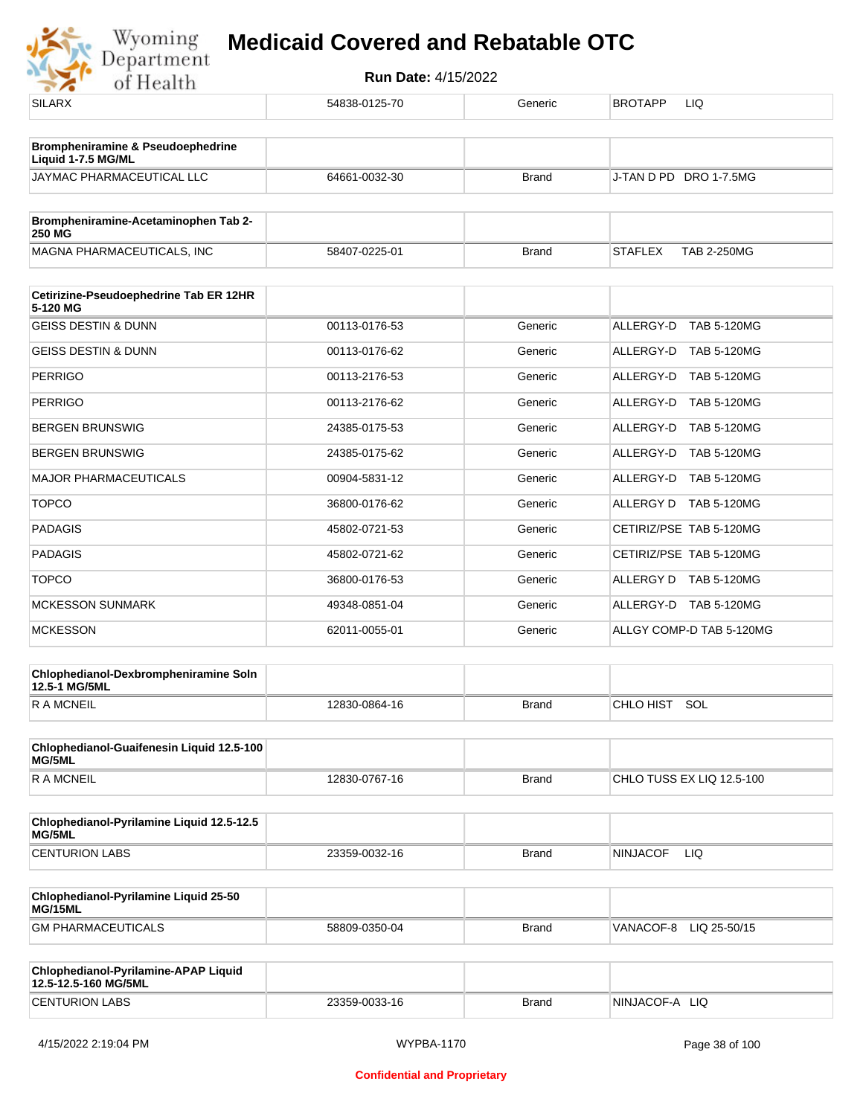

| <b>SILARX</b>                                                | 54838-0125-70 | Generic      | <b>BROTAPP</b><br>LIQ                |
|--------------------------------------------------------------|---------------|--------------|--------------------------------------|
| Brompheniramine & Pseudoephedrine<br>Liquid 1-7.5 MG/ML      |               |              |                                      |
| JAYMAC PHARMACEUTICAL LLC                                    | 64661-0032-30 | <b>Brand</b> | J-TAN D PD DRO 1-7.5MG               |
| Brompheniramine-Acetaminophen Tab 2-<br>250 MG               |               |              |                                      |
| MAGNA PHARMACEUTICALS, INC                                   | 58407-0225-01 | <b>Brand</b> | <b>STAFLEX</b><br><b>TAB 2-250MG</b> |
| Cetirizine-Pseudoephedrine Tab ER 12HR                       |               |              |                                      |
| 5-120 MG<br><b>GEISS DESTIN &amp; DUNN</b>                   | 00113-0176-53 | Generic      | ALLERGY-D TAB 5-120MG                |
| <b>GEISS DESTIN &amp; DUNN</b>                               | 00113-0176-62 | Generic      | ALLERGY-D TAB 5-120MG                |
|                                                              |               |              |                                      |
| <b>PERRIGO</b>                                               | 00113-2176-53 | Generic      | ALLERGY-D<br><b>TAB 5-120MG</b>      |
| <b>PERRIGO</b>                                               | 00113-2176-62 | Generic      | ALLERGY-D TAB 5-120MG                |
| <b>BERGEN BRUNSWIG</b>                                       | 24385-0175-53 | Generic      | ALLERGY-D<br><b>TAB 5-120MG</b>      |
| BERGEN BRUNSWIG                                              | 24385-0175-62 | Generic      | ALLERGY-D TAB 5-120MG                |
| <b>MAJOR PHARMACEUTICALS</b>                                 | 00904-5831-12 | Generic      | ALLERGY-D TAB 5-120MG                |
| <b>TOPCO</b>                                                 | 36800-0176-62 | Generic      | ALLERGY D TAB 5-120MG                |
| <b>PADAGIS</b>                                               | 45802-0721-53 | Generic      | CETIRIZ/PSE TAB 5-120MG              |
| <b>PADAGIS</b>                                               | 45802-0721-62 | Generic      | CETIRIZ/PSE TAB 5-120MG              |
| <b>TOPCO</b>                                                 | 36800-0176-53 | Generic      | ALLERGY D TAB 5-120MG                |
| <b>MCKESSON SUNMARK</b>                                      | 49348-0851-04 | Generic      | ALLERGY-D TAB 5-120MG                |
| <b>MCKESSON</b>                                              | 62011-0055-01 | Generic      | ALLGY COMP-D TAB 5-120MG             |
| Chlophedianol-Dexbrompheniramine Soln<br>12.5-1 MG/5ML       |               |              |                                      |
| <b>RAMCNEIL</b>                                              | 12830-0864-16 | <b>Brand</b> | CHLO HIST SOL                        |
| Chlophedianol-Guaifenesin Liquid 12.5-100<br>MG/5ML          |               |              |                                      |
| <b>RAMCNEIL</b>                                              | 12830-0767-16 | <b>Brand</b> | CHLO TUSS EX LIQ 12.5-100            |
| Chlophedianol-Pyrilamine Liquid 12.5-12.5<br>MG/5ML          |               |              |                                      |
| <b>CENTURION LABS</b>                                        | 23359-0032-16 | <b>Brand</b> | <b>NINJACOF</b><br>LIQ               |
| Chlophedianol-Pyrilamine Liquid 25-50<br>MG/15ML             |               |              |                                      |
| <b>GM PHARMACEUTICALS</b>                                    | 58809-0350-04 | <b>Brand</b> | VANACOF-8 LIQ 25-50/15               |
| Chlophedianol-Pyrilamine-APAP Liquid<br>12.5-12.5-160 MG/5ML |               |              |                                      |
| <b>CENTURION LABS</b>                                        | 23359-0033-16 | <b>Brand</b> | NINJACOF-A LIQ                       |
|                                                              |               |              |                                      |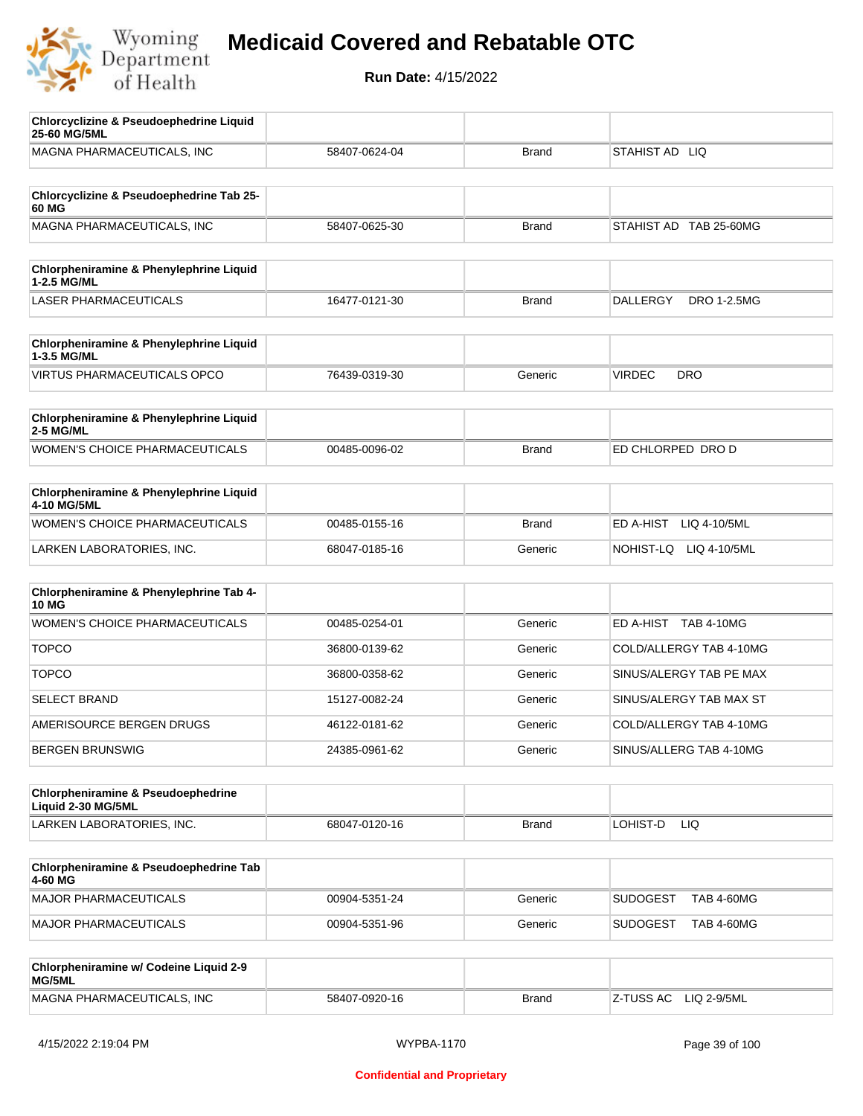

| <b>Chlorcyclizine &amp; Pseudoephedrine Liquid</b><br>25-60 MG/5ML |               |              |                                       |
|--------------------------------------------------------------------|---------------|--------------|---------------------------------------|
| MAGNA PHARMACEUTICALS, INC                                         | 58407-0624-04 | <b>Brand</b> | STAHIST AD LIQ                        |
|                                                                    |               |              |                                       |
| Chlorcyclizine & Pseudoephedrine Tab 25-<br>60 MG                  |               |              |                                       |
| MAGNA PHARMACEUTICALS, INC                                         | 58407-0625-30 | <b>Brand</b> | STAHIST AD TAB 25-60MG                |
|                                                                    |               |              |                                       |
| Chlorpheniramine & Phenylephrine Liquid<br>1-2.5 MG/ML             |               |              |                                       |
| <b>LASER PHARMACEUTICALS</b>                                       | 16477-0121-30 | <b>Brand</b> | <b>DALLERGY</b><br><b>DRO 1-2.5MG</b> |
|                                                                    |               |              |                                       |
| Chlorpheniramine & Phenylephrine Liquid<br>1-3.5 MG/ML             |               |              |                                       |
| <b>VIRTUS PHARMACEUTICALS OPCO</b>                                 | 76439-0319-30 | Generic      | <b>VIRDEC</b><br><b>DRO</b>           |
| Chlorpheniramine & Phenylephrine Liquid                            |               |              |                                       |
| <b>2-5 MG/ML</b>                                                   |               |              |                                       |
| WOMEN'S CHOICE PHARMACEUTICALS                                     | 00485-0096-02 | <b>Brand</b> | ED CHLORPED DRO D                     |
| Chlorpheniramine & Phenylephrine Liquid<br>4-10 MG/5ML             |               |              |                                       |
| <b>WOMEN'S CHOICE PHARMACEUTICALS</b>                              | 00485-0155-16 | <b>Brand</b> | ED A-HIST<br>LIQ 4-10/5ML             |
| LARKEN LABORATORIES, INC.                                          | 68047-0185-16 | Generic      | NOHIST-LQ<br>LIQ 4-10/5ML             |
|                                                                    |               |              |                                       |
| Chlorpheniramine & Phenylephrine Tab 4-<br><b>10 MG</b>            |               |              |                                       |
| <b>WOMEN'S CHOICE PHARMACEUTICALS</b>                              | 00485-0254-01 | Generic      | ED A-HIST TAB 4-10MG                  |
| <b>TOPCO</b>                                                       | 36800-0139-62 | Generic      | COLD/ALLERGY TAB 4-10MG               |
| <b>TOPCO</b>                                                       | 36800-0358-62 | Generic      | SINUS/ALERGY TAB PE MAX               |
| <b>SELECT BRAND</b>                                                | 15127-0082-24 | Generic      | SINUS/ALERGY TAB MAX ST               |
| AMERISOURCE BERGEN DRUGS                                           | 46122-0181-62 | Generic      | COLD/ALLERGY TAB 4-10MG               |
| <b>BERGEN BRUNSWIG</b>                                             | 24385-0961-62 | Generic      | SINUS/ALLERG TAB 4-10MG               |
|                                                                    |               |              |                                       |
| Chlorpheniramine & Pseudoephedrine<br>Liquid 2-30 MG/5ML           |               |              |                                       |
| LARKEN LABORATORIES, INC.                                          | 68047-0120-16 | <b>Brand</b> | LOHIST-D<br>LIQ.                      |
|                                                                    |               |              |                                       |
| Chlorpheniramine & Pseudoephedrine Tab<br>4-60 MG                  |               |              |                                       |
| MAJOR PHARMACEUTICALS                                              | 00904-5351-24 | Generic      | <b>SUDOGEST</b><br><b>TAB 4-60MG</b>  |
| MAJOR PHARMACEUTICALS                                              | 00904-5351-96 | Generic      | <b>SUDOGEST</b><br><b>TAB 4-60MG</b>  |
|                                                                    |               |              |                                       |
| Chlorpheniramine w/ Codeine Liquid 2-9<br>MG/5ML                   |               |              |                                       |
| MAGNA PHARMACEUTICALS, INC                                         | 58407-0920-16 | <b>Brand</b> | LIQ 2-9/5ML<br>Z-TUSS AC              |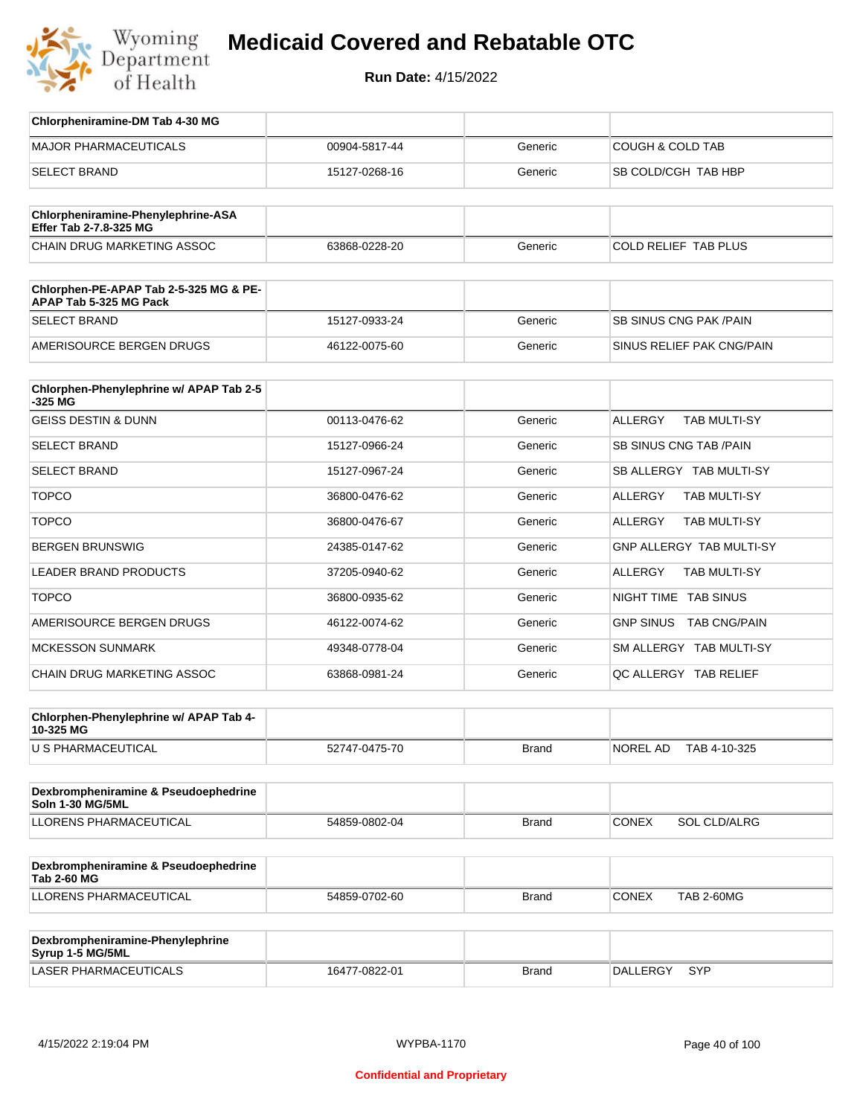

**Run Date:** 4/15/2022

| Chlorpheniramine-DM Tab 4-30 MG                                  |               |         |                                       |
|------------------------------------------------------------------|---------------|---------|---------------------------------------|
| <b>MAJOR PHARMACEUTICALS</b>                                     | 00904-5817-44 | Generic | <b>COUGH &amp; COLD TAB</b>           |
| <b>SELECT BRAND</b>                                              | 15127-0268-16 | Generic | SB COLD/CGH TAB HBP                   |
| Chlorpheniramine-Phenylephrine-ASA                               |               |         |                                       |
| Effer Tab 2-7.8-325 MG                                           |               |         |                                       |
| CHAIN DRUG MARKETING ASSOC                                       | 63868-0228-20 | Generic | COLD RELIEF TAB PLUS                  |
| Chlorphen-PE-APAP Tab 2-5-325 MG & PE-<br>APAP Tab 5-325 MG Pack |               |         |                                       |
| <b>SELECT BRAND</b>                                              | 15127-0933-24 | Generic | SB SINUS CNG PAK / PAIN               |
| AMERISOURCE BERGEN DRUGS                                         | 46122-0075-60 | Generic | SINUS RELIEF PAK CNG/PAIN             |
| Chlorphen-Phenylephrine w/ APAP Tab 2-5<br>$-325$ MG             |               |         |                                       |
| <b>GEISS DESTIN &amp; DUNN</b>                                   | 00113-0476-62 | Generic | <b>ALLERGY</b><br><b>TAB MULTI-SY</b> |
| <b>SELECT BRAND</b>                                              | 15127-0966-24 | Generic | <b>SB SINUS CNG TAB /PAIN</b>         |
| <b>SELECT BRAND</b>                                              | 15127-0967-24 | Generic | SB ALLERGY TAB MULTI-SY               |
| <b>TOPCO</b>                                                     | 36800-0476-62 | Generic | ALLERGY<br>TAB MULTI-SY               |
| <b>TOPCO</b>                                                     | 36800-0476-67 | Generic | ALLERGY<br><b>TAB MULTI-SY</b>        |
| <b>BERGEN BRUNSWIG</b>                                           | 24385-0147-62 | Generic | <b>GNP ALLERGY TAB MULTI-SY</b>       |
| LEADER BRAND PRODUCTS                                            | 37205-0940-62 | Generic | ALLERGY<br><b>TAB MULTI-SY</b>        |
| <b>TOPCO</b>                                                     | 36800-0935-62 | Generic | NIGHT TIME TAB SINUS                  |
| AMERISOURCE BERGEN DRUGS                                         | 46122-0074-62 | Generic | GNP SINUS TAB CNG/PAIN                |
| <b>MCKESSON SUNMARK</b>                                          | 49348-0778-04 | Generic | SM ALLERGY TAB MULTI-SY               |
| CHAIN DRUG MARKETING ASSOC                                       | 63868-0981-24 | Generic | QC ALLERGY TAB RELIEF                 |
|                                                                  |               |         |                                       |
| Chlorphen-Phenylephrine w/ APAP Tab 4-<br>10-325 MG              |               |         |                                       |
| U S PHARMACEUTICAL                                               | 52747-0475-70 | Brand   | NOREL AD<br>TAB 4-10-325              |
|                                                                  |               |         |                                       |
| Dexbrompheniramine & Pseudoephedrine<br>Soln 1-30 MG/5ML         |               |         |                                       |
| <b>LLORENS PHARMACEUTICAL</b>                                    | 54859-0802-04 | Brand   | CONEX<br>SOL CLD/ALRG                 |
|                                                                  |               |         |                                       |
| Dexbrompheniramine & Pseudoephedrine<br><b>Tab 2-60 MG</b>       |               |         |                                       |
| LLORENS PHARMACEUTICAL                                           | 54859-0702-60 | Brand   | CONEX<br><b>TAB 2-60MG</b>            |
|                                                                  |               |         |                                       |
| Dexbrompheniramine-Phenylephrine<br>Syrup 1-5 MG/5ML             |               |         |                                       |

LASER PHARMACEUTICALS 16477-0822-01 Brand DALLERGY SYP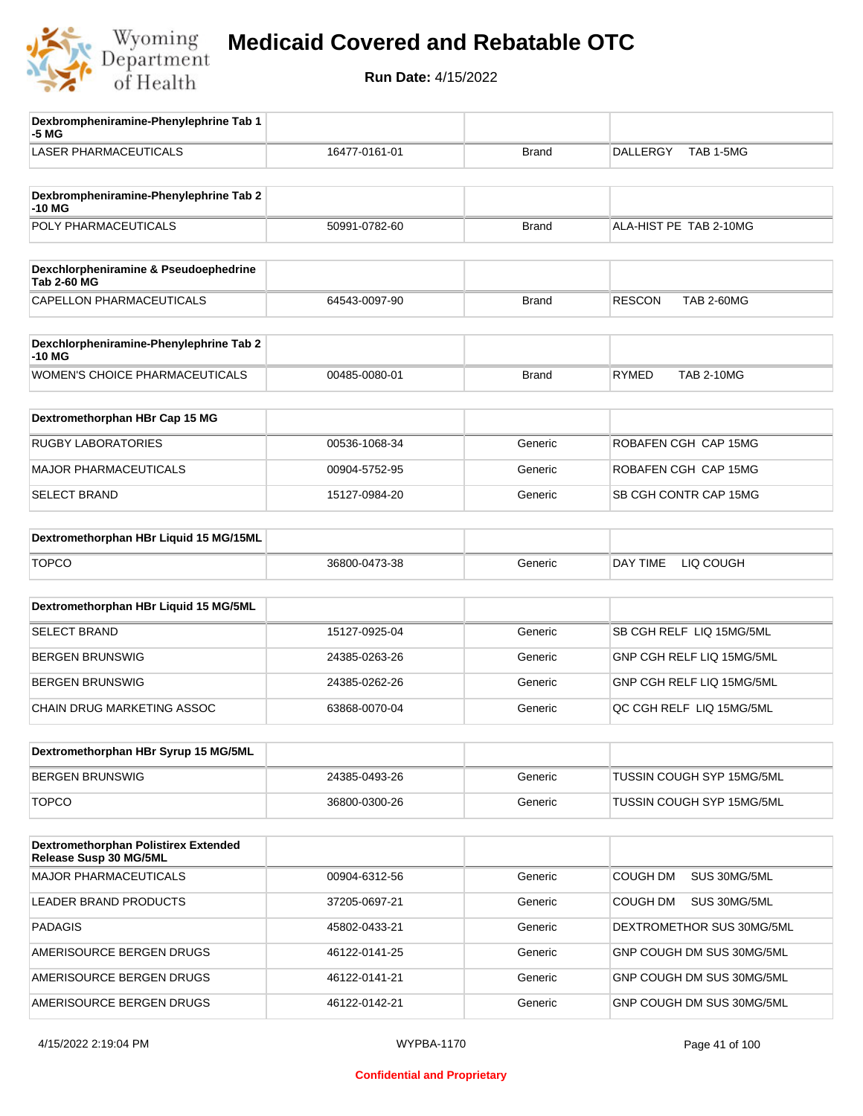

| Dexbrompheniramine-Phenylephrine Tab 1<br>-5 MG                |               |              |                                    |
|----------------------------------------------------------------|---------------|--------------|------------------------------------|
| <b>LASER PHARMACEUTICALS</b>                                   | 16477-0161-01 | <b>Brand</b> | TAB 1-5MG<br><b>DALLERGY</b>       |
| Dexbrompheniramine-Phenylephrine Tab 2                         |               |              |                                    |
| -10 MG                                                         |               |              |                                    |
| POLY PHARMACEUTICALS                                           | 50991-0782-60 | <b>Brand</b> | ALA-HIST PE TAB 2-10MG             |
|                                                                |               |              |                                    |
| Dexchlorpheniramine & Pseudoephedrine<br><b>Tab 2-60 MG</b>    |               |              |                                    |
| CAPELLON PHARMACEUTICALS                                       | 64543-0097-90 | <b>Brand</b> | <b>RESCON</b><br><b>TAB 2-60MG</b> |
|                                                                |               |              |                                    |
| Dexchlorpheniramine-Phenylephrine Tab 2<br>-10 MG              |               |              |                                    |
| <b>WOMEN'S CHOICE PHARMACEUTICALS</b>                          | 00485-0080-01 | <b>Brand</b> | <b>RYMED</b><br><b>TAB 2-10MG</b>  |
|                                                                |               |              |                                    |
| Dextromethorphan HBr Cap 15 MG                                 |               |              |                                    |
| <b>RUGBY LABORATORIES</b>                                      | 00536-1068-34 | Generic      | ROBAFEN CGH CAP 15MG               |
| <b>MAJOR PHARMACEUTICALS</b>                                   | 00904-5752-95 | Generic      | ROBAFEN CGH CAP 15MG               |
| <b>SELECT BRAND</b>                                            | 15127-0984-20 | Generic      | SB CGH CONTR CAP 15MG              |
| Dextromethorphan HBr Liquid 15 MG/15ML                         |               |              |                                    |
|                                                                |               |              |                                    |
| <b>TOPCO</b>                                                   | 36800-0473-38 | Generic      | DAY TIME<br>LIQ COUGH              |
| Dextromethorphan HBr Liquid 15 MG/5ML                          |               |              |                                    |
| <b>SELECT BRAND</b>                                            | 15127-0925-04 | Generic      | SB CGH RELF LIQ 15MG/5ML           |
| <b>BERGEN BRUNSWIG</b>                                         | 24385-0263-26 | Generic      | GNP CGH RELF LIQ 15MG/5ML          |
| <b>BERGEN BRUNSWIG</b>                                         | 24385-0262-26 | Generic      | GNP CGH RELF LIQ 15MG/5ML          |
| CHAIN DRUG MARKETING ASSOC                                     | 63868-0070-04 | Generic      | QC CGH RELF LIQ 15MG/5ML           |
|                                                                |               |              |                                    |
| Dextromethorphan HBr Syrup 15 MG/5ML                           |               |              |                                    |
| <b>BERGEN BRUNSWIG</b>                                         | 24385-0493-26 | Generic      | TUSSIN COUGH SYP 15MG/5ML          |
| <b>TOPCO</b>                                                   | 36800-0300-26 | Generic      | TUSSIN COUGH SYP 15MG/5ML          |
|                                                                |               |              |                                    |
| Dextromethorphan Polistirex Extended<br>Release Susp 30 MG/5ML |               |              |                                    |
| <b>MAJOR PHARMACEUTICALS</b>                                   | 00904-6312-56 | Generic      | <b>COUGH DM</b><br>SUS 30MG/5ML    |
| LEADER BRAND PRODUCTS                                          | 37205-0697-21 | Generic      | COUGH DM<br>SUS 30MG/5ML           |
| <b>PADAGIS</b>                                                 | 45802-0433-21 | Generic      | DEXTROMETHOR SUS 30MG/5ML          |
| AMERISOURCE BERGEN DRUGS                                       | 46122-0141-25 | Generic      | GNP COUGH DM SUS 30MG/5ML          |
| AMERISOURCE BERGEN DRUGS                                       | 46122-0141-21 | Generic      | GNP COUGH DM SUS 30MG/5ML          |
| AMERISOURCE BERGEN DRUGS                                       | 46122-0142-21 | Generic      | GNP COUGH DM SUS 30MG/5ML          |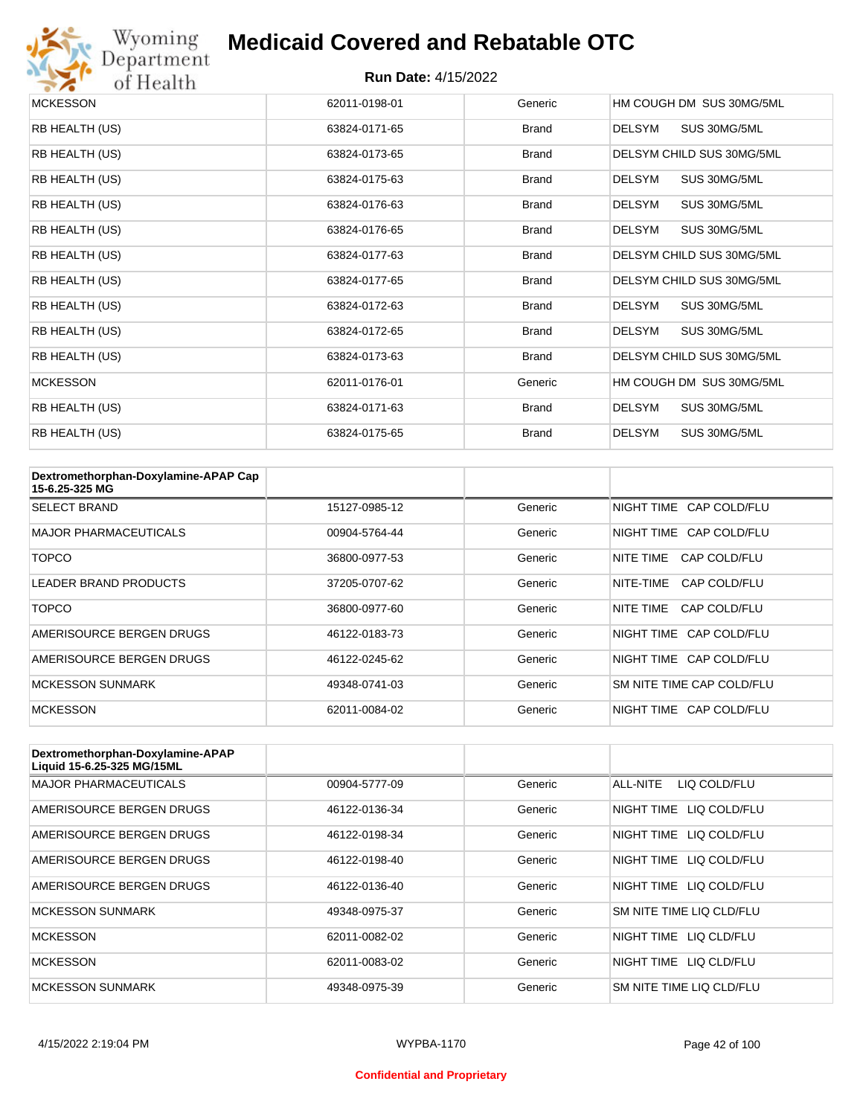

# Wyoming<br>Department<br>of Health

#### **Medicaid Covered and Rebatable OTC**

| <b>MCKESSON</b> | 62011-0198-01 | Generic      | HM COUGH DM SUS 30MG/5ML      |
|-----------------|---------------|--------------|-------------------------------|
| RB HEALTH (US)  | 63824-0171-65 | <b>Brand</b> | <b>DELSYM</b><br>SUS 30MG/5ML |
| RB HEALTH (US)  | 63824-0173-65 | <b>Brand</b> | DELSYM CHILD SUS 30MG/5ML     |
| RB HEALTH (US)  | 63824-0175-63 | <b>Brand</b> | <b>DELSYM</b><br>SUS 30MG/5ML |
| RB HEALTH (US)  | 63824-0176-63 | <b>Brand</b> | SUS 30MG/5ML<br><b>DELSYM</b> |
| RB HEALTH (US)  | 63824-0176-65 | <b>Brand</b> | <b>DELSYM</b><br>SUS 30MG/5ML |
| RB HEALTH (US)  | 63824-0177-63 | <b>Brand</b> | DELSYM CHILD SUS 30MG/5ML     |
| RB HEALTH (US)  | 63824-0177-65 | <b>Brand</b> | DELSYM CHILD SUS 30MG/5ML     |
| RB HEALTH (US)  | 63824-0172-63 | <b>Brand</b> | <b>DELSYM</b><br>SUS 30MG/5ML |
| RB HEALTH (US)  | 63824-0172-65 | <b>Brand</b> | DELSYM<br>SUS 30MG/5ML        |
| RB HEALTH (US)  | 63824-0173-63 | <b>Brand</b> | DELSYM CHILD SUS 30MG/5ML     |
| <b>MCKESSON</b> | 62011-0176-01 | Generic      | HM COUGH DM SUS 30MG/5ML      |
| RB HEALTH (US)  | 63824-0171-63 | <b>Brand</b> | <b>DELSYM</b><br>SUS 30MG/5ML |
| RB HEALTH (US)  | 63824-0175-65 | <b>Brand</b> | <b>DELSYM</b><br>SUS 30MG/5ML |

| Dextromethorphan-Doxylamine-APAP Cap<br>15-6.25-325 MG |               |         |                           |
|--------------------------------------------------------|---------------|---------|---------------------------|
| <b>SELECT BRAND</b>                                    | 15127-0985-12 | Generic | NIGHT TIME CAP COLD/FLU   |
| <b>MAJOR PHARMACEUTICALS</b>                           | 00904-5764-44 | Generic | NIGHT TIME CAP COLD/FLU   |
| <b>TOPCO</b>                                           | 36800-0977-53 | Generic | NITE TIME<br>CAP COLD/FLU |
| LEADER BRAND PRODUCTS                                  | 37205-0707-62 | Generic | NITE-TIME<br>CAP COLD/FLU |
| <b>TOPCO</b>                                           | 36800-0977-60 | Generic | NITE TIME<br>CAP COLD/FLU |
| AMERISOURCE BERGEN DRUGS                               | 46122-0183-73 | Generic | NIGHT TIME CAP COLD/FLU   |
| AMERISOURCE BERGEN DRUGS                               | 46122-0245-62 | Generic | NIGHT TIME CAP COLD/FLU   |
| <b>MCKESSON SUNMARK</b>                                | 49348-0741-03 | Generic | SM NITE TIME CAP COLD/FLU |
| <b>MCKESSON</b>                                        | 62011-0084-02 | Generic | NIGHT TIME CAP COLD/FLU   |

| Dextromethorphan-Doxylamine-APAP<br>Liquid 15-6.25-325 MG/15ML |               |         |                            |
|----------------------------------------------------------------|---------------|---------|----------------------------|
| <b>MAJOR PHARMACEUTICALS</b>                                   | 00904-5777-09 | Generic | ALL-NITE<br>LIQ COLD/FLU   |
| AMERISOURCE BERGEN DRUGS                                       | 46122-0136-34 | Generic | LIQ COLD/FLU<br>NIGHT TIME |
| AMERISOURCE BERGEN DRUGS                                       | 46122-0198-34 | Generic | NIGHT TIME<br>LIQ COLD/FLU |
| AMERISOURCE BERGEN DRUGS                                       | 46122-0198-40 | Generic | NIGHT TIME<br>LIQ COLD/FLU |
| AMERISOURCE BERGEN DRUGS                                       | 46122-0136-40 | Generic | NIGHT TIME LIQ COLD/FLU    |
| <b>MCKESSON SUNMARK</b>                                        | 49348-0975-37 | Generic | SM NITE TIME LIQ CLD/FLU   |
| <b>MCKESSON</b>                                                | 62011-0082-02 | Generic | NIGHT TIME<br>LIO CLD/FLU  |
| <b>MCKESSON</b>                                                | 62011-0083-02 | Generic | NIGHT TIME LIQ CLD/FLU     |
| <b>MCKESSON SUNMARK</b>                                        | 49348-0975-39 | Generic | SM NITE TIME LIQ CLD/FLU   |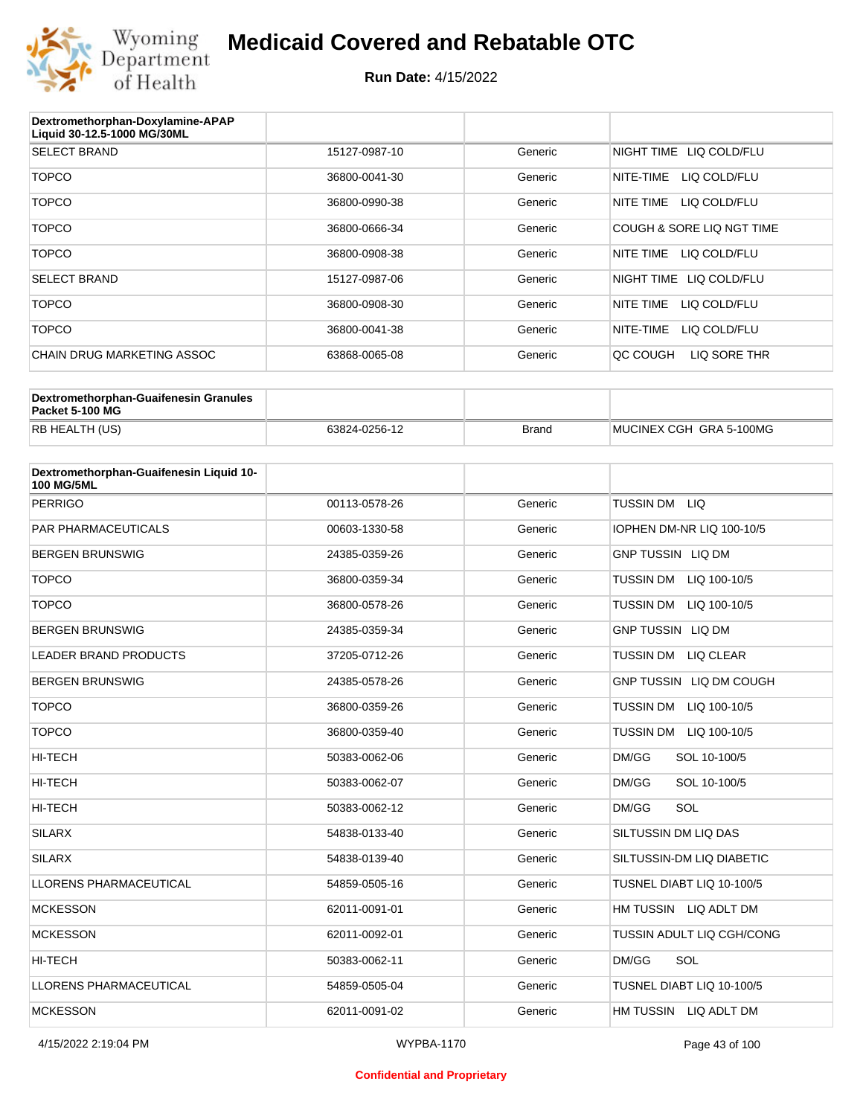

| Dextromethorphan-Doxylamine-APAP<br>Liquid 30-12.5-1000 MG/30ML |               |         |                           |
|-----------------------------------------------------------------|---------------|---------|---------------------------|
| <b>SELECT BRAND</b>                                             | 15127-0987-10 | Generic | NIGHT TIME LIQ COLD/FLU   |
| <b>TOPCO</b>                                                    | 36800-0041-30 | Generic | NITE-TIME<br>LIQ COLD/FLU |
| <b>TOPCO</b>                                                    | 36800-0990-38 | Generic | LIQ COLD/FLU<br>NITE TIME |
| <b>TOPCO</b>                                                    | 36800-0666-34 | Generic | COUGH & SORE LIQ NGT TIME |
| <b>TOPCO</b>                                                    | 36800-0908-38 | Generic | LIQ COLD/FLU<br>NITE TIME |
| <b>SELECT BRAND</b>                                             | 15127-0987-06 | Generic | NIGHT TIME LIQ COLD/FLU   |
| <b>TOPCO</b>                                                    | 36800-0908-30 | Generic | NITE TIME<br>LIQ COLD/FLU |
| <b>TOPCO</b>                                                    | 36800-0041-38 | Generic | NITE-TIME<br>LIQ COLD/FLU |
| CHAIN DRUG MARKETING ASSOC                                      | 63868-0065-08 | Generic | LIQ SORE THR<br>OC COUGH  |

| Dextromethorphan-Guaifenesin Granules<br>Packet 5-100 MG |               |              |                         |
|----------------------------------------------------------|---------------|--------------|-------------------------|
| RB HEALTH (US)                                           | 63824-0256-12 | <b>Brand</b> | MUCINEX CGH GRA 5-100MG |

| Dextromethorphan-Guaifenesin Liquid 10-<br><b>100 MG/5ML</b> |               |         |                                  |
|--------------------------------------------------------------|---------------|---------|----------------------------------|
| <b>PERRIGO</b>                                               | 00113-0578-26 | Generic | <b>TUSSIN DM</b><br><b>LIQ</b>   |
| PAR PHARMACEUTICALS                                          | 00603-1330-58 | Generic | IOPHEN DM-NR LIQ 100-10/5        |
| <b>BERGEN BRUNSWIG</b>                                       | 24385-0359-26 | Generic | <b>GNP TUSSIN LIQ DM</b>         |
| <b>TOPCO</b>                                                 | 36800-0359-34 | Generic | TUSSIN DM<br>LIQ 100-10/5        |
| <b>TOPCO</b>                                                 | 36800-0578-26 | Generic | <b>TUSSIN DM</b><br>LIQ 100-10/5 |
| <b>BERGEN BRUNSWIG</b>                                       | 24385-0359-34 | Generic | <b>GNP TUSSIN LIQ DM</b>         |
| <b>LEADER BRAND PRODUCTS</b>                                 | 37205-0712-26 | Generic | TUSSIN DM<br>LIQ CLEAR           |
| <b>BERGEN BRUNSWIG</b>                                       | 24385-0578-26 | Generic | GNP TUSSIN LIQ DM COUGH          |
| <b>TOPCO</b>                                                 | 36800-0359-26 | Generic | <b>TUSSIN DM</b><br>LIQ 100-10/5 |
| <b>TOPCO</b>                                                 | 36800-0359-40 | Generic | TUSSIN DM<br>LIQ 100-10/5        |
| <b>HI-TECH</b>                                               | 50383-0062-06 | Generic | DM/GG<br>SOL 10-100/5            |
| <b>HI-TECH</b>                                               | 50383-0062-07 | Generic | DM/GG<br>SOL 10-100/5            |
| <b>HI-TECH</b>                                               | 50383-0062-12 | Generic | SOL<br>DM/GG                     |
| <b>SILARX</b>                                                | 54838-0133-40 | Generic | SILTUSSIN DM LIQ DAS             |
| <b>SILARX</b>                                                | 54838-0139-40 | Generic | SILTUSSIN-DM LIQ DIABETIC        |
| <b>LLORENS PHARMACEUTICAL</b>                                | 54859-0505-16 | Generic | TUSNEL DIABT LIQ 10-100/5        |
| <b>MCKESSON</b>                                              | 62011-0091-01 | Generic | HM TUSSIN LIQ ADLT DM            |
| <b>MCKESSON</b>                                              | 62011-0092-01 | Generic | TUSSIN ADULT LIQ CGH/CONG        |
| <b>HI-TECH</b>                                               | 50383-0062-11 | Generic | SOL<br>DM/GG                     |
| <b>LLORENS PHARMACEUTICAL</b>                                | 54859-0505-04 | Generic | TUSNEL DIABT LIQ 10-100/5        |
| <b>MCKESSON</b>                                              | 62011-0091-02 | Generic | HM TUSSIN LIQ ADLT DM            |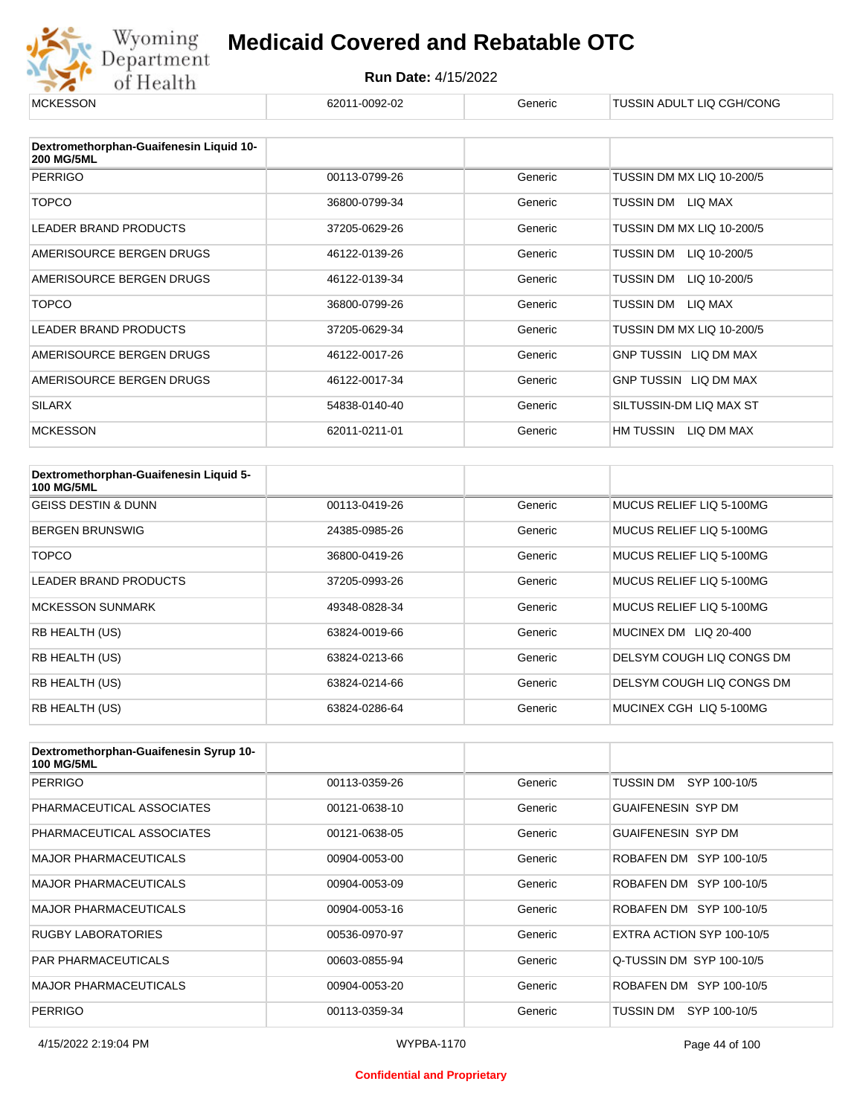

| <b>MCKESSON</b>                                              | 62011-0092-02 | Generic | TUSSIN ADULT LIQ CGH/CONG |
|--------------------------------------------------------------|---------------|---------|---------------------------|
|                                                              |               |         |                           |
| Dextromethorphan-Guaifenesin Liquid 10-<br><b>200 MG/5ML</b> |               |         |                           |
| <b>PERRIGO</b>                                               | 00113-0799-26 | Generic | TUSSIN DM MX LIQ 10-200/5 |
| <b>TOPCO</b>                                                 | 36800-0799-34 | Generic | LIQ MAX<br>TUSSIN DM      |
| <b>LEADER BRAND PRODUCTS</b>                                 | 37205-0629-26 | Generic | TUSSIN DM MX LIQ 10-200/5 |
| AMERISOURCE BERGEN DRUGS                                     | 46122-0139-26 | Generic | TUSSIN DM<br>LIQ 10-200/5 |
| AMERISOURCE BERGEN DRUGS                                     | 46122-0139-34 | Generic | TUSSIN DM<br>LIQ 10-200/5 |
| <b>TOPCO</b>                                                 | 36800-0799-26 | Generic | TUSSIN DM<br>LIQ MAX      |
| LEADER BRAND PRODUCTS                                        | 37205-0629-34 | Generic | TUSSIN DM MX LIQ 10-200/5 |
| AMERISOURCE BERGEN DRUGS                                     | 46122-0017-26 | Generic | GNP TUSSIN LIQ DM MAX     |
| AMERISOURCE BERGEN DRUGS                                     | 46122-0017-34 | Generic | GNP TUSSIN LIQ DM MAX     |
| <b>SILARX</b>                                                | 54838-0140-40 | Generic | SILTUSSIN-DM LIQ MAX ST   |
| <b>MCKESSON</b>                                              | 62011-0211-01 | Generic | HM TUSSIN<br>LIQ DM MAX   |

| Dextromethorphan-Guaifenesin Liquid 5-<br><b>100 MG/5ML</b> |               |         |                           |
|-------------------------------------------------------------|---------------|---------|---------------------------|
| <b>GEISS DESTIN &amp; DUNN</b>                              | 00113-0419-26 | Generic | MUCUS RELIEF LIO 5-100MG  |
| <b>BERGEN BRUNSWIG</b>                                      | 24385-0985-26 | Generic | MUCUS RELIEF LIQ 5-100MG  |
| <b>TOPCO</b>                                                | 36800-0419-26 | Generic | MUCUS RELIEF LIO 5-100MG  |
| LEADER BRAND PRODUCTS                                       | 37205-0993-26 | Generic | MUCUS RELIEF LIQ 5-100MG  |
| <b>MCKESSON SUNMARK</b>                                     | 49348-0828-34 | Generic | MUCUS RELIEF LIQ 5-100MG  |
| RB HEALTH (US)                                              | 63824-0019-66 | Generic | MUCINEX DM LIQ 20-400     |
| RB HEALTH (US)                                              | 63824-0213-66 | Generic | DELSYM COUGH LIQ CONGS DM |
| <b>RB HEALTH (US)</b>                                       | 63824-0214-66 | Generic | DELSYM COUGH LIQ CONGS DM |
| RB HEALTH (US)                                              | 63824-0286-64 | Generic | MUCINEX CGH LIQ 5-100MG   |

| Dextromethorphan-Guaifenesin Syrup 10-<br><b>100 MG/5ML</b> |               |         |                           |
|-------------------------------------------------------------|---------------|---------|---------------------------|
| <b>PERRIGO</b>                                              | 00113-0359-26 | Generic | TUSSIN DM<br>SYP 100-10/5 |
| PHARMACEUTICAL ASSOCIATES                                   | 00121-0638-10 | Generic | <b>GUAIFENESIN SYP DM</b> |
| PHARMACEUTICAL ASSOCIATES                                   | 00121-0638-05 | Generic | <b>GUAIFENESIN SYP DM</b> |
| <b>MAJOR PHARMACEUTICALS</b>                                | 00904-0053-00 | Generic | ROBAFEN DM SYP 100-10/5   |
| <b>MAJOR PHARMACEUTICALS</b>                                | 00904-0053-09 | Generic | ROBAFEN DM SYP 100-10/5   |
| <b>MAJOR PHARMACEUTICALS</b>                                | 00904-0053-16 | Generic | ROBAFEN DM SYP 100-10/5   |
| <b>RUGBY LABORATORIES</b>                                   | 00536-0970-97 | Generic | EXTRA ACTION SYP 100-10/5 |
| <b>PAR PHARMACEUTICALS</b>                                  | 00603-0855-94 | Generic | Q-TUSSIN DM SYP 100-10/5  |
| <b>MAJOR PHARMACEUTICALS</b>                                | 00904-0053-20 | Generic | ROBAFEN DM SYP 100-10/5   |
| <b>PERRIGO</b>                                              | 00113-0359-34 | Generic | TUSSIN DM<br>SYP 100-10/5 |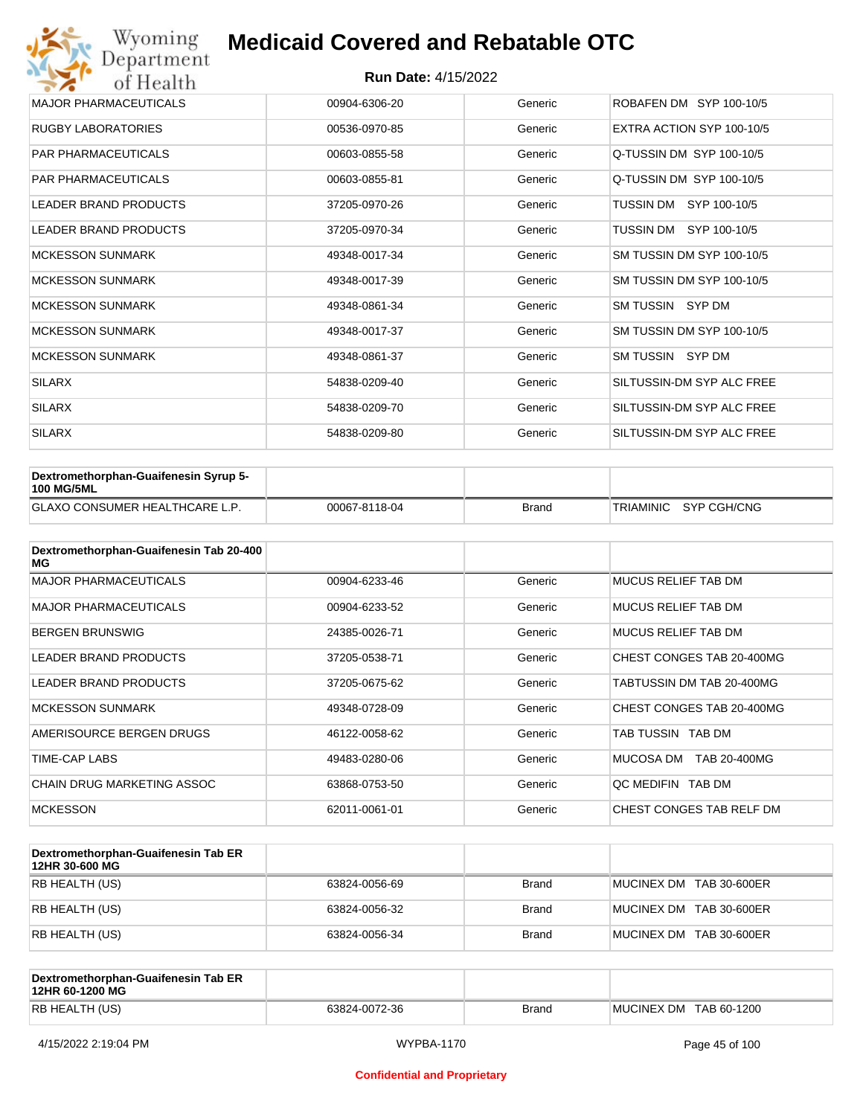| Wyoming<br>Department        | <b>Medicaid Covered and Rebatable OTC</b> |         |                           |  |  |
|------------------------------|-------------------------------------------|---------|---------------------------|--|--|
| of Health                    | <b>Run Date: 4/15/2022</b>                |         |                           |  |  |
| <b>MAJOR PHARMACEUTICALS</b> | 00904-6306-20                             | Generic | ROBAFEN DM SYP 100-10/5   |  |  |
| <b>RUGBY LABORATORIES</b>    | 00536-0970-85                             | Generic | EXTRA ACTION SYP 100-10/5 |  |  |
| <b>PAR PHARMACEUTICALS</b>   | 00603-0855-58                             | Generic | Q-TUSSIN DM SYP 100-10/5  |  |  |
| <b>PAR PHARMACEUTICALS</b>   | 00603-0855-81                             | Generic | Q-TUSSIN DM SYP 100-10/5  |  |  |
| <b>LEADER BRAND PRODUCTS</b> | 37205-0970-26                             | Generic | SYP 100-10/5<br>TUSSIN DM |  |  |
| <b>LEADER BRAND PRODUCTS</b> | 37205-0970-34                             | Generic | TUSSIN DM SYP 100-10/5    |  |  |
| <b>MCKESSON SUNMARK</b>      | 49348-0017-34                             | Generic | SM TUSSIN DM SYP 100-10/5 |  |  |
| <b>MCKESSON SUNMARK</b>      | 49348-0017-39                             | Generic | SM TUSSIN DM SYP 100-10/5 |  |  |
| <b>MCKESSON SUNMARK</b>      | 49348-0861-34                             | Generic | SM TUSSIN SYP DM          |  |  |
| <b>MCKESSON SUNMARK</b>      | 49348-0017-37                             | Generic | SM TUSSIN DM SYP 100-10/5 |  |  |
| <b>MCKESSON SUNMARK</b>      | 49348-0861-37                             | Generic | SM TUSSIN SYP DM          |  |  |
| <b>SILARX</b>                | 54838-0209-40                             | Generic | SILTUSSIN-DM SYP ALC FREE |  |  |
| <b>SILARX</b>                | 54838-0209-70                             | Generic | SILTUSSIN-DM SYP ALC FREE |  |  |
| <b>SILARX</b>                | 54838-0209-80                             | Generic | SILTUSSIN-DM SYP ALC FREE |  |  |

| <b>Dextromethorphan-Guaifenesin Syrup 5-</b><br><b>100 MG/5ML</b> |               |       |                       |
|-------------------------------------------------------------------|---------------|-------|-----------------------|
| <b>GLAXO CONSUMER HEALTHCARE L.P.</b>                             | 00067-8118-04 | Brand | TRIAMINIC SYP CGH/CNG |

| Dextromethorphan-Guaifenesin Tab 20-400<br>MG |               |         |                            |
|-----------------------------------------------|---------------|---------|----------------------------|
| <b>MAJOR PHARMACEUTICALS</b>                  | 00904-6233-46 | Generic | <b>MUCUS RELIEF TAB DM</b> |
| <b>MAJOR PHARMACEUTICALS</b>                  | 00904-6233-52 | Generic | <b>MUCUS RELIEF TAB DM</b> |
| <b>BERGEN BRUNSWIG</b>                        | 24385-0026-71 | Generic | <b>MUCUS RELIEF TAB DM</b> |
| LEADER BRAND PRODUCTS                         | 37205-0538-71 | Generic | CHEST CONGES TAB 20-400MG  |
| LEADER BRAND PRODUCTS                         | 37205-0675-62 | Generic | TABTUSSIN DM TAB 20-400MG  |
| <b>MCKESSON SUNMARK</b>                       | 49348-0728-09 | Generic | CHEST CONGES TAB 20-400MG  |
| AMERISOURCE BERGEN DRUGS                      | 46122-0058-62 | Generic | TAB TUSSIN TAB DM          |
| TIME-CAP LABS                                 | 49483-0280-06 | Generic | MUCOSA DM<br>TAB 20-400MG  |
| CHAIN DRUG MARKETING ASSOC                    | 63868-0753-50 | Generic | OC MEDIFIN TAB DM          |
| <b>MCKESSON</b>                               | 62011-0061-01 | Generic | CHEST CONGES TAB RELF DM   |

| Dextromethorphan-Guaifenesin Tab ER<br>12HR 30-600 MG |               |              |                         |
|-------------------------------------------------------|---------------|--------------|-------------------------|
| RB HEALTH (US)                                        | 63824-0056-69 | <b>Brand</b> | MUCINEX DM TAB 30-600ER |
| RB HEALTH (US)                                        | 63824-0056-32 | <b>Brand</b> | MUCINEX DM TAB 30-600ER |
| RB HEALTH (US)                                        | 63824-0056-34 | <b>Brand</b> | MUCINEX DM TAB 30-600ER |

| Dextromethorphan-Guaifenesin Tab ER<br>12HR 60-1200 MG |               |              |                        |
|--------------------------------------------------------|---------------|--------------|------------------------|
| RB HEALTH (US)                                         | 63824-0072-36 | <b>Brand</b> | MUCINEX DM TAB 60-1200 |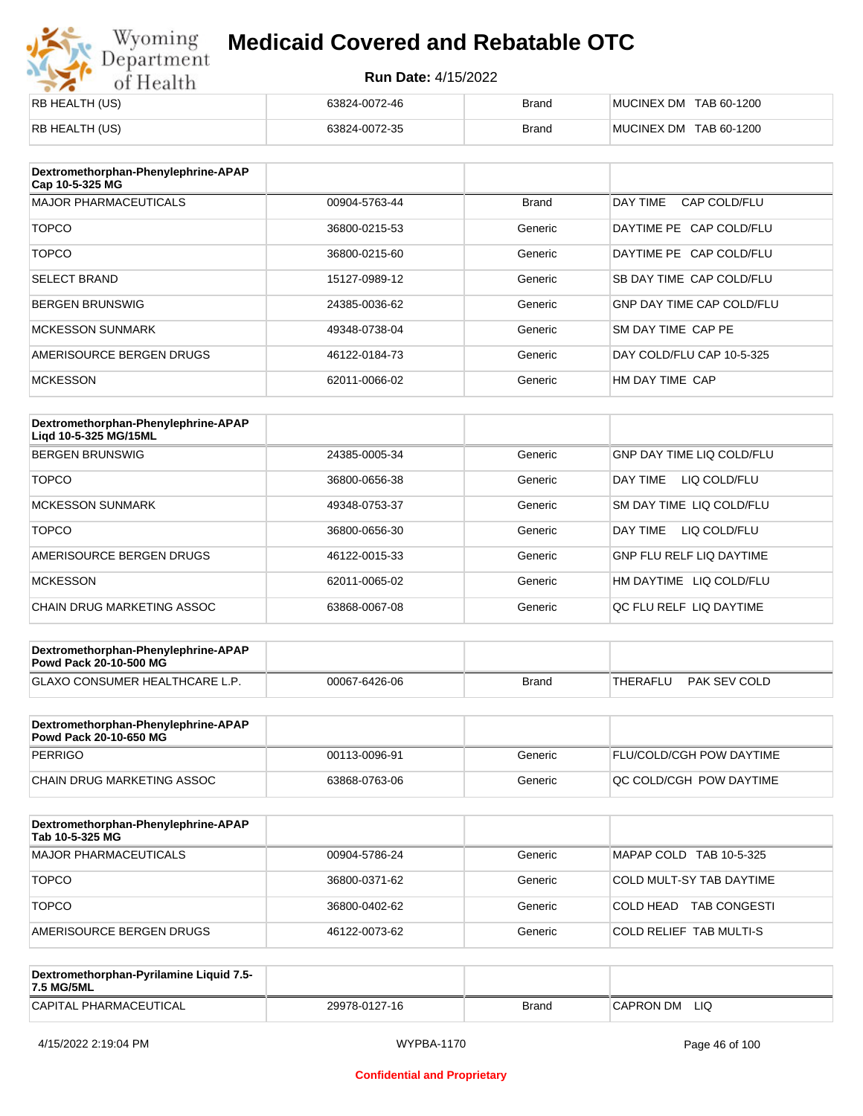# Wyoming<br>Department<br>of Health

## **Medicaid Covered and Rebatable OTC**

| RB HEALTH (US) | 63824-0072-46 | <b>Brand</b> | MUCINEX DM TAB 60-1200 |
|----------------|---------------|--------------|------------------------|
| RB HEALTH (US) | 63824-0072-35 | <b>Brand</b> | MUCINEX DM TAB 60-1200 |

| Dextromethorphan-Phenylephrine-APAP<br>Cap 10-5-325 MG |               |              |                                  |
|--------------------------------------------------------|---------------|--------------|----------------------------------|
| <b>MAJOR PHARMACEUTICALS</b>                           | 00904-5763-44 | <b>Brand</b> | DAY TIME<br>CAP COLD/FLU         |
| <b>TOPCO</b>                                           | 36800-0215-53 | Generic      | DAYTIME PE CAP COLD/FLU          |
| <b>TOPCO</b>                                           | 36800-0215-60 | Generic      | DAYTIME PE CAP COLD/FLU          |
| <b>SELECT BRAND</b>                                    | 15127-0989-12 | Generic      | SB DAY TIME CAP COLD/FLU         |
| <b>BERGEN BRUNSWIG</b>                                 | 24385-0036-62 | Generic      | <b>GNP DAY TIME CAP COLD/FLU</b> |
| <b>MCKESSON SUNMARK</b>                                | 49348-0738-04 | Generic      | SM DAY TIME CAP PE               |
| AMERISOURCE BERGEN DRUGS                               | 46122-0184-73 | Generic      | DAY COLD/FLU CAP 10-5-325        |
| <b>MCKESSON</b>                                        | 62011-0066-02 | Generic      | HM DAY TIME CAP                  |

| Dextromethorphan-Phenylephrine-APAP<br>Ligd 10-5-325 MG/15ML |               |         |                                  |
|--------------------------------------------------------------|---------------|---------|----------------------------------|
| <b>BERGEN BRUNSWIG</b>                                       | 24385-0005-34 | Generic | <b>GNP DAY TIME LIQ COLD/FLU</b> |
| <b>TOPCO</b>                                                 | 36800-0656-38 | Generic | DAY TIME<br>LIQ COLD/FLU         |
| <b>MCKESSON SUNMARK</b>                                      | 49348-0753-37 | Generic | SM DAY TIME LIQ COLD/FLU         |
| <b>TOPCO</b>                                                 | 36800-0656-30 | Generic | LIQ COLD/FLU<br>DAY TIME         |
| AMERISOURCE BERGEN DRUGS                                     | 46122-0015-33 | Generic | <b>GNP FLU RELF LIQ DAYTIME</b>  |
| <b>MCKESSON</b>                                              | 62011-0065-02 | Generic | HM DAYTIME LIQ COLD/FLU          |
| CHAIN DRUG MARKETING ASSOC                                   | 63868-0067-08 | Generic | OC FLU RELF LIO DAYTIME          |

| Dextromethorphan-Phenylephrine-APAP<br><b>Powd Pack 20-10-500 MG</b> |               |       |                          |
|----------------------------------------------------------------------|---------------|-------|--------------------------|
| <b>GLAXO CONSUMER HEALTHCARE L.P.</b>                                | 00067-6426-06 | Brand | PAK SEV COLD<br>THERAFLU |

| Dextromethorphan-Phenylephrine-APAP<br>Powd Pack 20-10-650 MG |               |         |                                |
|---------------------------------------------------------------|---------------|---------|--------------------------------|
| PERRIGO                                                       | 00113-0096-91 | Generic | FLU/COLD/CGH POW DAYTIME       |
| CHAIN DRUG MARKETING ASSOC                                    | 63868-0763-06 | Generic | <b>OC COLD/CGH POW DAYTIME</b> |

| Dextromethorphan-Phenylephrine-APAP<br>Tab 10-5-325 MG |               |         |                                  |
|--------------------------------------------------------|---------------|---------|----------------------------------|
| MAJOR PHARMACEUTICALS                                  | 00904-5786-24 | Generic | MAPAP COLD TAB 10-5-325          |
| <b>TOPCO</b>                                           | 36800-0371-62 | Generic | COLD MULT-SY TAB DAYTIME         |
| <b>TOPCO</b>                                           | 36800-0402-62 | Generic | <b>TAB CONGESTI</b><br>COLD HEAD |
| AMERISOURCE BERGEN DRUGS                               | 46122-0073-62 | Generic | COLD RELIEF TAB MULTI-S          |

| Dextromethorphan-Pyrilamine Liquid 7.5-<br>7.5 MG/5ML |               |       |                  |
|-------------------------------------------------------|---------------|-------|------------------|
| CAPITAL PHARMACEUTICAL                                | 29978-0127-16 | Brand | LIQ<br>CAPRON DM |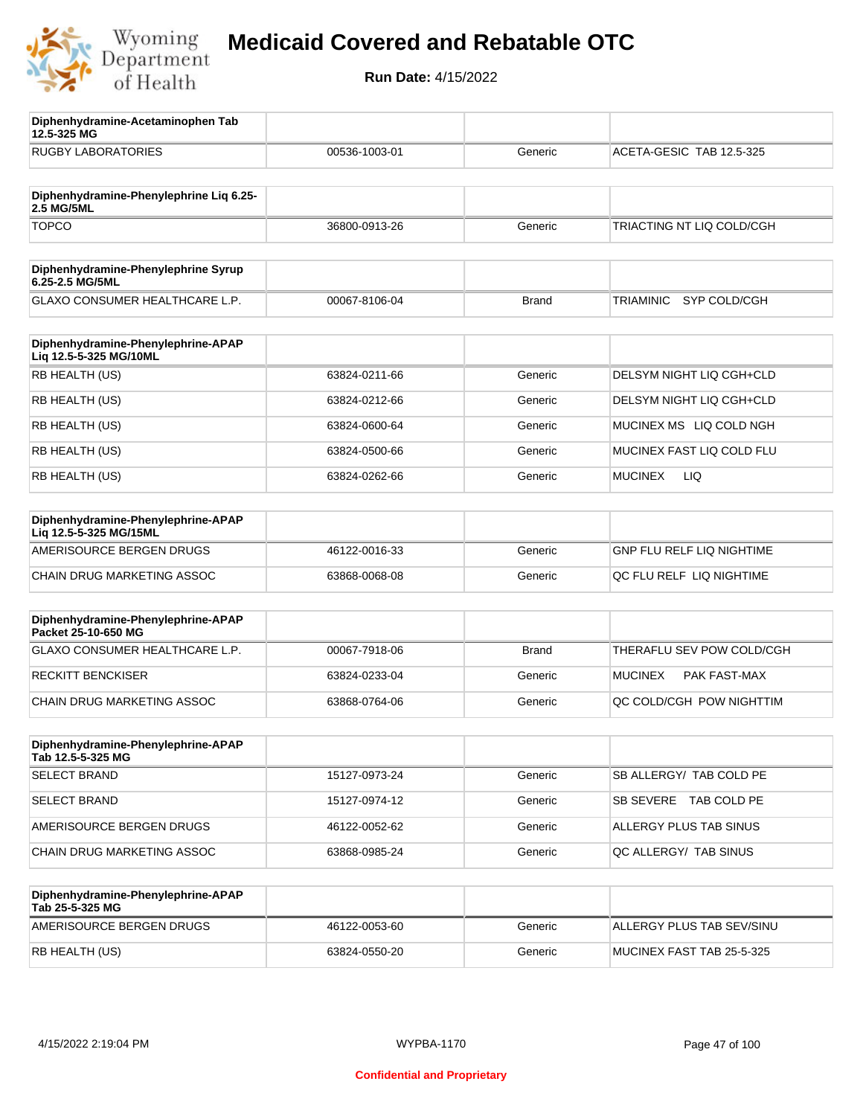

**12.5-325 MG**

**Diphenhydramine-Acetaminophen Tab** 

## **Medicaid Covered and Rebatable OTC**

| <b>RUGBY LABORATORIES</b>                                    | 00536-1003-01 | Generic      | ACETA-GESIC TAB 12.5-325         |
|--------------------------------------------------------------|---------------|--------------|----------------------------------|
| Diphenhydramine-Phenylephrine Liq 6.25-<br>2.5 MG/5ML        |               |              |                                  |
| <b>TOPCO</b>                                                 | 36800-0913-26 | Generic      | TRIACTING NT LIQ COLD/CGH        |
| Diphenhydramine-Phenylephrine Syrup<br>6.25-2.5 MG/5ML       |               |              |                                  |
| GLAXO CONSUMER HEALTHCARE L.P.                               | 00067-8106-04 | <b>Brand</b> | SYP COLD/CGH<br>TRIAMINIC        |
| Diphenhydramine-Phenylephrine-APAP<br>Lig 12.5-5-325 MG/10ML |               |              |                                  |
| RB HEALTH (US)                                               | 63824-0211-66 | Generic      | DELSYM NIGHT LIQ CGH+CLD         |
| RB HEALTH (US)                                               | 63824-0212-66 | Generic      | DELSYM NIGHT LIQ CGH+CLD         |
| RB HEALTH (US)                                               | 63824-0600-64 | Generic      | MUCINEX MS LIQ COLD NGH          |
| RB HEALTH (US)                                               | 63824-0500-66 | Generic      | MUCINEX FAST LIQ COLD FLU        |
| RB HEALTH (US)                                               | 63824-0262-66 | Generic      | <b>MUCINEX</b><br>LIQ.           |
| Diphenhydramine-Phenylephrine-APAP<br>Liq 12.5-5-325 MG/15ML |               |              |                                  |
| AMERISOURCE BERGEN DRUGS                                     | 46122-0016-33 | Generic      | <b>GNP FLU RELF LIQ NIGHTIME</b> |
| CHAIN DRUG MARKETING ASSOC                                   | 63868-0068-08 | Generic      | QC FLU RELF LIQ NIGHTIME         |
| Diphenhydramine-Phenylephrine-APAP<br>Packet 25-10-650 MG    |               |              |                                  |
| GLAXO CONSUMER HEALTHCARE L.P.                               | 00067-7918-06 | <b>Brand</b> | THERAFLU SEV POW COLD/CGH        |
| <b>RECKITT BENCKISER</b>                                     | 63824-0233-04 | Generic      | <b>MUCINEX</b><br>PAK FAST-MAX   |
| CHAIN DRUG MARKETING ASSOC                                   | 63868-0764-06 | Generic      | QC COLD/CGH POW NIGHTTIM         |
| Diphenhydramine-Phenylephrine-APAP<br>Tab 12.5-5-325 MG      |               |              |                                  |
| <b>SELECT BRAND</b>                                          | 15127-0973-24 | Generic      | SB ALLERGY/ TAB COLD PE          |
| <b>SELECT BRAND</b>                                          | 15127-0974-12 | Generic      | SB SEVERE TAB COLD PE            |
| AMERISOURCE BERGEN DRUGS                                     | 46122-0052-62 | Generic      | ALLERGY PLUS TAB SINUS           |
| CHAIN DRUG MARKETING ASSOC                                   | 63868-0985-24 | Generic      | QC ALLERGY/ TAB SINUS            |
| Diphenhydramine-Phenylephrine-APAP<br>Tab 25-5-325 MG        |               |              |                                  |
| AMERISOURCE BERGEN DRUGS                                     | 46122-0053-60 | Generic      | ALLERGY PLUS TAB SEV/SINU        |
| RB HEALTH (US)                                               | 63824-0550-20 | Generic      | MUCINEX FAST TAB 25-5-325        |
|                                                              |               |              |                                  |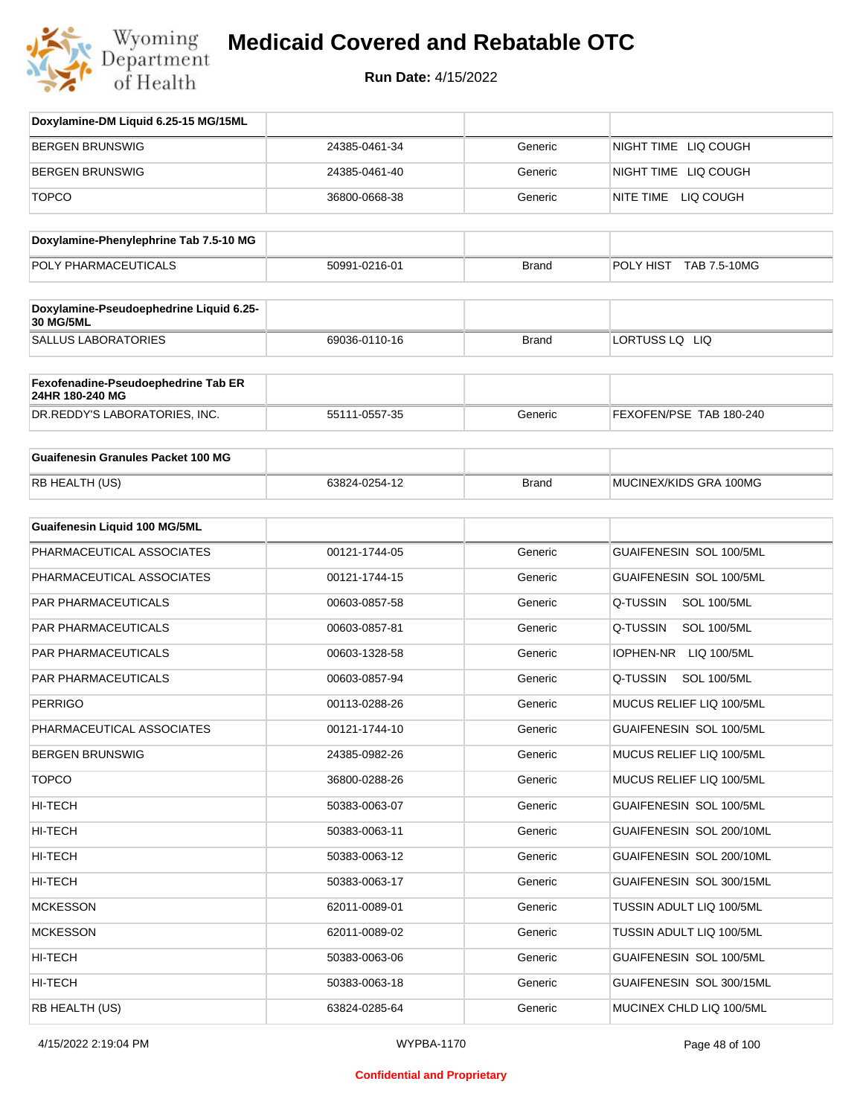

| Doxylamine-DM Liquid 6.25-15 MG/15ML                        |               |              |                                |
|-------------------------------------------------------------|---------------|--------------|--------------------------------|
| <b>BERGEN BRUNSWIG</b>                                      | 24385-0461-34 | Generic      | NIGHT TIME LIQ COUGH           |
| <b>BERGEN BRUNSWIG</b>                                      | 24385-0461-40 | Generic      | NIGHT TIME LIQ COUGH           |
| <b>TOPCO</b>                                                | 36800-0668-38 | Generic      | NITE TIME LIQ COUGH            |
| Doxylamine-Phenylephrine Tab 7.5-10 MG                      |               |              |                                |
| POLY PHARMACEUTICALS                                        | 50991-0216-01 | <b>Brand</b> | POLY HIST TAB 7.5-10MG         |
|                                                             |               |              |                                |
| Doxylamine-Pseudoephedrine Liquid 6.25-<br><b>30 MG/5ML</b> |               |              |                                |
| <b>SALLUS LABORATORIES</b>                                  | 69036-0110-16 | <b>Brand</b> | LORTUSS LQ LIQ                 |
| Fexofenadine-Pseudoephedrine Tab ER<br>24HR 180-240 MG      |               |              |                                |
| DR.REDDY'S LABORATORIES, INC.                               | 55111-0557-35 | Generic      | FEXOFEN/PSE TAB 180-240        |
| <b>Guaifenesin Granules Packet 100 MG</b>                   |               |              |                                |
| RB HEALTH (US)                                              | 63824-0254-12 | <b>Brand</b> | MUCINEX/KIDS GRA 100MG         |
| Guaifenesin Liquid 100 MG/5ML                               |               |              |                                |
| PHARMACEUTICAL ASSOCIATES                                   | 00121-1744-05 | Generic      | GUAIFENESIN SOL 100/5ML        |
| PHARMACEUTICAL ASSOCIATES                                   | 00121-1744-15 | Generic      | GUAIFENESIN SOL 100/5ML        |
| PAR PHARMACEUTICALS                                         | 00603-0857-58 | Generic      | Q-TUSSIN<br><b>SOL 100/5ML</b> |
| PAR PHARMACEUTICALS                                         | 00603-0857-81 | Generic      | Q-TUSSIN<br><b>SOL 100/5ML</b> |
| <b>PAR PHARMACEUTICALS</b>                                  | 00603-1328-58 | Generic      | IOPHEN-NR LIQ 100/5ML          |
| PAR PHARMACEUTICALS                                         | 00603-0857-94 | Generic      | Q-TUSSIN<br><b>SOL 100/5ML</b> |
| <b>PERRIGO</b>                                              | 00113-0288-26 | Generic      | MUCUS RELIEF LIQ 100/5ML       |
| PHARMACEUTICAL ASSOCIATES                                   | 00121-1744-10 | Generic      | GUAIFENESIN SOL 100/5ML        |
| <b>BERGEN BRUNSWIG</b>                                      | 24385-0982-26 | Generic      | MUCUS RELIEF LIQ 100/5ML       |
| <b>TOPCO</b>                                                | 36800-0288-26 | Generic      | MUCUS RELIEF LIQ 100/5ML       |
| HI-TECH                                                     | 50383-0063-07 | Generic      | GUAIFENESIN SOL 100/5ML        |
| HI-TECH                                                     | 50383-0063-11 | Generic      | GUAIFENESIN SOL 200/10ML       |
| HI-TECH                                                     | 50383-0063-12 | Generic      | GUAIFENESIN SOL 200/10ML       |
| HI-TECH                                                     | 50383-0063-17 | Generic      | GUAIFENESIN SOL 300/15ML       |
| <b>MCKESSON</b>                                             | 62011-0089-01 | Generic      | TUSSIN ADULT LIQ 100/5ML       |
| <b>MCKESSON</b>                                             | 62011-0089-02 | Generic      | TUSSIN ADULT LIQ 100/5ML       |
| HI-TECH                                                     | 50383-0063-06 | Generic      | GUAIFENESIN SOL 100/5ML        |
| HI-TECH                                                     | 50383-0063-18 | Generic      | GUAIFENESIN SOL 300/15ML       |
| RB HEALTH (US)                                              | 63824-0285-64 | Generic      | MUCINEX CHLD LIQ 100/5ML       |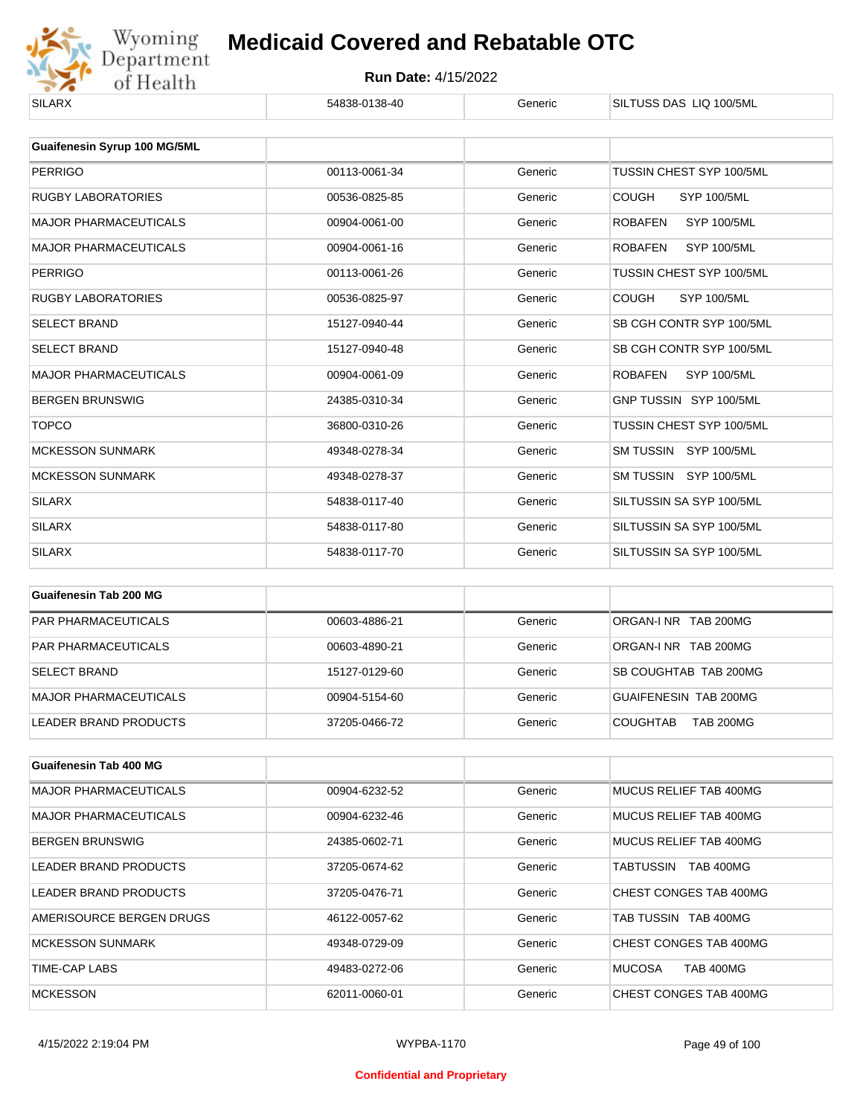

| <b>SILARX</b>                | 54838-0138-40 | Generic | SILTUSS DAS LIQ 100/5ML              |
|------------------------------|---------------|---------|--------------------------------------|
|                              |               |         |                                      |
| Guaifenesin Syrup 100 MG/5ML |               |         |                                      |
| <b>PERRIGO</b>               | 00113-0061-34 | Generic | TUSSIN CHEST SYP 100/5ML             |
| <b>RUGBY LABORATORIES</b>    | 00536-0825-85 | Generic | <b>COUGH</b><br><b>SYP 100/5ML</b>   |
| <b>MAJOR PHARMACEUTICALS</b> | 00904-0061-00 | Generic | <b>SYP 100/5ML</b><br><b>ROBAFEN</b> |
| <b>MAJOR PHARMACEUTICALS</b> | 00904-0061-16 | Generic | <b>SYP 100/5ML</b><br><b>ROBAFEN</b> |
| <b>PERRIGO</b>               | 00113-0061-26 | Generic | TUSSIN CHEST SYP 100/5ML             |
| <b>RUGBY LABORATORIES</b>    | 00536-0825-97 | Generic | <b>COUGH</b><br><b>SYP 100/5ML</b>   |
| <b>SELECT BRAND</b>          | 15127-0940-44 | Generic | SB CGH CONTR SYP 100/5ML             |
| <b>SELECT BRAND</b>          | 15127-0940-48 | Generic | SB CGH CONTR SYP 100/5ML             |
| <b>MAJOR PHARMACEUTICALS</b> | 00904-0061-09 | Generic | <b>ROBAFEN</b><br>SYP 100/5ML        |
| <b>BERGEN BRUNSWIG</b>       | 24385-0310-34 | Generic | GNP TUSSIN SYP 100/5ML               |
| <b>TOPCO</b>                 | 36800-0310-26 | Generic | TUSSIN CHEST SYP 100/5ML             |
| <b>MCKESSON SUNMARK</b>      | 49348-0278-34 | Generic | SM TUSSIN SYP 100/5ML                |
| <b>MCKESSON SUNMARK</b>      | 49348-0278-37 | Generic | SM TUSSIN SYP 100/5ML                |
| <b>SILARX</b>                | 54838-0117-40 | Generic | SILTUSSIN SA SYP 100/5ML             |
| <b>SILARX</b>                | 54838-0117-80 | Generic | SILTUSSIN SA SYP 100/5ML             |
| <b>SILARX</b>                | 54838-0117-70 | Generic | SILTUSSIN SA SYP 100/5ML             |

| Guaifenesin Tab 200 MG       |               |         |                                     |
|------------------------------|---------------|---------|-------------------------------------|
| <b>PAR PHARMACEUTICALS</b>   | 00603-4886-21 | Generic | ORGAN-INR TAB 200MG                 |
| <b>PAR PHARMACEUTICALS</b>   | 00603-4890-21 | Generic | ORGAN-LNR TAB 200MG                 |
| <b>SELECT BRAND</b>          | 15127-0129-60 | Generic | SB COUGHTAB TAB 200MG               |
| <b>MAJOR PHARMACEUTICALS</b> | 00904-5154-60 | Generic | GUAIFENESIN TAB 200MG               |
| LEADER BRAND PRODUCTS        | 37205-0466-72 | Generic | <b>COUGHTAB</b><br><b>TAB 200MG</b> |

| Guaifenesin Tab 400 MG       |               |         |                                   |
|------------------------------|---------------|---------|-----------------------------------|
| <b>MAJOR PHARMACEUTICALS</b> | 00904-6232-52 | Generic | MUCUS RELIEF TAB 400MG            |
| <b>MAJOR PHARMACEUTICALS</b> | 00904-6232-46 | Generic | MUCUS RELIEF TAB 400MG            |
| <b>BERGEN BRUNSWIG</b>       | 24385-0602-71 | Generic | MUCUS RELIEF TAB 400MG            |
| LEADER BRAND PRODUCTS        | 37205-0674-62 | Generic | <b>TAB 400MG</b><br>TABTUSSIN     |
| LEADER BRAND PRODUCTS        | 37205-0476-71 | Generic | CHEST CONGES TAB 400MG            |
| AMERISOURCE BERGEN DRUGS     | 46122-0057-62 | Generic | TAB TUSSIN TAB 400MG              |
| MCKESSON SUNMARK             | 49348-0729-09 | Generic | CHEST CONGES TAB 400MG            |
| TIME-CAP LABS                | 49483-0272-06 | Generic | <b>MUCOSA</b><br><b>TAB 400MG</b> |
| <b>MCKESSON</b>              | 62011-0060-01 | Generic | CHEST CONGES TAB 400MG            |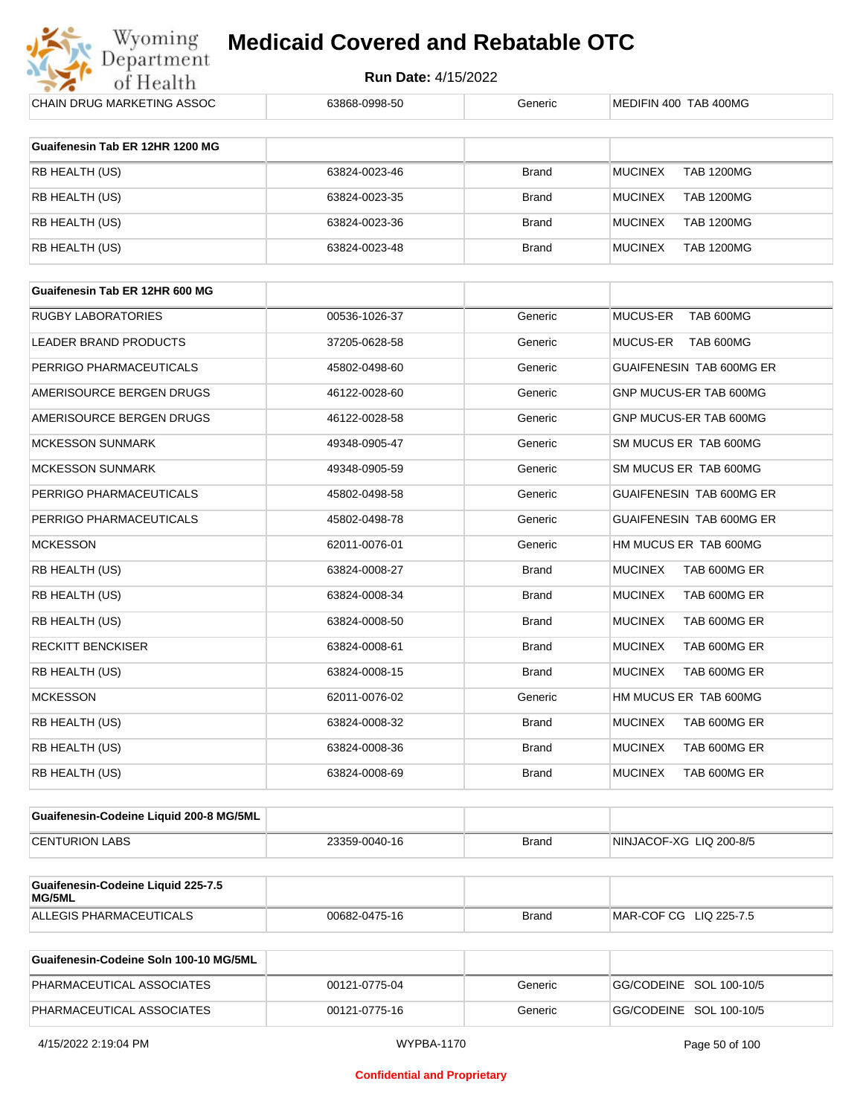

| CHAIN DRUG MARKETING ASSOC              | 63868-0998-50 | Generic      | MEDIFIN 400 TAB 400MG               |
|-----------------------------------------|---------------|--------------|-------------------------------------|
| Guaifenesin Tab ER 12HR 1200 MG         |               |              |                                     |
| RB HEALTH (US)                          | 63824-0023-46 | <b>Brand</b> | <b>MUCINEX</b><br><b>TAB 1200MG</b> |
| RB HEALTH (US)                          | 63824-0023-35 |              | <b>MUCINEX</b>                      |
|                                         |               | <b>Brand</b> | <b>TAB 1200MG</b>                   |
| RB HEALTH (US)                          | 63824-0023-36 | <b>Brand</b> | <b>MUCINEX</b><br><b>TAB 1200MG</b> |
| RB HEALTH (US)                          | 63824-0023-48 | <b>Brand</b> | <b>MUCINEX</b><br><b>TAB 1200MG</b> |
| Guaifenesin Tab ER 12HR 600 MG          |               |              |                                     |
| RUGBY LABORATORIES                      | 00536-1026-37 | Generic      | MUCUS-ER<br>TAB 600MG               |
| LEADER BRAND PRODUCTS                   | 37205-0628-58 | Generic      | TAB 600MG<br>MUCUS-ER               |
|                                         |               |              |                                     |
| PERRIGO PHARMACEUTICALS                 | 45802-0498-60 | Generic      | GUAIFENESIN TAB 600MG ER            |
| AMERISOURCE BERGEN DRUGS                | 46122-0028-60 | Generic      | GNP MUCUS-ER TAB 600MG              |
| AMERISOURCE BERGEN DRUGS                | 46122-0028-58 | Generic      | GNP MUCUS-ER TAB 600MG              |
| MCKESSON SUNMARK                        | 49348-0905-47 | Generic      | SM MUCUS ER TAB 600MG               |
| <b>MCKESSON SUNMARK</b>                 | 49348-0905-59 | Generic      | SM MUCUS ER TAB 600MG               |
| PERRIGO PHARMACEUTICALS                 | 45802-0498-58 | Generic      | GUAIFENESIN TAB 600MG ER            |
| PERRIGO PHARMACEUTICALS                 | 45802-0498-78 | Generic      | GUAIFENESIN TAB 600MG ER            |
| <b>MCKESSON</b>                         | 62011-0076-01 | Generic      | HM MUCUS ER TAB 600MG               |
| RB HEALTH (US)                          | 63824-0008-27 | <b>Brand</b> | <b>MUCINEX</b><br>TAB 600MG ER      |
| RB HEALTH (US)                          | 63824-0008-34 | <b>Brand</b> | <b>MUCINEX</b><br>TAB 600MG ER      |
| RB HEALTH (US)                          | 63824-0008-50 | <b>Brand</b> | <b>MUCINEX</b><br>TAB 600MG ER      |
| RECKITT BENCKISER                       | 63824-0008-61 | <b>Brand</b> | <b>MUCINEX</b><br>TAB 600MG ER      |
| RB HEALTH (US)                          | 63824-0008-15 | <b>Brand</b> | <b>MUCINEX</b><br>TAB 600MG ER      |
| <b>MCKESSON</b>                         | 62011-0076-02 | Generic      | HM MUCUS ER TAB 600MG               |
| RB HEALTH (US)                          | 63824-0008-32 | <b>Brand</b> | <b>MUCINEX</b><br>TAB 600MG ER      |
| RB HEALTH (US)                          | 63824-0008-36 | <b>Brand</b> | <b>MUCINEX</b><br>TAB 600MG ER      |
| RB HEALTH (US)                          | 63824-0008-69 | <b>Brand</b> | <b>MUCINEX</b><br>TAB 600MG ER      |
|                                         |               |              |                                     |
| Guaifenesin-Codeine Liquid 200-8 MG/5ML |               |              |                                     |
| <b>CENTURION LABS</b>                   | 23359-0040-16 | <b>Brand</b> | NINJACOF-XG LIQ 200-8/5             |
| Guaifenesin-Codeine Liquid 225-7.5      |               |              |                                     |
| MG/5ML                                  |               |              |                                     |
| ALLEGIS PHARMACEUTICALS                 | 00682-0475-16 | <b>Brand</b> | MAR-COF CG LIQ 225-7.5              |

| Guaifenesin-Codeine Soln 100-10 MG/5ML |               |         |                         |
|----------------------------------------|---------------|---------|-------------------------|
| PHARMACEUTICAL ASSOCIATES              | 00121-0775-04 | Generic | GG/CODEINE SOL 100-10/5 |
| PHARMACEUTICAL ASSOCIATES              | 00121-0775-16 | Generic | GG/CODEINE SOL 100-10/5 |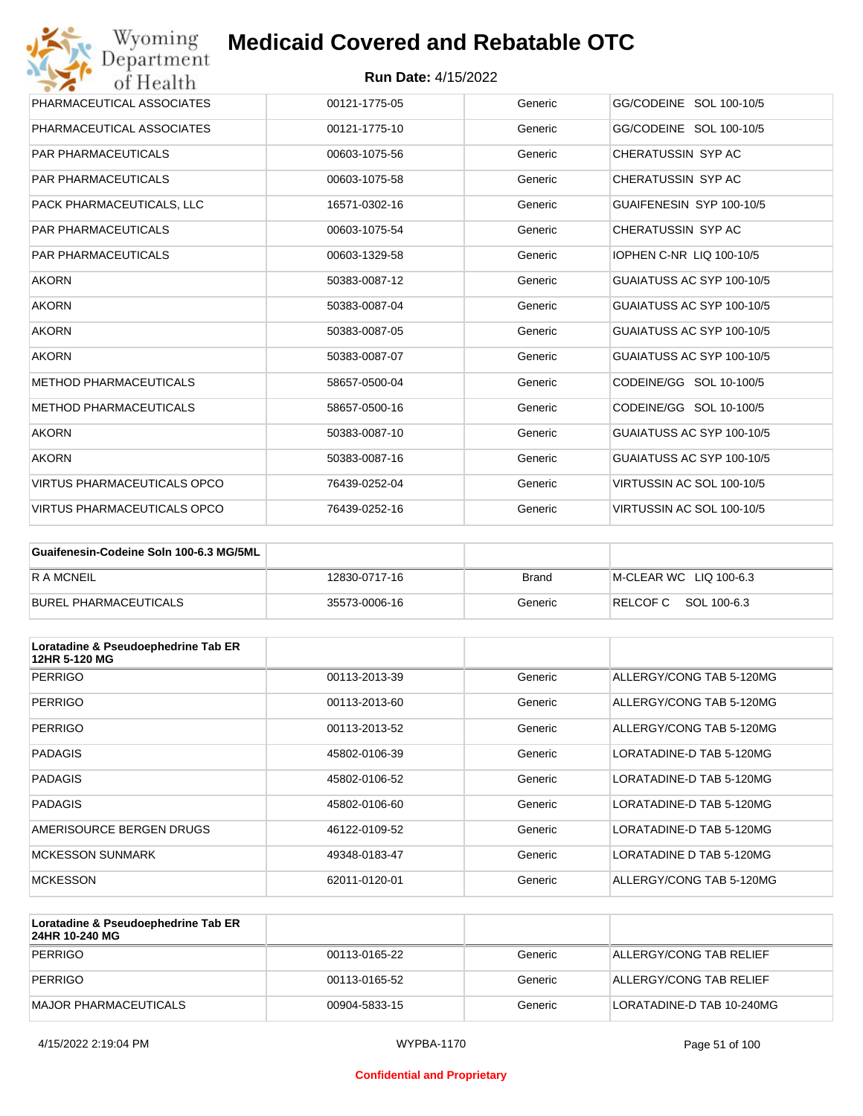| Wyoming<br>Department              | <b>Medicaid Covered and Rebatable OTC</b> |         |                           |
|------------------------------------|-------------------------------------------|---------|---------------------------|
| of Health                          | <b>Run Date: 4/15/2022</b>                |         |                           |
| PHARMACEUTICAL ASSOCIATES          | 00121-1775-05                             | Generic | GG/CODEINE SOL 100-10/5   |
| PHARMACEUTICAL ASSOCIATES          | 00121-1775-10                             | Generic | GG/CODEINE SOL 100-10/5   |
| <b>PAR PHARMACEUTICALS</b>         | 00603-1075-56                             | Generic | CHERATUSSIN SYP AC        |
| <b>PAR PHARMACEUTICALS</b>         | 00603-1075-58                             | Generic | CHERATUSSIN SYP AC        |
| PACK PHARMACEUTICALS, LLC          | 16571-0302-16                             | Generic | GUAIFENESIN SYP 100-10/5  |
| <b>PAR PHARMACEUTICALS</b>         | 00603-1075-54                             | Generic | CHERATUSSIN SYP AC        |
| <b>PAR PHARMACEUTICALS</b>         | 00603-1329-58                             | Generic | IOPHEN C-NR LIQ 100-10/5  |
| <b>AKORN</b>                       | 50383-0087-12                             | Generic | GUAIATUSS AC SYP 100-10/5 |
| <b>AKORN</b>                       | 50383-0087-04                             | Generic | GUAIATUSS AC SYP 100-10/5 |
| <b>AKORN</b>                       | 50383-0087-05                             | Generic | GUAIATUSS AC SYP 100-10/5 |
| <b>AKORN</b>                       | 50383-0087-07                             | Generic | GUAIATUSS AC SYP 100-10/5 |
| <b>METHOD PHARMACEUTICALS</b>      | 58657-0500-04                             | Generic | CODEINE/GG SOL 10-100/5   |
| <b>METHOD PHARMACEUTICALS</b>      | 58657-0500-16                             | Generic | CODEINE/GG SOL 10-100/5   |
| <b>AKORN</b>                       | 50383-0087-10                             | Generic | GUAIATUSS AC SYP 100-10/5 |
| <b>AKORN</b>                       | 50383-0087-16                             | Generic | GUAIATUSS AC SYP 100-10/5 |
| <b>VIRTUS PHARMACEUTICALS OPCO</b> | 76439-0252-04                             | Generic | VIRTUSSIN AC SOL 100-10/5 |
| <b>VIRTUS PHARMACEUTICALS OPCO</b> | 76439-0252-16                             | Generic | VIRTUSSIN AC SOL 100-10/5 |

| Guaifenesin-Codeine Soln 100-6.3 MG/5ML |               |              |                        |
|-----------------------------------------|---------------|--------------|------------------------|
| <b>RAMCNEIL</b>                         | 12830-0717-16 | <b>Brand</b> | M-CLEAR WC LIQ 100-6.3 |
| BUREL PHARMACEUTICALS                   | 35573-0006-16 | Generic      | RELCOFC SOL 100-6.3    |

| Loratadine & Pseudoephedrine Tab ER<br>12HR 5-120 MG |               |         |                          |
|------------------------------------------------------|---------------|---------|--------------------------|
| PERRIGO                                              | 00113-2013-39 | Generic | ALLERGY/CONG TAB 5-120MG |
| PERRIGO                                              | 00113-2013-60 | Generic | ALLERGY/CONG TAB 5-120MG |
| PERRIGO                                              | 00113-2013-52 | Generic | ALLERGY/CONG TAB 5-120MG |
| <b>PADAGIS</b>                                       | 45802-0106-39 | Generic | LORATADINE-D TAB 5-120MG |
| <b>PADAGIS</b>                                       | 45802-0106-52 | Generic | LORATADINE-D TAB 5-120MG |
| <b>PADAGIS</b>                                       | 45802-0106-60 | Generic | LORATADINE-D TAB 5-120MG |
| AMERISOURCE BERGEN DRUGS                             | 46122-0109-52 | Generic | LORATADINE-D TAB 5-120MG |
| <b>MCKESSON SUNMARK</b>                              | 49348-0183-47 | Generic | LORATADINE D TAB 5-120MG |
| <b>MCKESSON</b>                                      | 62011-0120-01 | Generic | ALLERGY/CONG TAB 5-120MG |

| Loratadine & Pseudoephedrine Tab ER<br>24HR 10-240 MG |               |         |                           |
|-------------------------------------------------------|---------------|---------|---------------------------|
| PERRIGO                                               | 00113-0165-22 | Generic | ALLERGY/CONG TAB RELIEF   |
| PERRIGO                                               | 00113-0165-52 | Generic | ALLERGY/CONG TAB RELIEF   |
| MAJOR PHARMACEUTICALS                                 | 00904-5833-15 | Generic | LORATADINE-D TAB 10-240MG |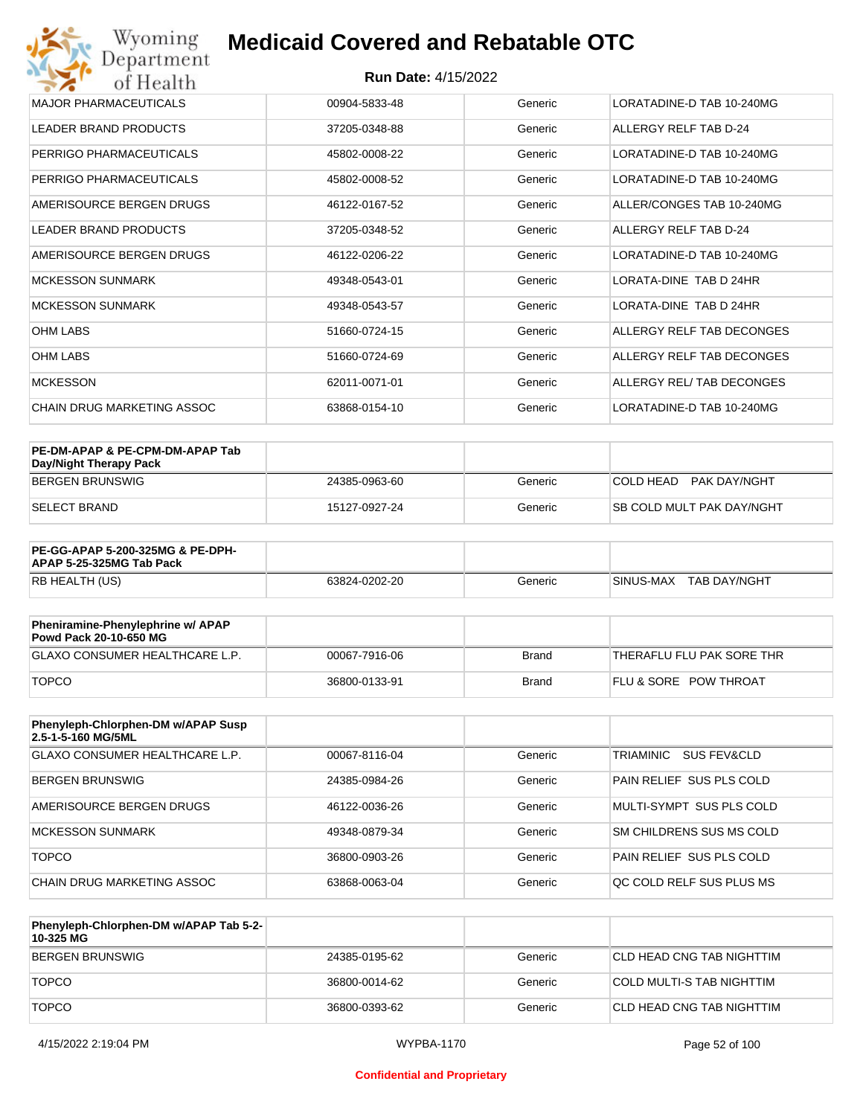#### **Run Date:** 4/15/2022

| Wyoming<br>Department                   | <b>Medicaid Covered and Rebatable OTC</b> |         |                           |  |  |
|-----------------------------------------|-------------------------------------------|---------|---------------------------|--|--|
| <b>Run Date: 4/15/2022</b><br>of Health |                                           |         |                           |  |  |
| <b>MAJOR PHARMACEUTICALS</b>            | 00904-5833-48                             | Generic | LORATADINE-D TAB 10-240MG |  |  |
| <b>LEADER BRAND PRODUCTS</b>            | 37205-0348-88                             | Generic | ALLERGY RELF TAB D-24     |  |  |
| PERRIGO PHARMACEUTICALS                 | 45802-0008-22                             | Generic | LORATADINE-D TAB 10-240MG |  |  |
| PERRIGO PHARMACEUTICALS                 | 45802-0008-52                             | Generic | LORATADINE-D TAB 10-240MG |  |  |
| AMERISOURCE BERGEN DRUGS                | 46122-0167-52                             | Generic | ALLER/CONGES TAB 10-240MG |  |  |
| <b>LEADER BRAND PRODUCTS</b>            | 37205-0348-52                             | Generic | ALLERGY RELF TAB D-24     |  |  |
| AMERISOURCE BERGEN DRUGS                | 46122-0206-22                             | Generic | LORATADINE-D TAB 10-240MG |  |  |
| <b>MCKESSON SUNMARK</b>                 | 49348-0543-01                             | Generic | LORATA-DINE TAB D 24HR    |  |  |
| <b>MCKESSON SUNMARK</b>                 | 49348-0543-57                             | Generic | LORATA-DINE TAB D 24HR    |  |  |
| <b>OHM LABS</b>                         | 51660-0724-15                             | Generic | ALLERGY RELF TAB DECONGES |  |  |
| <b>OHM LABS</b>                         | 51660-0724-69                             | Generic | ALLERGY RELF TAB DECONGES |  |  |
| <b>MCKESSON</b>                         | 62011-0071-01                             | Generic | ALLERGY REL/ TAB DECONGES |  |  |
| CHAIN DRUG MARKETING ASSOC              | 63868-0154-10                             | Generic | LORATADINE-D TAB 10-240MG |  |  |

| PE-DM-APAP & PE-CPM-DM-APAP Tab<br>Day/Night Therapy Pack |               |         |                                  |
|-----------------------------------------------------------|---------------|---------|----------------------------------|
| BERGEN BRUNSWIG                                           | 24385-0963-60 | Generic | COLD HEAD PAK DAY/NGHT           |
| ISELECT BRAND                                             | 15127-0927-24 | Generic | <b>SB COLD MULT PAK DAY/NGHT</b> |

| <b>PE-GG-APAP 5-200-325MG &amp; PE-DPH-</b><br>APAP 5-25-325MG Tab Pack |               |         |                             |
|-------------------------------------------------------------------------|---------------|---------|-----------------------------|
| RB HEALTH (US)                                                          | 63824-0202-20 | Generic | I SINUS-MAX<br>TAB DAY/NGHT |

| Pheniramine-Phenylephrine w/ APAP<br>Powd Pack 20-10-650 MG |               |              |                                  |
|-------------------------------------------------------------|---------------|--------------|----------------------------------|
| GLAXO CONSUMER HEALTHCARE L.P.                              | 00067-7916-06 | Brand        | THERAFLU FLU PAK SORE THR        |
| <b>TOPCO</b>                                                | 36800-0133-91 | <b>Brand</b> | <b>FLU &amp; SORE POW THROAT</b> |

| Phenyleph-Chlorphen-DM w/APAP Susp<br>2.5-1-5-160 MG/5ML |               |         |                                 |
|----------------------------------------------------------|---------------|---------|---------------------------------|
| GLAXO CONSUMER HEALTHCARE L.P.                           | 00067-8116-04 | Generic | TRIAMINIC<br>SUS FEV&CLD        |
| BERGEN BRUNSWIG                                          | 24385-0984-26 | Generic | PAIN RELIEF SUS PLS COLD        |
| AMERISOURCE BERGEN DRUGS                                 | 46122-0036-26 | Generic | MULTI-SYMPT SUS PLS COLD        |
| <b>MCKESSON SUNMARK</b>                                  | 49348-0879-34 | Generic | SM CHILDRENS SUS MS COLD        |
| <b>TOPCO</b>                                             | 36800-0903-26 | Generic | <b>PAIN RELIEF SUS PLS COLD</b> |
| CHAIN DRUG MARKETING ASSOC                               | 63868-0063-04 | Generic | <b>OC COLD RELF SUS PLUS MS</b> |

| Phenyleph-Chlorphen-DM w/APAP Tab 5-2-<br>10-325 MG |               |         |                            |
|-----------------------------------------------------|---------------|---------|----------------------------|
| BERGEN BRUNSWIG                                     | 24385-0195-62 | Generic | ICLD HEAD CNG TAB NIGHTTIM |
| <b>TOPCO</b>                                        | 36800-0014-62 | Generic | COLD MULTI-S TAB NIGHTTIM  |
| <b>TOPCO</b>                                        | 36800-0393-62 | Generic | ICLD HEAD CNG TAB NIGHTTIM |

#### **Confidential and Proprietary**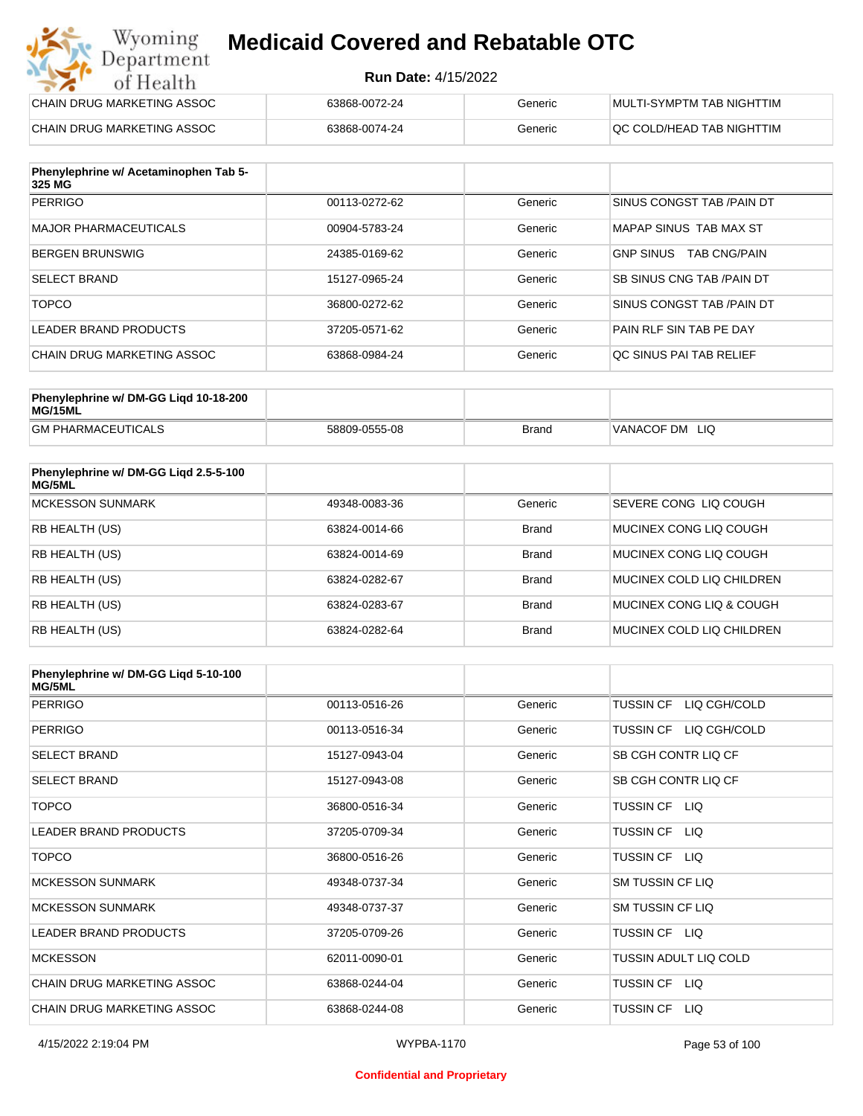#### **Run Date:** 4/15/2022

| CHAIN DRUG MARKETING ASSOC | 63868-0072-24 | Generic | MULTI-SYMPTM TAB NIGHTTIM  |
|----------------------------|---------------|---------|----------------------------|
| CHAIN DRUG MARKETING ASSOC | 63868-0074-24 | Generic | IQC COLD/HEAD TAB NIGHTTIM |

| Phenylephrine w/ Acetaminophen Tab 5-<br>325 MG |               |         |                                         |
|-------------------------------------------------|---------------|---------|-----------------------------------------|
| PERRIGO                                         | 00113-0272-62 | Generic | SINUS CONGST TAB /PAIN DT               |
| <b>MAJOR PHARMACEUTICALS</b>                    | 00904-5783-24 | Generic | MAPAP SINUS TAB MAX ST                  |
| <b>BERGEN BRUNSWIG</b>                          | 24385-0169-62 | Generic | <b>GNP SINUS</b><br><b>TAB CNG/PAIN</b> |
| <b>SELECT BRAND</b>                             | 15127-0965-24 | Generic | <b>SB SINUS CNG TAB /PAIN DT</b>        |
| <b>TOPCO</b>                                    | 36800-0272-62 | Generic | SINUS CONGST TAB /PAIN DT               |
| LEADER BRAND PRODUCTS                           | 37205-0571-62 | Generic | PAIN RLF SIN TAB PE DAY                 |
| CHAIN DRUG MARKETING ASSOC                      | 63868-0984-24 | Generic | OC SINUS PAI TAB RELIEF                 |

| Phenylephrine w/ DM-GG Ligd 10-18-200<br>MG/15ML |               |              |                   |
|--------------------------------------------------|---------------|--------------|-------------------|
| <b>GM PHARMACEUTICALS</b>                        | 58809-0555-08 | <b>Brand</b> | VANACOF DM<br>LIQ |

| Phenylephrine w/ DM-GG Ligd 2.5-5-100<br>MG/5ML |               |              |                           |
|-------------------------------------------------|---------------|--------------|---------------------------|
| <b>MCKESSON SUNMARK</b>                         | 49348-0083-36 | Generic      | SEVERE CONG LIO COUGH     |
| RB HEALTH (US)                                  | 63824-0014-66 | <b>Brand</b> | MUCINEX CONG LIO COUGH    |
| <b>RB HEALTH (US)</b>                           | 63824-0014-69 | <b>Brand</b> | MUCINEX CONG LIO COUGH    |
| <b>RB HEALTH (US)</b>                           | 63824-0282-67 | <b>Brand</b> | MUCINEX COLD LIQ CHILDREN |
| <b>RB HEALTH (US)</b>                           | 63824-0283-67 | <b>Brand</b> | MUCINEX CONG LIQ & COUGH  |
| RB HEALTH (US)                                  | 63824-0282-64 | <b>Brand</b> | MUCINEX COLD LIQ CHILDREN |

| Phenylephrine w/ DM-GG Ligd 5-10-100<br><b>MG/5ML</b> |               |         |                                  |
|-------------------------------------------------------|---------------|---------|----------------------------------|
| <b>PERRIGO</b>                                        | 00113-0516-26 | Generic | <b>TUSSIN CF</b><br>LIQ CGH/COLD |
| <b>PERRIGO</b>                                        | 00113-0516-34 | Generic | TUSSIN CF LIQ CGH/COLD           |
| <b>SELECT BRAND</b>                                   | 15127-0943-04 | Generic | SB CGH CONTR LIQ CF              |
| <b>SELECT BRAND</b>                                   | 15127-0943-08 | Generic | SB CGH CONTR LIQ CF              |
| <b>TOPCO</b>                                          | 36800-0516-34 | Generic | TUSSIN CF LIQ                    |
| LEADER BRAND PRODUCTS                                 | 37205-0709-34 | Generic | <b>TUSSIN CF</b><br>LIQ.         |
| <b>TOPCO</b>                                          | 36800-0516-26 | Generic | <b>TUSSIN CF</b><br>LIQ.         |
| <b>MCKESSON SUNMARK</b>                               | 49348-0737-34 | Generic | SM TUSSIN CF LIQ                 |
| <b>MCKESSON SUNMARK</b>                               | 49348-0737-37 | Generic | <b>SM TUSSIN CF LIQ</b>          |
| <b>LEADER BRAND PRODUCTS</b>                          | 37205-0709-26 | Generic | TUSSIN CF LIQ                    |
| <b>MCKESSON</b>                                       | 62011-0090-01 | Generic | <b>TUSSIN ADULT LIQ COLD</b>     |
| <b>CHAIN DRUG MARKETING ASSOC</b>                     | 63868-0244-04 | Generic | TUSSIN CF LIQ                    |
| CHAIN DRUG MARKETING ASSOC                            | 63868-0244-08 | Generic | <b>TUSSIN CF</b><br>LIQ.         |

#### **Confidential and Proprietary**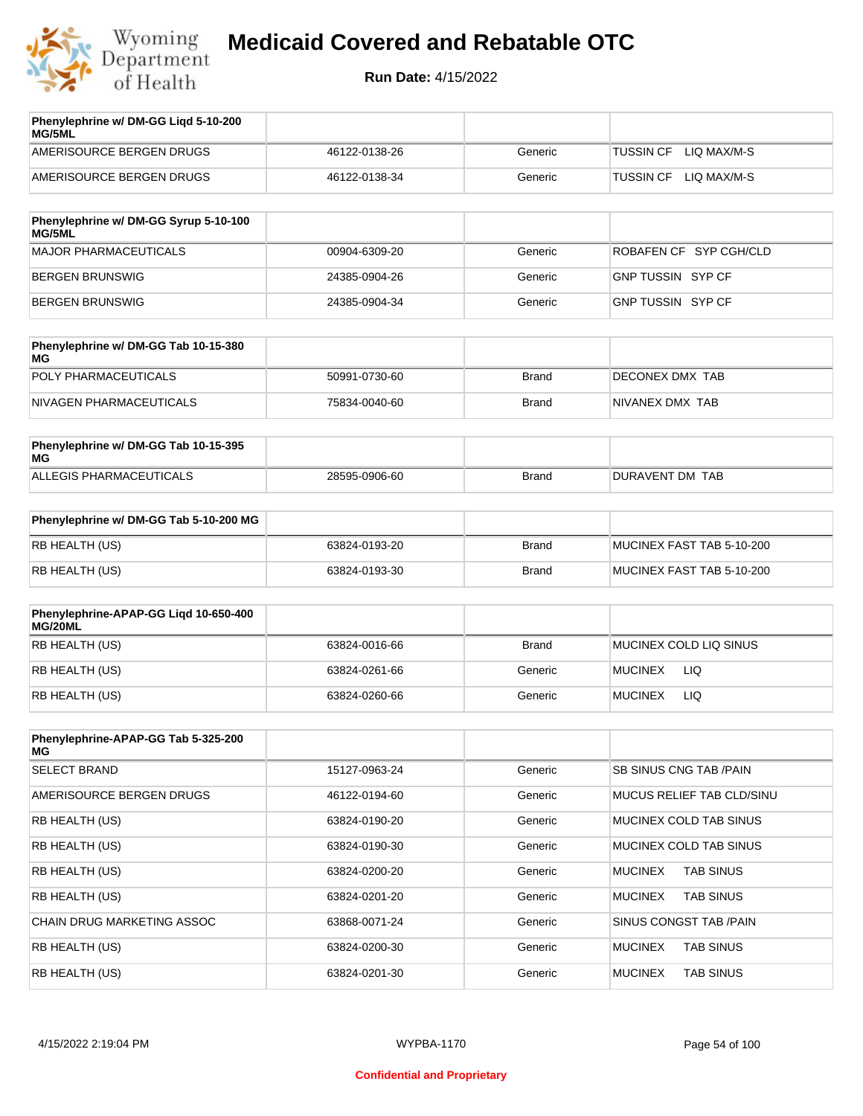

| Phenylephrine w/ DM-GG Ligd 5-10-200<br>MG/5ML |               |         |                                 |
|------------------------------------------------|---------------|---------|---------------------------------|
| AMERISOURCE BERGEN DRUGS                       | 46122-0138-26 | Generic | LIO MAX/M-S<br><b>TUSSIN CF</b> |
| AMERISOURCE BERGEN DRUGS                       | 46122-0138-34 | Generic | LIO MAX/M-S<br><b>TUSSIN CF</b> |
|                                                |               |         |                                 |

| Phenylephrine w/ DM-GG Syrup 5-10-100<br>MG/5ML |               |         |                          |
|-------------------------------------------------|---------------|---------|--------------------------|
| MAJOR PHARMACEUTICALS                           | 00904-6309-20 | Generic | ROBAFEN CF SYP CGH/CLD   |
| BERGEN BRUNSWIG                                 | 24385-0904-26 | Generic | <b>GNP TUSSIN SYP CF</b> |
| BERGEN BRUNSWIG                                 | 24385-0904-34 | Generic | GNP TUSSIN SYP CF        |

| Phenylephrine w/ DM-GG Tab 10-15-380<br>MG |               |       |                 |
|--------------------------------------------|---------------|-------|-----------------|
| POLY PHARMACEUTICALS                       | 50991-0730-60 | Brand | DECONEX DMX TAB |
| NIVAGEN PHARMACEUTICALS                    | 75834-0040-60 | Brand | NIVANEX DMX TAB |

| Phenylephrine w/ DM-GG Tab 10-15-395<br>MG |               |       |                 |
|--------------------------------------------|---------------|-------|-----------------|
| ALLEGIS PHARMACEUTICALS                    | 28595-0906-60 | Brand | DURAVENT DM TAB |

| Phenylephrine w/ DM-GG Tab 5-10-200 MG |               |       |                           |
|----------------------------------------|---------------|-------|---------------------------|
| RB HEALTH (US)                         | 63824-0193-20 | Brand | MUCINEX FAST TAB 5-10-200 |
| RB HEALTH (US)                         | 63824-0193-30 | Brand | MUCINEX FAST TAB 5-10-200 |

| Phenylephrine-APAP-GG Ligd 10-650-400<br>MG/20ML |               |              |                        |
|--------------------------------------------------|---------------|--------------|------------------------|
| RB HEALTH (US)                                   | 63824-0016-66 | <b>Brand</b> | MUCINEX COLD LIQ SINUS |
| RB HEALTH (US)                                   | 63824-0261-66 | Generic      | LIQ<br><b>MUCINEX</b>  |
| RB HEALTH (US)                                   | 63824-0260-66 | Generic      | <b>MUCINEX</b><br>LIQ  |

| Phenylephrine-APAP-GG Tab 5-325-200<br>MG |               |         |                                    |
|-------------------------------------------|---------------|---------|------------------------------------|
| <b>SELECT BRAND</b>                       | 15127-0963-24 | Generic | SB SINUS CNG TAB / PAIN            |
| AMERISOURCE BERGEN DRUGS                  | 46122-0194-60 | Generic | MUCUS RELIEF TAB CLD/SINU          |
| <b>RB HEALTH (US)</b>                     | 63824-0190-20 | Generic | MUCINEX COLD TAB SINUS             |
| <b>RB HEALTH (US)</b>                     | 63824-0190-30 | Generic | MUCINEX COLD TAB SINUS             |
| <b>RB HEALTH (US)</b>                     | 63824-0200-20 | Generic | <b>TAB SINUS</b><br><b>MUCINEX</b> |
| <b>RB HEALTH (US)</b>                     | 63824-0201-20 | Generic | <b>MUCINEX</b><br><b>TAB SINUS</b> |
| <b>CHAIN DRUG MARKETING ASSOC</b>         | 63868-0071-24 | Generic | SINUS CONGST TAB /PAIN             |
| <b>RB HEALTH (US)</b>                     | 63824-0200-30 | Generic | <b>MUCINEX</b><br><b>TAB SINUS</b> |
| RB HEALTH (US)                            | 63824-0201-30 | Generic | <b>MUCINEX</b><br><b>TAB SINUS</b> |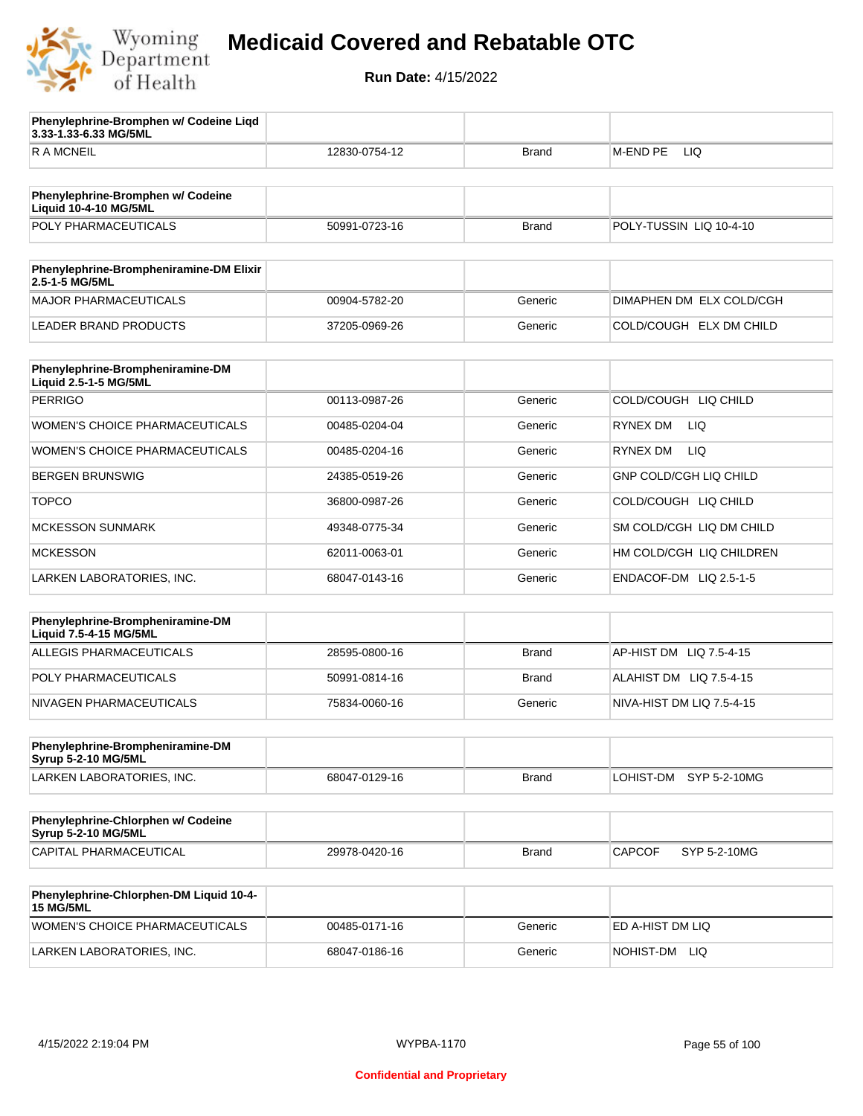

**3.33-1.33-6.33 MG/5ML**

**Phenylephrine-Bromphen w/ Codeine Liqd** 

## **Medicaid Covered and Rebatable OTC**

| <b>RAMCNEIL</b>                                                   | 12830-0754-12 | Brand        | M-END PE<br>LIQ               |
|-------------------------------------------------------------------|---------------|--------------|-------------------------------|
|                                                                   |               |              |                               |
| Phenylephrine-Bromphen w/ Codeine<br><b>Liquid 10-4-10 MG/5ML</b> |               |              |                               |
| POLY PHARMACEUTICALS                                              | 50991-0723-16 | <b>Brand</b> | POLY-TUSSIN LIQ 10-4-10       |
| Phenylephrine-Brompheniramine-DM Elixir<br>2.5-1-5 MG/5ML         |               |              |                               |
| <b>MAJOR PHARMACEUTICALS</b>                                      | 00904-5782-20 | Generic      | DIMAPHEN DM ELX COLD/CGH      |
| <b>LEADER BRAND PRODUCTS</b>                                      | 37205-0969-26 | Generic      | COLD/COUGH ELX DM CHILD       |
|                                                                   |               |              |                               |
| Phenylephrine-Brompheniramine-DM<br>Liquid 2.5-1-5 MG/5ML         |               |              |                               |
| <b>PERRIGO</b>                                                    | 00113-0987-26 | Generic      | COLD/COUGH LIQ CHILD          |
| WOMEN'S CHOICE PHARMACEUTICALS                                    | 00485-0204-04 | Generic      | <b>RYNEX DM</b><br>LIQ.       |
| WOMEN'S CHOICE PHARMACEUTICALS                                    | 00485-0204-16 | Generic      | <b>LIQ</b><br>RYNEX DM        |
| <b>BERGEN BRUNSWIG</b>                                            | 24385-0519-26 | Generic      | <b>GNP COLD/CGH LIQ CHILD</b> |
| <b>TOPCO</b>                                                      | 36800-0987-26 | Generic      | COLD/COUGH LIQ CHILD          |
| <b>MCKESSON SUNMARK</b>                                           | 49348-0775-34 | Generic      | SM COLD/CGH LIQ DM CHILD      |
| <b>MCKESSON</b>                                                   | 62011-0063-01 | Generic      | HM COLD/CGH LIQ CHILDREN      |
| LARKEN LABORATORIES, INC.                                         | 68047-0143-16 | Generic      | ENDACOF-DM LIQ 2.5-1-5        |
|                                                                   |               |              |                               |
| Phenylephrine-Brompheniramine-DM<br>Liquid 7.5-4-15 MG/5ML        |               |              |                               |
| <b>ALLEGIS PHARMACEUTICALS</b>                                    | 28595-0800-16 | <b>Brand</b> | AP-HIST DM LIQ 7.5-4-15       |
| POLY PHARMACEUTICALS                                              | 50991-0814-16 | Brand        | ALAHIST DM LIQ 7.5-4-15       |
| NIVAGEN PHARMACEUTICALS                                           | 75834-0060-16 | Generic      | NIVA-HIST DM LIQ 7.5-4-15     |
| Phenylephrine-Brompheniramine-DM                                  |               |              |                               |
| Syrup 5-2-10 MG/5ML                                               |               |              |                               |
| LARKEN LABORATORIES, INC.                                         | 68047-0129-16 | <b>Brand</b> | LOHIST-DM SYP 5-2-10MG        |
| Phenylephrine-Chlorphen w/ Codeine<br>Syrup 5-2-10 MG/5ML         |               |              |                               |
| CAPITAL PHARMACEUTICAL                                            | 29978-0420-16 | <b>Brand</b> | <b>CAPCOF</b><br>SYP 5-2-10MG |
|                                                                   |               |              |                               |
| Phenylephrine-Chlorphen-DM Liquid 10-4-<br><b>15 MG/5ML</b>       |               |              |                               |
| WOMEN'S CHOICE PHARMACEUTICALS                                    | 00485-0171-16 | Generic      | ED A-HIST DM LIQ              |
| LARKEN LABORATORIES, INC.                                         | 68047-0186-16 | Generic      | NOHIST-DM LIQ                 |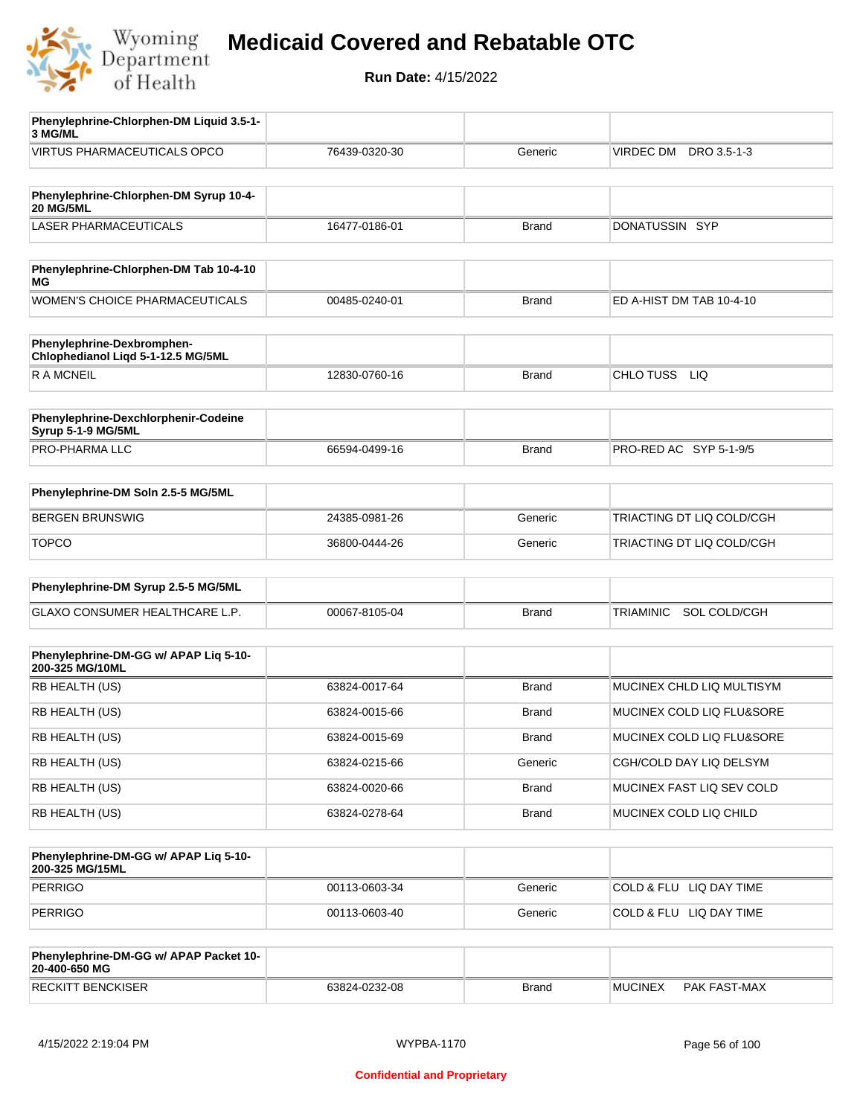

| Phenylephrine-Chlorphen-DM Liquid 3.5-1-<br>3 MG/ML        |               |              |                                |
|------------------------------------------------------------|---------------|--------------|--------------------------------|
| VIRTUS PHARMACEUTICALS OPCO                                | 76439-0320-30 | Generic      | VIRDEC DM DRO 3.5-1-3          |
|                                                            |               |              |                                |
| Phenylephrine-Chlorphen-DM Syrup 10-4-<br><b>20 MG/5ML</b> |               |              |                                |
| <b>LASER PHARMACEUTICALS</b>                               | 16477-0186-01 | <b>Brand</b> | DONATUSSIN SYP                 |
|                                                            |               |              |                                |
| Phenylephrine-Chlorphen-DM Tab 10-4-10<br>ΜG               |               |              |                                |
| WOMEN'S CHOICE PHARMACEUTICALS                             | 00485-0240-01 | <b>Brand</b> | ED A-HIST DM TAB 10-4-10       |
| Phenylephrine-Dexbromphen-                                 |               |              |                                |
| Chlophedianol Liqd 5-1-12.5 MG/5ML                         |               |              |                                |
| R A MCNEIL                                                 | 12830-0760-16 | <b>Brand</b> | CHLO TUSS LIQ                  |
|                                                            |               |              |                                |
| Phenylephrine-Dexchlorphenir-Codeine<br>Syrup 5-1-9 MG/5ML |               |              |                                |
| PRO-PHARMA LLC                                             | 66594-0499-16 | <b>Brand</b> | PRO-RED AC SYP 5-1-9/5         |
|                                                            |               |              |                                |
| Phenylephrine-DM Soln 2.5-5 MG/5ML                         |               |              |                                |
| <b>BERGEN BRUNSWIG</b>                                     | 24385-0981-26 | Generic      | TRIACTING DT LIQ COLD/CGH      |
| <b>TOPCO</b>                                               | 36800-0444-26 | Generic      | TRIACTING DT LIQ COLD/CGH      |
|                                                            |               |              |                                |
| Phenylephrine-DM Syrup 2.5-5 MG/5ML                        |               |              |                                |
| GLAXO CONSUMER HEALTHCARE L.P.                             | 00067-8105-04 | <b>Brand</b> | SOL COLD/CGH<br>TRIAMINIC      |
|                                                            |               |              |                                |
| Phenylephrine-DM-GG w/ APAP Liq 5-10-<br>200-325 MG/10ML   |               |              |                                |
| RB HEALTH (US)                                             | 63824-0017-64 | <b>Brand</b> | MUCINEX CHLD LIQ MULTISYM      |
| RB HEALTH (US)                                             | 63824-0015-66 | Brand        | MUCINEX COLD LIQ FLU&SORE      |
| RB HEALTH (US)                                             | 63824-0015-69 | <b>Brand</b> | MUCINEX COLD LIQ FLU&SORE      |
| RB HEALTH (US)                                             | 63824-0215-66 | Generic      | CGH/COLD DAY LIQ DELSYM        |
| RB HEALTH (US)                                             | 63824-0020-66 | <b>Brand</b> | MUCINEX FAST LIQ SEV COLD      |
| RB HEALTH (US)                                             | 63824-0278-64 | <b>Brand</b> | MUCINEX COLD LIQ CHILD         |
|                                                            |               |              |                                |
| Phenylephrine-DM-GG w/ APAP Liq 5-10-<br>200-325 MG/15ML   |               |              |                                |
| <b>PERRIGO</b>                                             | 00113-0603-34 | Generic      | COLD & FLU LIQ DAY TIME        |
| <b>PERRIGO</b>                                             | 00113-0603-40 | Generic      | COLD & FLU LIQ DAY TIME        |
|                                                            |               |              |                                |
| Phenylephrine-DM-GG w/ APAP Packet 10-<br>20-400-650 MG    |               |              |                                |
| <b>RECKITT BENCKISER</b>                                   | 63824-0232-08 | <b>Brand</b> | <b>MUCINEX</b><br>PAK FAST-MAX |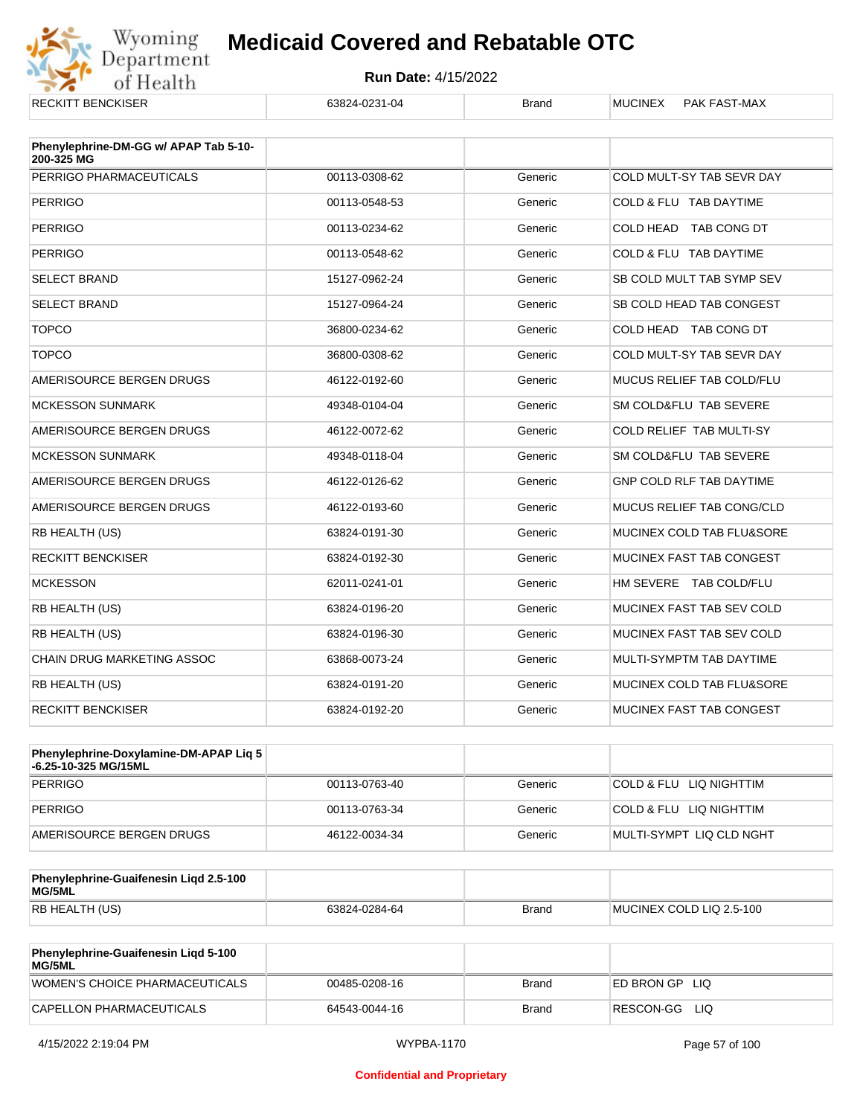

| NLUNI I DLIVUNJEN                                   | UJ024-UZJ I-U4 | pialiu  | <b>IVIUUIIVLA</b><br><b>FAN FAJI-IVIAA</b> |
|-----------------------------------------------------|----------------|---------|--------------------------------------------|
| Phenylephrine-DM-GG w/ APAP Tab 5-10-<br>200-325 MG |                |         |                                            |
| PERRIGO PHARMACEUTICALS                             | 00113-0308-62  | Generic | COLD MULT-SY TAB SEVR DAY                  |
| <b>PERRIGO</b>                                      | 00113-0548-53  | Generic | COLD & FLU TAB DAYTIME                     |
| <b>PERRIGO</b>                                      | 00113-0234-62  | Generic | COLD HEAD TAB CONG DT                      |
| <b>PERRIGO</b>                                      | 00113-0548-62  | Generic | COLD & FLU TAB DAYTIME                     |
| <b>SELECT BRAND</b>                                 | 15127-0962-24  | Generic | SB COLD MULT TAB SYMP SEV                  |
| <b>SELECT BRAND</b>                                 | 15127-0964-24  | Generic | SB COLD HEAD TAB CONGEST                   |
| <b>TOPCO</b>                                        | 36800-0234-62  | Generic | COLD HEAD TAB CONG DT                      |
| <b>TOPCO</b>                                        | 36800-0308-62  | Generic | COLD MULT-SY TAB SEVR DAY                  |
| AMERISOURCE BERGEN DRUGS                            | 46122-0192-60  | Generic | MUCUS RELIEF TAB COLD/FLU                  |
| <b>MCKESSON SUNMARK</b>                             | 49348-0104-04  | Generic | SM COLD&FLU TAB SEVERE                     |
| AMERISOURCE BERGEN DRUGS                            | 46122-0072-62  | Generic | <b>COLD RELIEF TAB MULTI-SY</b>            |
| <b>MCKESSON SUNMARK</b>                             | 49348-0118-04  | Generic | SM COLD&FLU TAB SEVERE                     |
| AMERISOURCE BERGEN DRUGS                            | 46122-0126-62  | Generic | GNP COLD RLF TAB DAYTIME                   |
| AMERISOURCE BERGEN DRUGS                            | 46122-0193-60  | Generic | <b>MUCUS RELIEF TAB CONG/CLD</b>           |
| <b>RB HEALTH (US)</b>                               | 63824-0191-30  | Generic | MUCINEX COLD TAB FLU&SORE                  |
| <b>RECKITT BENCKISER</b>                            | 63824-0192-30  | Generic | MUCINEX FAST TAB CONGEST                   |
| <b>MCKESSON</b>                                     | 62011-0241-01  | Generic | HM SEVERE TAB COLD/FLU                     |
| RB HEALTH (US)                                      | 63824-0196-20  | Generic | MUCINEX FAST TAB SEV COLD                  |
| <b>RB HEALTH (US)</b>                               | 63824-0196-30  | Generic | MUCINEX FAST TAB SEV COLD                  |
| <b>CHAIN DRUG MARKETING ASSOC</b>                   | 63868-0073-24  | Generic | MULTI-SYMPTM TAB DAYTIME                   |
| RB HEALTH (US)                                      | 63824-0191-20  | Generic | MUCINEX COLD TAB FLU&SORE                  |
| <b>RECKITT BENCKISER</b>                            | 63824-0192-20  | Generic | MUCINEX FAST TAB CONGEST                   |

| Phenylephrine-Doxylamine-DM-APAP Liq 5<br>-6.25-10-325 MG/15ML |               |         |                          |
|----------------------------------------------------------------|---------------|---------|--------------------------|
| PERRIGO                                                        | 00113-0763-40 | Generic | COLD & FLU LIQ NIGHTTIM  |
| PERRIGO                                                        | 00113-0763-34 | Generic | COLD & FLU LIQ NIGHTTIM  |
| AMERISOURCE BERGEN DRUGS                                       | 46122-0034-34 | Generic | MULTI-SYMPT LIQ CLD NGHT |

| Phenylephrine-Guaifenesin Ligd 2.5-100<br>MG/5ML |               |              |                          |
|--------------------------------------------------|---------------|--------------|--------------------------|
| RB HEALTH (US)                                   | 63824-0284-64 | <b>Brand</b> | MUCINEX COLD LIQ 2.5-100 |

| <b>Phenylephrine-Guaifenesin Ligd 5-100</b><br>MG/5ML |               |       |                    |
|-------------------------------------------------------|---------------|-------|--------------------|
| WOMEN'S CHOICE PHARMACEUTICALS                        | 00485-0208-16 | Brand | ED BRON GP<br>-LIQ |
| CAPELLON PHARMACEUTICALS                              | 64543-0044-16 | Brand | RESCON-GG LIO      |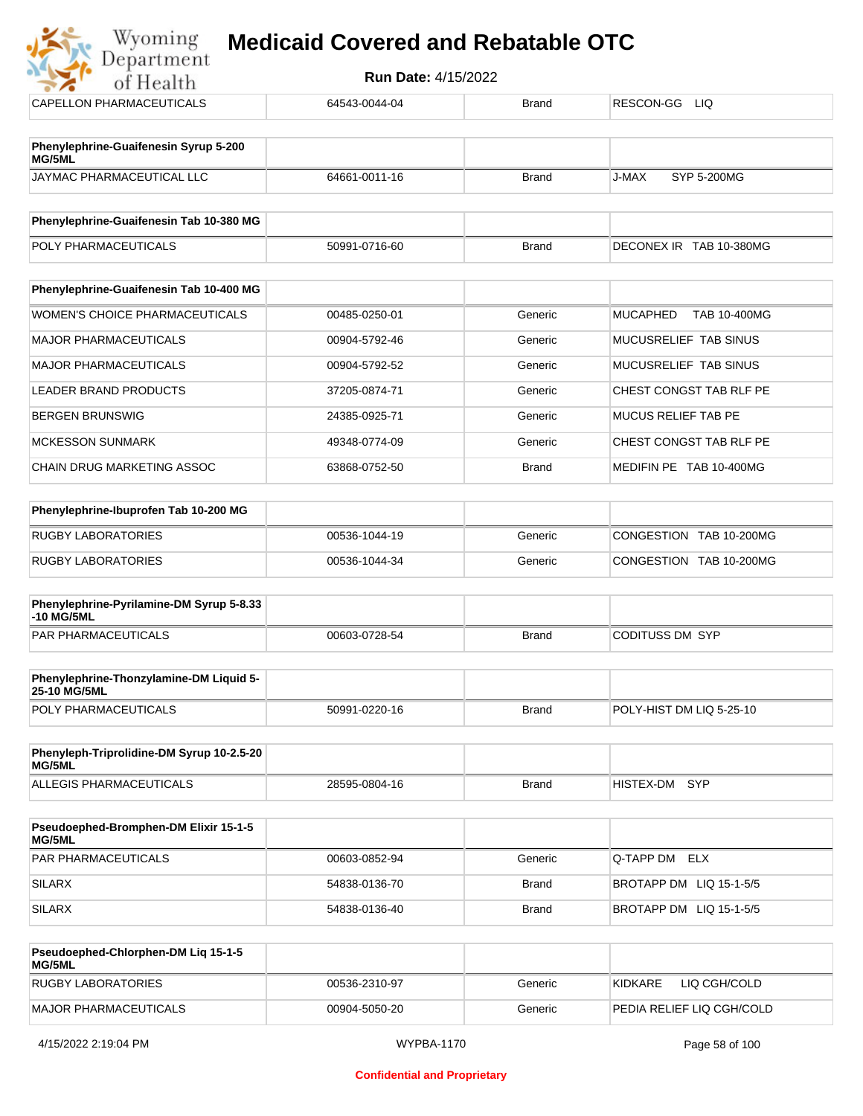| Department<br>of Health                                 | <b>Run Date: 4/15/2022</b> |              |                                        |
|---------------------------------------------------------|----------------------------|--------------|----------------------------------------|
| <b>CAPELLON PHARMACEUTICALS</b>                         | 64543-0044-04              | <b>Brand</b> | RESCON-GG LIQ                          |
| Phenylephrine-Guaifenesin Syrup 5-200<br>MG/5ML         |                            |              |                                        |
| JAYMAC PHARMACEUTICAL LLC                               | 64661-0011-16              | <b>Brand</b> | J-MAX<br>SYP 5-200MG                   |
| Phenylephrine-Guaifenesin Tab 10-380 MG                 |                            |              |                                        |
| POLY PHARMACEUTICALS                                    | 50991-0716-60              | <b>Brand</b> | DECONEX IR TAB 10-380MG                |
| Phenylephrine-Guaifenesin Tab 10-400 MG                 |                            |              |                                        |
| <b>WOMEN'S CHOICE PHARMACEUTICALS</b>                   | 00485-0250-01              | Generic      | <b>MUCAPHED</b><br><b>TAB 10-400MG</b> |
| <b>MAJOR PHARMACEUTICALS</b>                            | 00904-5792-46              | Generic      | MUCUSRELIEF TAB SINUS                  |
| <b>MAJOR PHARMACEUTICALS</b>                            | 00904-5792-52              | Generic      | MUCUSRELIEF TAB SINUS                  |
| <b>LEADER BRAND PRODUCTS</b>                            | 37205-0874-71              | Generic      | CHEST CONGST TAB RLF PE                |
| <b>BERGEN BRUNSWIG</b>                                  | 24385-0925-71              | Generic      | <b>MUCUS RELIEF TAB PE</b>             |
| <b>MCKESSON SUNMARK</b>                                 | 49348-0774-09              | Generic      | CHEST CONGST TAB RLF PE                |
| <b>CHAIN DRUG MARKETING ASSOC</b>                       | 63868-0752-50              | <b>Brand</b> | MEDIFIN PE TAB 10-400MG                |
| Phenylephrine-Ibuprofen Tab 10-200 MG                   |                            |              |                                        |
| <b>RUGBY LABORATORIES</b>                               | 00536-1044-19              | Generic      | CONGESTION TAB 10-200MG                |
| <b>RUGBY LABORATORIES</b>                               | 00536-1044-34              | Generic      | CONGESTION TAB 10-200MG                |
| Phenylephrine-Pyrilamine-DM Syrup 5-8.33<br>-10 MG/5ML  |                            |              |                                        |
| PAR PHARMACEUTICALS                                     | 00603-0728-54              | <b>Brand</b> | <b>CODITUSS DM SYP</b>                 |
| Phenylephrine-Thonzylamine-DM Liquid 5-<br>25-10 MG/5ML |                            |              |                                        |
| POLY PHARMACEUTICALS                                    | 50991-0220-16              | <b>Brand</b> | POLY-HIST DM LIQ 5-25-10               |

| Phenyleph-Triprolidine-DM Syrup 10-2.5-20<br>MG/5ML |               |       |                         |  |
|-----------------------------------------------------|---------------|-------|-------------------------|--|
| ALLEGIS PHARMACEUTICALS                             | 28595-0804-16 | Brand | <b>SYP</b><br>HISTEX-DM |  |

| <b>Pseudoephed-Bromphen-DM Elixir 15-1-5</b><br>MG/5ML |               |         |                         |
|--------------------------------------------------------|---------------|---------|-------------------------|
| <b>PAR PHARMACEUTICALS</b>                             | 00603-0852-94 | Generic | Q-TAPP DM ELX           |
| SILARX                                                 | 54838-0136-70 | Brand   | BROTAPP DM LIQ 15-1-5/5 |
| SILARX                                                 | 54838-0136-40 | Brand   | BROTAPP DM LIQ 15-1-5/5 |

| <b>Pseudoephed-Chlorphen-DM Lig 15-1-5</b><br>MG/5ML |               |         |                           |
|------------------------------------------------------|---------------|---------|---------------------------|
| <b>RUGBY LABORATORIES</b>                            | 00536-2310-97 | Generic | 'KIDKARE<br>LIQ CGH/COLD  |
| MAJOR PHARMACEUTICALS                                | 00904-5050-20 | Generic | PEDIA RELIEF LIQ CGH/COLD |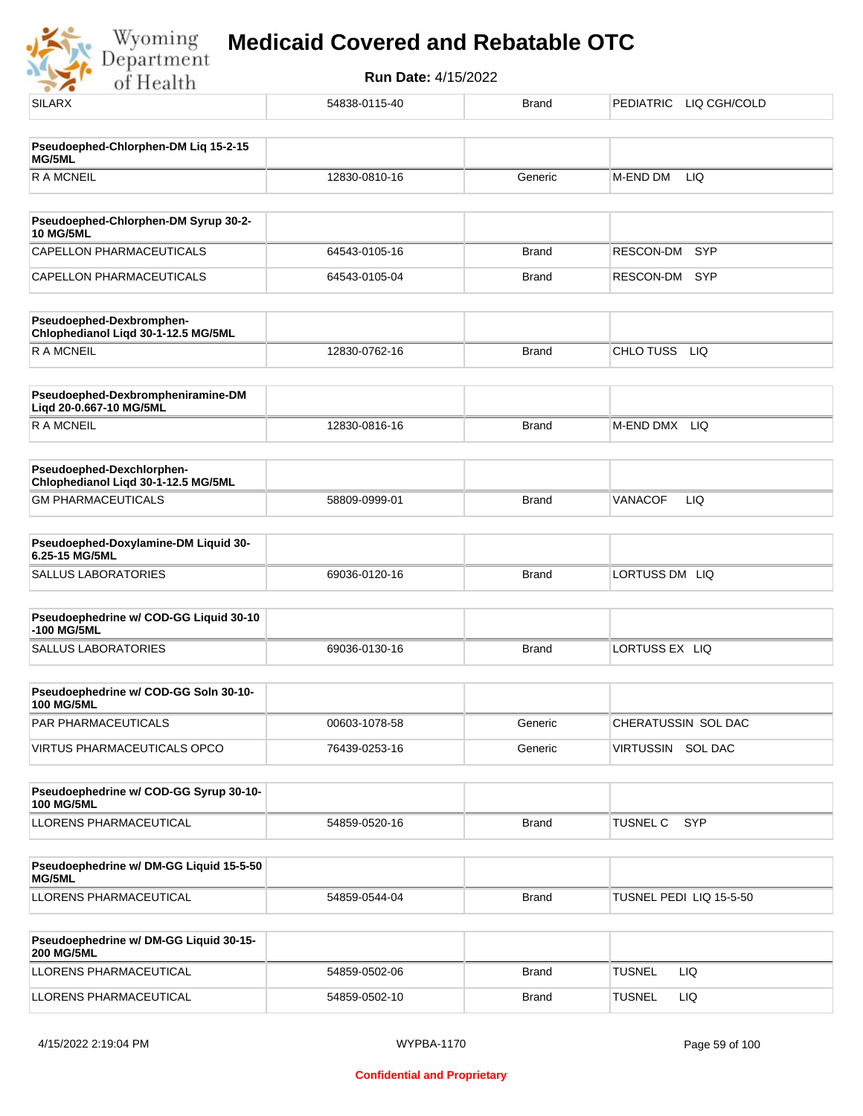

| <b>SILARX</b>                                                    | 54838-0115-40 | <b>Brand</b> | PEDIATRIC<br>LIQ CGH/COLD |
|------------------------------------------------------------------|---------------|--------------|---------------------------|
|                                                                  |               |              |                           |
| Pseudoephed-Chlorphen-DM Liq 15-2-15<br>MG/5ML                   |               |              |                           |
| <b>RAMCNEIL</b>                                                  | 12830-0810-16 | Generic      | LIQ<br>M-END DM           |
| Pseudoephed-Chlorphen-DM Syrup 30-2-                             |               |              |                           |
| <b>10 MG/5ML</b>                                                 |               |              |                           |
| CAPELLON PHARMACEUTICALS                                         | 64543-0105-16 | <b>Brand</b> | <b>SYP</b><br>RESCON-DM   |
| CAPELLON PHARMACEUTICALS                                         | 64543-0105-04 | <b>Brand</b> | RESCON-DM<br><b>SYP</b>   |
| Pseudoephed-Dexbromphen-<br>Chlophedianol Liqd 30-1-12.5 MG/5ML  |               |              |                           |
| <b>RAMCNEIL</b>                                                  | 12830-0762-16 | <b>Brand</b> | CHLO TUSS<br><b>LIQ</b>   |
| Pseudoephed-Dexbrompheniramine-DM<br>Liqd 20-0.667-10 MG/5ML     |               |              |                           |
| <b>RAMCNEIL</b>                                                  | 12830-0816-16 | <b>Brand</b> | M-END DMX LIQ             |
| Pseudoephed-Dexchlorphen-<br>Chlophedianol Liqd 30-1-12.5 MG/5ML |               |              |                           |
| <b>GM PHARMACEUTICALS</b>                                        | 58809-0999-01 | <b>Brand</b> | LIQ<br><b>VANACOF</b>     |
| Pseudoephed-Doxylamine-DM Liquid 30-                             |               |              |                           |
| 6.25-15 MG/5ML                                                   |               |              |                           |
| <b>SALLUS LABORATORIES</b>                                       | 69036-0120-16 | <b>Brand</b> | LORTUSS DM LIQ            |
| Pseudoephedrine w/ COD-GG Liquid 30-10<br>-100 MG/5ML            |               |              |                           |
| <b>SALLUS LABORATORIES</b>                                       | 69036-0130-16 | <b>Brand</b> | LORTUSS EX LIQ            |
| Pseudoephedrine w/ COD-GG Soln 30-10-<br><b>100 MG/5ML</b>       |               |              |                           |
| PAR PHARMACEUTICALS                                              | 00603-1078-58 | Generic      | CHERATUSSIN SOL DAC       |
| <b>VIRTUS PHARMACEUTICALS OPCO</b>                               | 76439-0253-16 | Generic      | VIRTUSSIN SOL DAC         |
|                                                                  |               |              |                           |
| Pseudoephedrine w/ COD-GG Syrup 30-10-<br><b>100 MG/5ML</b>      |               |              |                           |
| LLORENS PHARMACEUTICAL                                           | 54859-0520-16 | <b>Brand</b> | SYP<br>TUSNEL C           |
|                                                                  |               |              |                           |
| Pseudoephedrine w/ DM-GG Liquid 15-5-50<br>MG/5ML                |               |              |                           |
| LLORENS PHARMACEUTICAL                                           | 54859-0544-04 | <b>Brand</b> | TUSNEL PEDI LIQ 15-5-50   |
| Pseudoephedrine w/ DM-GG Liquid 30-15-<br><b>200 MG/5ML</b>      |               |              |                           |
| LLORENS PHARMACEUTICAL                                           | 54859-0502-06 | Brand        | <b>TUSNEL</b><br>LIQ      |
| LLORENS PHARMACEUTICAL                                           | 54859-0502-10 | <b>Brand</b> | <b>TUSNEL</b><br>LIQ      |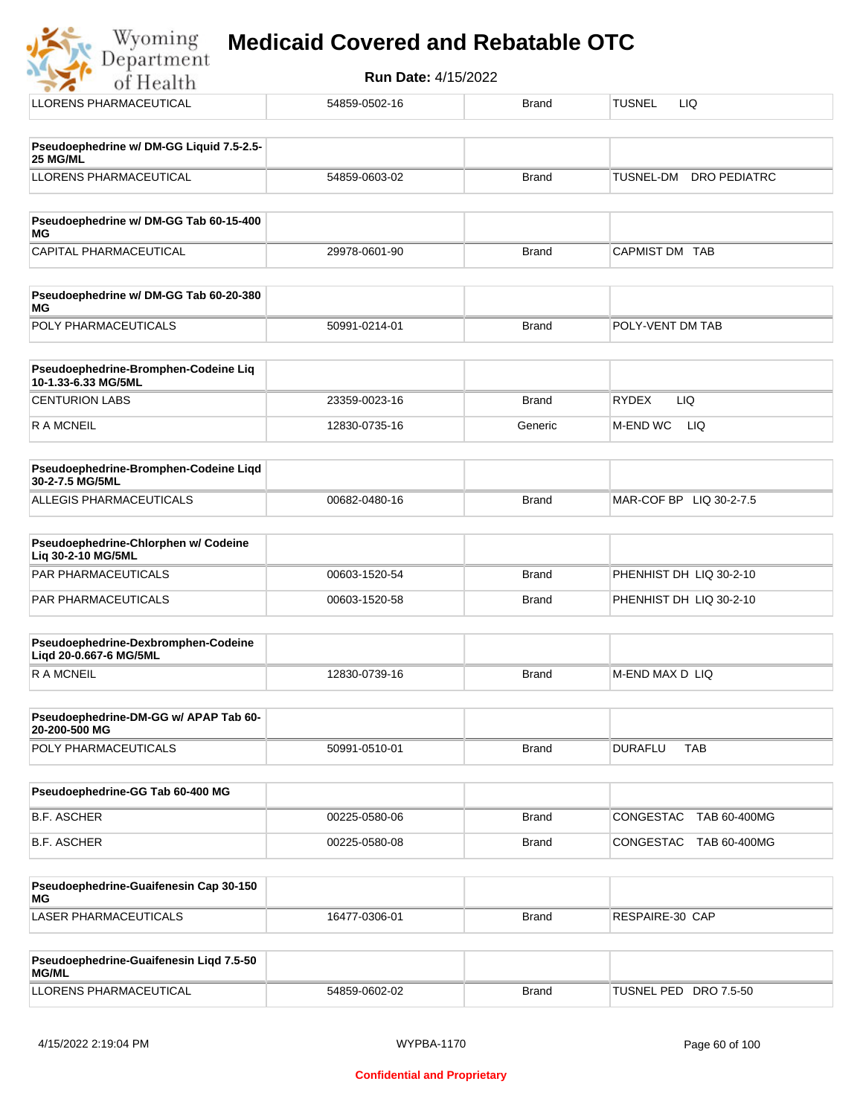| Wyoming<br>Department |  |  |  | <b>Medicaid Covered and Rebatable OTC</b> |  |
|-----------------------|--|--|--|-------------------------------------------|--|
|-----------------------|--|--|--|-------------------------------------------|--|

**Run Date:** 4/15/2022 of Health LLORENS PHARMACEUTICAL **1986-0502-16** 54859-0502-16 Brand TUSNEL LIQ **Pseudoephedrine w/ DM-GG Liquid 7.5-2.5- 25 MG/ML** LLORENS PHARMACEUTICAL 54859-0603-02 Brand TUSNEL-DM DRO PEDIATRC **Pseudoephedrine w/ DM-GG Tab 60-15-400 MG** CAPITAL PHARMACEUTICAL 29978-0601-90 Brand CAPMIST DM TAB **Pseudoephedrine w/ DM-GG Tab 60-20-380 MG** POLY PHARMACEUTICALS 50991-0214-01 Brand POLY-VENT DM TAB **Pseudoephedrine-Bromphen-Codeine Liq 10-1.33-6.33 MG/5ML** CENTURION LABS 23359-0023-16 Brand RYDEX LIQ R A MCNEIL **12830-0735-16** Generic M-END WC LIQ **Pseudoephedrine-Bromphen-Codeine Liqd 30-2-7.5 MG/5ML** ALLEGIS PHARMACEUTICALS 00682-0480-16 DATE: DETAIL BRAND MAR-COF BP LIQ 30-2-7.5 **Pseudoephedrine-Chlorphen w/ Codeine Liq 30-2-10 MG/5ML** PAR PHARMACEUTICALS 00603-1520-54 Brand PHENHIST DH LIQ 30-2-10 PAR PHARMACEUTICALS **DEVELOPS** 00603-1520-58 Brand PHENHIST DH LIQ 30-2-10 **Pseudoephedrine-Dexbromphen-Codeine Liqd 20-0.667-6 MG/5ML** R A MCNEIL **Example 2018** 12830-0739-16 Brand M-END MAX D LIQ **Pseudoephedrine-DM-GG w/ APAP Tab 60- 20-200-500 MG** POLY PHARMACEUTICALS 
and the solution of the solution of the state of the state of the state of the state of the state of the state of the state of the state of the state of the state of the state of the state of the stat **Pseudoephedrine-GG Tab 60-400 MG** B.F. ASCHER 00225-0580-06 Brand CONGESTAC TAB 60-400MG

| Pseudoephedrine-Guaifenesin Cap 30-150<br>MG |               |       |                 |
|----------------------------------------------|---------------|-------|-----------------|
| LASER PHARMACEUTICALS                        | 16477-0306-01 | Brand | RESPAIRE-30 CAP |

B.F. ASCHER 00225-0580-08 Brand CONGESTAC TAB 60-400MG

| <b>Pseudoephedrine-Guaifenesin Ligd 7.5-50</b><br><b>MG/ML</b> |               |              |                       |
|----------------------------------------------------------------|---------------|--------------|-----------------------|
| LLORENS PHARMACEUTICAL                                         | 54859-0602-02 | <b>Brand</b> | TUSNEL PED DRO 7.5-50 |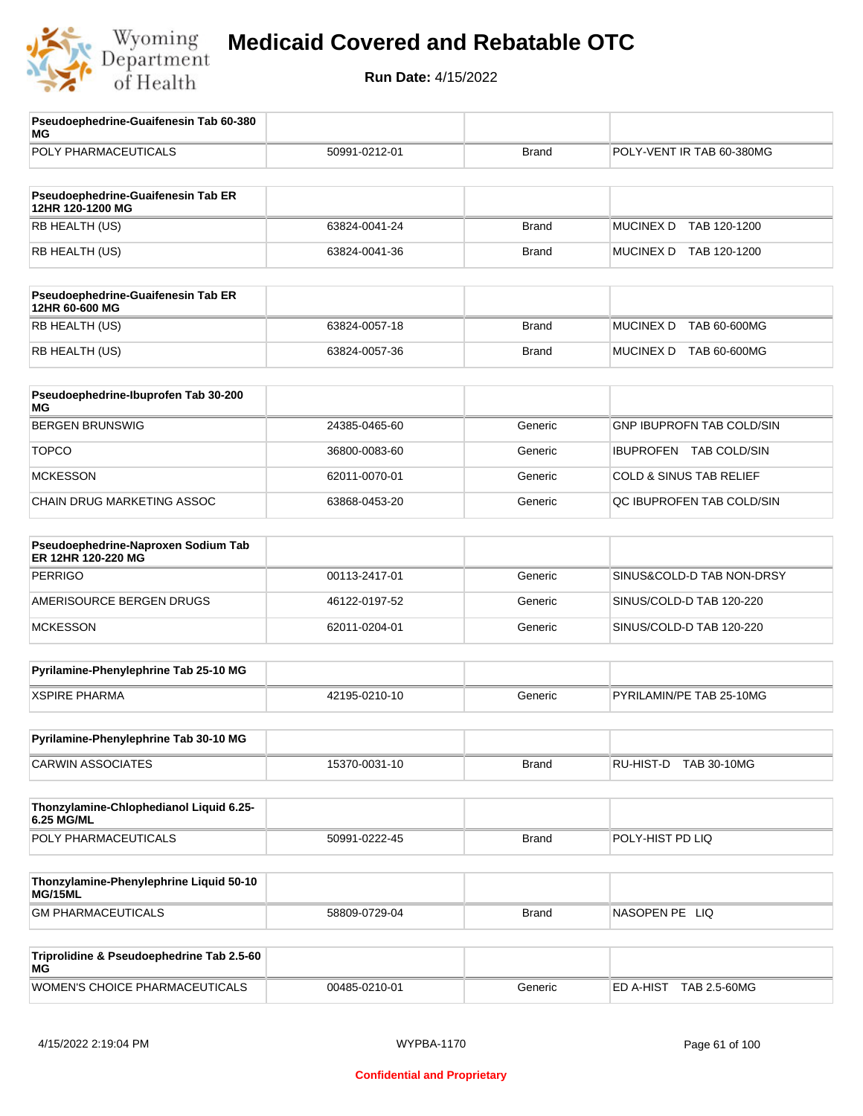

| Pseudoephedrine-Guaifenesin Tab 60-380<br>MG              |               |              |                                         |
|-----------------------------------------------------------|---------------|--------------|-----------------------------------------|
| POLY PHARMACEUTICALS                                      | 50991-0212-01 | <b>Brand</b> | POLY-VENT IR TAB 60-380MG               |
| Pseudoephedrine-Guaifenesin Tab ER<br>12HR 120-1200 MG    |               |              |                                         |
| RB HEALTH (US)                                            | 63824-0041-24 | <b>Brand</b> | <b>MUCINEX D</b><br>TAB 120-1200        |
| RB HEALTH (US)                                            | 63824-0041-36 | <b>Brand</b> | MUCINEX D TAB 120-1200                  |
| Pseudoephedrine-Guaifenesin Tab ER<br>12HR 60-600 MG      |               |              |                                         |
| RB HEALTH (US)                                            | 63824-0057-18 | <b>Brand</b> | <b>MUCINEX D</b><br><b>TAB 60-600MG</b> |
| RB HEALTH (US)                                            | 63824-0057-36 | <b>Brand</b> | MUCINEX D TAB 60-600MG                  |
| Pseudoephedrine-Ibuprofen Tab 30-200<br>МG                |               |              |                                         |
| <b>BERGEN BRUNSWIG</b>                                    | 24385-0465-60 | Generic      | <b>GNP IBUPROFN TAB COLD/SIN</b>        |
| <b>TOPCO</b>                                              | 36800-0083-60 | Generic      | IBUPROFEN TAB COLD/SIN                  |
| <b>MCKESSON</b>                                           | 62011-0070-01 | Generic      | <b>COLD &amp; SINUS TAB RELIEF</b>      |
| CHAIN DRUG MARKETING ASSOC                                | 63868-0453-20 | Generic      | QC IBUPROFEN TAB COLD/SIN               |
| Pseudoephedrine-Naproxen Sodium Tab<br>ER 12HR 120-220 MG |               |              |                                         |
| <b>PERRIGO</b>                                            | 00113-2417-01 | Generic      | SINUS&COLD-D TAB NON-DRSY               |
| AMERISOURCE BERGEN DRUGS                                  | 46122-0197-52 | Generic      | SINUS/COLD-D TAB 120-220                |
| <b>MCKESSON</b>                                           | 62011-0204-01 | Generic      | SINUS/COLD-D TAB 120-220                |
| Pyrilamine-Phenylephrine Tab 25-10 MG                     |               |              |                                         |
| <b>XSPIRE PHARMA</b>                                      | 42195-0210-10 | Generic      | PYRILAMIN/PE TAB 25-10MG                |
| Pyrilamine-Phenylephrine Tab 30-10 MG                     |               |              |                                         |
| <b>CARWIN ASSOCIATES</b>                                  | 15370-0031-10 | <b>Brand</b> | RU-HIST-D TAB 30-10MG                   |
| Thonzylamine-Chlophedianol Liquid 6.25-<br>6.25 MG/ML     |               |              |                                         |
| POLY PHARMACEUTICALS                                      | 50991-0222-45 | <b>Brand</b> | POLY-HIST PD LIQ                        |
| Thonzylamine-Phenylephrine Liquid 50-10<br>MG/15ML        |               |              |                                         |
| <b>GM PHARMACEUTICALS</b>                                 | 58809-0729-04 | <b>Brand</b> | NASOPEN PE LIQ                          |
| Triprolidine & Pseudoephedrine Tab 2.5-60<br>ΜG           |               |              |                                         |
| WOMEN'S CHOICE PHARMACEUTICALS                            | 00485-0210-01 | Generic      | ED A-HIST TAB 2.5-60MG                  |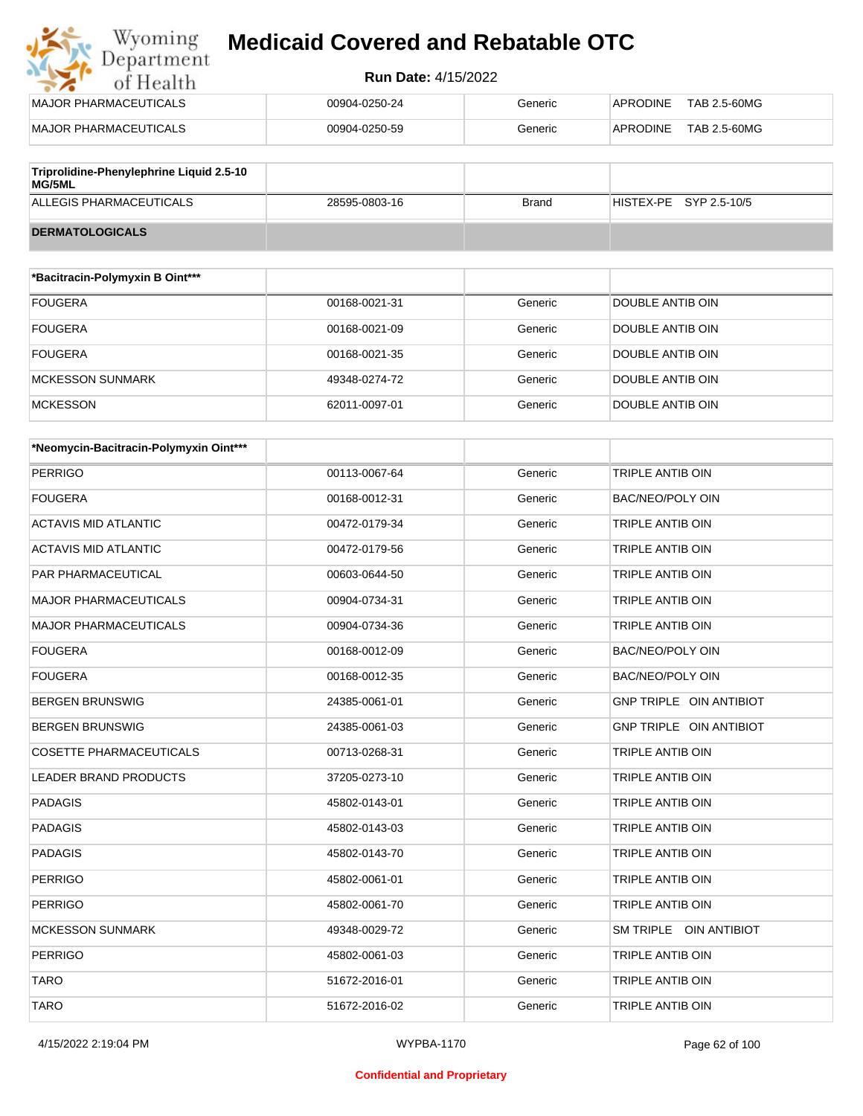## Wyoming<br>Department<br>of Health **Medicaid Covered and Rebatable OTC**

#### **Run Date:** 4/15/2022

| MAJOR PHARMACEUTICALS                              | 00904-0250-24 | Generic | APRODINE<br>TAB 2.5-60MG |
|----------------------------------------------------|---------------|---------|--------------------------|
| MAJOR PHARMACEUTICALS                              | 00904-0250-59 | Generic | TAB 2.5-60MG<br>APRODINE |
|                                                    |               |         |                          |
| Triprolidine-Phenylephrine Liquid 2.5-10<br>MG/5ML |               |         |                          |

ALLEGIS PHARMACEUTICALS 28595-0803-16 Brand HISTEX-PE SYP 2.5-10/5

| <b>DERMATOLOGICALS</b> |  |
|------------------------|--|

| *Bacitracin-Polymyxin B Oint*** |               |         |                         |
|---------------------------------|---------------|---------|-------------------------|
| <b>FOUGERA</b>                  | 00168-0021-31 | Generic | DOUBLE ANTIB OIN        |
| <b>FOUGERA</b>                  | 00168-0021-09 | Generic | DOUBLE ANTIB OIN        |
| <b>FOUGERA</b>                  | 00168-0021-35 | Generic | DOUBLE ANTIB OIN        |
| MCKESSON SUNMARK                | 49348-0274-72 | Generic | <b>DOUBLE ANTIB OIN</b> |
| <b>MCKESSON</b>                 | 62011-0097-01 | Generic | DOUBLE ANTIB OIN        |

| *Neomycin-Bacitracin-Polymyxin Oint*** |               |         |                                |
|----------------------------------------|---------------|---------|--------------------------------|
| <b>PERRIGO</b>                         | 00113-0067-64 | Generic | TRIPLE ANTIB OIN               |
| <b>FOUGERA</b>                         | 00168-0012-31 | Generic | <b>BAC/NEO/POLY OIN</b>        |
| <b>ACTAVIS MID ATLANTIC</b>            | 00472-0179-34 | Generic | <b>TRIPLE ANTIB OIN</b>        |
| <b>ACTAVIS MID ATLANTIC</b>            | 00472-0179-56 | Generic | TRIPLE ANTIB OIN               |
| PAR PHARMACEUTICAL                     | 00603-0644-50 | Generic | <b>TRIPLE ANTIB OIN</b>        |
| <b>MAJOR PHARMACEUTICALS</b>           | 00904-0734-31 | Generic | <b>TRIPLE ANTIB OIN</b>        |
| <b>MAJOR PHARMACEUTICALS</b>           | 00904-0734-36 | Generic | <b>TRIPLE ANTIB OIN</b>        |
| <b>FOUGERA</b>                         | 00168-0012-09 | Generic | <b>BAC/NEO/POLY OIN</b>        |
| <b>FOUGERA</b>                         | 00168-0012-35 | Generic | BAC/NEO/POLY OIN               |
| <b>BERGEN BRUNSWIG</b>                 | 24385-0061-01 | Generic | GNP TRIPLE OIN ANTIBIOT        |
| <b>BERGEN BRUNSWIG</b>                 | 24385-0061-03 | Generic | <b>GNP TRIPLE OIN ANTIBIOT</b> |
| <b>COSETTE PHARMACEUTICALS</b>         | 00713-0268-31 | Generic | <b>TRIPLE ANTIB OIN</b>        |
| <b>LEADER BRAND PRODUCTS</b>           | 37205-0273-10 | Generic | TRIPLE ANTIB OIN               |
| <b>PADAGIS</b>                         | 45802-0143-01 | Generic | TRIPLE ANTIB OIN               |
| <b>PADAGIS</b>                         | 45802-0143-03 | Generic | <b>TRIPLE ANTIB OIN</b>        |
| <b>PADAGIS</b>                         | 45802-0143-70 | Generic | TRIPLE ANTIB OIN               |
| <b>PERRIGO</b>                         | 45802-0061-01 | Generic | <b>TRIPLE ANTIB OIN</b>        |
| <b>PERRIGO</b>                         | 45802-0061-70 | Generic | <b>TRIPLE ANTIB OIN</b>        |
| <b>MCKESSON SUNMARK</b>                | 49348-0029-72 | Generic | SM TRIPLE OIN ANTIBIOT         |
| <b>PERRIGO</b>                         | 45802-0061-03 | Generic | TRIPLE ANTIB OIN               |
| <b>TARO</b>                            | 51672-2016-01 | Generic | <b>TRIPLE ANTIB OIN</b>        |
| <b>TARO</b>                            | 51672-2016-02 | Generic | <b>TRIPLE ANTIB OIN</b>        |

#### **Confidential and Proprietary**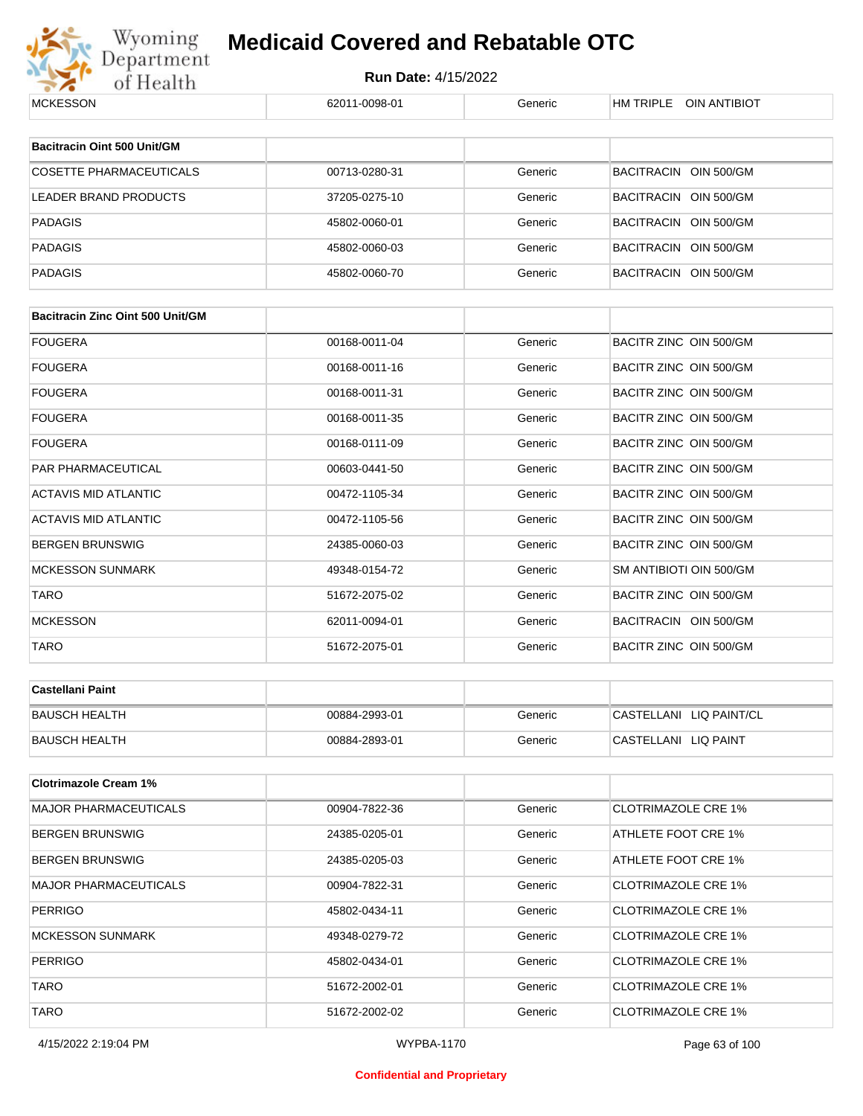

# Wyoming **Medicaid Covered and Rebatable OTC**<br>Department Run Date: 4/15/2022<br>of Health 62011-0098-01 **Medicaid Covered and Rebatable OTC**

| <b>MUNESSUIN</b>                        | 02011-0090-01 | oenenc  | <b>NIVEL UIN ANTIBIUT</b>  |
|-----------------------------------------|---------------|---------|----------------------------|
| <b>Bacitracin Oint 500 Unit/GM</b>      |               |         |                            |
|                                         |               |         |                            |
| <b>COSETTE PHARMACEUTICALS</b>          | 00713-0280-31 | Generic | BACITRACIN OIN 500/GM      |
| <b>LEADER BRAND PRODUCTS</b>            | 37205-0275-10 | Generic | BACITRACIN OIN 500/GM      |
| <b>PADAGIS</b>                          | 45802-0060-01 | Generic | BACITRACIN OIN 500/GM      |
| <b>PADAGIS</b>                          | 45802-0060-03 | Generic | BACITRACIN OIN 500/GM      |
| <b>PADAGIS</b>                          | 45802-0060-70 | Generic | BACITRACIN OIN 500/GM      |
| <b>Bacitracin Zinc Oint 500 Unit/GM</b> |               |         |                            |
| <b>FOUGERA</b>                          | 00168-0011-04 | Generic | BACITR ZINC OIN 500/GM     |
| <b>FOUGERA</b>                          | 00168-0011-16 | Generic | BACITR ZINC OIN 500/GM     |
| <b>FOUGERA</b>                          | 00168-0011-31 | Generic | BACITR ZINC OIN 500/GM     |
| <b>FOUGERA</b>                          | 00168-0011-35 | Generic | BACITR ZINC OIN 500/GM     |
| <b>FOUGERA</b>                          | 00168-0111-09 | Generic | BACITR ZINC OIN 500/GM     |
| PAR PHARMACEUTICAL                      | 00603-0441-50 | Generic | BACITR ZINC OIN 500/GM     |
| <b>ACTAVIS MID ATLANTIC</b>             | 00472-1105-34 | Generic | BACITR ZINC OIN 500/GM     |
| ACTAVIS MID ATLANTIC                    | 00472-1105-56 | Generic | BACITR ZINC OIN 500/GM     |
| <b>BERGEN BRUNSWIG</b>                  | 24385-0060-03 | Generic | BACITR ZINC OIN 500/GM     |
| <b>MCKESSON SUNMARK</b>                 | 49348-0154-72 | Generic | SM ANTIBIOTI OIN 500/GM    |
| <b>TARO</b>                             | 51672-2075-02 | Generic | BACITR ZINC OIN 500/GM     |
| <b>MCKESSON</b>                         | 62011-0094-01 | Generic | BACITRACIN OIN 500/GM      |
| TARO                                    | 51672-2075-01 | Generic | BACITR ZINC OIN 500/GM     |
| <b>Castellani Paint</b>                 |               |         |                            |
| <b>BAUSCH HEALTH</b>                    | 00884-2993-01 | Generic | CASTELLANI LIQ PAINT/CL    |
| <b>BAUSCH HEALTH</b>                    | 00884-2893-01 | Generic | CASTELLANI LIQ PAINT       |
|                                         |               |         |                            |
| <b>Clotrimazole Cream 1%</b>            |               |         |                            |
| <b>MAJOR PHARMACEUTICALS</b>            | 00904-7822-36 | Generic | <b>CLOTRIMAZOLE CRE 1%</b> |
| <b>BERGEN BRUNSWIG</b>                  | 24385-0205-01 | Generic | ATHLETE FOOT CRE 1%        |
| <b>BERGEN BRUNSWIG</b>                  | 24385-0205-03 | Generic | ATHLETE FOOT CRE 1%        |
| <b>MAJOR PHARMACEUTICALS</b>            | 00904-7822-31 | Generic | <b>CLOTRIMAZOLE CRE 1%</b> |
| <b>PERRIGO</b>                          | 45802-0434-11 | Generic | <b>CLOTRIMAZOLE CRE 1%</b> |
| <b>MCKESSON SUNMARK</b>                 | 49348-0279-72 | Generic | <b>CLOTRIMAZOLE CRE 1%</b> |
| <b>PERRIGO</b>                          | 45802-0434-01 | Generic | <b>CLOTRIMAZOLE CRE 1%</b> |
| <b>TARO</b>                             | 51672-2002-01 | Generic | <b>CLOTRIMAZOLE CRE 1%</b> |
| <b>TARO</b>                             | 51672-2002-02 | Generic | <b>CLOTRIMAZOLE CRE 1%</b> |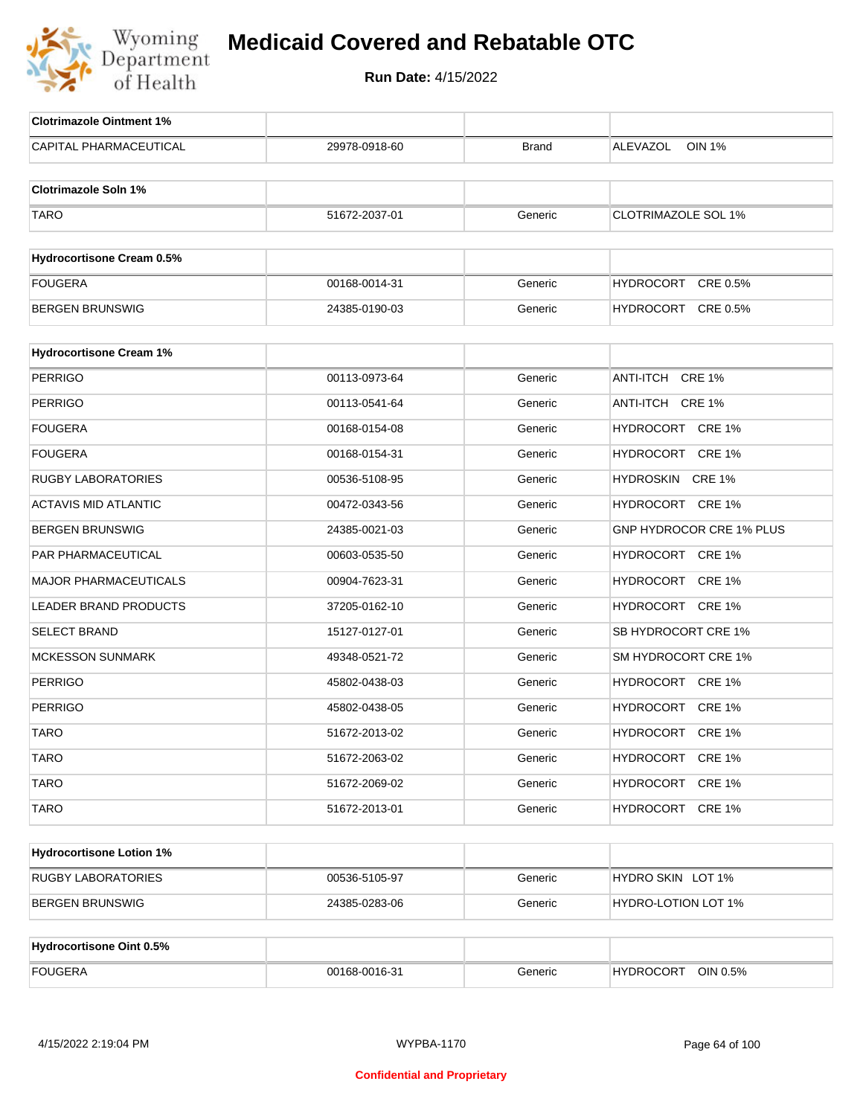

| <b>Clotrimazole Ointment 1%</b>  |               |              |                              |
|----------------------------------|---------------|--------------|------------------------------|
| CAPITAL PHARMACEUTICAL           | 29978-0918-60 | <b>Brand</b> | <b>OIN 1%</b><br>ALEVAZOL    |
| <b>Clotrimazole Soln 1%</b>      |               |              |                              |
| <b>TARO</b>                      | 51672-2037-01 | Generic      | <b>CLOTRIMAZOLE SOL 1%</b>   |
|                                  |               |              |                              |
| <b>Hydrocortisone Cream 0.5%</b> |               |              |                              |
| <b>FOUGERA</b>                   | 00168-0014-31 | Generic      | <b>HYDROCORT</b><br>CRE 0.5% |
| <b>BERGEN BRUNSWIG</b>           | 24385-0190-03 | Generic      | HYDROCORT CRE 0.5%           |
| <b>Hydrocortisone Cream 1%</b>   |               |              |                              |
| <b>PERRIGO</b>                   | 00113-0973-64 | Generic      | ANTI-ITCH CRE 1%             |
| <b>PERRIGO</b>                   | 00113-0541-64 | Generic      | ANTI-ITCH CRE 1%             |
| FOUGERA                          | 00168-0154-08 | Generic      | HYDROCORT CRE 1%             |
| FOUGERA                          | 00168-0154-31 | Generic      | HYDROCORT CRE 1%             |
| <b>RUGBY LABORATORIES</b>        | 00536-5108-95 | Generic      | HYDROSKIN CRE 1%             |
| <b>ACTAVIS MID ATLANTIC</b>      | 00472-0343-56 | Generic      | HYDROCORT CRE 1%             |
| BERGEN BRUNSWIG                  | 24385-0021-03 | Generic      | GNP HYDROCOR CRE 1% PLUS     |
| PAR PHARMACEUTICAL               | 00603-0535-50 | Generic      | HYDROCORT CRE 1%             |
| <b>MAJOR PHARMACEUTICALS</b>     | 00904-7623-31 | Generic      | HYDROCORT CRE 1%             |
| <b>LEADER BRAND PRODUCTS</b>     | 37205-0162-10 | Generic      | HYDROCORT CRE 1%             |
| <b>SELECT BRAND</b>              | 15127-0127-01 | Generic      | SB HYDROCORT CRE 1%          |
| <b>MCKESSON SUNMARK</b>          | 49348-0521-72 | Generic      | SM HYDROCORT CRE 1%          |
| <b>PERRIGO</b>                   | 45802-0438-03 | Generic      | HYDROCORT CRE 1%             |
| <b>PERRIGO</b>                   | 45802-0438-05 | Generic      | HYDROCORT CRE 1%             |
| <b>TARO</b>                      | 51672-2013-02 | Generic      | HYDROCORT CRE 1%             |
| <b>TARO</b>                      | 51672-2063-02 | Generic      | HYDROCORT CRE 1%             |
| <b>TARO</b>                      | 51672-2069-02 | Generic      | HYDROCORT CRE 1%             |
| <b>TARO</b>                      | 51672-2013-01 | Generic      | HYDROCORT CRE 1%             |
| <b>Hydrocortisone Lotion 1%</b>  |               |              |                              |
| <b>RUGBY LABORATORIES</b>        | 00536-5105-97 | Generic      | HYDRO SKIN LOT 1%            |
| <b>BERGEN BRUNSWIG</b>           | 24385-0283-06 | Generic      | HYDRO-LOTION LOT 1%          |
|                                  |               |              |                              |
| <b>Hydrocortisone Oint 0.5%</b>  |               |              |                              |
| <b>FOUGERA</b>                   | 00168-0016-31 | Generic      | HYDROCORT OIN 0.5%           |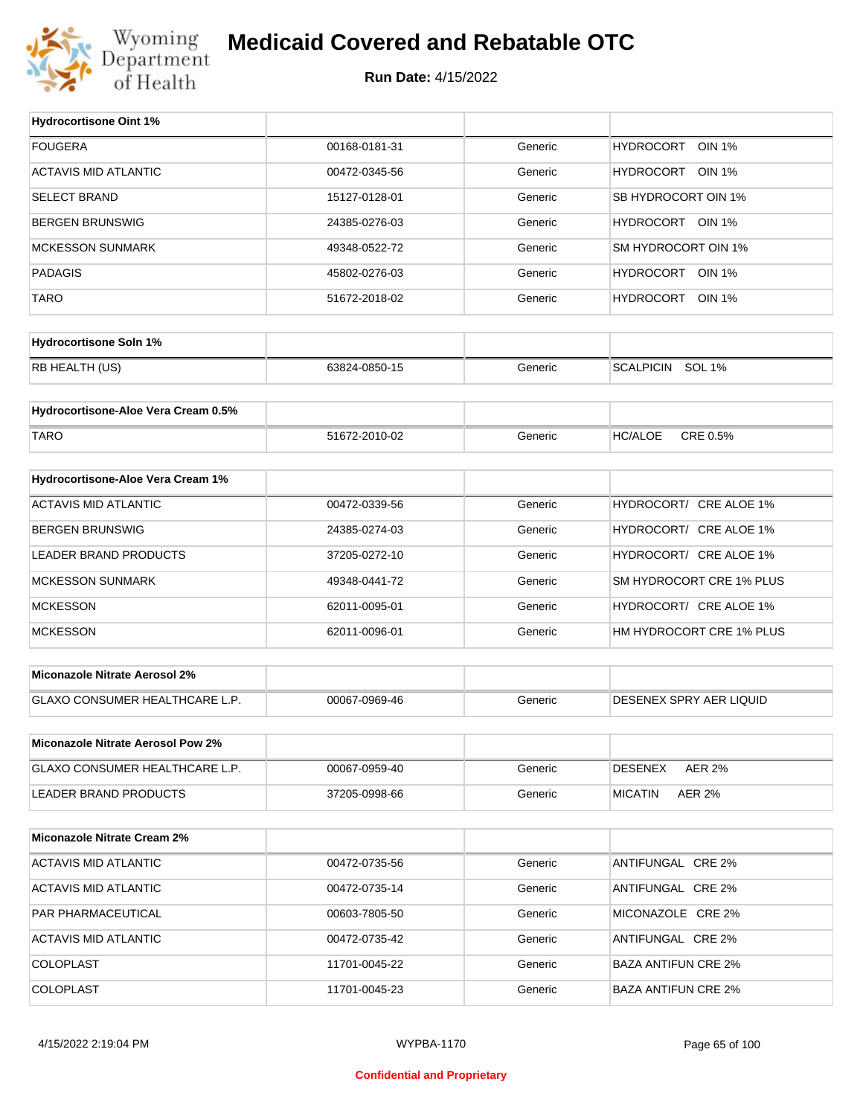

## **Medicaid Covered and Rebatable OTC**

**Run Date:** 4/15/2022

 $\top$ 

| <b>FOUGERA</b><br>00168-0181-31<br><b>HYDROCORT</b><br><b>OIN 1%</b><br>Generic<br><b>ACTAVIS MID ATLANTIC</b><br>HYDROCORT OIN 1%<br>00472-0345-56<br>Generic<br><b>SELECT BRAND</b><br>SB HYDROCORT OIN 1%<br>15127-0128-01<br>Generic<br>HYDROCORT OIN 1%<br><b>BERGEN BRUNSWIG</b><br>24385-0276-03<br>Generic<br>SM HYDROCORT OIN 1%<br><b>MCKESSON SUNMARK</b><br>49348-0522-72<br>Generic<br><b>PADAGIS</b><br>HYDROCORT OIN 1%<br>45802-0276-03<br>Generic<br><b>TARO</b><br>HYDROCORT OIN 1%<br>51672-2018-02<br>Generic<br><b>Hydrocortisone Soln 1%</b><br>RB HEALTH (US)<br>SCALPICIN SOL 1%<br>63824-0850-15<br>Generic<br>Hydrocortisone-Aloe Vera Cream 0.5%<br>CRE 0.5%<br><b>TARO</b><br><b>HC/ALOE</b><br>51672-2010-02<br>Generic<br>Hydrocortisone-Aloe Vera Cream 1%<br><b>ACTAVIS MID ATLANTIC</b><br>HYDROCORT/ CRE ALOE 1%<br>00472-0339-56<br>Generic<br><b>BERGEN BRUNSWIG</b><br>HYDROCORT/ CRE ALOE 1%<br>24385-0274-03<br>Generic<br>HYDROCORT/ CRE ALOE 1%<br>LEADER BRAND PRODUCTS<br>37205-0272-10<br>Generic<br>SM HYDROCORT CRE 1% PLUS<br><b>MCKESSON SUNMARK</b><br>Generic<br>49348-0441-72<br><b>MCKESSON</b><br>HYDROCORT/ CRE ALOE 1%<br>62011-0095-01<br>Generic<br><b>MCKESSON</b><br>HM HYDROCORT CRE 1% PLUS<br>62011-0096-01<br>Generic<br>Miconazole Nitrate Aerosol 2%<br>GLAXO CONSUMER HEALTHCARE L.P.<br>DESENEX SPRY AER LIQUID<br>00067-0969-46<br>Generic<br>Miconazole Nitrate Aerosol Pow 2%<br>GLAXO CONSUMER HEALTHCARE L.P.<br>Generic<br><b>DESENEX</b><br><b>AER 2%</b><br>00067-0959-40<br><b>LEADER BRAND PRODUCTS</b><br><b>MICATIN</b><br>37205-0998-66<br>Generic<br><b>AER 2%</b><br><b>Miconazole Nitrate Cream 2%</b><br><b>ACTAVIS MID ATLANTIC</b><br>ANTIFUNGAL CRE 2%<br>00472-0735-56<br>Generic<br>ACTAVIS MID ATLANTIC<br>ANTIFUNGAL CRE 2%<br>00472-0735-14<br>Generic<br>PAR PHARMACEUTICAL<br>Generic<br>MICONAZOLE CRE 2%<br>00603-7805-50<br>ACTAVIS MID ATLANTIC<br>ANTIFUNGAL CRE 2%<br>00472-0735-42<br>Generic<br>COLOPLAST<br>Generic<br><b>BAZA ANTIFUN CRE 2%</b><br>11701-0045-22<br>COLOPLAST<br>11701-0045-23<br>Generic<br><b>BAZA ANTIFUN CRE 2%</b> | <b>Hydrocortisone Oint 1%</b> |  |  |
|--------------------------------------------------------------------------------------------------------------------------------------------------------------------------------------------------------------------------------------------------------------------------------------------------------------------------------------------------------------------------------------------------------------------------------------------------------------------------------------------------------------------------------------------------------------------------------------------------------------------------------------------------------------------------------------------------------------------------------------------------------------------------------------------------------------------------------------------------------------------------------------------------------------------------------------------------------------------------------------------------------------------------------------------------------------------------------------------------------------------------------------------------------------------------------------------------------------------------------------------------------------------------------------------------------------------------------------------------------------------------------------------------------------------------------------------------------------------------------------------------------------------------------------------------------------------------------------------------------------------------------------------------------------------------------------------------------------------------------------------------------------------------------------------------------------------------------------------------------------------------------------------------------------------------------------------------------------------------------------------------------------------------------------------------------------------------------------------------------------------------------------------------|-------------------------------|--|--|
|                                                                                                                                                                                                                                                                                                                                                                                                                                                                                                                                                                                                                                                                                                                                                                                                                                                                                                                                                                                                                                                                                                                                                                                                                                                                                                                                                                                                                                                                                                                                                                                                                                                                                                                                                                                                                                                                                                                                                                                                                                                                                                                                                  |                               |  |  |
|                                                                                                                                                                                                                                                                                                                                                                                                                                                                                                                                                                                                                                                                                                                                                                                                                                                                                                                                                                                                                                                                                                                                                                                                                                                                                                                                                                                                                                                                                                                                                                                                                                                                                                                                                                                                                                                                                                                                                                                                                                                                                                                                                  |                               |  |  |
|                                                                                                                                                                                                                                                                                                                                                                                                                                                                                                                                                                                                                                                                                                                                                                                                                                                                                                                                                                                                                                                                                                                                                                                                                                                                                                                                                                                                                                                                                                                                                                                                                                                                                                                                                                                                                                                                                                                                                                                                                                                                                                                                                  |                               |  |  |
|                                                                                                                                                                                                                                                                                                                                                                                                                                                                                                                                                                                                                                                                                                                                                                                                                                                                                                                                                                                                                                                                                                                                                                                                                                                                                                                                                                                                                                                                                                                                                                                                                                                                                                                                                                                                                                                                                                                                                                                                                                                                                                                                                  |                               |  |  |
|                                                                                                                                                                                                                                                                                                                                                                                                                                                                                                                                                                                                                                                                                                                                                                                                                                                                                                                                                                                                                                                                                                                                                                                                                                                                                                                                                                                                                                                                                                                                                                                                                                                                                                                                                                                                                                                                                                                                                                                                                                                                                                                                                  |                               |  |  |
|                                                                                                                                                                                                                                                                                                                                                                                                                                                                                                                                                                                                                                                                                                                                                                                                                                                                                                                                                                                                                                                                                                                                                                                                                                                                                                                                                                                                                                                                                                                                                                                                                                                                                                                                                                                                                                                                                                                                                                                                                                                                                                                                                  |                               |  |  |
|                                                                                                                                                                                                                                                                                                                                                                                                                                                                                                                                                                                                                                                                                                                                                                                                                                                                                                                                                                                                                                                                                                                                                                                                                                                                                                                                                                                                                                                                                                                                                                                                                                                                                                                                                                                                                                                                                                                                                                                                                                                                                                                                                  |                               |  |  |
|                                                                                                                                                                                                                                                                                                                                                                                                                                                                                                                                                                                                                                                                                                                                                                                                                                                                                                                                                                                                                                                                                                                                                                                                                                                                                                                                                                                                                                                                                                                                                                                                                                                                                                                                                                                                                                                                                                                                                                                                                                                                                                                                                  |                               |  |  |
|                                                                                                                                                                                                                                                                                                                                                                                                                                                                                                                                                                                                                                                                                                                                                                                                                                                                                                                                                                                                                                                                                                                                                                                                                                                                                                                                                                                                                                                                                                                                                                                                                                                                                                                                                                                                                                                                                                                                                                                                                                                                                                                                                  |                               |  |  |
|                                                                                                                                                                                                                                                                                                                                                                                                                                                                                                                                                                                                                                                                                                                                                                                                                                                                                                                                                                                                                                                                                                                                                                                                                                                                                                                                                                                                                                                                                                                                                                                                                                                                                                                                                                                                                                                                                                                                                                                                                                                                                                                                                  |                               |  |  |
|                                                                                                                                                                                                                                                                                                                                                                                                                                                                                                                                                                                                                                                                                                                                                                                                                                                                                                                                                                                                                                                                                                                                                                                                                                                                                                                                                                                                                                                                                                                                                                                                                                                                                                                                                                                                                                                                                                                                                                                                                                                                                                                                                  |                               |  |  |
|                                                                                                                                                                                                                                                                                                                                                                                                                                                                                                                                                                                                                                                                                                                                                                                                                                                                                                                                                                                                                                                                                                                                                                                                                                                                                                                                                                                                                                                                                                                                                                                                                                                                                                                                                                                                                                                                                                                                                                                                                                                                                                                                                  |                               |  |  |
|                                                                                                                                                                                                                                                                                                                                                                                                                                                                                                                                                                                                                                                                                                                                                                                                                                                                                                                                                                                                                                                                                                                                                                                                                                                                                                                                                                                                                                                                                                                                                                                                                                                                                                                                                                                                                                                                                                                                                                                                                                                                                                                                                  |                               |  |  |
|                                                                                                                                                                                                                                                                                                                                                                                                                                                                                                                                                                                                                                                                                                                                                                                                                                                                                                                                                                                                                                                                                                                                                                                                                                                                                                                                                                                                                                                                                                                                                                                                                                                                                                                                                                                                                                                                                                                                                                                                                                                                                                                                                  |                               |  |  |
|                                                                                                                                                                                                                                                                                                                                                                                                                                                                                                                                                                                                                                                                                                                                                                                                                                                                                                                                                                                                                                                                                                                                                                                                                                                                                                                                                                                                                                                                                                                                                                                                                                                                                                                                                                                                                                                                                                                                                                                                                                                                                                                                                  |                               |  |  |
|                                                                                                                                                                                                                                                                                                                                                                                                                                                                                                                                                                                                                                                                                                                                                                                                                                                                                                                                                                                                                                                                                                                                                                                                                                                                                                                                                                                                                                                                                                                                                                                                                                                                                                                                                                                                                                                                                                                                                                                                                                                                                                                                                  |                               |  |  |
|                                                                                                                                                                                                                                                                                                                                                                                                                                                                                                                                                                                                                                                                                                                                                                                                                                                                                                                                                                                                                                                                                                                                                                                                                                                                                                                                                                                                                                                                                                                                                                                                                                                                                                                                                                                                                                                                                                                                                                                                                                                                                                                                                  |                               |  |  |
|                                                                                                                                                                                                                                                                                                                                                                                                                                                                                                                                                                                                                                                                                                                                                                                                                                                                                                                                                                                                                                                                                                                                                                                                                                                                                                                                                                                                                                                                                                                                                                                                                                                                                                                                                                                                                                                                                                                                                                                                                                                                                                                                                  |                               |  |  |
|                                                                                                                                                                                                                                                                                                                                                                                                                                                                                                                                                                                                                                                                                                                                                                                                                                                                                                                                                                                                                                                                                                                                                                                                                                                                                                                                                                                                                                                                                                                                                                                                                                                                                                                                                                                                                                                                                                                                                                                                                                                                                                                                                  |                               |  |  |
|                                                                                                                                                                                                                                                                                                                                                                                                                                                                                                                                                                                                                                                                                                                                                                                                                                                                                                                                                                                                                                                                                                                                                                                                                                                                                                                                                                                                                                                                                                                                                                                                                                                                                                                                                                                                                                                                                                                                                                                                                                                                                                                                                  |                               |  |  |
|                                                                                                                                                                                                                                                                                                                                                                                                                                                                                                                                                                                                                                                                                                                                                                                                                                                                                                                                                                                                                                                                                                                                                                                                                                                                                                                                                                                                                                                                                                                                                                                                                                                                                                                                                                                                                                                                                                                                                                                                                                                                                                                                                  |                               |  |  |
|                                                                                                                                                                                                                                                                                                                                                                                                                                                                                                                                                                                                                                                                                                                                                                                                                                                                                                                                                                                                                                                                                                                                                                                                                                                                                                                                                                                                                                                                                                                                                                                                                                                                                                                                                                                                                                                                                                                                                                                                                                                                                                                                                  |                               |  |  |
|                                                                                                                                                                                                                                                                                                                                                                                                                                                                                                                                                                                                                                                                                                                                                                                                                                                                                                                                                                                                                                                                                                                                                                                                                                                                                                                                                                                                                                                                                                                                                                                                                                                                                                                                                                                                                                                                                                                                                                                                                                                                                                                                                  |                               |  |  |
|                                                                                                                                                                                                                                                                                                                                                                                                                                                                                                                                                                                                                                                                                                                                                                                                                                                                                                                                                                                                                                                                                                                                                                                                                                                                                                                                                                                                                                                                                                                                                                                                                                                                                                                                                                                                                                                                                                                                                                                                                                                                                                                                                  |                               |  |  |
|                                                                                                                                                                                                                                                                                                                                                                                                                                                                                                                                                                                                                                                                                                                                                                                                                                                                                                                                                                                                                                                                                                                                                                                                                                                                                                                                                                                                                                                                                                                                                                                                                                                                                                                                                                                                                                                                                                                                                                                                                                                                                                                                                  |                               |  |  |
|                                                                                                                                                                                                                                                                                                                                                                                                                                                                                                                                                                                                                                                                                                                                                                                                                                                                                                                                                                                                                                                                                                                                                                                                                                                                                                                                                                                                                                                                                                                                                                                                                                                                                                                                                                                                                                                                                                                                                                                                                                                                                                                                                  |                               |  |  |
|                                                                                                                                                                                                                                                                                                                                                                                                                                                                                                                                                                                                                                                                                                                                                                                                                                                                                                                                                                                                                                                                                                                                                                                                                                                                                                                                                                                                                                                                                                                                                                                                                                                                                                                                                                                                                                                                                                                                                                                                                                                                                                                                                  |                               |  |  |
|                                                                                                                                                                                                                                                                                                                                                                                                                                                                                                                                                                                                                                                                                                                                                                                                                                                                                                                                                                                                                                                                                                                                                                                                                                                                                                                                                                                                                                                                                                                                                                                                                                                                                                                                                                                                                                                                                                                                                                                                                                                                                                                                                  |                               |  |  |
|                                                                                                                                                                                                                                                                                                                                                                                                                                                                                                                                                                                                                                                                                                                                                                                                                                                                                                                                                                                                                                                                                                                                                                                                                                                                                                                                                                                                                                                                                                                                                                                                                                                                                                                                                                                                                                                                                                                                                                                                                                                                                                                                                  |                               |  |  |
|                                                                                                                                                                                                                                                                                                                                                                                                                                                                                                                                                                                                                                                                                                                                                                                                                                                                                                                                                                                                                                                                                                                                                                                                                                                                                                                                                                                                                                                                                                                                                                                                                                                                                                                                                                                                                                                                                                                                                                                                                                                                                                                                                  |                               |  |  |
|                                                                                                                                                                                                                                                                                                                                                                                                                                                                                                                                                                                                                                                                                                                                                                                                                                                                                                                                                                                                                                                                                                                                                                                                                                                                                                                                                                                                                                                                                                                                                                                                                                                                                                                                                                                                                                                                                                                                                                                                                                                                                                                                                  |                               |  |  |
|                                                                                                                                                                                                                                                                                                                                                                                                                                                                                                                                                                                                                                                                                                                                                                                                                                                                                                                                                                                                                                                                                                                                                                                                                                                                                                                                                                                                                                                                                                                                                                                                                                                                                                                                                                                                                                                                                                                                                                                                                                                                                                                                                  |                               |  |  |
|                                                                                                                                                                                                                                                                                                                                                                                                                                                                                                                                                                                                                                                                                                                                                                                                                                                                                                                                                                                                                                                                                                                                                                                                                                                                                                                                                                                                                                                                                                                                                                                                                                                                                                                                                                                                                                                                                                                                                                                                                                                                                                                                                  |                               |  |  |
|                                                                                                                                                                                                                                                                                                                                                                                                                                                                                                                                                                                                                                                                                                                                                                                                                                                                                                                                                                                                                                                                                                                                                                                                                                                                                                                                                                                                                                                                                                                                                                                                                                                                                                                                                                                                                                                                                                                                                                                                                                                                                                                                                  |                               |  |  |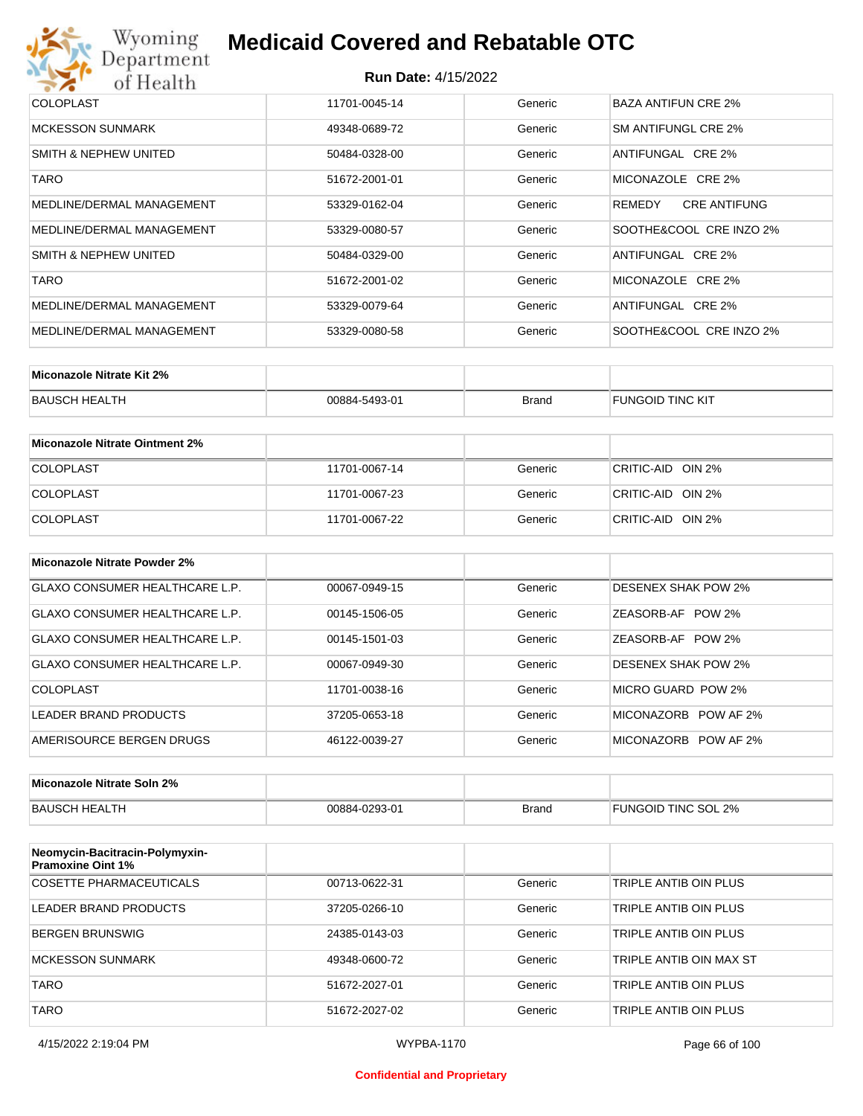

| <b>COLOPLAST</b>          | 11701-0045-14 | Generic | BAZA ANTIFUN CRE 2%           |
|---------------------------|---------------|---------|-------------------------------|
| <b>MCKESSON SUNMARK</b>   | 49348-0689-72 | Generic | SM ANTIFUNGL CRE 2%           |
| SMITH & NEPHEW UNITED     | 50484-0328-00 | Generic | ANTIFUNGAL CRE 2%             |
| <b>TARO</b>               | 51672-2001-01 | Generic | MICONAZOLE CRE 2%             |
| MEDLINE/DERMAL MANAGEMENT | 53329-0162-04 | Generic | <b>CRE ANTIFUNG</b><br>REMEDY |
| MEDLINE/DERMAL MANAGEMENT | 53329-0080-57 | Generic | SOOTHE&COOL CRE INZO 2%       |
| SMITH & NEPHEW UNITED     | 50484-0329-00 | Generic | ANTIFUNGAL CRE 2%             |
| <b>TARO</b>               | 51672-2001-02 | Generic | MICONAZOLE CRE 2%             |
| MEDLINE/DERMAL MANAGEMENT | 53329-0079-64 | Generic | ANTIFUNGAL CRE 2%             |
| MEDLINE/DERMAL MANAGEMENT | 53329-0080-58 | Generic | SOOTHE&COOL CRE INZO 2%       |

| Miconazole Nitrate Kit 2% |               |              |                         |
|---------------------------|---------------|--------------|-------------------------|
| BAUSCH HEALTH             | 00884-5493-01 | <b>Brand</b> | <b>FUNGOID TINC KIT</b> |

| Miconazole Nitrate Ointment 2% |               |         |                   |
|--------------------------------|---------------|---------|-------------------|
| <b>COLOPLAST</b>               | 11701-0067-14 | Generic | CRITIC-AID OIN 2% |
| <b>COLOPLAST</b>               | 11701-0067-23 | Generic | CRITIC-AID OIN 2% |
| <b>COLOPLAST</b>               | 11701-0067-22 | Generic | CRITIC-AID OIN 2% |

| Miconazole Nitrate Powder 2%          |               |         |                            |
|---------------------------------------|---------------|---------|----------------------------|
| <b>GLAXO CONSUMER HEALTHCARE L.P.</b> | 00067-0949-15 | Generic | <b>DESENEX SHAK POW 2%</b> |
| GLAXO CONSUMER HEALTHCARE L.P.        | 00145-1506-05 | Generic | ZEASORB-AF POW 2%          |
| GLAXO CONSUMER HEALTHCARE L.P.        | 00145-1501-03 | Generic | ZEASORB-AF POW 2%          |
| GLAXO CONSUMER HEALTHCARE L.P.        | 00067-0949-30 | Generic | <b>DESENEX SHAK POW 2%</b> |
| COLOPLAST                             | 11701-0038-16 | Generic | MICRO GUARD POW 2%         |
| LEADER BRAND PRODUCTS                 | 37205-0653-18 | Generic | MICONAZORB<br>POW AF 2%    |
| AMERISOURCE BERGEN DRUGS              | 46122-0039-27 | Generic | MICONAZORB POW AF 2%       |

| Miconazole Nitrate Soln 2% |               |       |                     |
|----------------------------|---------------|-------|---------------------|
| BAUSCH HEALTH              | 00884-0293-01 | Brand | FUNGOID TINC SOL 2% |

| Neomycin-Bacitracin-Polymyxin-<br><b>Pramoxine Oint 1%</b> |               |         |                         |
|------------------------------------------------------------|---------------|---------|-------------------------|
| COSETTE PHARMACEUTICALS                                    | 00713-0622-31 | Generic | TRIPLE ANTIB OIN PLUS   |
| LEADER BRAND PRODUCTS                                      | 37205-0266-10 | Generic | TRIPLE ANTIB OIN PLUS   |
| <b>BERGEN BRUNSWIG</b>                                     | 24385-0143-03 | Generic | TRIPLE ANTIB OIN PLUS   |
| <b>MCKESSON SUNMARK</b>                                    | 49348-0600-72 | Generic | TRIPLE ANTIB OIN MAX ST |
| <b>TARO</b>                                                | 51672-2027-01 | Generic | TRIPLE ANTIB OIN PLUS   |
| <b>TARO</b>                                                | 51672-2027-02 | Generic | TRIPLE ANTIB OIN PLUS   |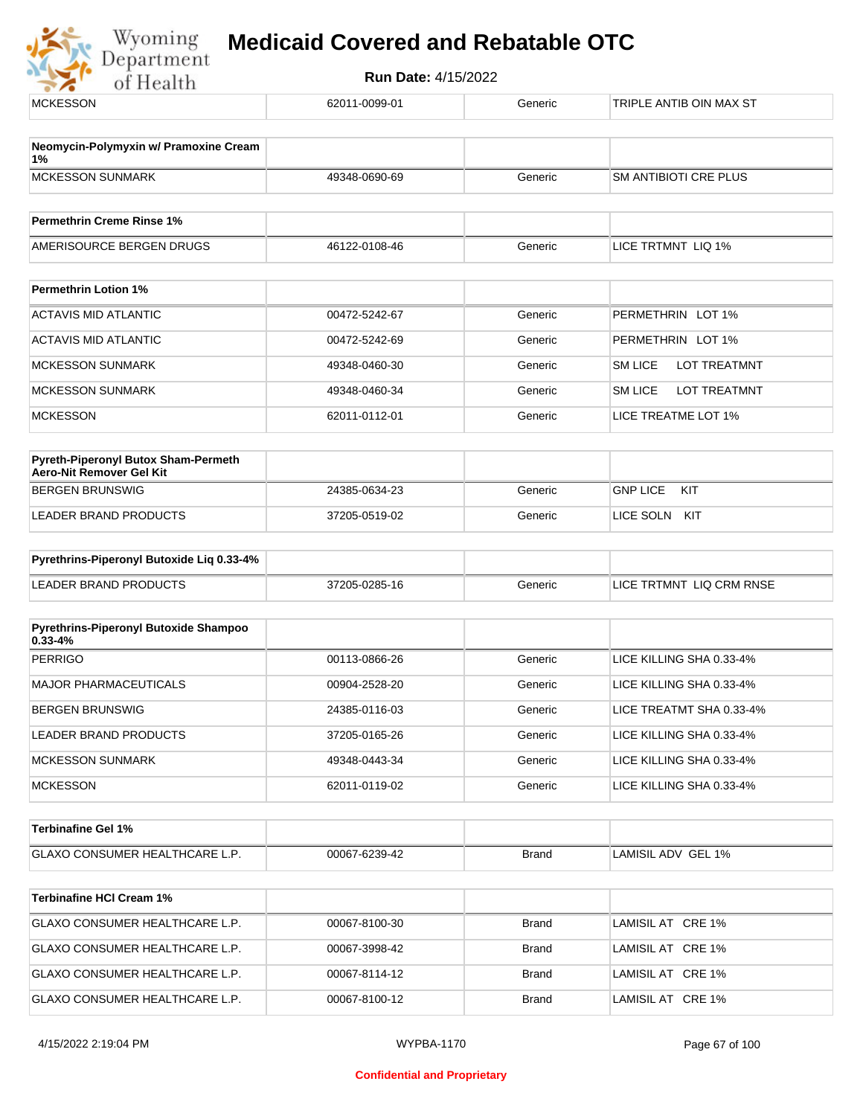

| <b>MCKESSON</b>                                                        | 62011-0099-01 | Generic      | TRIPLE ANTIB OIN MAX ST        |
|------------------------------------------------------------------------|---------------|--------------|--------------------------------|
| Neomycin-Polymyxin w/ Pramoxine Cream<br>1%                            |               |              |                                |
| <b>MCKESSON SUNMARK</b>                                                | 49348-0690-69 | Generic      | SM ANTIBIOTI CRE PLUS          |
| <b>Permethrin Creme Rinse 1%</b>                                       |               |              |                                |
| AMERISOURCE BERGEN DRUGS                                               | 46122-0108-46 | Generic      | LICE TRTMNT LIQ 1%             |
| <b>Permethrin Lotion 1%</b>                                            |               |              |                                |
| <b>ACTAVIS MID ATLANTIC</b>                                            | 00472-5242-67 | Generic      | PERMETHRIN LOT 1%              |
| <b>ACTAVIS MID ATLANTIC</b>                                            | 00472-5242-69 | Generic      | PERMETHRIN LOT 1%              |
| <b>MCKESSON SUNMARK</b>                                                | 49348-0460-30 | Generic      | <b>SM LICE</b><br>LOT TREATMNT |
| <b>MCKESSON SUNMARK</b>                                                | 49348-0460-34 | Generic      | <b>SM LICE</b><br>LOT TREATMNT |
| <b>MCKESSON</b>                                                        | 62011-0112-01 | Generic      | LICE TREATME LOT 1%            |
| <b>Pyreth-Piperonyl Butox Sham-Permeth</b><br>Aero-Nit Remover Gel Kit |               |              |                                |
| <b>BERGEN BRUNSWIG</b>                                                 | 24385-0634-23 | Generic      | <b>GNP LICE</b><br>KIT         |
| LEADER BRAND PRODUCTS                                                  | 37205-0519-02 | Generic      | LICE SOLN KIT                  |
| Pyrethrins-Piperonyl Butoxide Liq 0.33-4%                              |               |              |                                |
| <b>LEADER BRAND PRODUCTS</b>                                           | 37205-0285-16 | Generic      | LICE TRTMNT LIQ CRM RNSE       |
| Pyrethrins-Piperonyl Butoxide Shampoo<br>$0.33 - 4%$                   |               |              |                                |
| <b>PERRIGO</b>                                                         | 00113-0866-26 | Generic      | LICE KILLING SHA 0.33-4%       |
| <b>MAJOR PHARMACEUTICALS</b>                                           | 00904-2528-20 | Generic      | LICE KILLING SHA 0.33-4%       |
| <b>BERGEN BRUNSWIG</b>                                                 | 24385-0116-03 | Generic      | LICE TREATMT SHA 0.33-4%       |
| LEADER BRAND PRODUCTS                                                  | 37205-0165-26 | Generic      | LICE KILLING SHA 0.33-4%       |
| <b>MCKESSON SUNMARK</b>                                                | 49348-0443-34 | Generic      | LICE KILLING SHA 0.33-4%       |
| <b>MCKESSON</b>                                                        | 62011-0119-02 | Generic      | LICE KILLING SHA 0.33-4%       |
| <b>Terbinafine Gel 1%</b>                                              |               |              |                                |
| GLAXO CONSUMER HEALTHCARE L.P.                                         | 00067-6239-42 | <b>Brand</b> | LAMISIL ADV GEL 1%             |
| <b>Terbinafine HCI Cream 1%</b>                                        |               |              |                                |
| GLAXO CONSUMER HEALTHCARE L.P.                                         | 00067-8100-30 | <b>Brand</b> | LAMISIL AT CRE 1%              |
| GLAXO CONSUMER HEALTHCARE L.P.                                         | 00067-3998-42 | <b>Brand</b> | LAMISIL AT CRE 1%              |
| GLAXO CONSUMER HEALTHCARE L.P.                                         | 00067-8114-12 | <b>Brand</b> | LAMISIL AT CRE 1%              |
| GLAXO CONSUMER HEALTHCARE L.P.                                         | 00067-8100-12 | Brand        | LAMISIL AT CRE 1%              |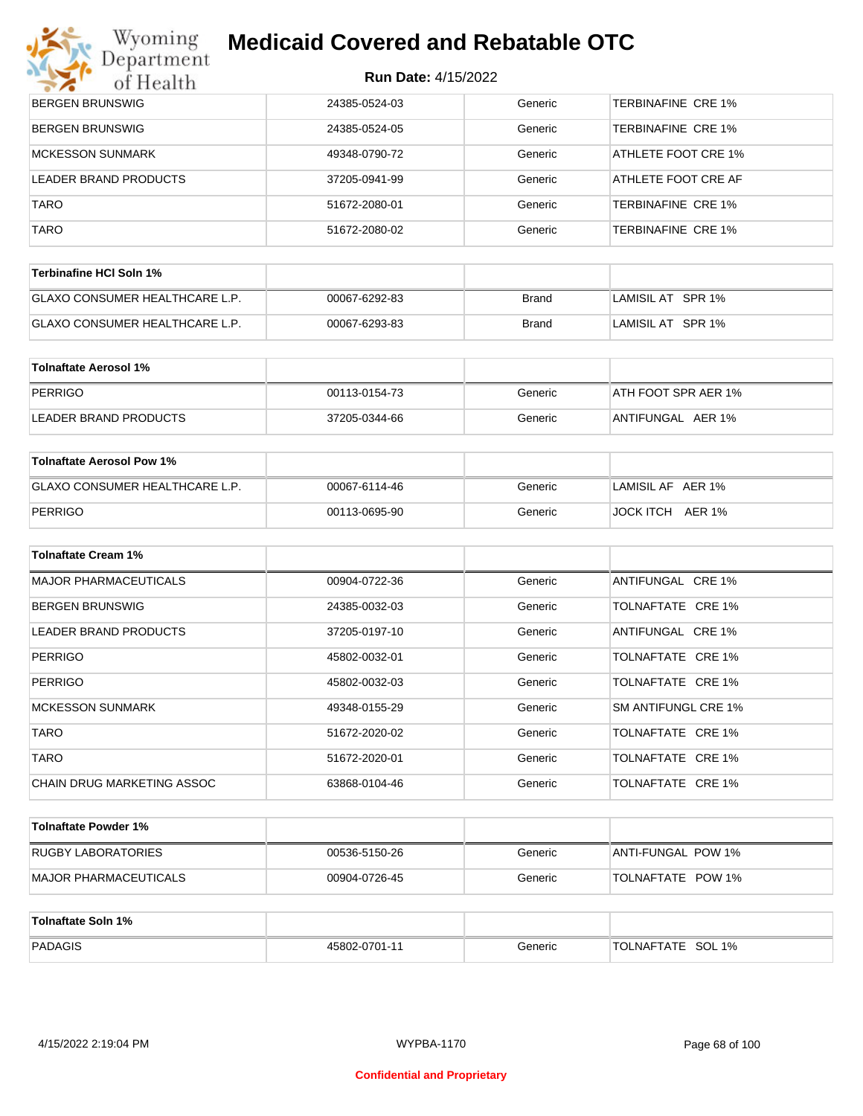| <b>BERGEN BRUNSWIG</b>  | 24385-0524-03 | Generic | <b>TERBINAFINE CRE 1%</b> |
|-------------------------|---------------|---------|---------------------------|
| <b>BERGEN BRUNSWIG</b>  | 24385-0524-05 | Generic | <b>TERBINAFINE CRE 1%</b> |
| <b>MCKESSON SUNMARK</b> | 49348-0790-72 | Generic | ATHLETE FOOT CRE 1%       |
| LEADER BRAND PRODUCTS   | 37205-0941-99 | Generic | ATHLETE FOOT CRE AF       |
| <b>TARO</b>             | 51672-2080-01 | Generic | TERBINAFINE CRE 1%        |
| <b>TARO</b>             | 51672-2080-02 | Generic | TERBINAFINE CRE 1%        |
|                         |               |         |                           |

| Terbinafine HCI Soln 1%               |               |       |                   |
|---------------------------------------|---------------|-------|-------------------|
| <b>GLAXO CONSUMER HEALTHCARE L.P.</b> | 00067-6292-83 | Brand | LAMISIL AT SPR 1% |
| <b>GLAXO CONSUMER HEALTHCARE L.P.</b> | 00067-6293-83 | Brand | LAMISIL AT SPR 1% |

| Tolnaftate Aerosol 1% |               |         |                     |
|-----------------------|---------------|---------|---------------------|
| PERRIGO               | 00113-0154-73 | Generic | ATH FOOT SPR AER 1% |
| LEADER BRAND PRODUCTS | 37205-0344-66 | Generic | ANTIFUNGAL AER 1%   |

| Tolnaftate Aerosol Pow 1%      |               |         |                     |
|--------------------------------|---------------|---------|---------------------|
| GLAXO CONSUMER HEALTHCARE L.P. | 00067-6114-46 | Generic | LAMISIL AF AER 1%   |
| PERRIGO                        | 00113-0695-90 | Generic | AER 1%<br>JOCK ITCH |

| <b>Tolnaftate Cream 1%</b>   |               |         |                     |
|------------------------------|---------------|---------|---------------------|
| <b>MAJOR PHARMACEUTICALS</b> | 00904-0722-36 | Generic | ANTIFUNGAL CRE 1%   |
| <b>BERGEN BRUNSWIG</b>       | 24385-0032-03 | Generic | TOLNAFTATE CRE 1%   |
| LEADER BRAND PRODUCTS        | 37205-0197-10 | Generic | ANTIFUNGAL CRE 1%   |
| <b>PERRIGO</b>               | 45802-0032-01 | Generic | TOLNAFTATE CRE 1%   |
| <b>PERRIGO</b>               | 45802-0032-03 | Generic | TOLNAFTATE CRE 1%   |
| <b>MCKESSON SUNMARK</b>      | 49348-0155-29 | Generic | SM ANTIFUNGL CRE 1% |
| <b>TARO</b>                  | 51672-2020-02 | Generic | TOLNAFTATE CRE 1%   |
| <b>TARO</b>                  | 51672-2020-01 | Generic | TOLNAFTATE CRE 1%   |
| CHAIN DRUG MARKETING ASSOC   | 63868-0104-46 | Generic | TOLNAFTATE CRE 1%   |

| Tolnaftate Powder 1%          |               |         |                          |
|-------------------------------|---------------|---------|--------------------------|
| RUGBY LABORATORIES            | 00536-5150-26 | Generic | ANTI-FUNGAL POW 1%       |
| <b>IMAJOR PHARMACEUTICALS</b> | 00904-0726-45 | Generic | <b>TOLNAFTATE POW 1%</b> |

| Tolnaftate Soln 1% |               |         |                             |
|--------------------|---------------|---------|-----------------------------|
| PADAGIS            | 45802-0701-11 | Generic | SOL 1%<br><b>TOLNAFTATE</b> |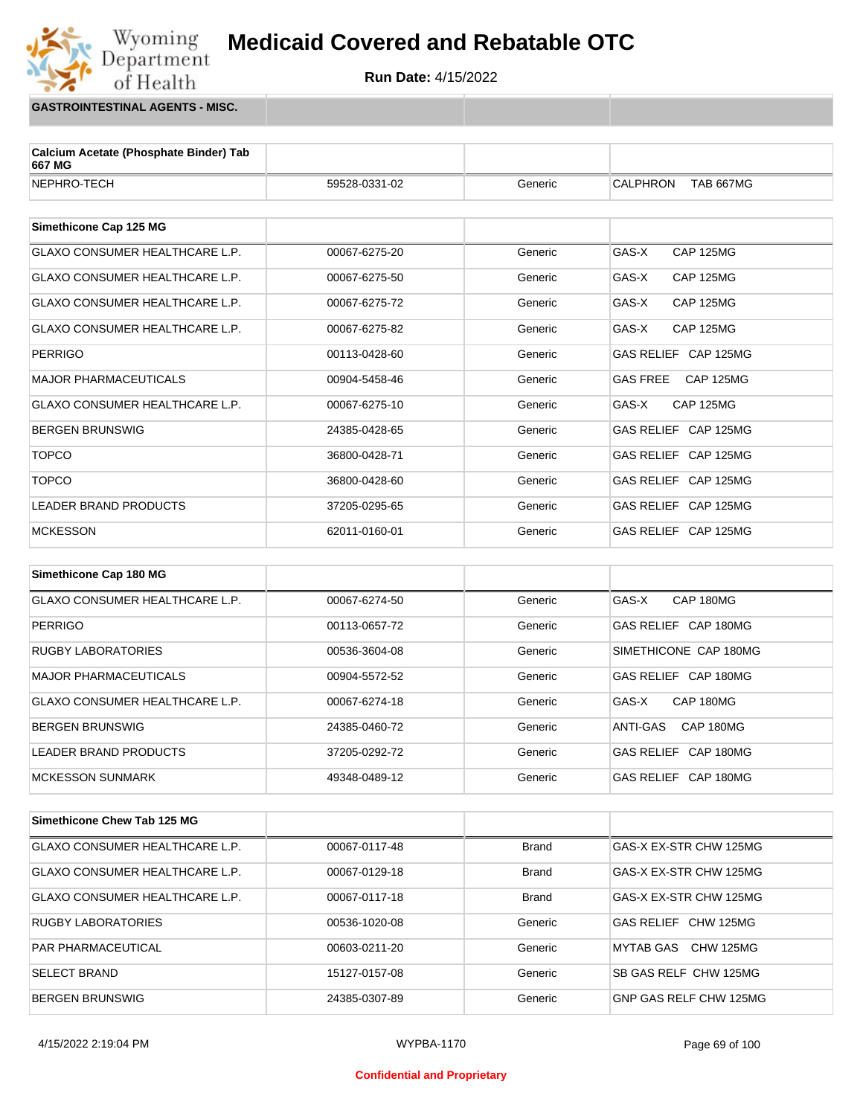

**GASTROINTESTINAL AGENTS - MISC.**

Wyoming<br>Department

of Health

| Calcium Acetate (Phosphate Binder) Tab<br>667 MG |               |         |                                     |
|--------------------------------------------------|---------------|---------|-------------------------------------|
| NEPHRO-TECH                                      | 59528-0331-02 | Generic | <b>CALPHRON</b><br><b>TAB 667MG</b> |
|                                                  |               |         |                                     |
| Simethicone Cap 125 MG                           |               |         |                                     |
| <b>GLAXO CONSUMER HEALTHCARE L.P.</b>            | 00067-6275-20 | Generic | GAS-X<br><b>CAP 125MG</b>           |
| <b>GLAXO CONSUMER HEALTHCARE L.P.</b>            | 00067-6275-50 | Generic | GAS-X<br><b>CAP 125MG</b>           |
| <b>GLAXO CONSUMER HEALTHCARE L.P.</b>            | 00067-6275-72 | Generic | GAS-X<br><b>CAP 125MG</b>           |
| <b>GLAXO CONSUMER HEALTHCARE L.P.</b>            | 00067-6275-82 | Generic | GAS-X<br><b>CAP 125MG</b>           |
| <b>PERRIGO</b>                                   | 00113-0428-60 | Generic | GAS RELIEF CAP 125MG                |
| <b>MAJOR PHARMACEUTICALS</b>                     | 00904-5458-46 | Generic | <b>GAS FREE</b><br><b>CAP 125MG</b> |
| <b>GLAXO CONSUMER HEALTHCARE L.P.</b>            | 00067-6275-10 | Generic | GAS-X<br><b>CAP 125MG</b>           |
| <b>BERGEN BRUNSWIG</b>                           | 24385-0428-65 | Generic | GAS RELIEF CAP 125MG                |
| <b>TOPCO</b>                                     | 36800-0428-71 | Generic | GAS RELIEF CAP 125MG                |
| <b>TOPCO</b>                                     | 36800-0428-60 | Generic | GAS RELIEF CAP 125MG                |
| <b>LEADER BRAND PRODUCTS</b>                     | 37205-0295-65 | Generic | GAS RELIEF CAP 125MG                |
| <b>MCKESSON</b>                                  | 62011-0160-01 | Generic | GAS RELIEF CAP 125MG                |
|                                                  |               |         |                                     |
| Simethicone Cap 180 MG                           |               |         |                                     |
| <b>GLAXO CONSUMER HEALTHCARE L.P.</b>            | 00067-6274-50 | Generic | CAP 180MG<br>GAS-X                  |
| <b>PERRIGO</b>                                   | 00113-0657-72 | Generic | GAS RELIEF CAP 180MG                |
| <b>DIICRY LAROPATODIES</b>                       | 00536-3604-08 | Canario | CIMETHICONE CAD 180MG               |

| RUGBY LABORATORIES                    | 00536-3604-08 | Generic | SIMETHICONE CAP 180MG |
|---------------------------------------|---------------|---------|-----------------------|
| MAJOR PHARMACEUTICALS                 | 00904-5572-52 | Generic | GAS RELIEF CAP 180MG  |
| <b>GLAXO CONSUMER HEALTHCARE L.P.</b> | 00067-6274-18 | Generic | GAS-X<br>CAP 180MG    |
| <b>BERGEN BRUNSWIG</b>                | 24385-0460-72 | Generic | ANTI-GAS<br>CAP 180MG |
| LEADER BRAND PRODUCTS                 | 37205-0292-72 | Generic | GAS RELIEF CAP 180MG  |
| MCKESSON SUNMARK                      | 49348-0489-12 | Generic | GAS RELIEF CAP 180MG  |

| Simethicone Chew Tab 125 MG           |               |              |                        |
|---------------------------------------|---------------|--------------|------------------------|
| <b>GLAXO CONSUMER HEALTHCARE L.P.</b> | 00067-0117-48 | <b>Brand</b> | GAS-X EX-STR CHW 125MG |
| <b>GLAXO CONSUMER HEALTHCARE L.P.</b> | 00067-0129-18 | <b>Brand</b> | GAS-X EX-STR CHW 125MG |
| <b>GLAXO CONSUMER HEALTHCARE L.P.</b> | 00067-0117-18 | <b>Brand</b> | GAS-X EX-STR CHW 125MG |
| <b>RUGBY LABORATORIES</b>             | 00536-1020-08 | Generic      | GAS RELIEF CHW 125MG   |
| <b>PAR PHARMACEUTICAL</b>             | 00603-0211-20 | Generic      | MYTAB GAS CHW 125MG    |
| <b>SELECT BRAND</b>                   | 15127-0157-08 | Generic      | SB GAS RELF CHW 125MG  |
| <b>BERGEN BRUNSWIG</b>                | 24385-0307-89 | Generic      | GNP GAS RELF CHW 125MG |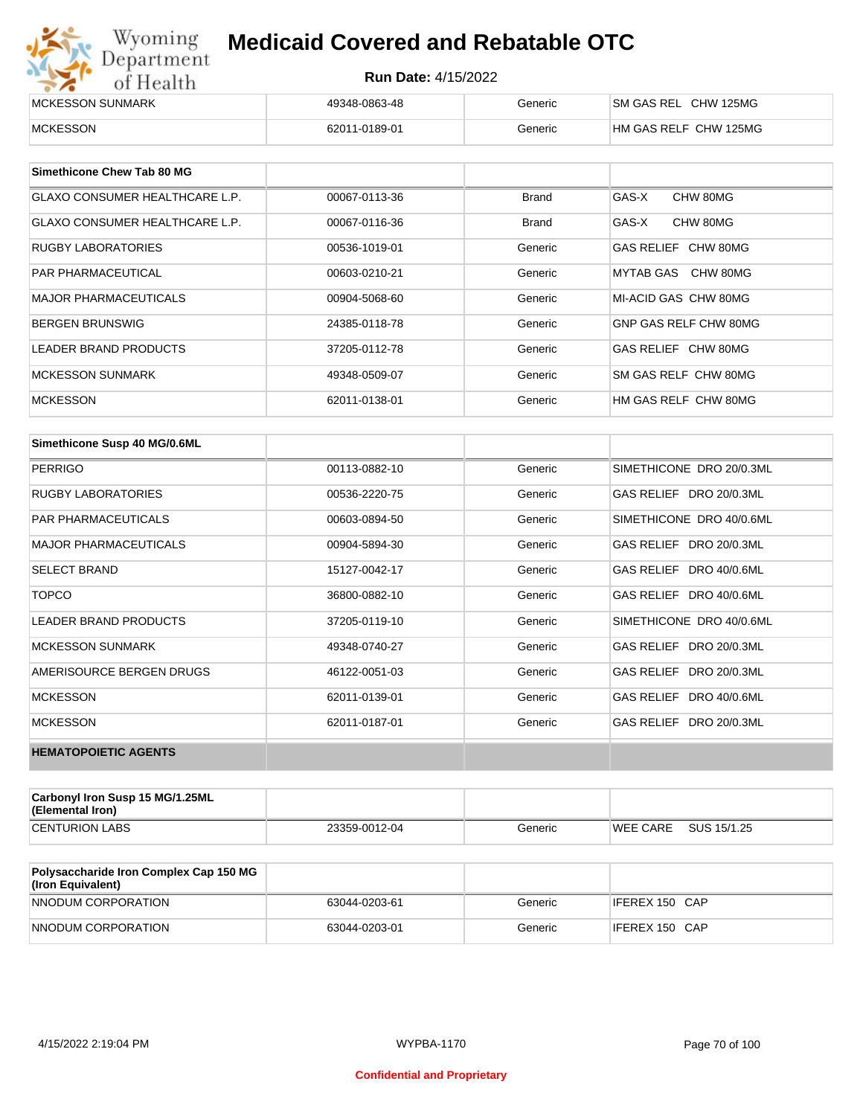| Wyoming<br>Department | <b>Medicaid Covered and Rebatable OTC</b> |         |                       |  |
|-----------------------|-------------------------------------------|---------|-----------------------|--|
| of Health             | <b>Run Date: 4/15/2022</b>                |         |                       |  |
| MCKESSON SUNMARK      | 49348-0863-48                             | Generic | SM GAS REL CHW 125MG  |  |
| <b>MCKESSON</b>       | 62011-0189-01                             | Generic | HM GAS RELF CHW 125MG |  |

| Simethicone Chew Tab 80 MG            |               |              |                       |
|---------------------------------------|---------------|--------------|-----------------------|
| <b>GLAXO CONSUMER HEALTHCARE L.P.</b> | 00067-0113-36 | Brand        | GAS-X<br>CHW 80MG     |
| GLAXO CONSUMER HEALTHCARE L.P.        | 00067-0116-36 | <b>Brand</b> | GAS-X<br>CHW 80MG     |
| <b>RUGBY LABORATORIES</b>             | 00536-1019-01 | Generic      | GAS RELIEF CHW 80MG   |
| <b>PAR PHARMACEUTICAL</b>             | 00603-0210-21 | Generic      | MYTAB GAS CHW 80MG    |
| <b>MAJOR PHARMACEUTICALS</b>          | 00904-5068-60 | Generic      | MI-ACID GAS CHW 80MG  |
| <b>BERGEN BRUNSWIG</b>                | 24385-0118-78 | Generic      | GNP GAS RELF CHW 80MG |
| LEADER BRAND PRODUCTS                 | 37205-0112-78 | Generic      | GAS RELIEF CHW 80MG   |
| <b>MCKESSON SUNMARK</b>               | 49348-0509-07 | Generic      | SM GAS RELF CHW 80MG  |
| <b>MCKESSON</b>                       | 62011-0138-01 | Generic      | HM GAS RELF CHW 80MG  |

| Simethicone Susp 40 MG/0.6ML |               |         |                          |
|------------------------------|---------------|---------|--------------------------|
| <b>PERRIGO</b>               | 00113-0882-10 | Generic | SIMETHICONE DRO 20/0.3ML |
| <b>RUGBY LABORATORIES</b>    | 00536-2220-75 | Generic | GAS RELIEF DRO 20/0.3ML  |
| <b>PAR PHARMACEUTICALS</b>   | 00603-0894-50 | Generic | SIMETHICONE DRO 40/0.6ML |
| <b>MAJOR PHARMACEUTICALS</b> | 00904-5894-30 | Generic | GAS RELIEF DRO 20/0.3ML  |
| <b>SELECT BRAND</b>          | 15127-0042-17 | Generic | GAS RELIEF DRO 40/0.6ML  |
| <b>TOPCO</b>                 | 36800-0882-10 | Generic | GAS RELIEF DRO 40/0.6ML  |
| <b>LEADER BRAND PRODUCTS</b> | 37205-0119-10 | Generic | SIMETHICONE DRO 40/0.6ML |
| <b>MCKESSON SUNMARK</b>      | 49348-0740-27 | Generic | GAS RELIEF DRO 20/0.3ML  |
| AMERISOURCE BERGEN DRUGS     | 46122-0051-03 | Generic | GAS RELIEF DRO 20/0.3ML  |
| <b>MCKESSON</b>              | 62011-0139-01 | Generic | GAS RELIEF DRO 40/0.6ML  |
| <b>MCKESSON</b>              | 62011-0187-01 | Generic | GAS RELIEF DRO 20/0.3ML  |
| <b>HEMATOPOIETIC AGENTS</b>  |               |         |                          |

| Carbonyl Iron Susp 15 MG/1.25ML<br>(Elemental Iron) |               |         |                 |             |
|-----------------------------------------------------|---------------|---------|-----------------|-------------|
| <b>CENTURION LABS</b>                               | 23359-0012-04 | Generic | <b>WEE CARE</b> | SUS 15/1.25 |

| <b>Polysaccharide Iron Complex Cap 150 MG</b><br>(Iron Equivalent) |               |         |                |
|--------------------------------------------------------------------|---------------|---------|----------------|
| NNODUM CORPORATION                                                 | 63044-0203-61 | Generic | IFEREX 150 CAP |
| NNODUM CORPORATION                                                 | 63044-0203-01 | Generic | IFEREX 150 CAP |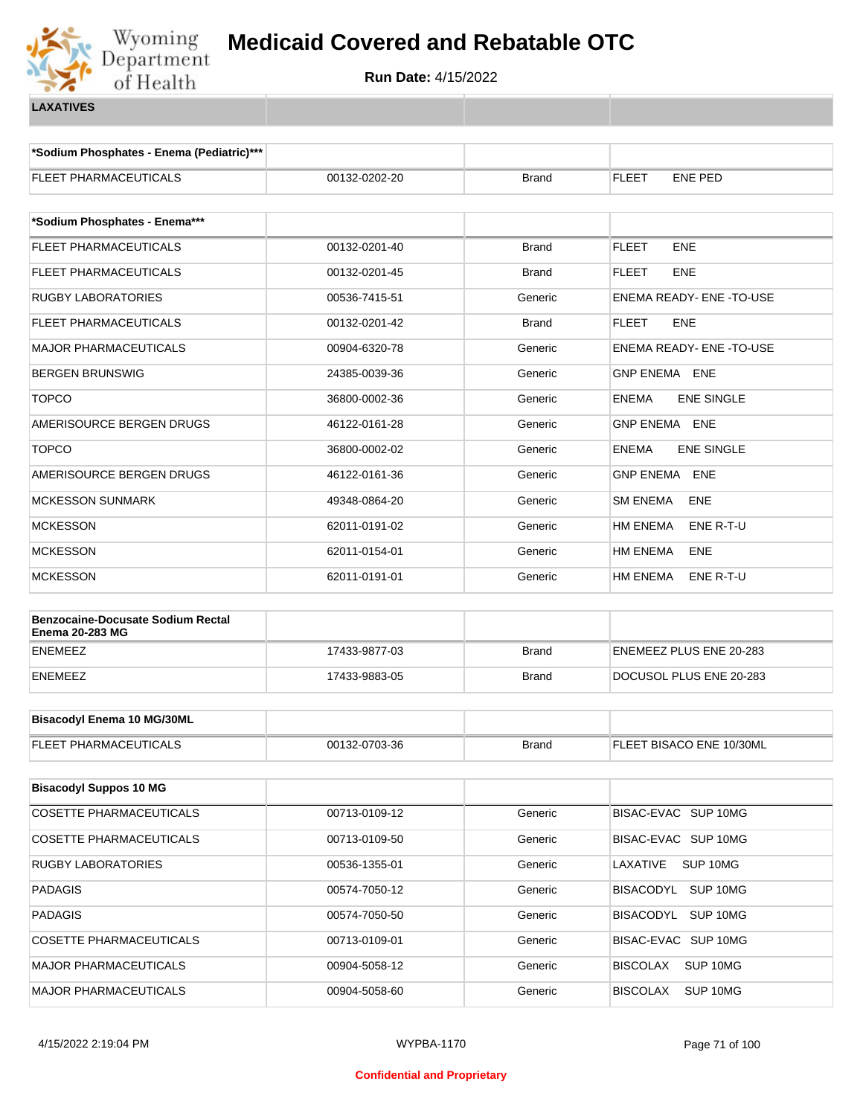

**\*Sodium Phosphates - Enema (Pediatric)\*\*\***

| <b>FLEET PHARMACEUTICALS</b>             | 00132-0202-20 | Brand        | FLEET<br><b>ENE PED</b>           |  |
|------------------------------------------|---------------|--------------|-----------------------------------|--|
| *Sodium Phosphates - Enema***            |               |              |                                   |  |
| FLEET PHARMACEUTICALS                    | 00132-0201-40 |              | <b>FLEET</b><br>ENE               |  |
|                                          |               | <b>Brand</b> |                                   |  |
| FLEET PHARMACEUTICALS                    | 00132-0201-45 | Brand        | <b>FLEET</b><br>ENE               |  |
| <b>RUGBY LABORATORIES</b>                | 00536-7415-51 | Generic      | ENEMA READY- ENE - TO-USE         |  |
| FLEET PHARMACEUTICALS                    | 00132-0201-42 | <b>Brand</b> | ENE<br>FLEET                      |  |
| <b>MAJOR PHARMACEUTICALS</b>             | 00904-6320-78 | Generic      | <b>ENEMA READY- ENE -TO-USE</b>   |  |
| <b>BERGEN BRUNSWIG</b>                   | 24385-0039-36 | Generic      | GNP ENEMA ENE                     |  |
| <b>TOPCO</b>                             | 36800-0002-36 | Generic      | <b>ENE SINGLE</b><br><b>ENEMA</b> |  |
| AMERISOURCE BERGEN DRUGS                 | 46122-0161-28 | Generic      | GNP ENEMA ENE                     |  |
| <b>TOPCO</b>                             | 36800-0002-02 | Generic      | <b>ENE SINGLE</b><br><b>ENEMA</b> |  |
| AMERISOURCE BERGEN DRUGS                 | 46122-0161-36 | Generic      | <b>GNP ENEMA</b><br>ENE           |  |
| <b>MCKESSON SUNMARK</b>                  | 49348-0864-20 | Generic      | <b>SM ENEMA</b><br>ENE            |  |
| <b>MCKESSON</b>                          | 62011-0191-02 | Generic      | <b>HM ENEMA</b><br>ENE R-T-U      |  |
| <b>MCKESSON</b>                          | 62011-0154-01 | Generic      | <b>HM ENEMA</b><br>ENE            |  |
| <b>MCKESSON</b>                          | 62011-0191-01 | Generic      | HM ENEMA<br>ENE R-T-U             |  |
| <b>Benzocaine-Docusate Sodium Rectal</b> |               |              |                                   |  |
| <b>Enema 20-283 MG</b>                   |               |              |                                   |  |
| <b>ENEMEEZ</b>                           | 17433-9877-03 | <b>Brand</b> | ENEMEEZ PLUS ENE 20-283           |  |
| <b>ENEMEEZ</b>                           | 17433-9883-05 | Brand        | DOCUSOL PLUS ENE 20-283           |  |
| <b>Bisacodyl Enema 10 MG/30ML</b>        |               |              |                                   |  |
| <b>FLEET PHARMACEUTICALS</b>             | 00132-0703-36 | <b>Brand</b> | FLEET BISACO ENE 10/30ML          |  |
|                                          |               |              |                                   |  |
| <b>Bisacodyl Suppos 10 MG</b>            |               |              |                                   |  |
| COSETTE PHARMACEUTICALS                  | 00713-0109-12 | Generic      | BISAC-EVAC SUP 10MG               |  |
| <b>COSETTE PHARMACEUTICALS</b>           | 00713-0109-50 | Generic      | BISAC-EVAC SUP 10MG               |  |
| <b>RUGBY LABORATORIES</b>                | 00536-1355-01 | Generic      | SUP 10MG<br>LAXATIVE              |  |
| <b>PADAGIS</b>                           | 00574-7050-12 | Generic      | BISACODYL<br>SUP 10MG             |  |
| <b>PADAGIS</b>                           | 00574-7050-50 | Generic      | BISACODYL SUP 10MG                |  |
| COSETTE PHARMACEUTICALS                  | 00713-0109-01 | Generic      | BISAC-EVAC SUP 10MG               |  |
| MAJOR PHARMACEUTICALS                    | 00904-5058-12 | Generic      | <b>BISCOLAX</b><br>SUP 10MG       |  |
| MAJOR PHARMACEUTICALS                    | 00904-5058-60 | Generic      | SUP 10MG<br><b>BISCOLAX</b>       |  |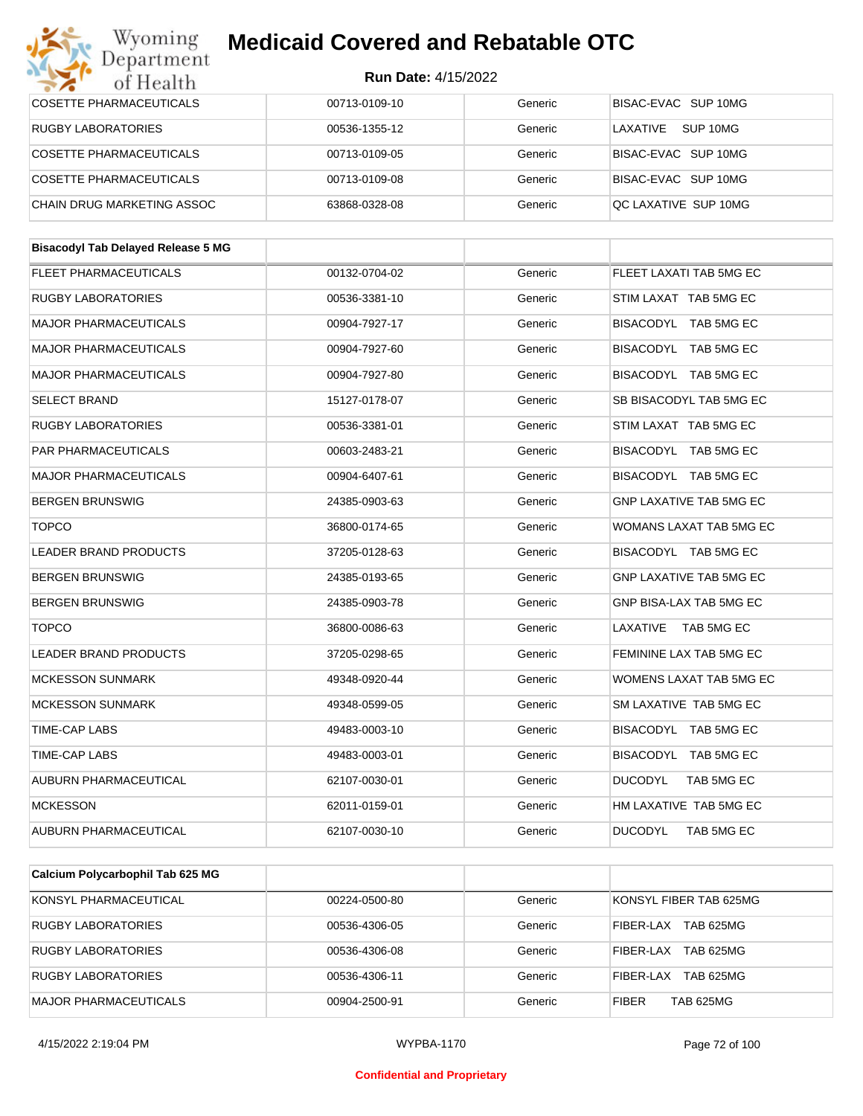| Department<br>of Health                   | <b>Run Date: 4/15/2022</b> |         |                                |  |
|-------------------------------------------|----------------------------|---------|--------------------------------|--|
| <b>COSETTE PHARMACEUTICALS</b>            | 00713-0109-10              | Generic | BISAC-EVAC SUP 10MG            |  |
| <b>RUGBY LABORATORIES</b>                 | 00536-1355-12              | Generic | LAXATIVE<br>SUP 10MG           |  |
| COSETTE PHARMACEUTICALS                   | 00713-0109-05              | Generic | BISAC-EVAC SUP 10MG            |  |
| <b>COSETTE PHARMACEUTICALS</b>            | 00713-0109-08              | Generic | BISAC-EVAC SUP 10MG            |  |
| CHAIN DRUG MARKETING ASSOC                | 63868-0328-08              | Generic | QC LAXATIVE SUP 10MG           |  |
| <b>Bisacodyl Tab Delayed Release 5 MG</b> |                            |         |                                |  |
| <b>FLEET PHARMACEUTICALS</b>              | 00132-0704-02              | Generic | FLEET LAXATI TAB 5MG EC        |  |
| <b>RUGBY LABORATORIES</b>                 | 00536-3381-10              | Generic | STIM LAXAT TAB 5MG EC          |  |
| <b>MAJOR PHARMACEUTICALS</b>              | 00904-7927-17              | Generic | BISACODYL TAB 5MG EC           |  |
| <b>MAJOR PHARMACEUTICALS</b>              | 00904-7927-60              | Generic | BISACODYL TAB 5MG EC           |  |
| <b>MAJOR PHARMACEUTICALS</b>              | 00904-7927-80              | Generic | BISACODYL TAB 5MG EC           |  |
| <b>SELECT BRAND</b>                       | 15127-0178-07              | Generic | SB BISACODYL TAB 5MG EC        |  |
| <b>RUGBY LABORATORIES</b>                 | 00536-3381-01              | Generic | STIM LAXAT TAB 5MG EC          |  |
| PAR PHARMACEUTICALS                       | 00603-2483-21              | Generic | BISACODYL TAB 5MG EC           |  |
| <b>MAJOR PHARMACEUTICALS</b>              | 00904-6407-61              | Generic | BISACODYL TAB 5MG EC           |  |
| <b>BERGEN BRUNSWIG</b>                    | 24385-0903-63              | Generic | <b>GNP LAXATIVE TAB 5MG EC</b> |  |
| <b>TOPCO</b>                              | 36800-0174-65              | Generic | WOMANS LAXAT TAB 5MG EC        |  |
| <b>LEADER BRAND PRODUCTS</b>              | 37205-0128-63              | Generic | BISACODYL TAB 5MG EC           |  |
| <b>BERGEN BRUNSWIG</b>                    | 24385-0193-65              | Generic | <b>GNP LAXATIVE TAB 5MG EC</b> |  |
| <b>BERGEN BRUNSWIG</b>                    | 24385-0903-78              | Generic | GNP BISA-LAX TAB 5MG EC        |  |
| <b>TOPCO</b>                              | 36800-0086-63              | Generic | LAXATIVE TAB 5MG EC            |  |
| LEADER BRAND PRODUCTS                     | 37205-0298-65              | Generic | FEMININE LAX TAB 5MG EC        |  |
| <b>MCKESSON SUNMARK</b>                   | 49348-0920-44              | Generic | WOMENS LAXAT TAB 5MG EC        |  |
| <b>MCKESSON SUNMARK</b>                   | 49348-0599-05              | Generic | SM LAXATIVE TAB 5MG EC         |  |
| TIME-CAP LABS                             | 49483-0003-10              | Generic | BISACODYL TAB 5MG EC           |  |
| TIME-CAP LABS                             | 49483-0003-01              | Generic | BISACODYL TAB 5MG EC           |  |
| AUBURN PHARMACEUTICAL                     | 62107-0030-01              | Generic | <b>DUCODYL</b><br>TAB 5MG EC   |  |
| <b>MCKESSON</b>                           | 62011-0159-01              | Generic | HM LAXATIVE TAB 5MG EC         |  |
| AUBURN PHARMACEUTICAL                     | 62107-0030-10              | Generic | <b>DUCODYL</b><br>TAB 5MG EC   |  |

| Calcium I Olycarbophii Tab 02J MO |               |         |                                  |
|-----------------------------------|---------------|---------|----------------------------------|
| KONSYL PHARMACEUTICAL             | 00224-0500-80 | Generic | KONSYL FIBER TAB 625MG           |
| RUGBY LABORATORIES                | 00536-4306-05 | Generic | <b>TAB 625MG</b><br>FIBER-LAX    |
| RUGBY LABORATORIES                | 00536-4306-08 | Generic | <b>TAB 625MG</b><br>FIBER-LAX    |
| <b>RUGBY LABORATORIES</b>         | 00536-4306-11 | Generic | <b>TAB 625MG</b><br>FIBER-LAX    |
| <b>MAJOR PHARMACEUTICALS</b>      | 00904-2500-91 | Generic | <b>FIBER</b><br><b>TAB 625MG</b> |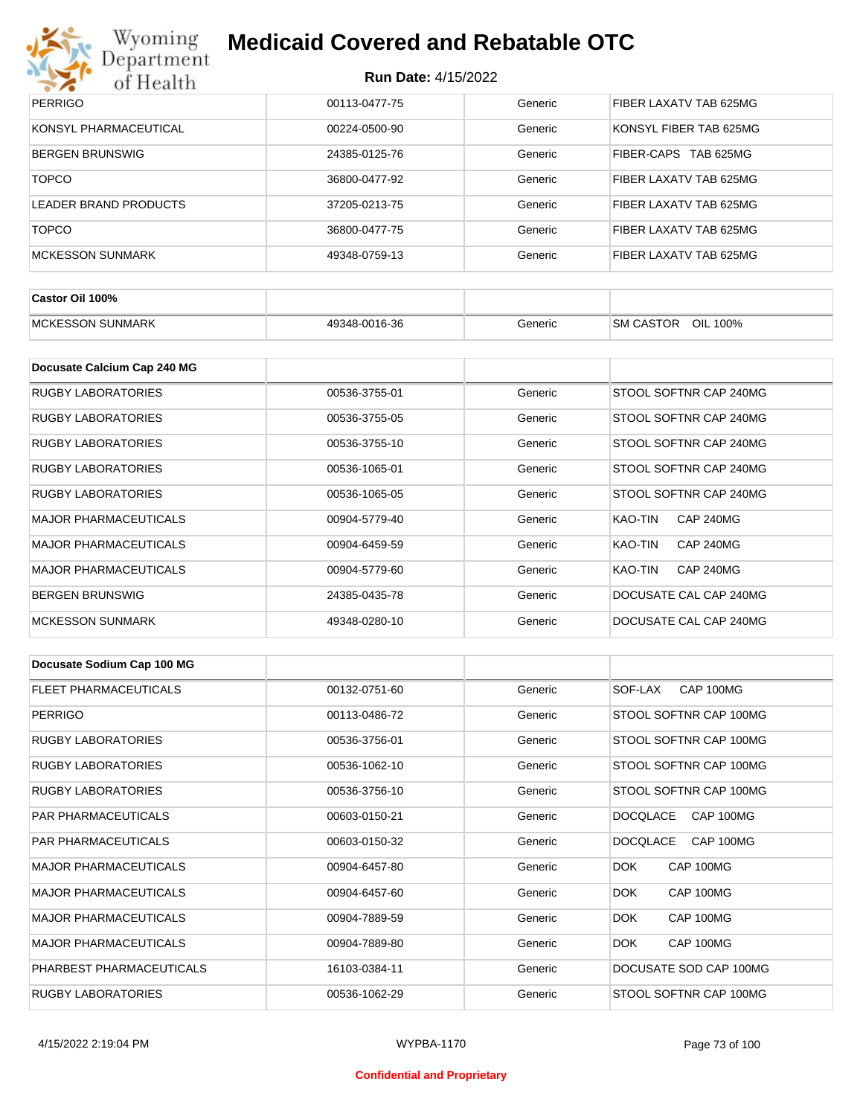

| <b>PERRIGO</b>          | 00113-0477-75 | Generic | FIBER LAXATV TAB 625MG |
|-------------------------|---------------|---------|------------------------|
| KONSYL PHARMACEUTICAL   | 00224-0500-90 | Generic | KONSYL FIBER TAB 625MG |
| <b>BERGEN BRUNSWIG</b>  | 24385-0125-76 | Generic | FIBER-CAPS TAB 625MG   |
| <b>TOPCO</b>            | 36800-0477-92 | Generic | FIBER LAXATV TAB 625MG |
| LEADER BRAND PRODUCTS   | 37205-0213-75 | Generic | FIBER LAXATV TAB 625MG |
| <b>TOPCO</b>            | 36800-0477-75 | Generic | FIBER LAXATV TAB 625MG |
| <b>MCKESSON SUNMARK</b> | 49348-0759-13 | Generic | FIBER LAXATV TAB 625MG |

| Castor Oil 100%         |               |         |                                 |
|-------------------------|---------------|---------|---------------------------------|
| <b>MCKESSON SUNMARK</b> | 49348-0016-36 | Generic | OIL<br><b>SM CASTOR</b><br>100% |

| Docusate Calcium Cap 240 MG  |               |         |                             |
|------------------------------|---------------|---------|-----------------------------|
| <b>RUGBY LABORATORIES</b>    | 00536-3755-01 | Generic | STOOL SOFTNR CAP 240MG      |
| RUGBY LABORATORIES           | 00536-3755-05 | Generic | STOOL SOFTNR CAP 240MG      |
| RUGBY LABORATORIES           | 00536-3755-10 | Generic | STOOL SOFTNR CAP 240MG      |
| RUGBY LABORATORIES           | 00536-1065-01 | Generic | STOOL SOFTNR CAP 240MG      |
| <b>RUGBY LABORATORIES</b>    | 00536-1065-05 | Generic | STOOL SOFTNR CAP 240MG      |
| <b>MAJOR PHARMACEUTICALS</b> | 00904-5779-40 | Generic | KAO-TIN<br><b>CAP 240MG</b> |
| <b>MAJOR PHARMACEUTICALS</b> | 00904-6459-59 | Generic | KAO-TIN<br><b>CAP 240MG</b> |
| <b>MAJOR PHARMACEUTICALS</b> | 00904-5779-60 | Generic | KAO-TIN<br><b>CAP 240MG</b> |
| <b>BERGEN BRUNSWIG</b>       | 24385-0435-78 | Generic | DOCUSATE CAL CAP 240MG      |
| <b>MCKESSON SUNMARK</b>      | 49348-0280-10 | Generic | DOCUSATE CAL CAP 240MG      |

| Docusate Sodium Cap 100 MG   |               |         |                              |
|------------------------------|---------------|---------|------------------------------|
| <b>FLEET PHARMACEUTICALS</b> | 00132-0751-60 | Generic | CAP 100MG<br>SOF-LAX         |
| <b>PERRIGO</b>               | 00113-0486-72 | Generic | STOOL SOFTNR CAP 100MG       |
| <b>RUGBY LABORATORIES</b>    | 00536-3756-01 | Generic | STOOL SOFTNR CAP 100MG       |
| <b>RUGBY LABORATORIES</b>    | 00536-1062-10 | Generic | STOOL SOFTNR CAP 100MG       |
| <b>RUGBY LABORATORIES</b>    | 00536-3756-10 | Generic | STOOL SOFTNR CAP 100MG       |
| <b>PAR PHARMACEUTICALS</b>   | 00603-0150-21 | Generic | <b>DOCQLACE</b><br>CAP 100MG |
| <b>PAR PHARMACEUTICALS</b>   | 00603-0150-32 | Generic | CAP 100MG<br>DOCQLACE        |
| <b>MAJOR PHARMACEUTICALS</b> | 00904-6457-80 | Generic | DOK.<br>CAP 100MG            |
| <b>MAJOR PHARMACEUTICALS</b> | 00904-6457-60 | Generic | DOK.<br>CAP 100MG            |
| <b>MAJOR PHARMACEUTICALS</b> | 00904-7889-59 | Generic | DOK.<br>CAP 100MG            |
| <b>MAJOR PHARMACEUTICALS</b> | 00904-7889-80 | Generic | DOK.<br>CAP 100MG            |
| PHARBEST PHARMACEUTICALS     | 16103-0384-11 | Generic | DOCUSATE SOD CAP 100MG       |
| <b>RUGBY LABORATORIES</b>    | 00536-1062-29 | Generic | STOOL SOFTNR CAP 100MG       |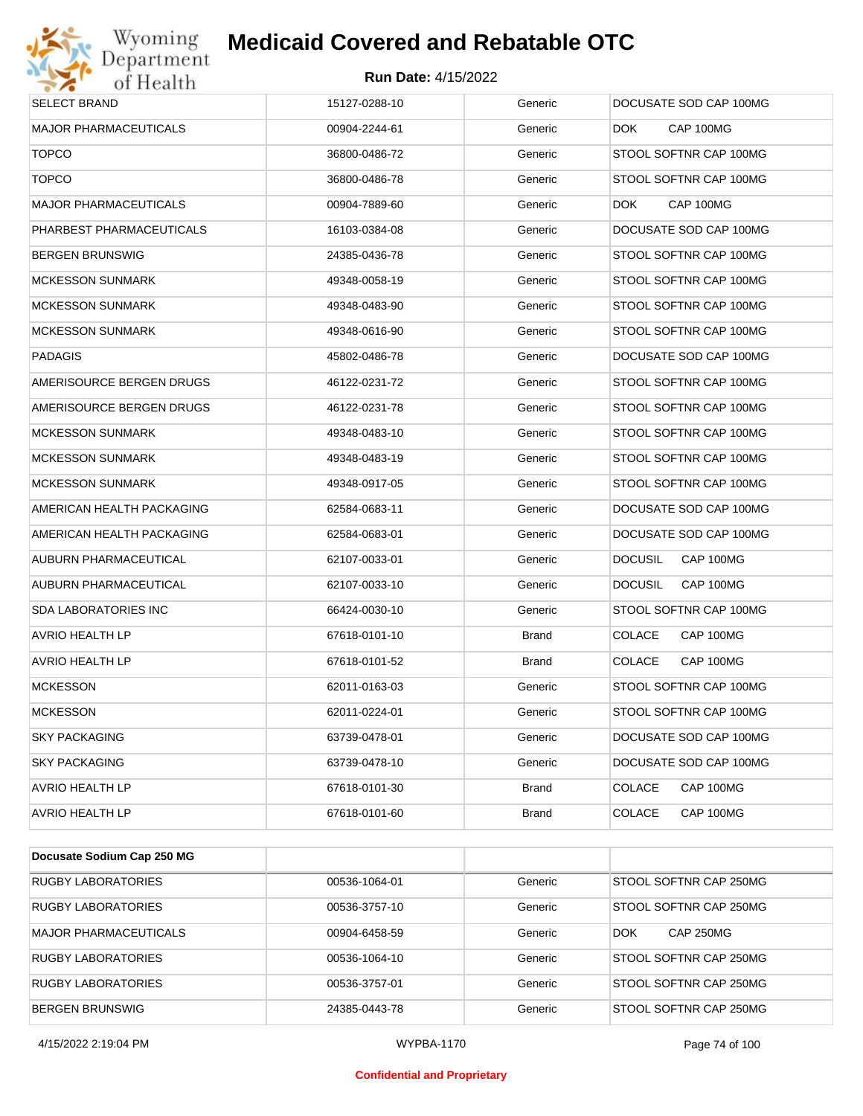

| <b>SELECT BRAND</b>          | 15127-0288-10 | Generic      | DOCUSATE SOD CAP 100MG      |
|------------------------------|---------------|--------------|-----------------------------|
| <b>MAJOR PHARMACEUTICALS</b> | 00904-2244-61 | Generic      | CAP 100MG<br>DOK.           |
| <b>TOPCO</b>                 | 36800-0486-72 | Generic      | STOOL SOFTNR CAP 100MG      |
| <b>TOPCO</b>                 | 36800-0486-78 | Generic      | STOOL SOFTNR CAP 100MG      |
| MAJOR PHARMACEUTICALS        | 00904-7889-60 | Generic      | CAP 100MG<br>DOK.           |
| PHARBEST PHARMACEUTICALS     | 16103-0384-08 | Generic      | DOCUSATE SOD CAP 100MG      |
| <b>BERGEN BRUNSWIG</b>       | 24385-0436-78 | Generic      | STOOL SOFTNR CAP 100MG      |
| <b>MCKESSON SUNMARK</b>      | 49348-0058-19 | Generic      | STOOL SOFTNR CAP 100MG      |
| <b>MCKESSON SUNMARK</b>      | 49348-0483-90 | Generic      | STOOL SOFTNR CAP 100MG      |
| <b>MCKESSON SUNMARK</b>      | 49348-0616-90 | Generic      | STOOL SOFTNR CAP 100MG      |
| <b>PADAGIS</b>               | 45802-0486-78 | Generic      | DOCUSATE SOD CAP 100MG      |
| AMERISOURCE BERGEN DRUGS     | 46122-0231-72 | Generic      | STOOL SOFTNR CAP 100MG      |
| AMERISOURCE BERGEN DRUGS     | 46122-0231-78 | Generic      | STOOL SOFTNR CAP 100MG      |
| <b>MCKESSON SUNMARK</b>      | 49348-0483-10 | Generic      | STOOL SOFTNR CAP 100MG      |
| <b>MCKESSON SUNMARK</b>      | 49348-0483-19 | Generic      | STOOL SOFTNR CAP 100MG      |
| <b>MCKESSON SUNMARK</b>      | 49348-0917-05 | Generic      | STOOL SOFTNR CAP 100MG      |
| AMERICAN HEALTH PACKAGING    | 62584-0683-11 | Generic      | DOCUSATE SOD CAP 100MG      |
| AMERICAN HEALTH PACKAGING    | 62584-0683-01 | Generic      | DOCUSATE SOD CAP 100MG      |
| AUBURN PHARMACEUTICAL        | 62107-0033-01 | Generic      | CAP 100MG<br><b>DOCUSIL</b> |
| AUBURN PHARMACEUTICAL        | 62107-0033-10 | Generic      | <b>DOCUSIL</b><br>CAP 100MG |
| <b>SDA LABORATORIES INC</b>  | 66424-0030-10 | Generic      | STOOL SOFTNR CAP 100MG      |
| AVRIO HEALTH LP              | 67618-0101-10 | <b>Brand</b> | <b>COLACE</b><br>CAP 100MG  |
| <b>AVRIO HEALTH LP</b>       | 67618-0101-52 | <b>Brand</b> | <b>COLACE</b><br>CAP 100MG  |
| <b>MCKESSON</b>              | 62011-0163-03 | Generic      | STOOL SOFTNR CAP 100MG      |
| <b>MCKESSON</b>              | 62011-0224-01 | Generic      | STOOL SOFTNR CAP 100MG      |
| <b>SKY PACKAGING</b>         | 63739-0478-01 | Generic      | DOCUSATE SOD CAP 100MG      |
| <b>SKY PACKAGING</b>         | 63739-0478-10 | Generic      | DOCUSATE SOD CAP 100MG      |
| AVRIO HEALTH LP              | 67618-0101-30 | <b>Brand</b> | <b>COLACE</b><br>CAP 100MG  |
| AVRIO HEALTH LP              | 67618-0101-60 | <b>Brand</b> | <b>COLACE</b><br>CAP 100MG  |

| Docusate Sodium Cap 250 MG   |               |         |                                |
|------------------------------|---------------|---------|--------------------------------|
| <b>RUGBY LABORATORIES</b>    | 00536-1064-01 | Generic | STOOL SOFTNR CAP 250MG         |
| <b>RUGBY LABORATORIES</b>    | 00536-3757-10 | Generic | STOOL SOFTNR CAP 250MG         |
| <b>MAJOR PHARMACEUTICALS</b> | 00904-6458-59 | Generic | <b>CAP 250MG</b><br><b>DOK</b> |
| <b>RUGBY LABORATORIES</b>    | 00536-1064-10 | Generic | STOOL SOFTNR CAP 250MG         |
| <b>RUGBY LABORATORIES</b>    | 00536-3757-01 | Generic | STOOL SOFTNR CAP 250MG         |
| BERGEN BRUNSWIG              | 24385-0443-78 | Generic | STOOL SOFTNR CAP 250MG         |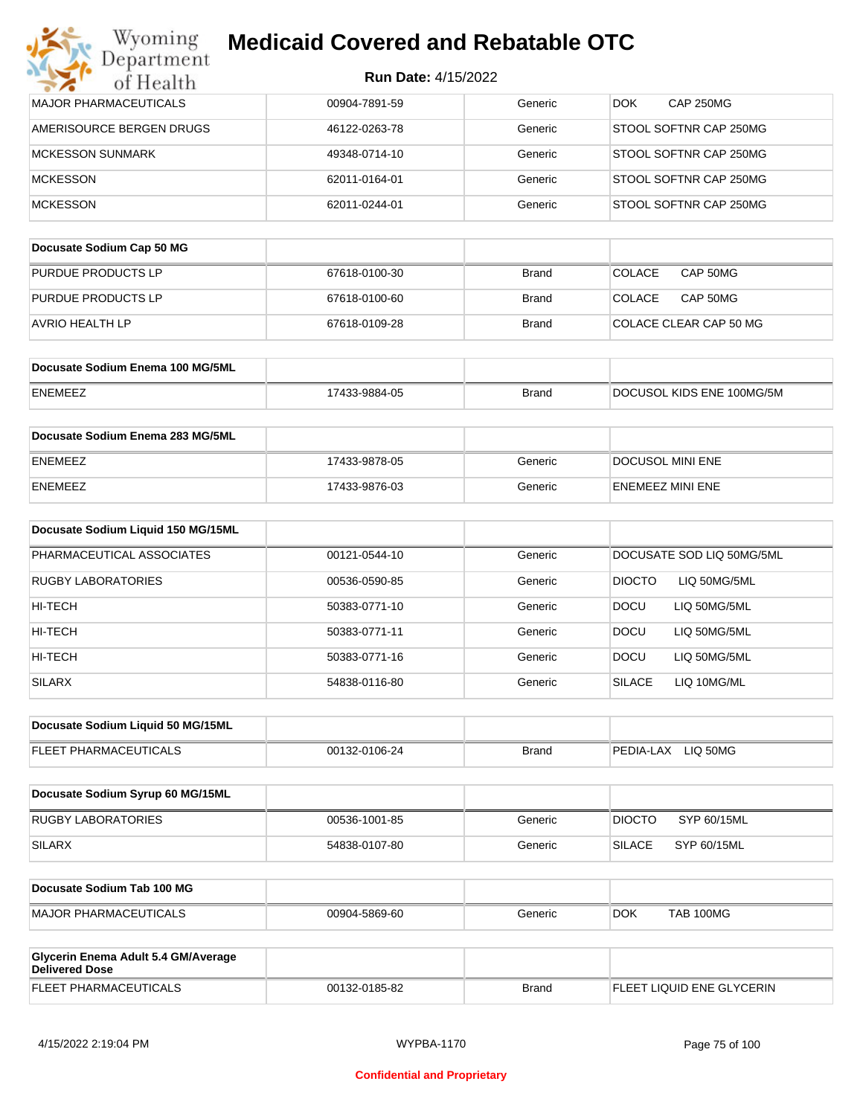| Department                                                   | <b>Run Date: 4/15/2022</b> |              |                               |
|--------------------------------------------------------------|----------------------------|--------------|-------------------------------|
| of Health<br><b>MAJOR PHARMACEUTICALS</b>                    | 00904-7891-59              | Generic      | <b>CAP 250MG</b><br>DOK.      |
| AMERISOURCE BERGEN DRUGS                                     | 46122-0263-78              | Generic      | STOOL SOFTNR CAP 250MG        |
| <b>MCKESSON SUNMARK</b>                                      | 49348-0714-10              | Generic      | STOOL SOFTNR CAP 250MG        |
| <b>MCKESSON</b>                                              |                            | Generic      | STOOL SOFTNR CAP 250MG        |
|                                                              | 62011-0164-01              |              |                               |
| <b>MCKESSON</b>                                              | 62011-0244-01              | Generic      | STOOL SOFTNR CAP 250MG        |
| Docusate Sodium Cap 50 MG                                    |                            |              |                               |
| PURDUE PRODUCTS LP                                           | 67618-0100-30              | <b>Brand</b> | CAP 50MG<br><b>COLACE</b>     |
| PURDUE PRODUCTS LP                                           | 67618-0100-60              | <b>Brand</b> | COLACE<br>CAP 50MG            |
| AVRIO HEALTH LP                                              | 67618-0109-28              | <b>Brand</b> | COLACE CLEAR CAP 50 MG        |
| Docusate Sodium Enema 100 MG/5ML                             |                            |              |                               |
| <b>ENEMEEZ</b>                                               | 17433-9884-05              | <b>Brand</b> | DOCUSOL KIDS ENE 100MG/5M     |
| Docusate Sodium Enema 283 MG/5ML                             |                            |              |                               |
| <b>ENEMEEZ</b>                                               | 17433-9878-05              | Generic      | DOCUSOL MINI ENE              |
| <b>ENEMEEZ</b>                                               | 17433-9876-03              | Generic      | ENEMEEZ MINI ENE              |
| Docusate Sodium Liquid 150 MG/15ML                           |                            |              |                               |
| PHARMACEUTICAL ASSOCIATES                                    | 00121-0544-10              | Generic      | DOCUSATE SOD LIQ 50MG/5ML     |
| <b>RUGBY LABORATORIES</b>                                    | 00536-0590-85              | Generic      | <b>DIOCTO</b><br>LIQ 50MG/5ML |
| HI-TECH                                                      | 50383-0771-10              | Generic      | <b>DOCU</b><br>LIQ 50MG/5ML   |
| HI-TECH                                                      | 50383-0771-11              | Generic      | <b>DOCU</b><br>LIQ 50MG/5ML   |
| HI-TECH                                                      | 50383-0771-16              | Generic      | <b>DOCU</b><br>LIQ 50MG/5ML   |
| <b>SILARX</b>                                                | 54838-0116-80              | Generic      | <b>SILACE</b><br>LIQ 10MG/ML  |
| Docusate Sodium Liquid 50 MG/15ML                            |                            |              |                               |
| FLEET PHARMACEUTICALS                                        | 00132-0106-24              | <b>Brand</b> | PEDIA-LAX LIQ 50MG            |
| Docusate Sodium Syrup 60 MG/15ML                             |                            |              |                               |
| <b>RUGBY LABORATORIES</b>                                    | 00536-1001-85              | Generic      | SYP 60/15ML<br><b>DIOCTO</b>  |
| <b>SILARX</b>                                                | 54838-0107-80              | Generic      | <b>SILACE</b><br>SYP 60/15ML  |
| Docusate Sodium Tab 100 MG                                   |                            |              |                               |
| <b>MAJOR PHARMACEUTICALS</b>                                 | 00904-5869-60              | Generic      | DOK.<br><b>TAB 100MG</b>      |
| Glycerin Enema Adult 5.4 GM/Average<br><b>Delivered Dose</b> |                            |              |                               |
| FLEET PHARMACEUTICALS                                        | 00132-0185-82              | <b>Brand</b> | FLEET LIQUID ENE GLYCERIN     |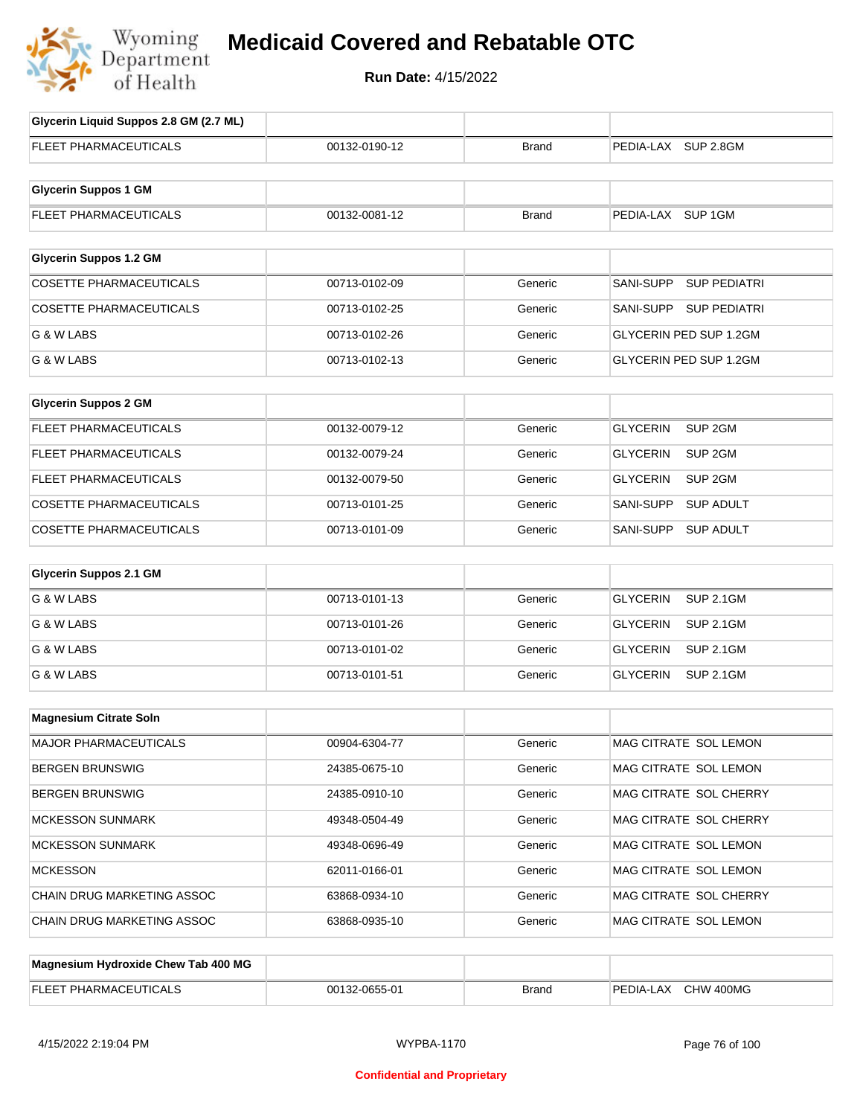

| Glycerin Liquid Suppos 2.8 GM (2.7 ML) |               |              |                                       |
|----------------------------------------|---------------|--------------|---------------------------------------|
| <b>FLEET PHARMACEUTICALS</b>           | 00132-0190-12 | <b>Brand</b> | PEDIA-LAX SUP 2.8GM                   |
| <b>Glycerin Suppos 1 GM</b>            |               |              |                                       |
| FLEET PHARMACEUTICALS                  | 00132-0081-12 | <b>Brand</b> | PEDIA-LAX SUP 1GM                     |
|                                        |               |              |                                       |
| <b>Glycerin Suppos 1.2 GM</b>          |               |              |                                       |
| <b>COSETTE PHARMACEUTICALS</b>         | 00713-0102-09 | Generic      | SANI-SUPP<br><b>SUP PEDIATRI</b>      |
| <b>COSETTE PHARMACEUTICALS</b>         | 00713-0102-25 | Generic      | <b>SUP PEDIATRI</b><br>SANI-SUPP      |
| G & W LABS                             | 00713-0102-26 | Generic      | GLYCERIN PED SUP 1.2GM                |
| G & W LABS                             | 00713-0102-13 | Generic      | GLYCERIN PED SUP 1.2GM                |
| <b>Glycerin Suppos 2 GM</b>            |               |              |                                       |
| FLEET PHARMACEUTICALS                  | 00132-0079-12 | Generic      | SUP <sub>2GM</sub><br><b>GLYCERIN</b> |
| <b>FLEET PHARMACEUTICALS</b>           | 00132-0079-24 | Generic      | GLYCERIN<br>SUP 2GM                   |
| FLEET PHARMACEUTICALS                  | 00132-0079-50 | Generic      | <b>GLYCERIN</b><br>SUP 2GM            |
| COSETTE PHARMACEUTICALS                | 00713-0101-25 | Generic      | SANI-SUPP<br><b>SUP ADULT</b>         |
| <b>COSETTE PHARMACEUTICALS</b>         | 00713-0101-09 | Generic      | SANI-SUPP<br><b>SUP ADULT</b>         |
|                                        |               |              |                                       |
| <b>Glycerin Suppos 2.1 GM</b>          |               |              |                                       |
| G & W LABS                             | 00713-0101-13 | Generic      | <b>GLYCERIN</b><br><b>SUP 2.1GM</b>   |
| G & W LABS                             | 00713-0101-26 | Generic      | <b>GLYCERIN</b><br><b>SUP 2.1GM</b>   |
| G & W LABS                             | 00713-0101-02 | Generic      | <b>GLYCERIN</b><br><b>SUP 2.1GM</b>   |
| G & W LABS                             | 00713-0101-51 | Generic      | <b>GLYCERIN</b><br><b>SUP 2.1GM</b>   |
| <b>Magnesium Citrate Soln</b>          |               |              |                                       |
| MAJOR PHARMACEUTICALS                  | 00904-6304-77 | Generic      | MAG CITRATE SOL LEMON                 |
| <b>BERGEN BRUNSWIG</b>                 | 24385-0675-10 | Generic      | MAG CITRATE SOL LEMON                 |
| <b>BERGEN BRUNSWIG</b>                 | 24385-0910-10 | Generic      | MAG CITRATE SOL CHERRY                |
| <b>MCKESSON SUNMARK</b>                | 49348-0504-49 | Generic      | MAG CITRATE SOL CHERRY                |
| <b>MCKESSON SUNMARK</b>                | 49348-0696-49 | Generic      | MAG CITRATE SOL LEMON                 |
| <b>MCKESSON</b>                        | 62011-0166-01 | Generic      | MAG CITRATE SOL LEMON                 |
| CHAIN DRUG MARKETING ASSOC             | 63868-0934-10 | Generic      | MAG CITRATE SOL CHERRY                |
| CHAIN DRUG MARKETING ASSOC             | 63868-0935-10 | Generic      | MAG CITRATE SOL LEMON                 |
|                                        |               |              |                                       |
| Magnesium Hydroxide Chew Tab 400 MG    |               |              |                                       |

| ELI<br>. MA' | $\mathsf{A}$<br>001<br>ט-כ | <b>Brand</b> | ``<br>`400MG<br>HW.<br>AIC<br>∼<br>n r |
|--------------|----------------------------|--------------|----------------------------------------|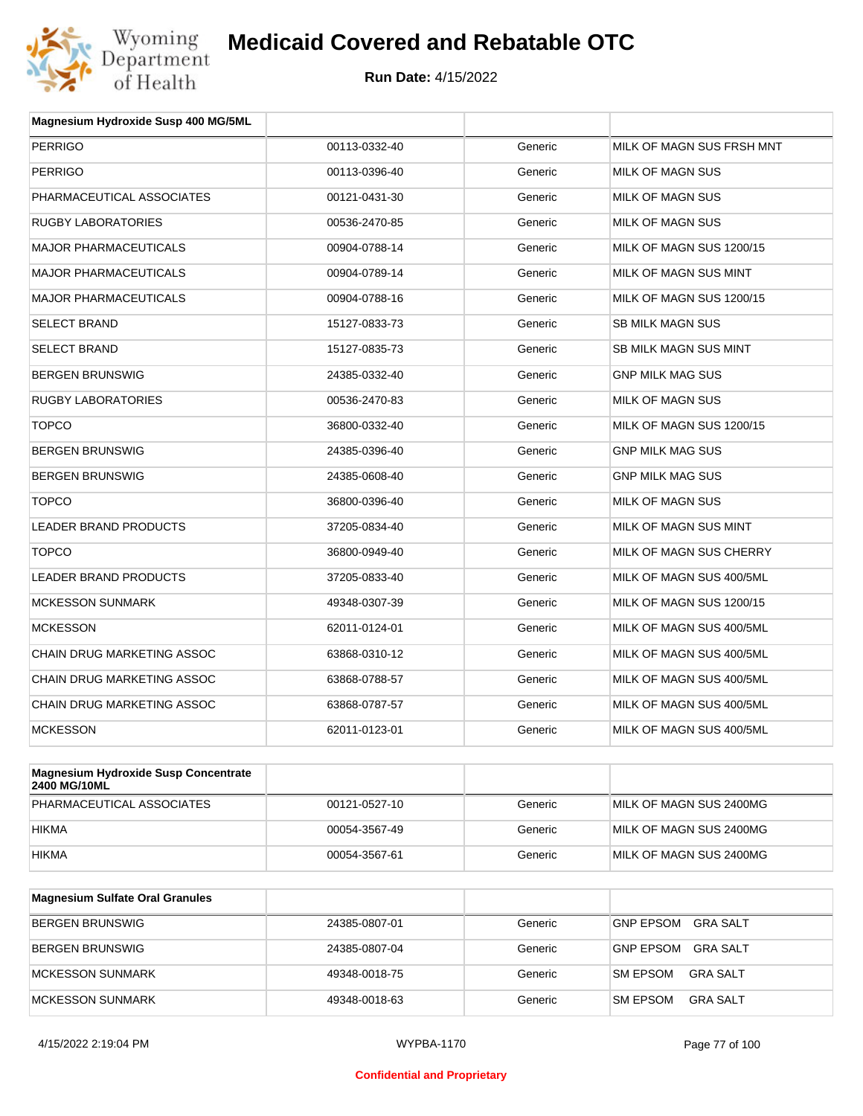

| <b>PERRIGO</b><br><b>PERRIGO</b><br>PHARMACEUTICAL ASSOCIATES | 00113-0332-40<br>00113-0396-40<br>00121-0431-30 | Generic<br>Generic | MILK OF MAGN SUS FRSH MNT<br><b>MILK OF MAGN SUS</b> |
|---------------------------------------------------------------|-------------------------------------------------|--------------------|------------------------------------------------------|
|                                                               |                                                 |                    |                                                      |
|                                                               |                                                 |                    |                                                      |
|                                                               |                                                 | Generic            | MILK OF MAGN SUS                                     |
| <b>RUGBY LABORATORIES</b>                                     | 00536-2470-85                                   | Generic            | <b>MILK OF MAGN SUS</b>                              |
| <b>MAJOR PHARMACEUTICALS</b>                                  | 00904-0788-14                                   | Generic            | MILK OF MAGN SUS 1200/15                             |
| <b>MAJOR PHARMACEUTICALS</b>                                  | 00904-0789-14                                   | Generic            | MILK OF MAGN SUS MINT                                |
| <b>MAJOR PHARMACEUTICALS</b>                                  | 00904-0788-16                                   | Generic            | MILK OF MAGN SUS 1200/15                             |
| <b>SELECT BRAND</b>                                           | 15127-0833-73                                   | Generic            | <b>SB MILK MAGN SUS</b>                              |
| <b>SELECT BRAND</b>                                           | 15127-0835-73                                   | Generic            | SB MILK MAGN SUS MINT                                |
| <b>BERGEN BRUNSWIG</b>                                        | 24385-0332-40                                   | Generic            | <b>GNP MILK MAG SUS</b>                              |
| <b>RUGBY LABORATORIES</b>                                     | 00536-2470-83                                   | Generic            | MILK OF MAGN SUS                                     |
| <b>TOPCO</b>                                                  | 36800-0332-40                                   | Generic            | MILK OF MAGN SUS 1200/15                             |
| <b>BERGEN BRUNSWIG</b>                                        | 24385-0396-40                                   | Generic            | <b>GNP MILK MAG SUS</b>                              |
| <b>BERGEN BRUNSWIG</b>                                        | 24385-0608-40                                   | Generic            | <b>GNP MILK MAG SUS</b>                              |
| <b>TOPCO</b>                                                  | 36800-0396-40                                   | Generic            | MILK OF MAGN SUS                                     |
| LEADER BRAND PRODUCTS                                         | 37205-0834-40                                   | Generic            | MILK OF MAGN SUS MINT                                |
| <b>TOPCO</b>                                                  | 36800-0949-40                                   | Generic            | MILK OF MAGN SUS CHERRY                              |
| LEADER BRAND PRODUCTS                                         | 37205-0833-40                                   | Generic            | MILK OF MAGN SUS 400/5ML                             |
| <b>MCKESSON SUNMARK</b>                                       | 49348-0307-39                                   | Generic            | MILK OF MAGN SUS 1200/15                             |
| <b>MCKESSON</b>                                               | 62011-0124-01                                   | Generic            | MILK OF MAGN SUS 400/5ML                             |
| <b>CHAIN DRUG MARKETING ASSOC</b>                             | 63868-0310-12                                   | Generic            | MILK OF MAGN SUS 400/5ML                             |
| <b>CHAIN DRUG MARKETING ASSOC</b>                             | 63868-0788-57                                   | Generic            | MILK OF MAGN SUS 400/5ML                             |
| <b>CHAIN DRUG MARKETING ASSOC</b>                             | 63868-0787-57                                   | Generic            | MILK OF MAGN SUS 400/5ML                             |
| <b>MCKESSON</b>                                               | 62011-0123-01                                   | Generic            | MILK OF MAGN SUS 400/5ML                             |

| Magnesium Hydroxide Susp Concentrate<br>2400 MG/10ML |               |         |                         |
|------------------------------------------------------|---------------|---------|-------------------------|
| PHARMACEUTICAL ASSOCIATES                            | 00121-0527-10 | Generic | MILK OF MAGN SUS 2400MG |
| <b>HIKMA</b>                                         | 00054-3567-49 | Generic | MILK OF MAGN SUS 2400MG |
| <b>HIKMA</b>                                         | 00054-3567-61 | Generic | MILK OF MAGN SUS 2400MG |

| <b>Magnesium Sulfate Oral Granules</b> |               |         |                                    |
|----------------------------------------|---------------|---------|------------------------------------|
| <b>BERGEN BRUNSWIG</b>                 | 24385-0807-01 | Generic | GRA SALT<br><b>GNP EPSOM</b>       |
| BERGEN BRUNSWIG                        | 24385-0807-04 | Generic | GRA SALT<br><b>GNP EPSOM</b>       |
| MCKESSON SUNMARK                       | 49348-0018-75 | Generic | <b>SM EPSOM</b><br>GRA SALT        |
| MCKESSON SUNMARK                       | 49348-0018-63 | Generic | <b>SM EPSOM</b><br><b>GRA SALT</b> |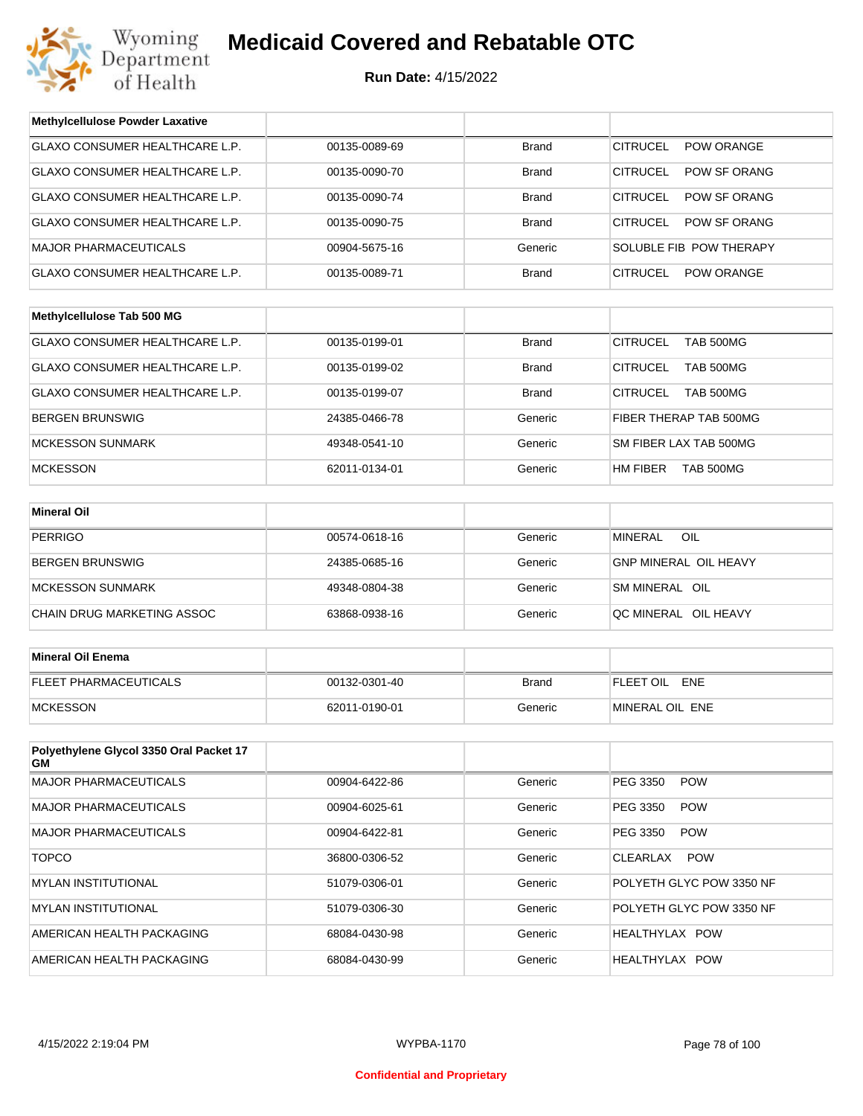

| <b>Methylcellulose Powder Laxative</b>        |               |              |                                        |  |
|-----------------------------------------------|---------------|--------------|----------------------------------------|--|
| GLAXO CONSUMER HEALTHCARE L.P.                | 00135-0089-69 | <b>Brand</b> | <b>CITRUCEL</b><br>POW ORANGE          |  |
| GLAXO CONSUMER HEALTHCARE L.P.                | 00135-0090-70 | <b>Brand</b> | <b>CITRUCEL</b><br>POW SF ORANG        |  |
| GLAXO CONSUMER HEALTHCARE L.P.                | 00135-0090-74 | <b>Brand</b> | <b>CITRUCEL</b><br><b>POW SF ORANG</b> |  |
| GLAXO CONSUMER HEALTHCARE L.P.                | 00135-0090-75 | <b>Brand</b> | <b>CITRUCEL</b><br>POW SF ORANG        |  |
| <b>MAJOR PHARMACEUTICALS</b>                  | 00904-5675-16 | Generic      | SOLUBLE FIB POW THERAPY                |  |
| GLAXO CONSUMER HEALTHCARE L.P.                | 00135-0089-71 | <b>Brand</b> | <b>CITRUCEL</b><br><b>POW ORANGE</b>   |  |
|                                               |               |              |                                        |  |
| Methylcellulose Tab 500 MG                    |               |              |                                        |  |
| GLAXO CONSUMER HEALTHCARE L.P.                | 00135-0199-01 | <b>Brand</b> | <b>CITRUCEL</b><br><b>TAB 500MG</b>    |  |
| GLAXO CONSUMER HEALTHCARE L.P.                | 00135-0199-02 | <b>Brand</b> | <b>CITRUCEL</b><br><b>TAB 500MG</b>    |  |
| <b>GLAXO CONSUMER HEALTHCARE L.P.</b>         | 00135-0199-07 | <b>Brand</b> | <b>CITRUCEL</b><br><b>TAB 500MG</b>    |  |
| <b>BERGEN BRUNSWIG</b>                        | 24385-0466-78 | Generic      | FIBER THERAP TAB 500MG                 |  |
| <b>MCKESSON SUNMARK</b>                       | 49348-0541-10 | Generic      | SM FIBER LAX TAB 500MG                 |  |
| <b>MCKESSON</b>                               | 62011-0134-01 | Generic      | HM FIBER<br>TAB 500MG                  |  |
|                                               |               |              |                                        |  |
| <b>Mineral Oil</b>                            |               |              |                                        |  |
| <b>PERRIGO</b>                                | 00574-0618-16 | Generic      | OIL<br><b>MINERAL</b>                  |  |
| <b>BERGEN BRUNSWIG</b>                        | 24385-0685-16 | Generic      | <b>GNP MINERAL OIL HEAVY</b>           |  |
| <b>MCKESSON SUNMARK</b>                       | 49348-0804-38 | Generic      | SM MINERAL OIL                         |  |
| CHAIN DRUG MARKETING ASSOC                    | 63868-0938-16 | Generic      | QC MINERAL OIL HEAVY                   |  |
|                                               |               |              |                                        |  |
| <b>Mineral Oil Enema</b>                      |               |              |                                        |  |
| FLEET PHARMACEUTICALS                         | 00132-0301-40 | <b>Brand</b> | FLEET OIL ENE                          |  |
| <b>MCKESSON</b>                               | 62011-0190-01 | Generic      | MINERAL OIL ENE                        |  |
|                                               |               |              |                                        |  |
| Polyethylene Glycol 3350 Oral Packet 17<br>GМ |               |              |                                        |  |
| <b>MAJOR PHARMACEUTICALS</b>                  | 00904-6422-86 | Generic      | PEG 3350<br><b>POW</b>                 |  |
| MAJOR PHARMACEUTICALS                         | 00904-6025-61 | Generic      | PEG 3350<br><b>POW</b>                 |  |
| <b>MAJOR PHARMACEUTICALS</b>                  | 00904-6422-81 | Generic      | PEG 3350<br><b>POW</b>                 |  |
| <b>TOPCO</b>                                  | 36800-0306-52 | Generic      | CLEARLAX<br><b>POW</b>                 |  |
| <b>MYLAN INSTITUTIONAL</b>                    | 51079-0306-01 | Generic      | POLYETH GLYC POW 3350 NF               |  |
| <b>MYLAN INSTITUTIONAL</b>                    | 51079-0306-30 | Generic      | POLYETH GLYC POW 3350 NF               |  |
| AMERICAN HEALTH PACKAGING                     | 68084-0430-98 | Generic      | HEALTHYLAX POW                         |  |
| AMERICAN HEALTH PACKAGING                     | 68084-0430-99 | Generic      | HEALTHYLAX POW                         |  |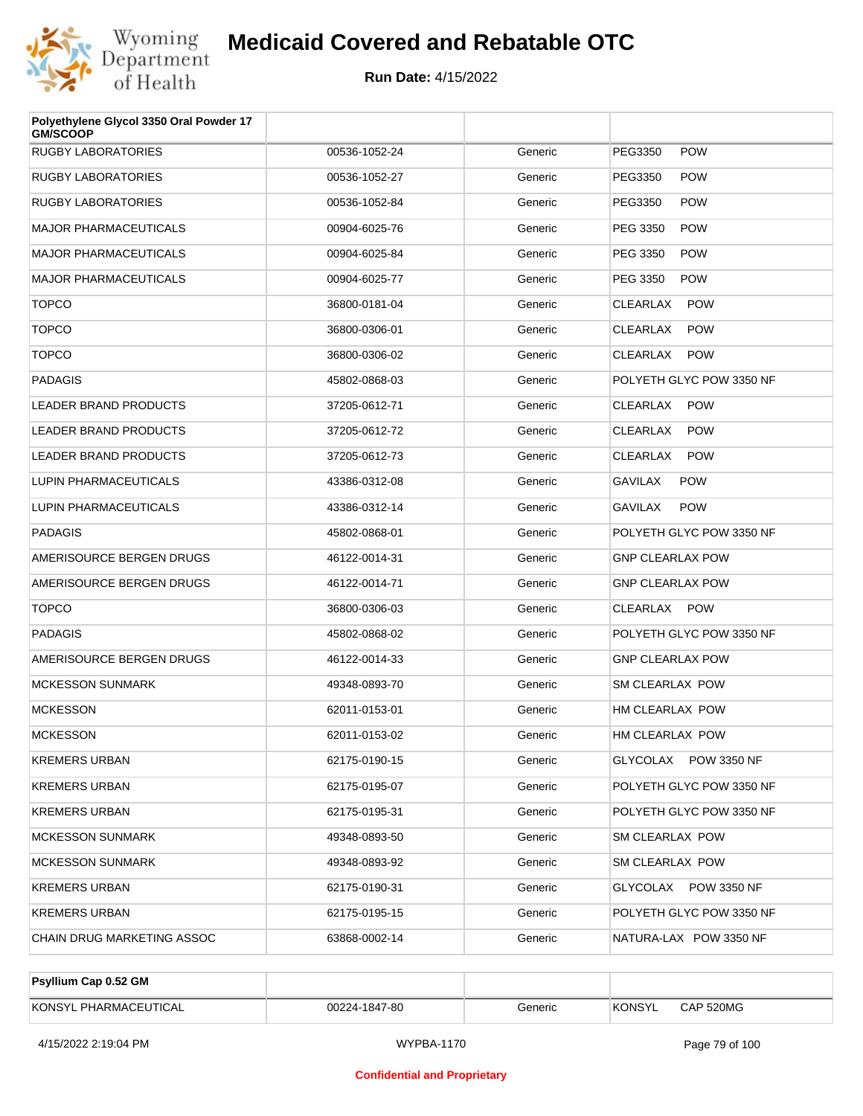

| Polyethylene Glycol 3350 Oral Powder 17<br><b>GM/SCOOP</b> |               |         |                                |
|------------------------------------------------------------|---------------|---------|--------------------------------|
| <b>RUGBY LABORATORIES</b>                                  | 00536-1052-24 | Generic | PEG3350<br><b>POW</b>          |
| RUGBY LABORATORIES                                         | 00536-1052-27 | Generic | <b>POW</b><br>PEG3350          |
| RUGBY LABORATORIES                                         | 00536-1052-84 | Generic | <b>POW</b><br>PEG3350          |
| <b>MAJOR PHARMACEUTICALS</b>                               | 00904-6025-76 | Generic | <b>POW</b><br>PEG 3350         |
| MAJOR PHARMACEUTICALS                                      | 00904-6025-84 | Generic | <b>POW</b><br>PEG 3350         |
| <b>MAJOR PHARMACEUTICALS</b>                               | 00904-6025-77 | Generic | <b>POW</b><br>PEG 3350         |
| <b>TOPCO</b>                                               | 36800-0181-04 | Generic | <b>CLEARLAX</b><br><b>POW</b>  |
| <b>TOPCO</b>                                               | 36800-0306-01 | Generic | <b>POW</b><br>CLEARLAX         |
| <b>TOPCO</b>                                               | 36800-0306-02 | Generic | CLEARLAX<br><b>POW</b>         |
| PADAGIS                                                    | 45802-0868-03 | Generic | POLYETH GLYC POW 3350 NF       |
| LEADER BRAND PRODUCTS                                      | 37205-0612-71 | Generic | CLEARLAX<br><b>POW</b>         |
| <b>LEADER BRAND PRODUCTS</b>                               | 37205-0612-72 | Generic | <b>CLEARLAX</b><br><b>POW</b>  |
| <b>LEADER BRAND PRODUCTS</b>                               | 37205-0612-73 | Generic | <b>POW</b><br>CLEARLAX         |
| LUPIN PHARMACEUTICALS                                      | 43386-0312-08 | Generic | <b>GAVILAX</b><br><b>POW</b>   |
| LUPIN PHARMACEUTICALS                                      | 43386-0312-14 | Generic | <b>POW</b><br>GAVILAX          |
| PADAGIS                                                    | 45802-0868-01 | Generic | POLYETH GLYC POW 3350 NF       |
| AMERISOURCE BERGEN DRUGS                                   | 46122-0014-31 | Generic | <b>GNP CLEARLAX POW</b>        |
| AMERISOURCE BERGEN DRUGS                                   | 46122-0014-71 | Generic | <b>GNP CLEARLAX POW</b>        |
| <b>TOPCO</b>                                               | 36800-0306-03 | Generic | CLEARLAX POW                   |
| PADAGIS                                                    | 45802-0868-02 | Generic | POLYETH GLYC POW 3350 NF       |
| AMERISOURCE BERGEN DRUGS                                   | 46122-0014-33 | Generic | <b>GNP CLEARLAX POW</b>        |
| <b>MCKESSON SUNMARK</b>                                    | 49348-0893-70 | Generic | SM CLEARLAX POW                |
| <b>MCKESSON</b>                                            | 62011-0153-01 | Generic | HM CLEARLAX POW                |
| <b>MCKESSON</b>                                            | 62011-0153-02 | Generic | HM CLEARLAX POW                |
| <b>KREMERS URBAN</b>                                       | 62175-0190-15 | Generic | GLYCOLAX POW 3350 NF           |
| KREMERS URBAN                                              | 62175-0195-07 | Generic | POLYETH GLYC POW 3350 NF       |
| KREMERS URBAN                                              | 62175-0195-31 | Generic | POLYETH GLYC POW 3350 NF       |
| MCKESSON SUNMARK                                           | 49348-0893-50 | Generic | SM CLEARLAX POW                |
| MCKESSON SUNMARK                                           | 49348-0893-92 | Generic | SM CLEARLAX POW                |
| KREMERS URBAN                                              | 62175-0190-31 | Generic | GLYCOLAX<br><b>POW 3350 NF</b> |
| KREMERS URBAN                                              | 62175-0195-15 | Generic | POLYETH GLYC POW 3350 NF       |
| CHAIN DRUG MARKETING ASSOC                                 | 63868-0002-14 | Generic | NATURA-LAX POW 3350 NF         |

| <b>Psyllium Cap 0.52 GM</b> |               |         |         |           |
|-----------------------------|---------------|---------|---------|-----------|
| KONSYL PHARMACEUTICAL       | 00224-1847-80 | Generic | 'KONSYL | CAP 520MG |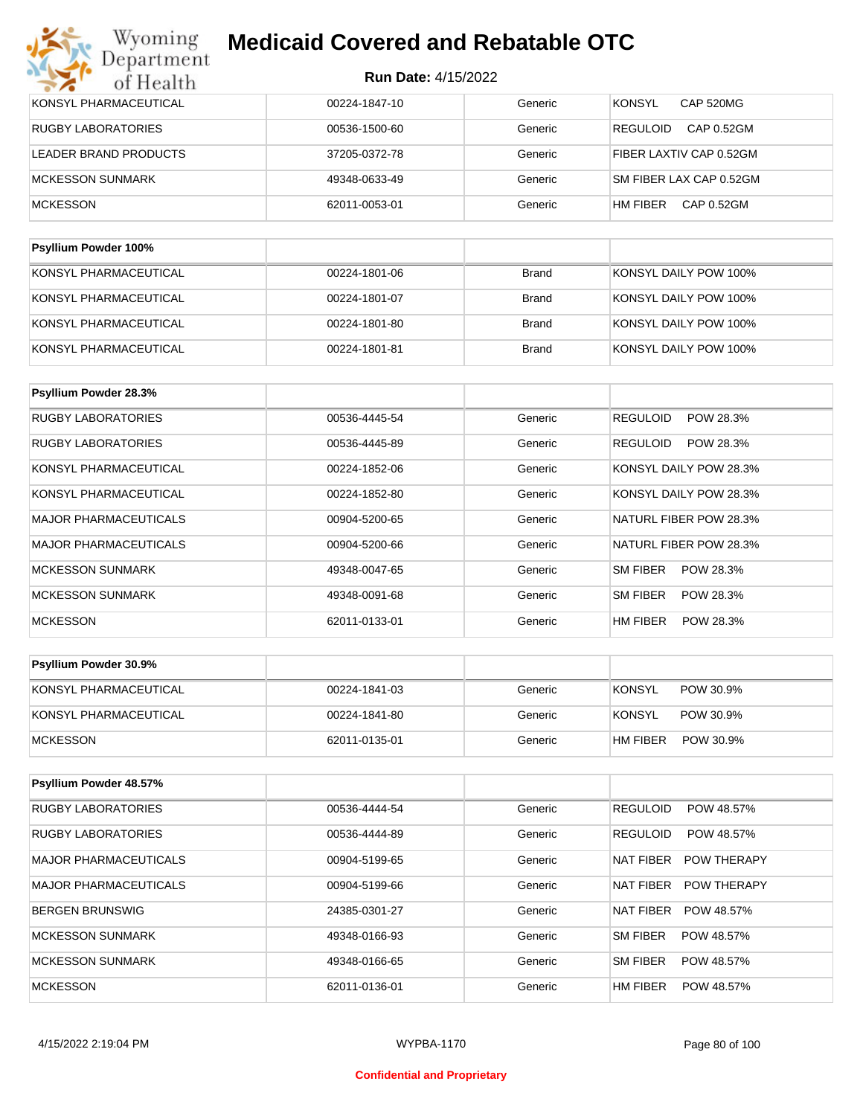| KONSYL PHARMACEUTICAL        | 00224-1847-10 | Generic      | CAP 520MG<br><b>KONSYL</b>    |
|------------------------------|---------------|--------------|-------------------------------|
| <b>RUGBY LABORATORIES</b>    | 00536-1500-60 | Generic      | CAP 0.52GM<br><b>REGULOID</b> |
| <b>LEADER BRAND PRODUCTS</b> | 37205-0372-78 | Generic      | FIBER LAXTIV CAP 0.52GM       |
| <b>MCKESSON SUNMARK</b>      | 49348-0633-49 | Generic      | SM FIBER LAX CAP 0.52GM       |
| <b>MCKESSON</b>              | 62011-0053-01 | Generic      | HM FIBER<br>CAP 0.52GM        |
|                              |               |              |                               |
| Psyllium Powder 100%         |               |              |                               |
| KONSYL PHARMACEUTICAL        | 00224-1801-06 | <b>Brand</b> | KONSYL DAILY POW 100%         |
|                              |               |              |                               |

| KONSYL PHARMACEUTICAL | 00224-1801-07 | Brand | KONSYL DAILY POW 100% |
|-----------------------|---------------|-------|-----------------------|
| KONSYL PHARMACEUTICAL | 00224-1801-80 | Brand | KONSYL DAILY POW 100% |
| KONSYL PHARMACEUTICAL | 00224-1801-81 | Brand | KONSYL DAILY POW 100% |

| <b>Psyllium Powder 28.3%</b> |               |         |                              |
|------------------------------|---------------|---------|------------------------------|
| RUGBY LABORATORIES           | 00536-4445-54 | Generic | <b>REGULOID</b><br>POW 28.3% |
| <b>RUGBY LABORATORIES</b>    | 00536-4445-89 | Generic | POW 28.3%<br><b>REGULOID</b> |
| KONSYL PHARMACEUTICAL        | 00224-1852-06 | Generic | KONSYL DAILY POW 28.3%       |
| KONSYL PHARMACEUTICAL        | 00224-1852-80 | Generic | KONSYL DAILY POW 28.3%       |
| <b>MAJOR PHARMACEUTICALS</b> | 00904-5200-65 | Generic | NATURL FIBER POW 28.3%       |
| <b>MAJOR PHARMACEUTICALS</b> | 00904-5200-66 | Generic | NATURL FIBER POW 28.3%       |
| <b>MCKESSON SUNMARK</b>      | 49348-0047-65 | Generic | SM FIBER<br>POW 28.3%        |
| <b>MCKESSON SUNMARK</b>      | 49348-0091-68 | Generic | SM FIBER<br>POW 28.3%        |
| <b>MCKESSON</b>              | 62011-0133-01 | Generic | HM FIBER<br>POW 28.3%        |

| <b>Psyllium Powder 30.9%</b> |               |         |                            |
|------------------------------|---------------|---------|----------------------------|
| KONSYL PHARMACEUTICAL        | 00224-1841-03 | Generic | <b>KONSYL</b><br>POW 30.9% |
| KONSYL PHARMACEUTICAL        | 00224-1841-80 | Generic | KONSYL<br>POW 30.9%        |
| <b>IMCKESSON</b>             | 62011-0135-01 | Generic | HM FIBER<br>POW 30.9%      |

| Psyllium Powder 48.57%       |               |         |                                        |
|------------------------------|---------------|---------|----------------------------------------|
| <b>RUGBY LABORATORIES</b>    | 00536-4444-54 | Generic | <b>REGULOID</b><br>POW 48.57%          |
| <b>RUGBY LABORATORIES</b>    | 00536-4444-89 | Generic | <b>REGULOID</b><br>POW 48.57%          |
| <b>MAJOR PHARMACEUTICALS</b> | 00904-5199-65 | Generic | <b>NAT FIBER</b><br><b>POW THERAPY</b> |
| <b>MAJOR PHARMACEUTICALS</b> | 00904-5199-66 | Generic | NAT FIBER<br><b>POW THERAPY</b>        |
| <b>BERGEN BRUNSWIG</b>       | 24385-0301-27 | Generic | <b>NAT FIBER</b><br>POW 48.57%         |
| MCKESSON SUNMARK             | 49348-0166-93 | Generic | SM FIBER<br>POW 48.57%                 |
| MCKESSON SUNMARK             | 49348-0166-65 | Generic | <b>SM FIBER</b><br>POW 48.57%          |
| <b>MCKESSON</b>              | 62011-0136-01 | Generic | HM FIBER<br>POW 48.57%                 |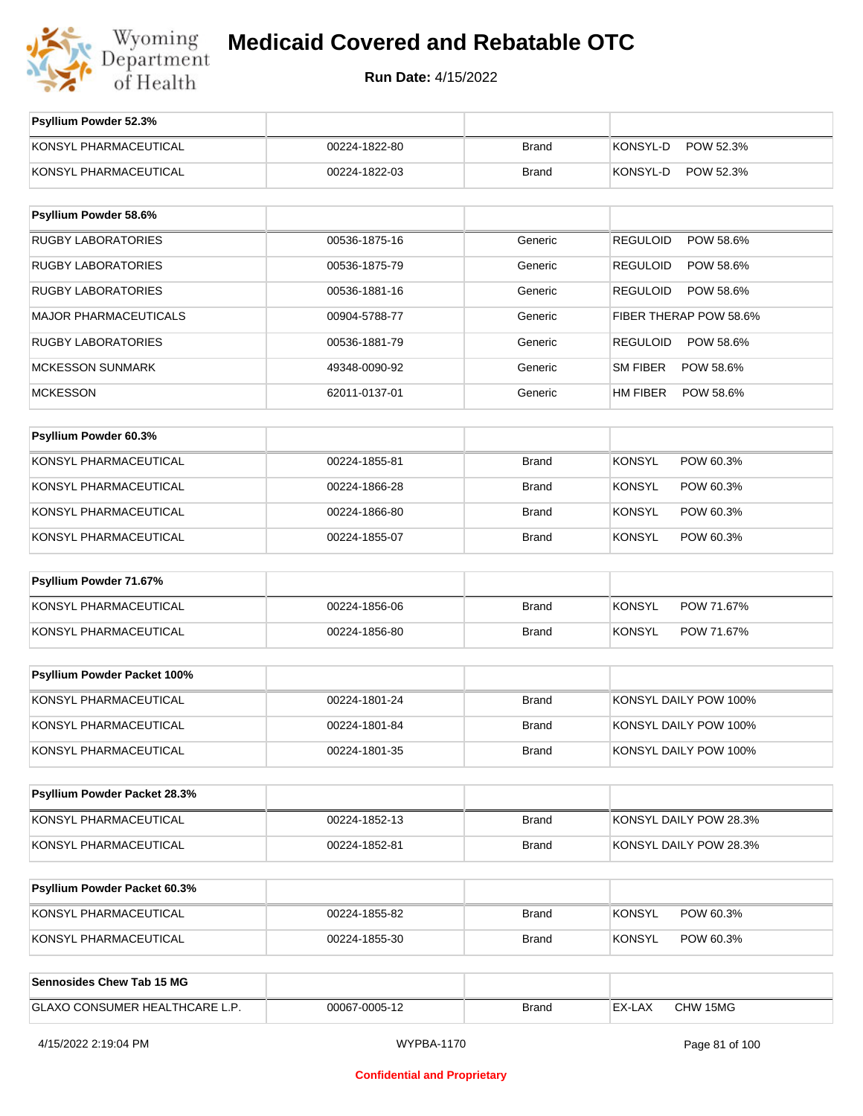

**Run Date:** 4/15/2022

| Psyllium Powder 52.3%          |               |              |                              |
|--------------------------------|---------------|--------------|------------------------------|
| KONSYL PHARMACEUTICAL          | 00224-1822-80 | <b>Brand</b> | KONSYL-D<br>POW 52.3%        |
| KONSYL PHARMACEUTICAL          | 00224-1822-03 | <b>Brand</b> | KONSYL-D<br>POW 52.3%        |
| Psyllium Powder 58.6%          |               |              |                              |
| <b>RUGBY LABORATORIES</b>      | 00536-1875-16 | Generic      | <b>REGULOID</b><br>POW 58.6% |
| <b>RUGBY LABORATORIES</b>      | 00536-1875-79 | Generic      | REGULOID<br>POW 58.6%        |
| <b>RUGBY LABORATORIES</b>      | 00536-1881-16 | Generic      | REGULOID<br>POW 58.6%        |
| <b>MAJOR PHARMACEUTICALS</b>   | 00904-5788-77 | Generic      | FIBER THERAP POW 58.6%       |
| <b>RUGBY LABORATORIES</b>      | 00536-1881-79 | Generic      | REGULOID<br>POW 58.6%        |
| <b>MCKESSON SUNMARK</b>        | 49348-0090-92 | Generic      | SM FIBER<br>POW 58.6%        |
| <b>MCKESSON</b>                | 62011-0137-01 | Generic      | HM FIBER<br>POW 58.6%        |
|                                |               |              |                              |
| Psyllium Powder 60.3%          |               |              |                              |
| KONSYL PHARMACEUTICAL          | 00224-1855-81 | <b>Brand</b> | <b>KONSYL</b><br>POW 60.3%   |
| KONSYL PHARMACEUTICAL          | 00224-1866-28 | <b>Brand</b> | <b>KONSYL</b><br>POW 60.3%   |
| KONSYL PHARMACEUTICAL          | 00224-1866-80 | <b>Brand</b> | <b>KONSYL</b><br>POW 60.3%   |
| KONSYL PHARMACEUTICAL          | 00224-1855-07 | <b>Brand</b> | <b>KONSYL</b><br>POW 60.3%   |
| Psyllium Powder 71.67%         |               |              |                              |
| KONSYL PHARMACEUTICAL          | 00224-1856-06 | <b>Brand</b> | <b>KONSYL</b><br>POW 71.67%  |
| KONSYL PHARMACEUTICAL          | 00224-1856-80 | <b>Brand</b> | KONSYL<br>POW 71.67%         |
|                                |               |              |                              |
| Psyllium Powder Packet 100%    |               |              |                              |
| KONSYL PHARMACEUTICAL          | 00224-1801-24 | <b>Brand</b> | KONSYL DAILY POW 100%        |
| KONSYL PHARMACEUTICAL          | 00224-1801-84 | <b>Brand</b> | KONSYL DAILY POW 100%        |
| KONSYL PHARMACEUTICAL          | 00224-1801-35 | <b>Brand</b> | KONSYL DAILY POW 100%        |
|                                |               |              |                              |
| Psyllium Powder Packet 28.3%   |               |              |                              |
| KONSYL PHARMACEUTICAL          | 00224-1852-13 | Brand        | KONSYL DAILY POW 28.3%       |
| KONSYL PHARMACEUTICAL          | 00224-1852-81 | <b>Brand</b> | KONSYL DAILY POW 28.3%       |
| Psyllium Powder Packet 60.3%   |               |              |                              |
|                                |               |              |                              |
| KONSYL PHARMACEUTICAL          | 00224-1855-82 | Brand        | <b>KONSYL</b><br>POW 60.3%   |
| KONSYL PHARMACEUTICAL          | 00224-1855-30 | Brand        | <b>KONSYL</b><br>POW 60.3%   |
| Sennosides Chew Tab 15 MG      |               |              |                              |
| GLAXO CONSUMER HEALTHCARE L.P. | 00067-0005-12 | Brand        | EX-LAX<br>CHW 15MG           |
|                                |               |              |                              |

4/15/2022 2:19:04 PM WYPBA-1170 Page 81 of 100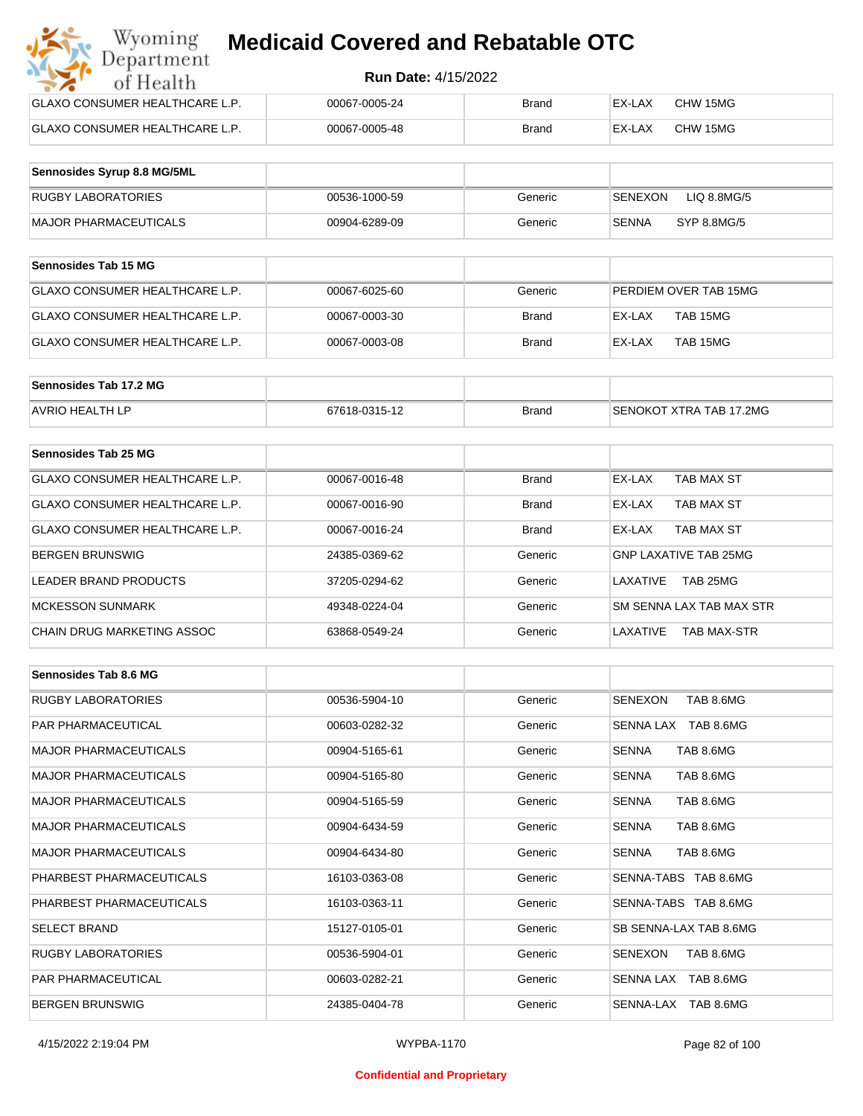| Wyoming<br><b>Medicaid Covered and Rebatable OTC</b><br>Department |                            |              |        |          |  |  |
|--------------------------------------------------------------------|----------------------------|--------------|--------|----------|--|--|
| of Health                                                          | <b>Run Date: 4/15/2022</b> |              |        |          |  |  |
| <b>GLAXO CONSUMER HEALTHCARE L.P.</b>                              | 00067-0005-24              | <b>Brand</b> | EX-LAX | CHW 15MG |  |  |
| <b>GLAXO CONSUMER HEALTHCARE L.P.</b>                              | 00067-0005-48              | <b>Brand</b> | EX-LAX | CHW 15MG |  |  |

| Sennosides Syrup 8.8 MG/5ML |               |         |                             |
|-----------------------------|---------------|---------|-----------------------------|
| RUGBY LABORATORIES          | 00536-1000-59 | Generic | LIQ 8.8MG/5<br>SENEXON      |
| MAJOR PHARMACEUTICALS       | 00904-6289-09 | Generic | <b>SENNA</b><br>SYP 8.8MG/5 |

| <b>Sennosides Tab 15 MG</b>     |               |              |                       |
|---------------------------------|---------------|--------------|-----------------------|
| IGLAXO CONSUMER HEALTHCARE L.P. | 00067-6025-60 | Generic      | PERDIEM OVER TAB 15MG |
| GLAXO CONSUMER HEALTHCARE L.P.  | 00067-0003-30 | <b>Brand</b> | EX-LAX<br>TAB 15MG    |
| GLAXO CONSUMER HEALTHCARE L.P.  | 00067-0003-08 | Brand        | TAB 15MG<br>EX-LAX    |

| Sennosides Tab 17.2 MG |               |              |                         |
|------------------------|---------------|--------------|-------------------------|
| <b>AVRIO HEALTH LP</b> | 67618-0315-12 | <b>Brand</b> | SENOKOT XTRA TAB 17.2MG |

| Sennosides Tab 25 MG           |               |              |                              |
|--------------------------------|---------------|--------------|------------------------------|
| GLAXO CONSUMER HEALTHCARE L.P. | 00067-0016-48 | <b>Brand</b> | EX-LAX<br>TAB MAX ST         |
| GLAXO CONSUMER HEALTHCARE L.P. | 00067-0016-90 | <b>Brand</b> | TAB MAX ST<br>EX-LAX         |
| GLAXO CONSUMER HEALTHCARE L.P. | 00067-0016-24 | <b>Brand</b> | TAB MAX ST<br>EX-LAX         |
| <b>BERGEN BRUNSWIG</b>         | 24385-0369-62 | Generic      | <b>GNP LAXATIVE TAB 25MG</b> |
| <b>LEADER BRAND PRODUCTS</b>   | 37205-0294-62 | Generic      | TAB 25MG<br>LAXATIVE         |
| <b>MCKESSON SUNMARK</b>        | 49348-0224-04 | Generic      | SM SENNA LAX TAB MAX STR     |
| CHAIN DRUG MARKETING ASSOC     | 63868-0549-24 | Generic      | LAXATIVE<br>TAB MAX-STR      |

| Sennosides Tab 8.6 MG        |               |         |                             |
|------------------------------|---------------|---------|-----------------------------|
| <b>RUGBY LABORATORIES</b>    | 00536-5904-10 | Generic | TAB 8.6MG<br>SENEXON        |
| <b>PAR PHARMACEUTICAL</b>    | 00603-0282-32 | Generic | SENNA LAX TAB 8.6MG         |
| <b>MAJOR PHARMACEUTICALS</b> | 00904-5165-61 | Generic | TAB 8.6MG<br><b>SENNA</b>   |
| <b>MAJOR PHARMACEUTICALS</b> | 00904-5165-80 | Generic | TAB 8.6MG<br><b>SENNA</b>   |
| <b>MAJOR PHARMACEUTICALS</b> | 00904-5165-59 | Generic | TAB 8.6MG<br><b>SENNA</b>   |
| <b>MAJOR PHARMACEUTICALS</b> | 00904-6434-59 | Generic | <b>SENNA</b><br>TAB 8.6MG   |
| <b>MAJOR PHARMACEUTICALS</b> | 00904-6434-80 | Generic | TAB 8.6MG<br><b>SENNA</b>   |
| PHARBEST PHARMACEUTICALS     | 16103-0363-08 | Generic | SENNA-TABS TAB 8.6MG        |
| PHARBEST PHARMACEUTICALS     | 16103-0363-11 | Generic | SENNA-TABS TAB 8.6MG        |
| <b>SELECT BRAND</b>          | 15127-0105-01 | Generic | SB SENNA-LAX TAB 8.6MG      |
| <b>RUGBY LABORATORIES</b>    | 00536-5904-01 | Generic | <b>SENEXON</b><br>TAB 8.6MG |
| <b>PAR PHARMACEUTICAL</b>    | 00603-0282-21 | Generic | SENNA LAX TAB 8.6MG         |
| <b>BERGEN BRUNSWIG</b>       | 24385-0404-78 | Generic | SENNA-LAX TAB 8.6MG         |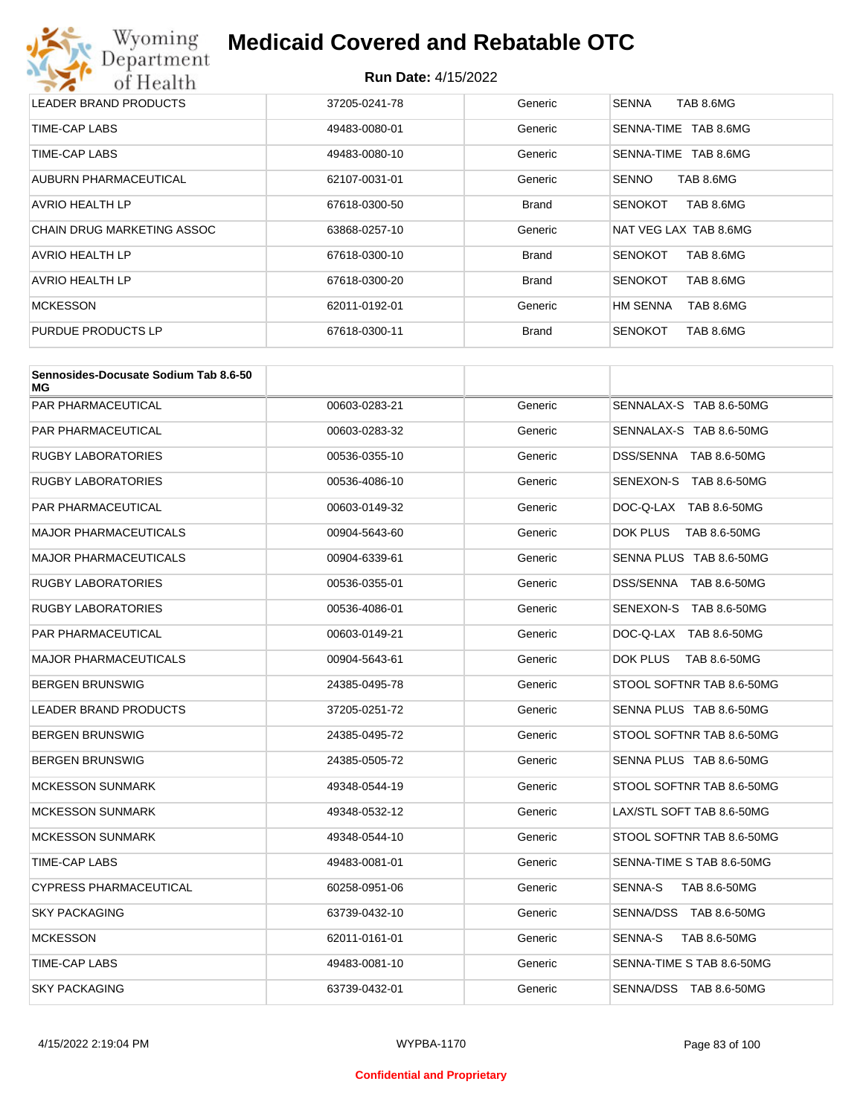

| LEADER BRAND PRODUCTS      | 37205-0241-78 | Generic      | TAB 8.6MG<br><b>SENNA</b>    |
|----------------------------|---------------|--------------|------------------------------|
| TIME-CAP LABS              | 49483-0080-01 | Generic      | TAB 8.6MG<br>SENNA-TIME      |
| TIME-CAP LABS              | 49483-0080-10 | Generic      | SENNA-TIME<br>TAB 8.6MG      |
| AUBURN PHARMACEUTICAL      | 62107-0031-01 | Generic      | <b>SENNO</b><br>TAB 8.6MG    |
| AVRIO HEALTH LP            | 67618-0300-50 | <b>Brand</b> | TAB 8.6MG<br><b>SENOKOT</b>  |
| CHAIN DRUG MARKETING ASSOC | 63868-0257-10 | Generic      | NAT VEG LAX TAB 8.6MG        |
| AVRIO HEALTH LP            | 67618-0300-10 | <b>Brand</b> | TAB 8.6MG<br><b>SENOKOT</b>  |
| <b>AVRIO HEALTH LP</b>     | 67618-0300-20 | <b>Brand</b> | <b>SENOKOT</b><br>TAB 8.6MG  |
| <b>MCKESSON</b>            | 62011-0192-01 | Generic      | <b>HM SENNA</b><br>TAB 8.6MG |
| PURDUE PRODUCTS LP         | 67618-0300-11 | <b>Brand</b> | <b>SENOKOT</b><br>TAB 8.6MG  |

| Sennosides-Docusate Sodium Tab 8.6-50<br>МG |               |         |                           |
|---------------------------------------------|---------------|---------|---------------------------|
| PAR PHARMACEUTICAL                          | 00603-0283-21 | Generic | SENNALAX-S TAB 8.6-50MG   |
| PAR PHARMACEUTICAL                          | 00603-0283-32 | Generic | SENNALAX-S TAB 8.6-50MG   |
| RUGBY LABORATORIES                          | 00536-0355-10 | Generic | DSS/SENNA TAB 8.6-50MG    |
| RUGBY LABORATORIES                          | 00536-4086-10 | Generic | SENEXON-S TAB 8.6-50MG    |
| PAR PHARMACEUTICAL                          | 00603-0149-32 | Generic | DOC-Q-LAX TAB 8.6-50MG    |
| MAJOR PHARMACEUTICALS                       | 00904-5643-60 | Generic | DOK PLUS<br>TAB 8.6-50MG  |
| <b>MAJOR PHARMACEUTICALS</b>                | 00904-6339-61 | Generic | SENNA PLUS TAB 8.6-50MG   |
| RUGBY LABORATORIES                          | 00536-0355-01 | Generic | DSS/SENNA TAB 8.6-50MG    |
| <b>RUGBY LABORATORIES</b>                   | 00536-4086-01 | Generic | SENEXON-S TAB 8.6-50MG    |
| PAR PHARMACEUTICAL                          | 00603-0149-21 | Generic | DOC-Q-LAX TAB 8.6-50MG    |
| MAJOR PHARMACEUTICALS                       | 00904-5643-61 | Generic | DOK PLUS<br>TAB 8.6-50MG  |
| BERGEN BRUNSWIG                             | 24385-0495-78 | Generic | STOOL SOFTNR TAB 8.6-50MG |
| <b>LEADER BRAND PRODUCTS</b>                | 37205-0251-72 | Generic | SENNA PLUS TAB 8.6-50MG   |
| BERGEN BRUNSWIG                             | 24385-0495-72 | Generic | STOOL SOFTNR TAB 8.6-50MG |
| BERGEN BRUNSWIG                             | 24385-0505-72 | Generic | SENNA PLUS TAB 8.6-50MG   |
| <b>MCKESSON SUNMARK</b>                     | 49348-0544-19 | Generic | STOOL SOFTNR TAB 8.6-50MG |
| <b>MCKESSON SUNMARK</b>                     | 49348-0532-12 | Generic | LAX/STL SOFT TAB 8.6-50MG |
| <b>MCKESSON SUNMARK</b>                     | 49348-0544-10 | Generic | STOOL SOFTNR TAB 8.6-50MG |
| TIME-CAP LABS                               | 49483-0081-01 | Generic | SENNA-TIME S TAB 8.6-50MG |
| CYPRESS PHARMACEUTICAL                      | 60258-0951-06 | Generic | SENNA-S<br>TAB 8.6-50MG   |
| <b>SKY PACKAGING</b>                        | 63739-0432-10 | Generic | SENNA/DSS TAB 8.6-50MG    |
| <b>MCKESSON</b>                             | 62011-0161-01 | Generic | SENNA-S<br>TAB 8.6-50MG   |
| TIME-CAP LABS                               | 49483-0081-10 | Generic | SENNA-TIME S TAB 8.6-50MG |
| <b>SKY PACKAGING</b>                        | 63739-0432-01 | Generic | SENNA/DSS TAB 8.6-50MG    |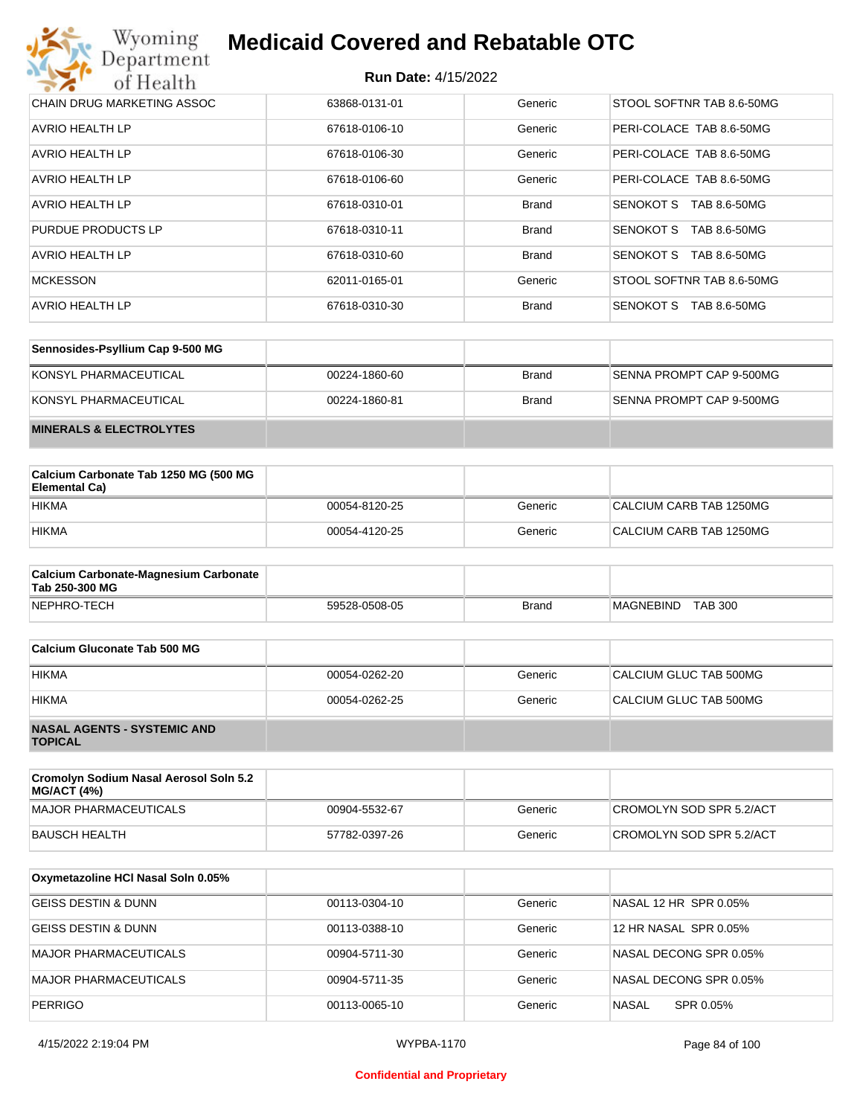| Wyoming<br><b>Medicaid Covered and Rebatable OTC</b><br>Department |                            |              |                                  |  |
|--------------------------------------------------------------------|----------------------------|--------------|----------------------------------|--|
| of Health                                                          | <b>Run Date: 4/15/2022</b> |              |                                  |  |
| CHAIN DRUG MARKETING ASSOC                                         | 63868-0131-01              | Generic      | STOOL SOFTNR TAB 8.6-50MG        |  |
| AVRIO HEALTH LP                                                    | 67618-0106-10              | Generic      | PERI-COLACE TAB 8.6-50MG         |  |
| AVRIO HEALTH LP                                                    | 67618-0106-30              | Generic      | PERI-COLACE TAB 8.6-50MG         |  |
| AVRIO HEALTH LP                                                    | 67618-0106-60              | Generic      | PERI-COLACE TAB 8.6-50MG         |  |
| AVRIO HEALTH LP                                                    | 67618-0310-01              | <b>Brand</b> | SENOKOT S<br>TAB 8.6-50MG        |  |
| PURDUE PRODUCTS LP                                                 | 67618-0310-11              | <b>Brand</b> | SENOKOT S<br>TAB 8.6-50MG        |  |
| AVRIO HEALTH LP                                                    | 67618-0310-60              | <b>Brand</b> | <b>SENOKOT S</b><br>TAB 8.6-50MG |  |
| <b>MCKESSON</b>                                                    | 62011-0165-01              | Generic      | STOOL SOFTNR TAB 8.6-50MG        |  |
| AVRIO HEALTH LP                                                    | 67618-0310-30              | <b>Brand</b> | SENOKOT S<br>TAB 8.6-50MG        |  |

| Sennosides-Psyllium Cap 9-500 MG   |               |              |                          |
|------------------------------------|---------------|--------------|--------------------------|
| KONSYL PHARMACEUTICAL              | 00224-1860-60 | <b>Brand</b> | SENNA PROMPT CAP 9-500MG |
| KONSYL PHARMACEUTICAL              | 00224-1860-81 | <b>Brand</b> | SENNA PROMPT CAP 9-500MG |
| <b>MINERALS &amp; ELECTROLYTES</b> |               |              |                          |

| Calcium Carbonate Tab 1250 MG (500 MG<br>Elemental Ca) |               |         |                         |
|--------------------------------------------------------|---------------|---------|-------------------------|
| <b>HIKMA</b>                                           | 00054-8120-25 | Generic | CALCIUM CARB TAB 1250MG |
| <b>HIKMA</b>                                           | 00054-4120-25 | Generic | CALCIUM CARB TAB 1250MG |

| <b>Calcium Carbonate-Magnesium Carbonate</b><br>Tab 250-300 MG |               |              |                                    |
|----------------------------------------------------------------|---------------|--------------|------------------------------------|
| NEPHRO-TECH                                                    | 59528-0508-05 | <b>Brand</b> | <b>TAB 300</b><br><b>MAGNEBIND</b> |

| Calcium Gluconate Tab 500 MG                         |               |         |                        |
|------------------------------------------------------|---------------|---------|------------------------|
| <b>HIKMA</b>                                         | 00054-0262-20 | Generic | CALCIUM GLUC TAB 500MG |
| <b>HIKMA</b>                                         | 00054-0262-25 | Generic | CALCIUM GLUC TAB 500MG |
| <b>NASAL AGENTS - SYSTEMIC AND</b><br><b>TOPICAL</b> |               |         |                        |

| Cromolyn Sodium Nasal Aerosol Soln 5.2<br><b>MG/ACT (4%)</b> |               |         |                          |
|--------------------------------------------------------------|---------------|---------|--------------------------|
| MAJOR PHARMACEUTICALS                                        | 00904-5532-67 | Generic | CROMOLYN SOD SPR 5.2/ACT |
| BAUSCH HEALTH                                                | 57782-0397-26 | Generic | CROMOLYN SOD SPR 5.2/ACT |

| Oxymetazoline HCI Nasal Soln 0.05% |               |         |                           |
|------------------------------------|---------------|---------|---------------------------|
| GEISS DESTIN & DUNN                | 00113-0304-10 | Generic | NASAL 12 HR SPR 0.05%     |
| GEISS DESTIN & DUNN                | 00113-0388-10 | Generic | 12 HR NASAL SPR 0.05%     |
| <b>MAJOR PHARMACEUTICALS</b>       | 00904-5711-30 | Generic | NASAL DECONG SPR 0.05%    |
| <b>MAJOR PHARMACEUTICALS</b>       | 00904-5711-35 | Generic | NASAL DECONG SPR 0.05%    |
| <b>PERRIGO</b>                     | 00113-0065-10 | Generic | <b>NASAL</b><br>SPR 0.05% |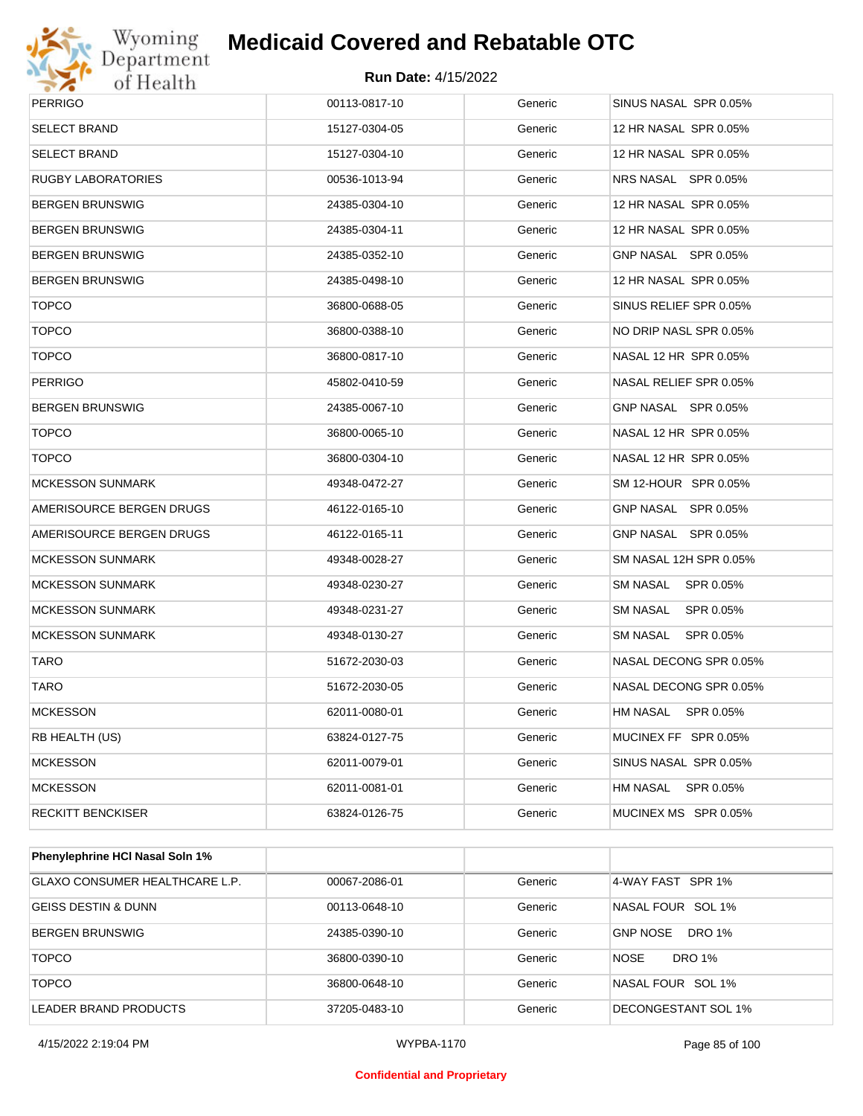

| <b>PERRIGO</b>            | 00113-0817-10 | Generic | SINUS NASAL SPR 0.05%  |
|---------------------------|---------------|---------|------------------------|
| <b>SELECT BRAND</b>       | 15127-0304-05 | Generic | 12 HR NASAL SPR 0.05%  |
| <b>SELECT BRAND</b>       | 15127-0304-10 | Generic | 12 HR NASAL SPR 0.05%  |
| <b>RUGBY LABORATORIES</b> | 00536-1013-94 | Generic | NRS NASAL SPR 0.05%    |
| <b>BERGEN BRUNSWIG</b>    | 24385-0304-10 | Generic | 12 HR NASAL SPR 0.05%  |
| <b>BERGEN BRUNSWIG</b>    | 24385-0304-11 | Generic | 12 HR NASAL SPR 0.05%  |
| <b>BERGEN BRUNSWIG</b>    | 24385-0352-10 | Generic | GNP NASAL SPR 0.05%    |
| <b>BERGEN BRUNSWIG</b>    | 24385-0498-10 | Generic | 12 HR NASAL SPR 0.05%  |
| <b>TOPCO</b>              | 36800-0688-05 | Generic | SINUS RELIEF SPR 0.05% |
| <b>TOPCO</b>              | 36800-0388-10 | Generic | NO DRIP NASL SPR 0.05% |
| <b>TOPCO</b>              | 36800-0817-10 | Generic | NASAL 12 HR SPR 0.05%  |
| <b>PERRIGO</b>            | 45802-0410-59 | Generic | NASAL RELIEF SPR 0.05% |
| <b>BERGEN BRUNSWIG</b>    | 24385-0067-10 | Generic | GNP NASAL SPR 0.05%    |
| <b>TOPCO</b>              | 36800-0065-10 | Generic | NASAL 12 HR SPR 0.05%  |
| <b>TOPCO</b>              | 36800-0304-10 | Generic | NASAL 12 HR SPR 0.05%  |
| <b>MCKESSON SUNMARK</b>   | 49348-0472-27 | Generic | SM 12-HOUR SPR 0.05%   |
| AMERISOURCE BERGEN DRUGS  | 46122-0165-10 | Generic | GNP NASAL SPR 0.05%    |
| AMERISOURCE BERGEN DRUGS  | 46122-0165-11 | Generic | GNP NASAL SPR 0.05%    |
| <b>MCKESSON SUNMARK</b>   | 49348-0028-27 | Generic | SM NASAL 12H SPR 0.05% |
| <b>MCKESSON SUNMARK</b>   | 49348-0230-27 | Generic | SM NASAL SPR 0.05%     |
| <b>MCKESSON SUNMARK</b>   | 49348-0231-27 | Generic | SM NASAL SPR 0.05%     |
| <b>MCKESSON SUNMARK</b>   | 49348-0130-27 | Generic | SM NASAL SPR 0.05%     |
| <b>TARO</b>               | 51672-2030-03 | Generic | NASAL DECONG SPR 0.05% |
| TARO                      | 51672-2030-05 | Generic | NASAL DECONG SPR 0.05% |
| <b>MCKESSON</b>           | 62011-0080-01 | Generic | HM NASAL SPR 0.05%     |
| RB HEALTH (US)            | 63824-0127-75 | Generic | MUCINEX FF SPR 0.05%   |
| <b>MCKESSON</b>           | 62011-0079-01 | Generic | SINUS NASAL SPR 0.05%  |
| <b>MCKESSON</b>           | 62011-0081-01 | Generic | HM NASAL SPR 0.05%     |
| <b>RECKITT BENCKISER</b>  | 63824-0126-75 | Generic | MUCINEX MS SPR 0.05%   |
|                           |               |         |                        |

| <b>Phenylephrine HCI Nasal Soln 1%</b> |               |         |                              |
|----------------------------------------|---------------|---------|------------------------------|
| GLAXO CONSUMER HEALTHCARE L.P.         | 00067-2086-01 | Generic | 4-WAY FAST SPR 1%            |
| GEISS DESTIN & DUNN                    | 00113-0648-10 | Generic | NASAL FOUR SOL 1%            |
| <b>BERGEN BRUNSWIG</b>                 | 24385-0390-10 | Generic | <b>GNP NOSE</b><br>DRO 1%    |
| <b>TOPCO</b>                           | 36800-0390-10 | Generic | <b>NOSE</b><br><b>DRO 1%</b> |
| <b>TOPCO</b>                           | 36800-0648-10 | Generic | NASAL FOUR SOL 1%            |
| LEADER BRAND PRODUCTS                  | 37205-0483-10 | Generic | DECONGESTANT SOL 1%          |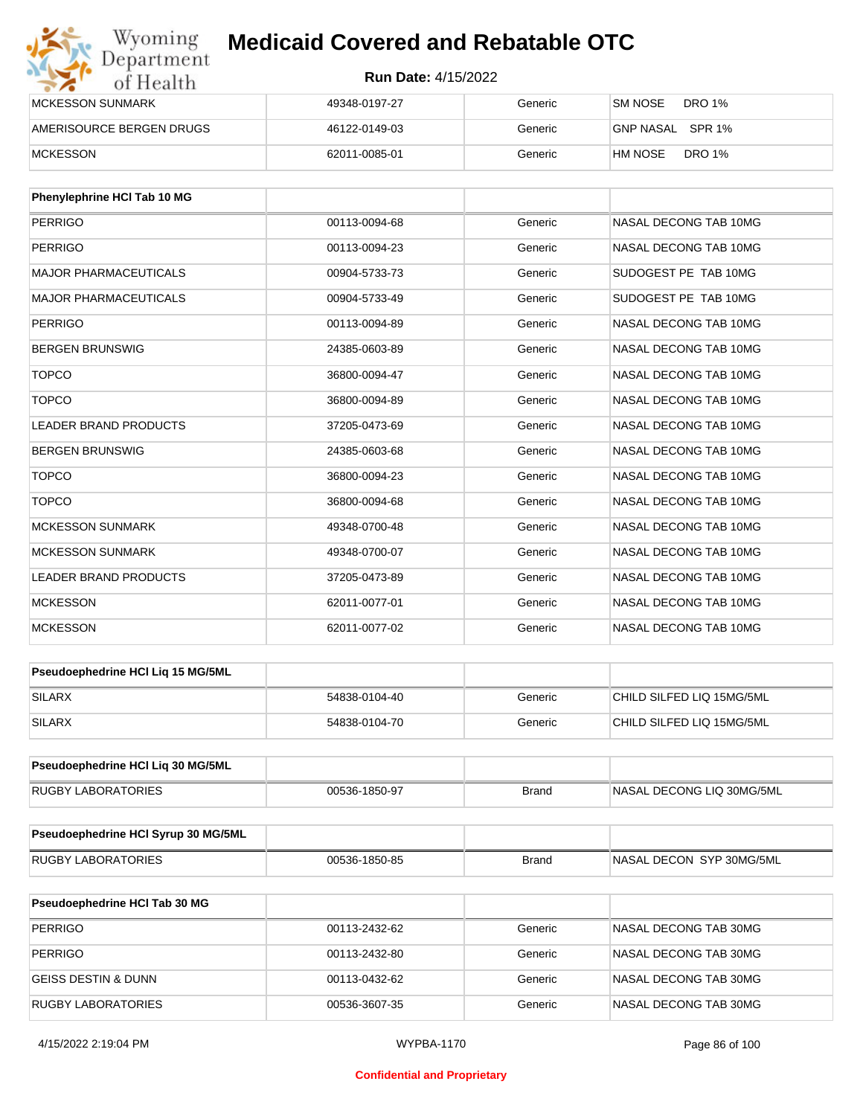| Wyoming<br>Department    | <b>Medicaid Covered and Rebatable OTC</b><br><b>Run Date: 4/15/2022</b> |         |                          |  |
|--------------------------|-------------------------------------------------------------------------|---------|--------------------------|--|
| of Health                |                                                                         |         |                          |  |
| <b>MCKESSON SUNMARK</b>  | 49348-0197-27                                                           | Generic | SM NOSE<br>DRO 1%        |  |
| AMERISOURCE BERGEN DRUGS | 46122-0149-03                                                           | Generic | GNP NASAL SPR 1%         |  |
| <b>MCKESSON</b>          | 62011-0085-01                                                           | Generic | <b>DRO 1%</b><br>HM NOSE |  |

| Phenylephrine HCI Tab 10 MG  |               |         |                       |
|------------------------------|---------------|---------|-----------------------|
| <b>PERRIGO</b>               | 00113-0094-68 | Generic | NASAL DECONG TAB 10MG |
| <b>PERRIGO</b>               | 00113-0094-23 | Generic | NASAL DECONG TAB 10MG |
| <b>MAJOR PHARMACEUTICALS</b> | 00904-5733-73 | Generic | SUDOGEST PE TAB 10MG  |
| <b>MAJOR PHARMACEUTICALS</b> | 00904-5733-49 | Generic | SUDOGEST PE TAB 10MG  |
| <b>PERRIGO</b>               | 00113-0094-89 | Generic | NASAL DECONG TAB 10MG |
| <b>BERGEN BRUNSWIG</b>       | 24385-0603-89 | Generic | NASAL DECONG TAB 10MG |
| <b>TOPCO</b>                 | 36800-0094-47 | Generic | NASAL DECONG TAB 10MG |
| <b>TOPCO</b>                 | 36800-0094-89 | Generic | NASAL DECONG TAB 10MG |
| <b>LEADER BRAND PRODUCTS</b> | 37205-0473-69 | Generic | NASAL DECONG TAB 10MG |
| <b>BERGEN BRUNSWIG</b>       | 24385-0603-68 | Generic | NASAL DECONG TAB 10MG |
| <b>TOPCO</b>                 | 36800-0094-23 | Generic | NASAL DECONG TAB 10MG |
| <b>TOPCO</b>                 | 36800-0094-68 | Generic | NASAL DECONG TAB 10MG |
| <b>MCKESSON SUNMARK</b>      | 49348-0700-48 | Generic | NASAL DECONG TAB 10MG |
| <b>MCKESSON SUNMARK</b>      | 49348-0700-07 | Generic | NASAL DECONG TAB 10MG |
| <b>LEADER BRAND PRODUCTS</b> | 37205-0473-89 | Generic | NASAL DECONG TAB 10MG |
| <b>MCKESSON</b>              | 62011-0077-01 | Generic | NASAL DECONG TAB 10MG |
| <b>MCKESSON</b>              | 62011-0077-02 | Generic | NASAL DECONG TAB 10MG |

| <b>Pseudoephedrine HCI Lig 15 MG/5ML</b> |               |         |                           |
|------------------------------------------|---------------|---------|---------------------------|
| <b>SILARX</b>                            | 54838-0104-40 | Generic | CHILD SILFED LIQ 15MG/5ML |
| SILARX                                   | 54838-0104-70 | Generic | CHILD SILFED LIQ 15MG/5ML |

| <b>Pseudoephedrine HCI Lig 30 MG/5ML</b> |               |       |                            |
|------------------------------------------|---------------|-------|----------------------------|
| <b>RUGBY LABORATORIES</b>                | 00536-1850-97 | Brand | INASAL DECONG LIQ 30MG/5ML |

| <b>Pseudoephedrine HCI Syrup 30 MG/5ML</b> |               |       |                           |
|--------------------------------------------|---------------|-------|---------------------------|
| RUGBY LABORATORIES                         | 00536-1850-85 | Brand | INASAL DECON SYP 30MG/5ML |

| <b>Pseudoephedrine HCI Tab 30 MG</b> |               |         |                       |
|--------------------------------------|---------------|---------|-----------------------|
| PERRIGO                              | 00113-2432-62 | Generic | NASAL DECONG TAB 30MG |
| PERRIGO                              | 00113-2432-80 | Generic | NASAL DECONG TAB 30MG |
| GEISS DESTIN & DUNN                  | 00113-0432-62 | Generic | NASAL DECONG TAB 30MG |
| <b>RUGBY LABORATORIES</b>            | 00536-3607-35 | Generic | NASAL DECONG TAB 30MG |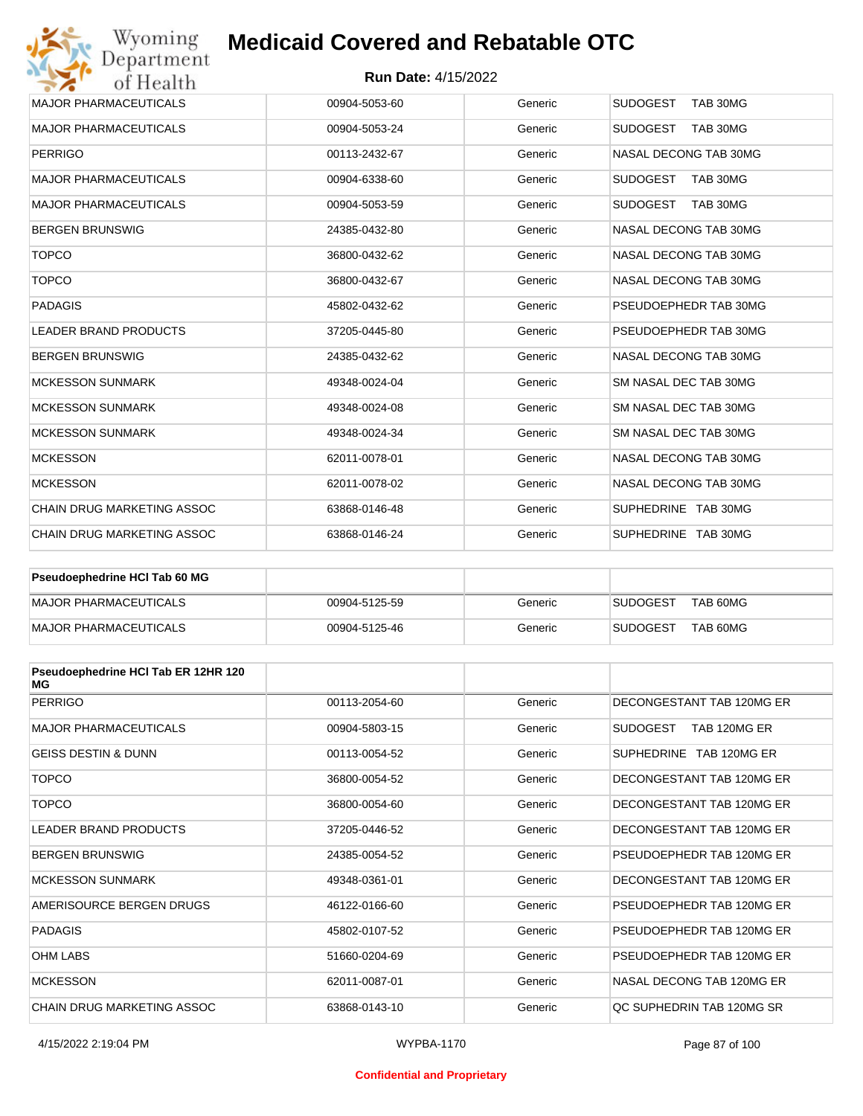#### **Run Date:** 4/15/2022

| Wyoming                                               | <b>Medicaid Covered and Rebatable OTC</b> |         |                             |  |  |
|-------------------------------------------------------|-------------------------------------------|---------|-----------------------------|--|--|
| Department<br><b>Run Date: 4/15/2022</b><br>of Health |                                           |         |                             |  |  |
| <b>MAJOR PHARMACEUTICALS</b>                          | 00904-5053-60                             | Generic | <b>SUDOGEST</b><br>TAB 30MG |  |  |
| <b>MAJOR PHARMACEUTICALS</b>                          | 00904-5053-24                             | Generic | <b>SUDOGEST</b><br>TAB 30MG |  |  |
| <b>PERRIGO</b>                                        | 00113-2432-67                             | Generic | NASAL DECONG TAB 30MG       |  |  |
| <b>MAJOR PHARMACEUTICALS</b>                          | 00904-6338-60                             | Generic | <b>SUDOGEST</b><br>TAB 30MG |  |  |
| <b>MAJOR PHARMACEUTICALS</b>                          | 00904-5053-59                             | Generic | <b>SUDOGEST</b><br>TAB 30MG |  |  |
| <b>BERGEN BRUNSWIG</b>                                | 24385-0432-80                             | Generic | NASAL DECONG TAB 30MG       |  |  |
| <b>TOPCO</b>                                          | 36800-0432-62                             | Generic | NASAL DECONG TAB 30MG       |  |  |
| <b>TOPCO</b>                                          | 36800-0432-67                             | Generic | NASAL DECONG TAB 30MG       |  |  |
| <b>PADAGIS</b>                                        | 45802-0432-62                             | Generic | PSEUDOEPHEDR TAB 30MG       |  |  |
| <b>LEADER BRAND PRODUCTS</b>                          | 37205-0445-80                             | Generic | PSEUDOEPHEDR TAB 30MG       |  |  |
| <b>BERGEN BRUNSWIG</b>                                | 24385-0432-62                             | Generic | NASAL DECONG TAB 30MG       |  |  |
| <b>MCKESSON SUNMARK</b>                               | 49348-0024-04                             | Generic | SM NASAL DEC TAB 30MG       |  |  |
| <b>MCKESSON SUNMARK</b>                               | 49348-0024-08                             | Generic | SM NASAL DEC TAB 30MG       |  |  |
| <b>MCKESSON SUNMARK</b>                               | 49348-0024-34                             | Generic | SM NASAL DEC TAB 30MG       |  |  |
| <b>MCKESSON</b>                                       | 62011-0078-01                             | Generic | NASAL DECONG TAB 30MG       |  |  |
| <b>MCKESSON</b>                                       | 62011-0078-02                             | Generic | NASAL DECONG TAB 30MG       |  |  |
| <b>CHAIN DRUG MARKETING ASSOC</b>                     | 63868-0146-48                             | Generic | SUPHEDRINE TAB 30MG         |  |  |
| <b>CHAIN DRUG MARKETING ASSOC</b>                     | 63868-0146-24                             | Generic | SUPHEDRINE TAB 30MG         |  |  |

| <b>Pseudoephedrine HCI Tab 60 MG</b> |               |         |                             |
|--------------------------------------|---------------|---------|-----------------------------|
| MAJOR PHARMACEUTICALS                | 00904-5125-59 | Generic | TAB 60MG<br><b>SUDOGEST</b> |
| MAJOR PHARMACEUTICALS                | 00904-5125-46 | Generic | TAB 60MG<br><b>SUDOGEST</b> |

| Pseudoephedrine HCI Tab ER 12HR 120<br>МG |               |         |                                 |
|-------------------------------------------|---------------|---------|---------------------------------|
| <b>PERRIGO</b>                            | 00113-2054-60 | Generic | DECONGESTANT TAB 120MG ER       |
| <b>MAJOR PHARMACEUTICALS</b>              | 00904-5803-15 | Generic | TAB 120MG ER<br><b>SUDOGEST</b> |
| <b>GEISS DESTIN &amp; DUNN</b>            | 00113-0054-52 | Generic | SUPHEDRINE TAB 120MG ER         |
| <b>TOPCO</b>                              | 36800-0054-52 | Generic | DECONGESTANT TAB 120MG ER       |
| <b>TOPCO</b>                              | 36800-0054-60 | Generic | DECONGESTANT TAB 120MG ER       |
| <b>LEADER BRAND PRODUCTS</b>              | 37205-0446-52 | Generic | DECONGESTANT TAB 120MG ER       |
| <b>BERGEN BRUNSWIG</b>                    | 24385-0054-52 | Generic | PSEUDOEPHEDR TAB 120MG ER       |
| <b>MCKESSON SUNMARK</b>                   | 49348-0361-01 | Generic | DECONGESTANT TAB 120MG ER       |
| AMERISOURCE BERGEN DRUGS                  | 46122-0166-60 | Generic | PSEUDOEPHEDR TAB 120MG ER       |
| <b>PADAGIS</b>                            | 45802-0107-52 | Generic | PSEUDOEPHEDR TAB 120MG ER       |
| <b>OHM LABS</b>                           | 51660-0204-69 | Generic | PSEUDOEPHEDR TAB 120MG ER       |
| <b>MCKESSON</b>                           | 62011-0087-01 | Generic | NASAL DECONG TAB 120MG ER       |
| <b>CHAIN DRUG MARKETING ASSOC</b>         | 63868-0143-10 | Generic | OC SUPHEDRIN TAB 120MG SR       |

#### **Confidential and Proprietary**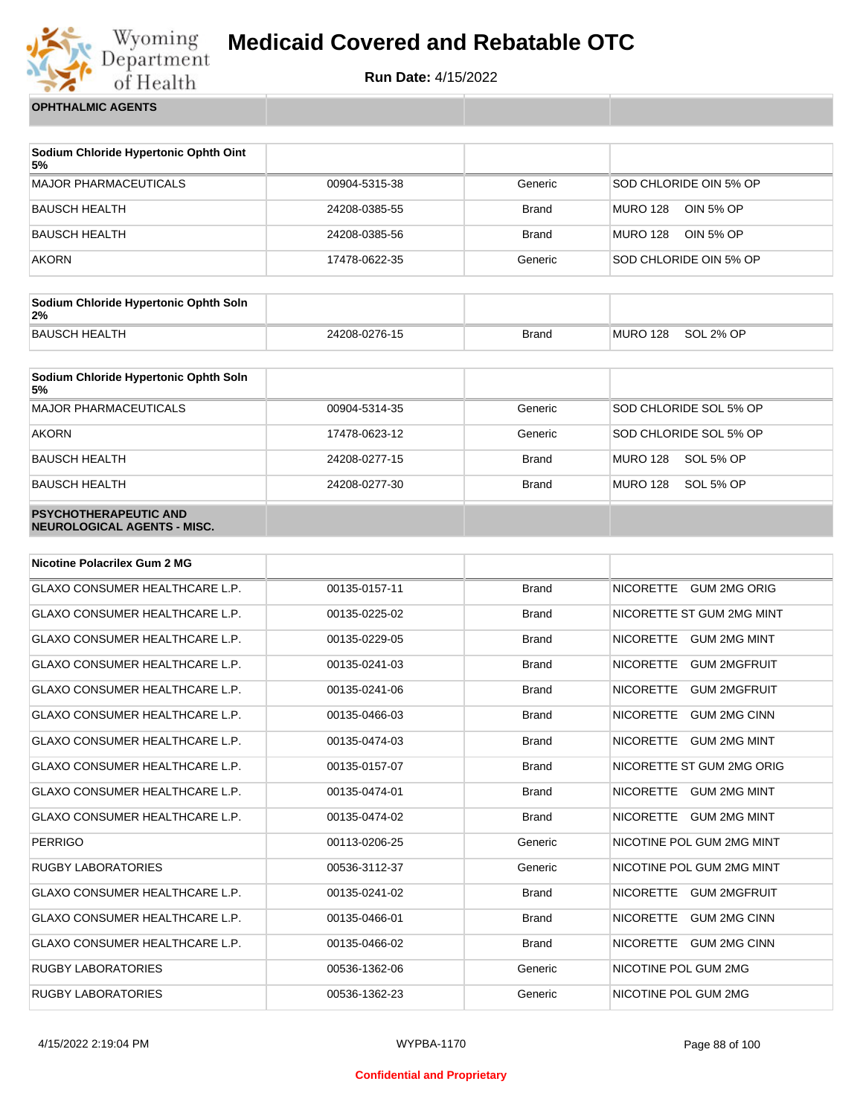

**Run Date:** 4/15/2022

**OPHTHALMIC AGENTS**

| Sodium Chloride Hypertonic Ophth Oint<br>5% |               |              |                              |
|---------------------------------------------|---------------|--------------|------------------------------|
| <b>MAJOR PHARMACEUTICALS</b>                | 00904-5315-38 | Generic      | SOD CHLORIDE OIN 5% OP       |
| BAUSCH HEALTH                               | 24208-0385-55 | <b>Brand</b> | <b>MURO 128</b><br>OIN 5% OP |
| <b>BAUSCH HEALTH</b>                        | 24208-0385-56 | <b>Brand</b> | MURO 128<br>OIN 5% OP        |
| <b>AKORN</b>                                | 17478-0622-35 | Generic      | SOD CHLORIDE OIN 5% OP       |

| Sodium Chloride Hypertonic Ophth Soln<br>2% |               |              |          |           |
|---------------------------------------------|---------------|--------------|----------|-----------|
| BAUSCH HEALTH                               | 24208-0276-15 | <b>Brand</b> | MURO 128 | SOL 2% OP |

| Sodium Chloride Hypertonic Ophth Soln<br>5%                 |               |              |                              |
|-------------------------------------------------------------|---------------|--------------|------------------------------|
| <b>MAJOR PHARMACEUTICALS</b>                                | 00904-5314-35 | Generic      | SOD CHLORIDE SOL 5% OP       |
| <b>AKORN</b>                                                | 17478-0623-12 | Generic      | SOD CHLORIDE SOL 5% OP       |
| <b>BAUSCH HEALTH</b>                                        | 24208-0277-15 | <b>Brand</b> | SOL 5% OP<br><b>MURO 128</b> |
| <b>BAUSCH HEALTH</b>                                        | 24208-0277-30 | <b>Brand</b> | <b>MURO 128</b><br>SOL 5% OP |
| <b>PSYCHOTHERAPEUTIC AND</b><br>NEUROLOGICAL AGENTS - MISC. |               |              |                              |

| <b>Nicotine Polacrilex Gum 2 MG</b>   |               |              |                                         |
|---------------------------------------|---------------|--------------|-----------------------------------------|
| <b>GLAXO CONSUMER HEALTHCARE L.P.</b> | 00135-0157-11 | <b>Brand</b> | NICORETTE GUM 2MG ORIG                  |
| <b>GLAXO CONSUMER HEALTHCARE L.P.</b> | 00135-0225-02 | <b>Brand</b> | NICORETTE ST GUM 2MG MINT               |
| <b>GLAXO CONSUMER HEALTHCARE L.P.</b> | 00135-0229-05 | <b>Brand</b> | NICORETTE GUM 2MG MINT                  |
| <b>GLAXO CONSUMER HEALTHCARE L.P.</b> | 00135-0241-03 | <b>Brand</b> | <b>GUM 2MGFRUIT</b><br><b>NICORETTE</b> |
| <b>GLAXO CONSUMER HEALTHCARE L.P.</b> | 00135-0241-06 | <b>Brand</b> | <b>NICORETTE</b><br>GUM 2MGFRUIT        |
| GLAXO CONSUMER HEALTHCARE L.P.        | 00135-0466-03 | <b>Brand</b> | <b>NICORETTE</b><br><b>GUM 2MG CINN</b> |
| GLAXO CONSUMER HEALTHCARE L.P.        | 00135-0474-03 | <b>Brand</b> | <b>NICORETTE</b><br><b>GUM 2MG MINT</b> |
| <b>GLAXO CONSUMER HEALTHCARE L.P.</b> | 00135-0157-07 | <b>Brand</b> | NICORETTE ST GUM 2MG ORIG               |
| <b>GLAXO CONSUMER HEALTHCARE L.P.</b> | 00135-0474-01 | <b>Brand</b> | <b>NICORETTE</b><br><b>GUM 2MG MINT</b> |
| <b>GLAXO CONSUMER HEALTHCARE L.P.</b> | 00135-0474-02 | <b>Brand</b> | NICORETTE GUM 2MG MINT                  |
| <b>PERRIGO</b>                        | 00113-0206-25 | Generic      | NICOTINE POL GUM 2MG MINT               |
| <b>RUGBY LABORATORIES</b>             | 00536-3112-37 | Generic      | NICOTINE POL GUM 2MG MINT               |
| GLAXO CONSUMER HEALTHCARE L.P.        | 00135-0241-02 | <b>Brand</b> | NICORETTE GUM 2MGFRUIT                  |
| <b>GLAXO CONSUMER HEALTHCARE L.P.</b> | 00135-0466-01 | <b>Brand</b> | <b>NICORETTE</b><br><b>GUM 2MG CINN</b> |
| GLAXO CONSUMER HEALTHCARE L.P.        | 00135-0466-02 | <b>Brand</b> | NICORETTE GUM 2MG CINN                  |
| <b>RUGBY LABORATORIES</b>             | 00536-1362-06 | Generic      | NICOTINE POL GUM 2MG                    |
| <b>RUGBY LABORATORIES</b>             | 00536-1362-23 | Generic      | NICOTINE POL GUM 2MG                    |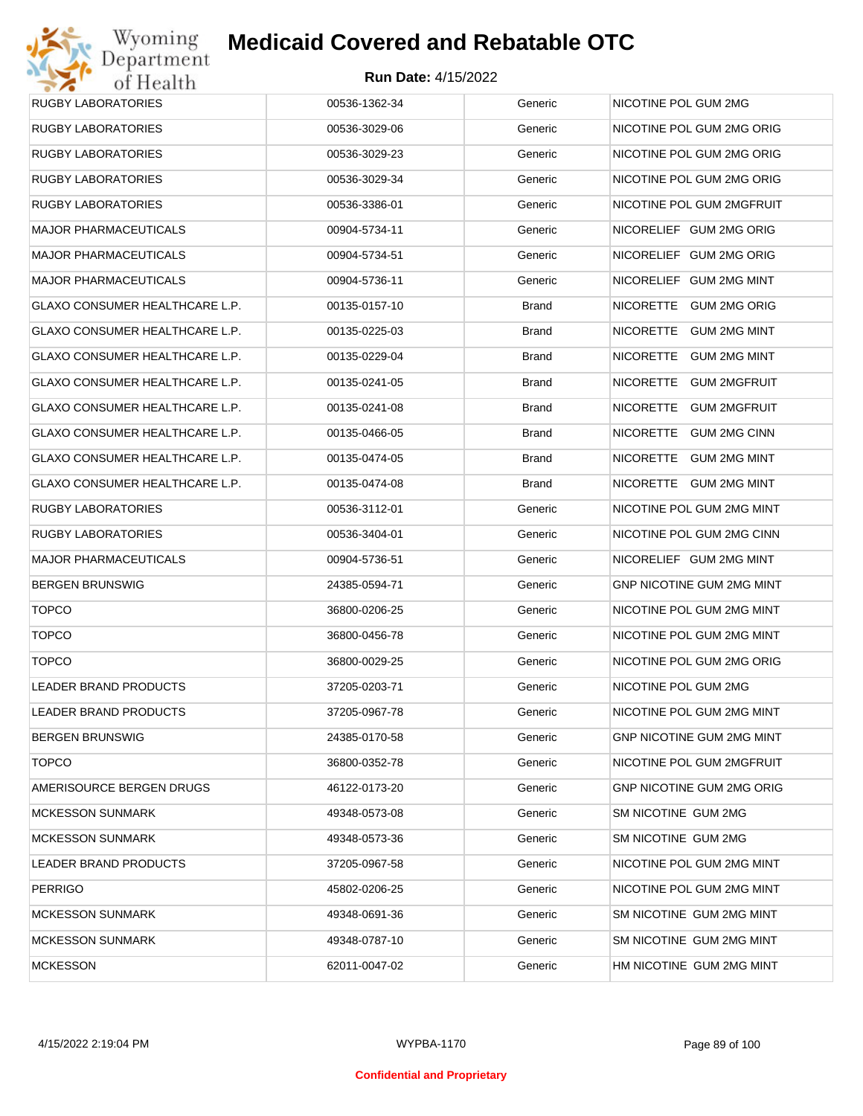

| RUGBY LABORATORIES                    | 00536-1362-34 | Generic      | NICOTINE POL GUM 2MG                    |
|---------------------------------------|---------------|--------------|-----------------------------------------|
| RUGBY LABORATORIES                    | 00536-3029-06 | Generic      | NICOTINE POL GUM 2MG ORIG               |
| RUGBY LABORATORIES                    | 00536-3029-23 | Generic      | NICOTINE POL GUM 2MG ORIG               |
| RUGBY LABORATORIES                    | 00536-3029-34 | Generic      | NICOTINE POL GUM 2MG ORIG               |
| RUGBY LABORATORIES                    | 00536-3386-01 | Generic      | NICOTINE POL GUM 2MGFRUIT               |
| MAJOR PHARMACEUTICALS                 | 00904-5734-11 | Generic      | NICORELIEF GUM 2MG ORIG                 |
| MAJOR PHARMACEUTICALS                 | 00904-5734-51 | Generic      | NICORELIEF GUM 2MG ORIG                 |
| MAJOR PHARMACEUTICALS                 | 00904-5736-11 | Generic      | NICORELIEF GUM 2MG MINT                 |
| GLAXO CONSUMER HEALTHCARE L.P.        | 00135-0157-10 | <b>Brand</b> | NICORETTE GUM 2MG ORIG                  |
| GLAXO CONSUMER HEALTHCARE L.P.        | 00135-0225-03 | <b>Brand</b> | NICORETTE<br><b>GUM 2MG MINT</b>        |
| GLAXO CONSUMER HEALTHCARE L.P.        | 00135-0229-04 | <b>Brand</b> | NICORETTE<br><b>GUM 2MG MINT</b>        |
| GLAXO CONSUMER HEALTHCARE L.P.        | 00135-0241-05 | <b>Brand</b> | <b>NICORETTE</b><br><b>GUM 2MGFRUIT</b> |
| GLAXO CONSUMER HEALTHCARE L.P.        | 00135-0241-08 | <b>Brand</b> | NICORETTE<br><b>GUM 2MGFRUIT</b>        |
| <b>GLAXO CONSUMER HEALTHCARE L.P.</b> | 00135-0466-05 | <b>Brand</b> | NICORETTE<br><b>GUM 2MG CINN</b>        |
| GLAXO CONSUMER HEALTHCARE L.P.        | 00135-0474-05 | <b>Brand</b> | NICORETTE<br><b>GUM 2MG MINT</b>        |
| GLAXO CONSUMER HEALTHCARE L.P.        | 00135-0474-08 | <b>Brand</b> | NICORETTE GUM 2MG MINT                  |
| RUGBY LABORATORIES                    | 00536-3112-01 | Generic      | NICOTINE POL GUM 2MG MINT               |
| RUGBY LABORATORIES                    | 00536-3404-01 | Generic      | NICOTINE POL GUM 2MG CINN               |
| MAJOR PHARMACEUTICALS                 | 00904-5736-51 | Generic      | NICORELIEF GUM 2MG MINT                 |
| BERGEN BRUNSWIG                       | 24385-0594-71 | Generic      | GNP NICOTINE GUM 2MG MINT               |
| <b>TOPCO</b>                          | 36800-0206-25 | Generic      | NICOTINE POL GUM 2MG MINT               |
| <b>TOPCO</b>                          | 36800-0456-78 | Generic      | NICOTINE POL GUM 2MG MINT               |
| <b>TOPCO</b>                          | 36800-0029-25 | Generic      | NICOTINE POL GUM 2MG ORIG               |
| LEADER BRAND PRODUCTS                 | 37205-0203-71 | Generic      | NICOTINE POL GUM 2MG                    |
| LEADER BRAND PRODUCTS                 | 37205-0967-78 | Generic      | NICOTINE POL GUM 2MG MINT               |
| BERGEN BRUNSWIG                       | 24385-0170-58 | Generic      | <b>GNP NICOTINE GUM 2MG MINT</b>        |
| <b>TOPCO</b>                          | 36800-0352-78 | Generic      | NICOTINE POL GUM 2MGFRUIT               |
| AMERISOURCE BERGEN DRUGS              | 46122-0173-20 | Generic      | <b>GNP NICOTINE GUM 2MG ORIG</b>        |
| <b>MCKESSON SUNMARK</b>               | 49348-0573-08 | Generic      | SM NICOTINE GUM 2MG                     |
| MCKESSON SUNMARK                      | 49348-0573-36 | Generic      | SM NICOTINE GUM 2MG                     |
| LEADER BRAND PRODUCTS                 | 37205-0967-58 | Generic      | NICOTINE POL GUM 2MG MINT               |
| PERRIGO                               | 45802-0206-25 | Generic      | NICOTINE POL GUM 2MG MINT               |
| <b>MCKESSON SUNMARK</b>               | 49348-0691-36 | Generic      | SM NICOTINE GUM 2MG MINT                |
| MCKESSON SUNMARK                      | 49348-0787-10 | Generic      | SM NICOTINE GUM 2MG MINT                |
| <b>MCKESSON</b>                       | 62011-0047-02 | Generic      | HM NICOTINE GUM 2MG MINT                |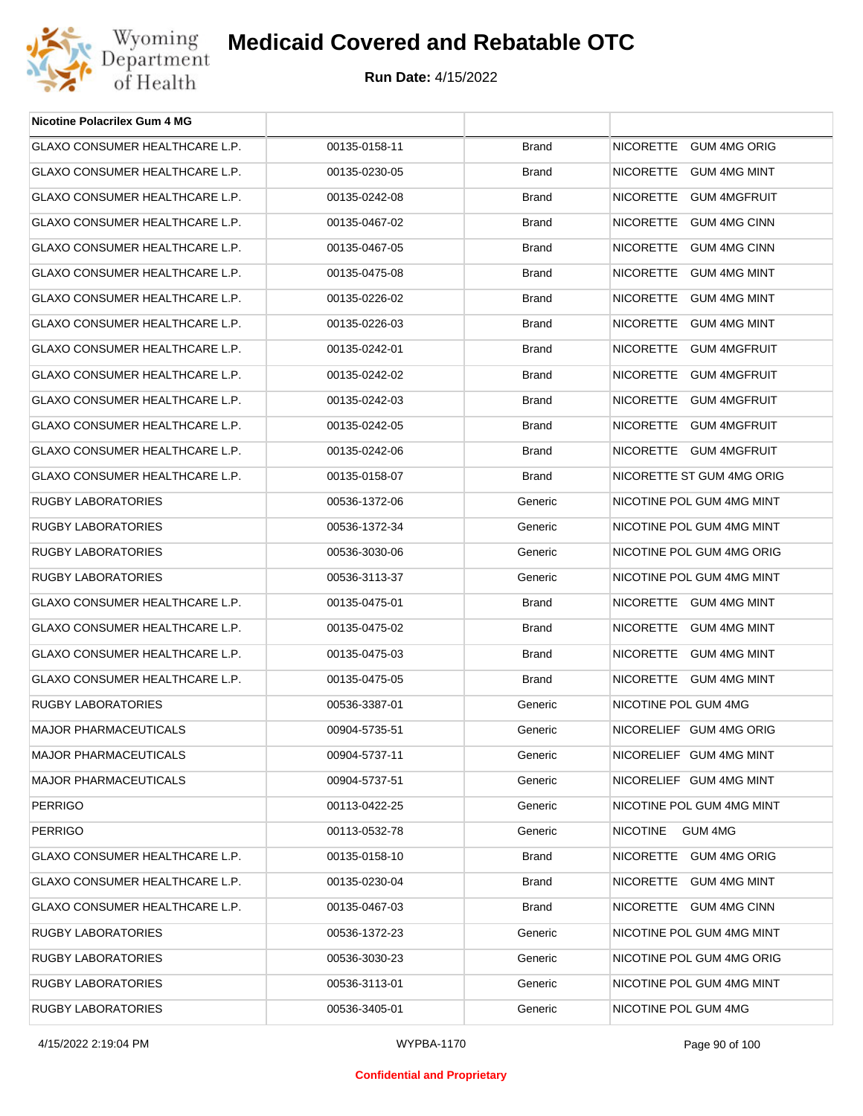

| <b>Nicotine Polacrilex Gum 4 MG</b>   |               |              |                            |
|---------------------------------------|---------------|--------------|----------------------------|
| GLAXO CONSUMER HEALTHCARE L.P.        | 00135-0158-11 | <b>Brand</b> | NICORETTE GUM 4MG ORIG     |
| GLAXO CONSUMER HEALTHCARE L.P.        | 00135-0230-05 | <b>Brand</b> | NICORETTE GUM 4MG MINT     |
| GLAXO CONSUMER HEALTHCARE L.P.        | 00135-0242-08 | <b>Brand</b> | NICORETTE GUM 4MGFRUIT     |
| GLAXO CONSUMER HEALTHCARE L.P.        | 00135-0467-02 | <b>Brand</b> | NICORETTE GUM 4MG CINN     |
| GLAXO CONSUMER HEALTHCARE L.P.        | 00135-0467-05 | <b>Brand</b> | NICORETTE GUM 4MG CINN     |
| <b>GLAXO CONSUMER HEALTHCARE L.P.</b> | 00135-0475-08 | <b>Brand</b> | NICORETTE GUM 4MG MINT     |
| GLAXO CONSUMER HEALTHCARE L.P.        | 00135-0226-02 | <b>Brand</b> | NICORETTE GUM 4MG MINT     |
| GLAXO CONSUMER HEALTHCARE L.P.        | 00135-0226-03 | <b>Brand</b> | NICORETTE GUM 4MG MINT     |
| GLAXO CONSUMER HEALTHCARE L.P.        | 00135-0242-01 | <b>Brand</b> | NICORETTE GUM 4MGFRUIT     |
| GLAXO CONSUMER HEALTHCARE L.P.        | 00135-0242-02 | <b>Brand</b> | NICORETTE GUM 4MGFRUIT     |
| GLAXO CONSUMER HEALTHCARE L.P.        | 00135-0242-03 | <b>Brand</b> | NICORETTE GUM 4MGFRUIT     |
| GLAXO CONSUMER HEALTHCARE L.P.        | 00135-0242-05 | <b>Brand</b> | NICORETTE GUM 4MGFRUIT     |
| GLAXO CONSUMER HEALTHCARE L.P.        | 00135-0242-06 | <b>Brand</b> | NICORETTE GUM 4MGFRUIT     |
| GLAXO CONSUMER HEALTHCARE L.P.        | 00135-0158-07 | <b>Brand</b> | NICORETTE ST GUM 4MG ORIG  |
| <b>RUGBY LABORATORIES</b>             | 00536-1372-06 | Generic      | NICOTINE POL GUM 4MG MINT  |
| RUGBY LABORATORIES                    | 00536-1372-34 | Generic      | NICOTINE POL GUM 4MG MINT  |
| RUGBY LABORATORIES                    | 00536-3030-06 | Generic      | NICOTINE POL GUM 4MG ORIG  |
| RUGBY LABORATORIES                    | 00536-3113-37 | Generic      | NICOTINE POL GUM 4MG MINT  |
| GLAXO CONSUMER HEALTHCARE L.P.        | 00135-0475-01 | <b>Brand</b> | NICORETTE GUM 4MG MINT     |
| GLAXO CONSUMER HEALTHCARE L.P.        | 00135-0475-02 | <b>Brand</b> | NICORETTE GUM 4MG MINT     |
| GLAXO CONSUMER HEALTHCARE L.P.        | 00135-0475-03 | <b>Brand</b> | NICORETTE GUM 4MG MINT     |
| <b>GLAXO CONSUMER HEALTHCARE L.P.</b> | 00135-0475-05 | <b>Brand</b> | NICORETTE GUM 4MG MINT     |
| RUGBY LABORATORIES                    | 00536-3387-01 | Generic      | NICOTINE POL GUM 4MG       |
| <b>MAJOR PHARMACEUTICALS</b>          | 00904-5735-51 | Generic      | NICORELIEF GUM 4MG ORIG    |
| <b>MAJOR PHARMACEUTICALS</b>          | 00904-5737-11 | Generic      | NICORELIEF GUM 4MG MINT    |
| <b>MAJOR PHARMACEUTICALS</b>          | 00904-5737-51 | Generic      | NICORELIEF GUM 4MG MINT    |
| <b>PERRIGO</b>                        | 00113-0422-25 | Generic      | NICOTINE POL GUM 4MG MINT  |
| <b>PERRIGO</b>                        | 00113-0532-78 | Generic      | <b>NICOTINE</b><br>GUM 4MG |
| GLAXO CONSUMER HEALTHCARE L.P.        | 00135-0158-10 | Brand        | NICORETTE GUM 4MG ORIG     |
| GLAXO CONSUMER HEALTHCARE L.P.        | 00135-0230-04 | <b>Brand</b> | NICORETTE GUM 4MG MINT     |
| GLAXO CONSUMER HEALTHCARE L.P.        | 00135-0467-03 | Brand        | NICORETTE GUM 4MG CINN     |
| RUGBY LABORATORIES                    | 00536-1372-23 | Generic      | NICOTINE POL GUM 4MG MINT  |
| RUGBY LABORATORIES                    | 00536-3030-23 | Generic      | NICOTINE POL GUM 4MG ORIG  |
| RUGBY LABORATORIES                    | 00536-3113-01 | Generic      | NICOTINE POL GUM 4MG MINT  |
| RUGBY LABORATORIES                    | 00536-3405-01 | Generic      | NICOTINE POL GUM 4MG       |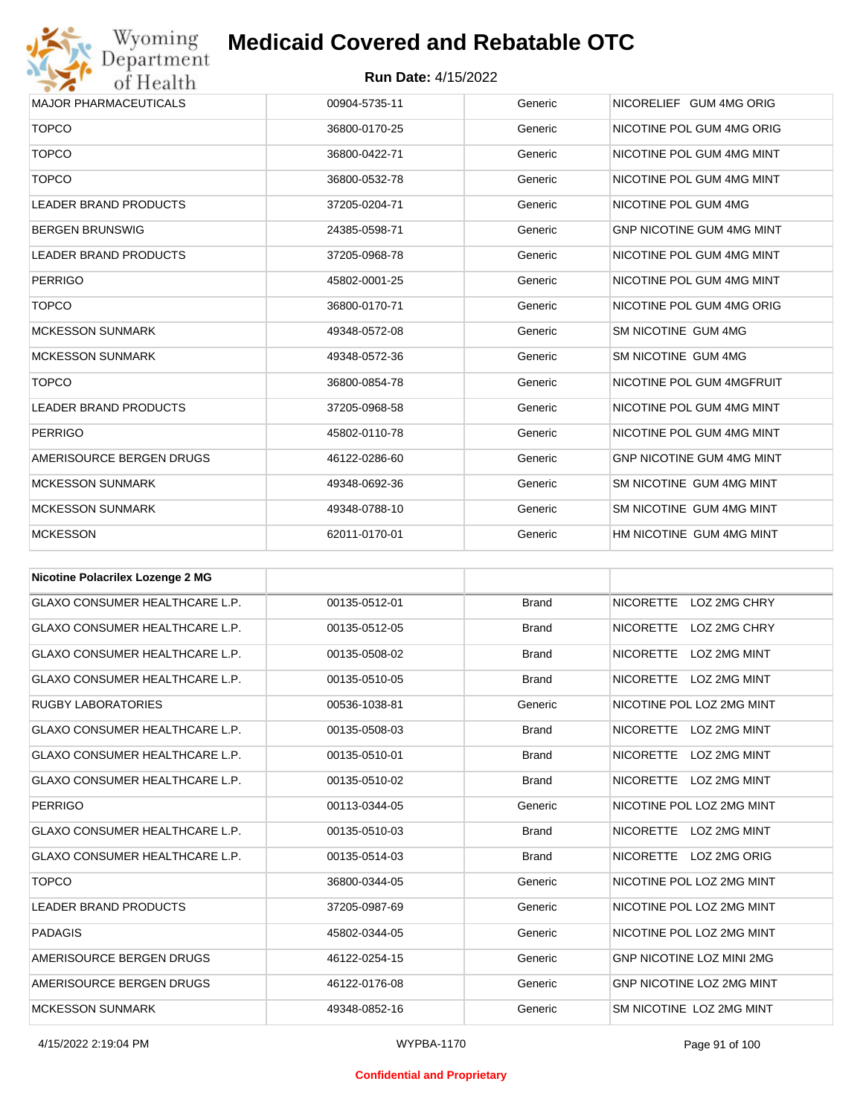

| <b>MAJOR PHARMACEUTICALS</b> | 00904-5735-11 | Generic | NICORELIEF GUM 4MG ORIG          |
|------------------------------|---------------|---------|----------------------------------|
| <b>TOPCO</b>                 | 36800-0170-25 | Generic | NICOTINE POL GUM 4MG ORIG        |
| <b>TOPCO</b>                 | 36800-0422-71 | Generic | NICOTINE POL GUM 4MG MINT        |
| <b>TOPCO</b>                 | 36800-0532-78 | Generic | NICOTINE POL GUM 4MG MINT        |
| <b>LEADER BRAND PRODUCTS</b> | 37205-0204-71 | Generic | NICOTINE POL GUM 4MG             |
| <b>BERGEN BRUNSWIG</b>       | 24385-0598-71 | Generic | <b>GNP NICOTINE GUM 4MG MINT</b> |
| <b>LEADER BRAND PRODUCTS</b> | 37205-0968-78 | Generic | NICOTINE POL GUM 4MG MINT        |
| <b>PERRIGO</b>               | 45802-0001-25 | Generic | NICOTINE POL GUM 4MG MINT        |
| <b>TOPCO</b>                 | 36800-0170-71 | Generic | NICOTINE POL GUM 4MG ORIG        |
| <b>MCKESSON SUNMARK</b>      | 49348-0572-08 | Generic | SM NICOTINE GUM 4MG              |
| <b>MCKESSON SUNMARK</b>      | 49348-0572-36 | Generic | SM NICOTINE GUM 4MG              |
| <b>TOPCO</b>                 | 36800-0854-78 | Generic | NICOTINE POL GUM 4MGFRUIT        |
| <b>LEADER BRAND PRODUCTS</b> | 37205-0968-58 | Generic | NICOTINE POL GUM 4MG MINT        |
| <b>PERRIGO</b>               | 45802-0110-78 | Generic | NICOTINE POL GUM 4MG MINT        |
| AMERISOURCE BERGEN DRUGS     | 46122-0286-60 | Generic | <b>GNP NICOTINE GUM 4MG MINT</b> |
| <b>MCKESSON SUNMARK</b>      | 49348-0692-36 | Generic | SM NICOTINE GUM 4MG MINT         |
| <b>MCKESSON SUNMARK</b>      | 49348-0788-10 | Generic | SM NICOTINE GUM 4MG MINT         |
| <b>MCKESSON</b>              | 62011-0170-01 | Generic | HM NICOTINE GUM 4MG MINT         |
|                              |               |         |                                  |

| Nicotine Polacrilex Lozenge 2 MG      |               |              |                                         |
|---------------------------------------|---------------|--------------|-----------------------------------------|
| <b>GLAXO CONSUMER HEALTHCARE L.P.</b> | 00135-0512-01 | <b>Brand</b> | NICORETTE LOZ 2MG CHRY                  |
| <b>GLAXO CONSUMER HEALTHCARE L.P.</b> | 00135-0512-05 | <b>Brand</b> | <b>NICORETTE</b><br>LOZ 2MG CHRY        |
| <b>GLAXO CONSUMER HEALTHCARE L.P.</b> | 00135-0508-02 | <b>Brand</b> | <b>NICORETTE</b><br>LOZ 2MG MINT        |
| <b>GLAXO CONSUMER HEALTHCARE L.P.</b> | 00135-0510-05 | <b>Brand</b> | <b>NICORETTE</b><br><b>LOZ 2MG MINT</b> |
| <b>RUGBY LABORATORIES</b>             | 00536-1038-81 | Generic      | NICOTINE POL LOZ 2MG MINT               |
| <b>GLAXO CONSUMER HEALTHCARE L.P.</b> | 00135-0508-03 | <b>Brand</b> | NICORETTE LOZ 2MG MINT                  |
| <b>GLAXO CONSUMER HEALTHCARE L.P.</b> | 00135-0510-01 | <b>Brand</b> | <b>NICORETTE</b><br>LOZ 2MG MINT        |
| <b>GLAXO CONSUMER HEALTHCARE L.P.</b> | 00135-0510-02 | <b>Brand</b> | NICORETTE LOZ 2MG MINT                  |
| <b>PERRIGO</b>                        | 00113-0344-05 | Generic      | NICOTINE POL LOZ 2MG MINT               |
| <b>GLAXO CONSUMER HEALTHCARE L.P.</b> | 00135-0510-03 | <b>Brand</b> | NICORETTE LOZ 2MG MINT                  |
| <b>GLAXO CONSUMER HEALTHCARE L.P.</b> | 00135-0514-03 | <b>Brand</b> | NICORETTE LOZ 2MG ORIG                  |
| <b>TOPCO</b>                          | 36800-0344-05 | Generic      | NICOTINE POL LOZ 2MG MINT               |
| <b>LEADER BRAND PRODUCTS</b>          | 37205-0987-69 | Generic      | NICOTINE POL LOZ 2MG MINT               |
| <b>PADAGIS</b>                        | 45802-0344-05 | Generic      | NICOTINE POL LOZ 2MG MINT               |
| AMERISOURCE BERGEN DRUGS              | 46122-0254-15 | Generic      | <b>GNP NICOTINE LOZ MINI 2MG</b>        |
| AMERISOURCE BERGEN DRUGS              | 46122-0176-08 | Generic      | <b>GNP NICOTINE LOZ 2MG MINT</b>        |
| <b>MCKESSON SUNMARK</b>               | 49348-0852-16 | Generic      | SM NICOTINE LOZ 2MG MINT                |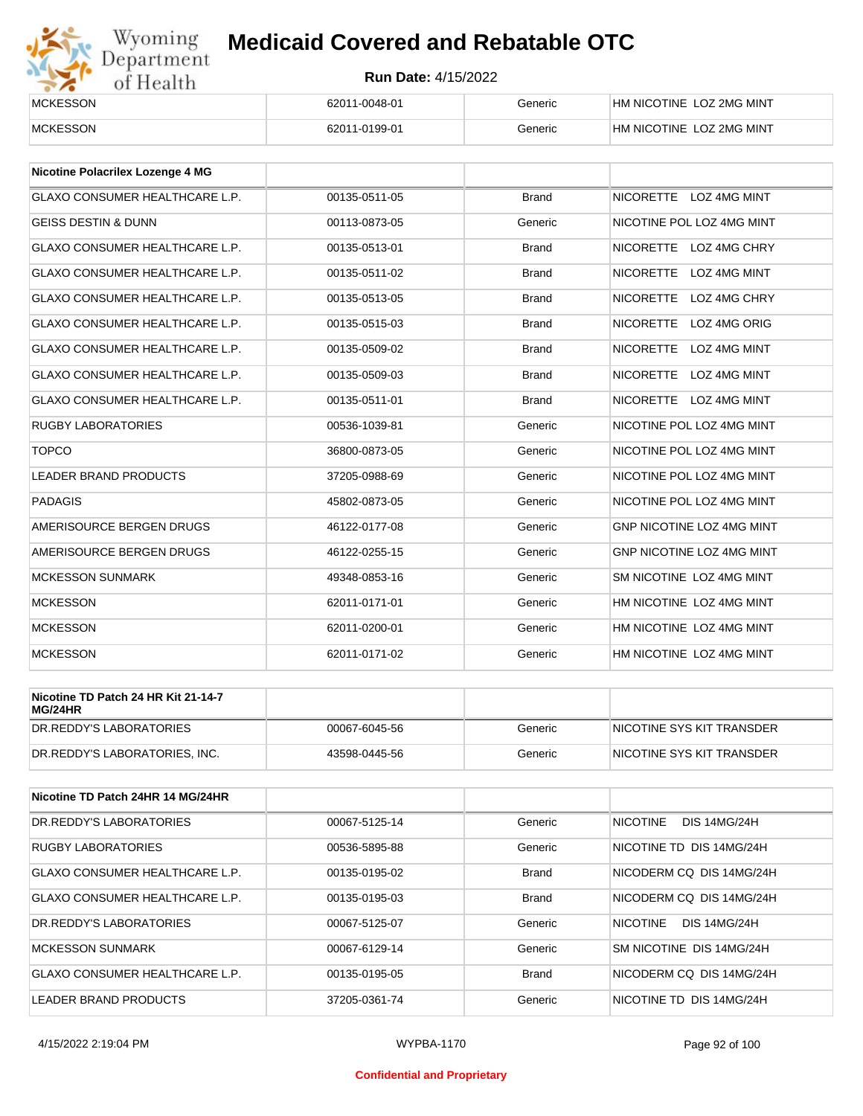

| <b>MCKESSON</b> | 62011-0048-01 | Generic | HM NICOTINE LOZ 2MG MINT |
|-----------------|---------------|---------|--------------------------|
| <b>MCKESSON</b> | 62011-0199-01 | Beneric | HM NICOTINE LOZ 2MG MINT |

| Nicotine Polacrilex Lozenge 4 MG      |               |              |                                         |
|---------------------------------------|---------------|--------------|-----------------------------------------|
| <b>GLAXO CONSUMER HEALTHCARE L.P.</b> | 00135-0511-05 | <b>Brand</b> | NICORETTE LOZ 4MG MINT                  |
| <b>GEISS DESTIN &amp; DUNN</b>        | 00113-0873-05 | Generic      | NICOTINE POL LOZ 4MG MINT               |
| <b>GLAXO CONSUMER HEALTHCARE L.P.</b> | 00135-0513-01 | <b>Brand</b> | <b>NICORETTE</b><br>LOZ 4MG CHRY        |
| <b>GLAXO CONSUMER HEALTHCARE L.P.</b> | 00135-0511-02 | <b>Brand</b> | <b>NICORETTE</b><br><b>LOZ 4MG MINT</b> |
| <b>GLAXO CONSUMER HEALTHCARE L.P.</b> | 00135-0513-05 | <b>Brand</b> | <b>NICORETTE</b><br>LOZ 4MG CHRY        |
| <b>GLAXO CONSUMER HEALTHCARE L.P.</b> | 00135-0515-03 | <b>Brand</b> | <b>NICORETTE</b><br>LOZ 4MG ORIG        |
| <b>GLAXO CONSUMER HEALTHCARE L.P.</b> | 00135-0509-02 | <b>Brand</b> | <b>NICORETTE</b><br>LOZ 4MG MINT        |
| <b>GLAXO CONSUMER HEALTHCARE L.P.</b> | 00135-0509-03 | <b>Brand</b> | <b>NICORETTE</b><br><b>LOZ 4MG MINT</b> |
| <b>GLAXO CONSUMER HEALTHCARE L.P.</b> | 00135-0511-01 | <b>Brand</b> | NICORETTE LOZ 4MG MINT                  |
| <b>RUGBY LABORATORIES</b>             | 00536-1039-81 | Generic      | NICOTINE POL LOZ 4MG MINT               |
| <b>TOPCO</b>                          | 36800-0873-05 | Generic      | NICOTINE POL LOZ 4MG MINT               |
| <b>LEADER BRAND PRODUCTS</b>          | 37205-0988-69 | Generic      | NICOTINE POL LOZ 4MG MINT               |
| <b>PADAGIS</b>                        | 45802-0873-05 | Generic      | NICOTINE POL LOZ 4MG MINT               |
| AMERISOURCE BERGEN DRUGS              | 46122-0177-08 | Generic      | GNP NICOTINE LOZ 4MG MINT               |
| AMERISOURCE BERGEN DRUGS              | 46122-0255-15 | Generic      | <b>GNP NICOTINE LOZ 4MG MINT</b>        |
| <b>MCKESSON SUNMARK</b>               | 49348-0853-16 | Generic      | SM NICOTINE LOZ 4MG MINT                |
| <b>MCKESSON</b>                       | 62011-0171-01 | Generic      | HM NICOTINE LOZ 4MG MINT                |
| <b>MCKESSON</b>                       | 62011-0200-01 | Generic      | HM NICOTINE LOZ 4MG MINT                |
| <b>MCKESSON</b>                       | 62011-0171-02 | Generic      | HM NICOTINE LOZ 4MG MINT                |

| Nicotine TD Patch 24 HR Kit 21-14-7<br>MG/24HR |               |         |                           |
|------------------------------------------------|---------------|---------|---------------------------|
| IDR.REDDY'S LABORATORIES                       | 00067-6045-56 | Generic | NICOTINE SYS KIT TRANSDER |
| DR.REDDY'S LABORATORIES. INC.                  | 43598-0445-56 | Generic | NICOTINE SYS KIT TRANSDER |

| Nicotine TD Patch 24HR 14 MG/24HR |               |              |                                        |
|-----------------------------------|---------------|--------------|----------------------------------------|
| DR.REDDY'S LABORATORIES           | 00067-5125-14 | Generic      | <b>NICOTINE</b><br><b>DIS 14MG/24H</b> |
| <b>RUGBY LABORATORIES</b>         | 00536-5895-88 | Generic      | NICOTINE TD DIS 14MG/24H               |
| GLAXO CONSUMER HEALTHCARE L.P.    | 00135-0195-02 | <b>Brand</b> | NICODERM CO DIS 14MG/24H               |
| GLAXO CONSUMER HEALTHCARE L.P.    | 00135-0195-03 | <b>Brand</b> | NICODERM CO DIS 14MG/24H               |
| DR.REDDY'S LABORATORIES           | 00067-5125-07 | Generic      | <b>NICOTINE</b><br><b>DIS 14MG/24H</b> |
| <b>MCKESSON SUNMARK</b>           | 00067-6129-14 | Generic      | SM NICOTINE DIS 14MG/24H               |
| GLAXO CONSUMER HEALTHCARE L.P.    | 00135-0195-05 | <b>Brand</b> | NICODERM CO DIS 14MG/24H               |
| LEADER BRAND PRODUCTS             | 37205-0361-74 | Generic      | NICOTINE TD DIS 14MG/24H               |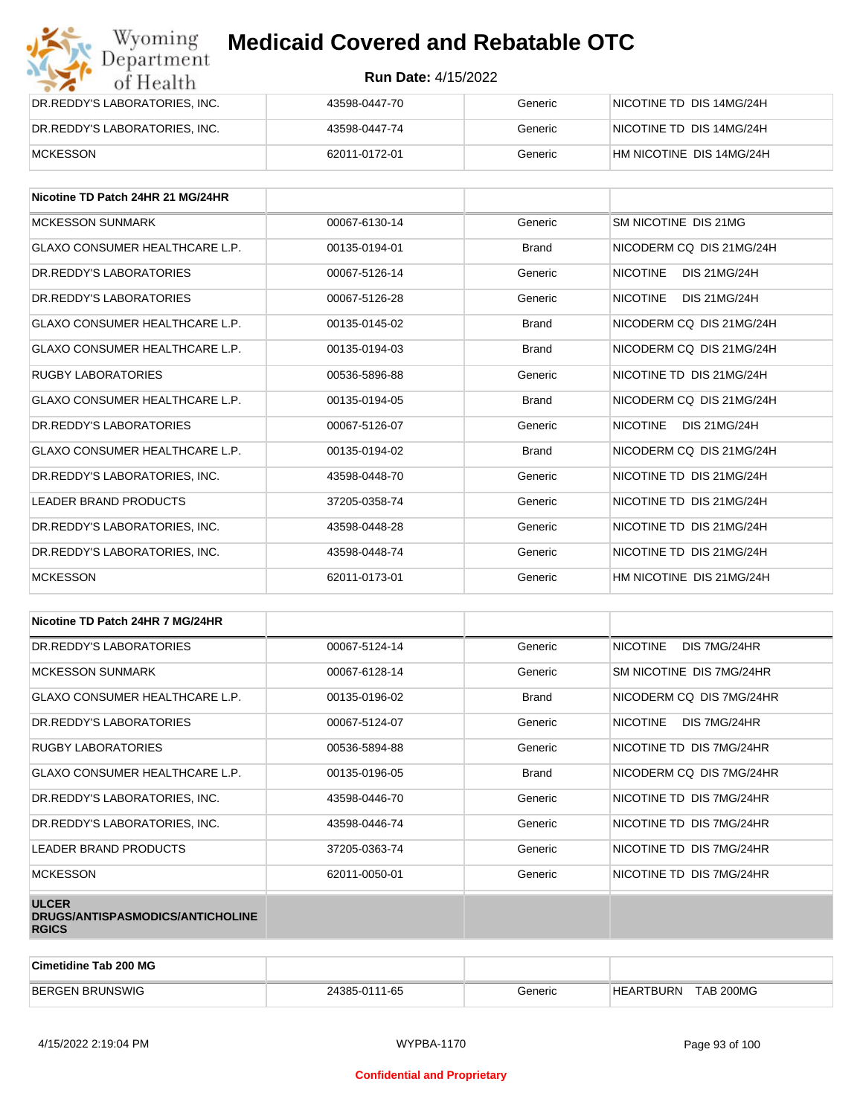| Wyoming<br><b>Medicaid Covered and Rebatable OTC</b><br>Department |                            |         |                          |  |
|--------------------------------------------------------------------|----------------------------|---------|--------------------------|--|
| of Health                                                          | <b>Run Date: 4/15/2022</b> |         |                          |  |
| DR.REDDY'S LABORATORIES, INC.                                      | 43598-0447-70              | Generic | NICOTINE TD DIS 14MG/24H |  |
| DR.REDDY'S LABORATORIES, INC.                                      | 43598-0447-74              | Generic | NICOTINE TD DIS 14MG/24H |  |
| <b>MCKESSON</b>                                                    | 62011-0172-01              | Generic | HM NICOTINE DIS 14MG/24H |  |

| Nicotine TD Patch 24HR 21 MG/24HR     |               |              |                                        |
|---------------------------------------|---------------|--------------|----------------------------------------|
| <b>MCKESSON SUNMARK</b>               | 00067-6130-14 | Generic      | SM NICOTINE DIS 21MG                   |
| <b>GLAXO CONSUMER HEALTHCARE L.P.</b> | 00135-0194-01 | <b>Brand</b> | NICODERM CO DIS 21MG/24H               |
| DR. REDDY'S LABORATORIES              | 00067-5126-14 | Generic      | <b>NICOTINE</b><br><b>DIS 21MG/24H</b> |
| DR. REDDY'S LABORATORIES              | 00067-5126-28 | Generic      | <b>NICOTINE</b><br><b>DIS 21MG/24H</b> |
| GLAXO CONSUMER HEALTHCARE L.P.        | 00135-0145-02 | <b>Brand</b> | NICODERM CO DIS 21MG/24H               |
| GLAXO CONSUMER HEALTHCARE L.P.        | 00135-0194-03 | <b>Brand</b> | NICODERM CO DIS 21MG/24H               |
| <b>RUGBY LABORATORIES</b>             | 00536-5896-88 | Generic      | NICOTINE TD DIS 21MG/24H               |
| <b>GLAXO CONSUMER HEALTHCARE L.P.</b> | 00135-0194-05 | <b>Brand</b> | NICODERM CO DIS 21MG/24H               |
| DR.REDDY'S LABORATORIES               | 00067-5126-07 | Generic      | <b>NICOTINE</b><br><b>DIS 21MG/24H</b> |
| <b>GLAXO CONSUMER HEALTHCARE L.P.</b> | 00135-0194-02 | <b>Brand</b> | NICODERM CO DIS 21MG/24H               |
| DR.REDDY'S LABORATORIES, INC.         | 43598-0448-70 | Generic      | NICOTINE TD DIS 21MG/24H               |
| <b>LEADER BRAND PRODUCTS</b>          | 37205-0358-74 | Generic      | NICOTINE TD DIS 21MG/24H               |
| DR.REDDY'S LABORATORIES, INC.         | 43598-0448-28 | Generic      | NICOTINE TD DIS 21MG/24H               |
| DR. REDDY'S LABORATORIES. INC.        | 43598-0448-74 | Generic      | NICOTINE TD DIS 21MG/24H               |
| <b>MCKESSON</b>                       | 62011-0173-01 | Generic      | HM NICOTINE DIS 21MG/24H               |

| Nicotine TD Patch 24HR 7 MG/24HR                                 |               |              |                                 |
|------------------------------------------------------------------|---------------|--------------|---------------------------------|
| DR.REDDY'S LABORATORIES                                          | 00067-5124-14 | Generic      | DIS 7MG/24HR<br><b>NICOTINE</b> |
| <b>MCKESSON SUNMARK</b>                                          | 00067-6128-14 | Generic      | SM NICOTINE DIS 7MG/24HR        |
| GLAXO CONSUMER HEALTHCARE L.P.                                   | 00135-0196-02 | <b>Brand</b> | NICODERM CQ DIS 7MG/24HR        |
| DR. REDDY'S LABORATORIES                                         | 00067-5124-07 | Generic      | NICOTINE<br>DIS 7MG/24HR        |
| <b>RUGBY LABORATORIES</b>                                        | 00536-5894-88 | Generic      | NICOTINE TD DIS 7MG/24HR        |
| GLAXO CONSUMER HEALTHCARE L.P.                                   | 00135-0196-05 | <b>Brand</b> | NICODERM CO DIS 7MG/24HR        |
| DR.REDDY'S LABORATORIES, INC.                                    | 43598-0446-70 | Generic      | NICOTINE TD DIS 7MG/24HR        |
| DR.REDDY'S LABORATORIES, INC.                                    | 43598-0446-74 | Generic      | NICOTINE TD DIS 7MG/24HR        |
| <b>LEADER BRAND PRODUCTS</b>                                     | 37205-0363-74 | Generic      | NICOTINE TD DIS 7MG/24HR        |
| <b>MCKESSON</b>                                                  | 62011-0050-01 | Generic      | NICOTINE TD DIS 7MG/24HR        |
| <b>ULCER</b><br>DRUGS/ANTISPASMODICS/ANTICHOLINE<br><b>RGICS</b> |               |              |                                 |

| <b>Cimetidine Tab 200 MG</b> |               |         |                               |  |
|------------------------------|---------------|---------|-------------------------------|--|
| <b>BERGEN BRUNSWIG</b>       | 24385-0111-65 | Generic | <b>TAB 200MG</b><br>HEARTBURN |  |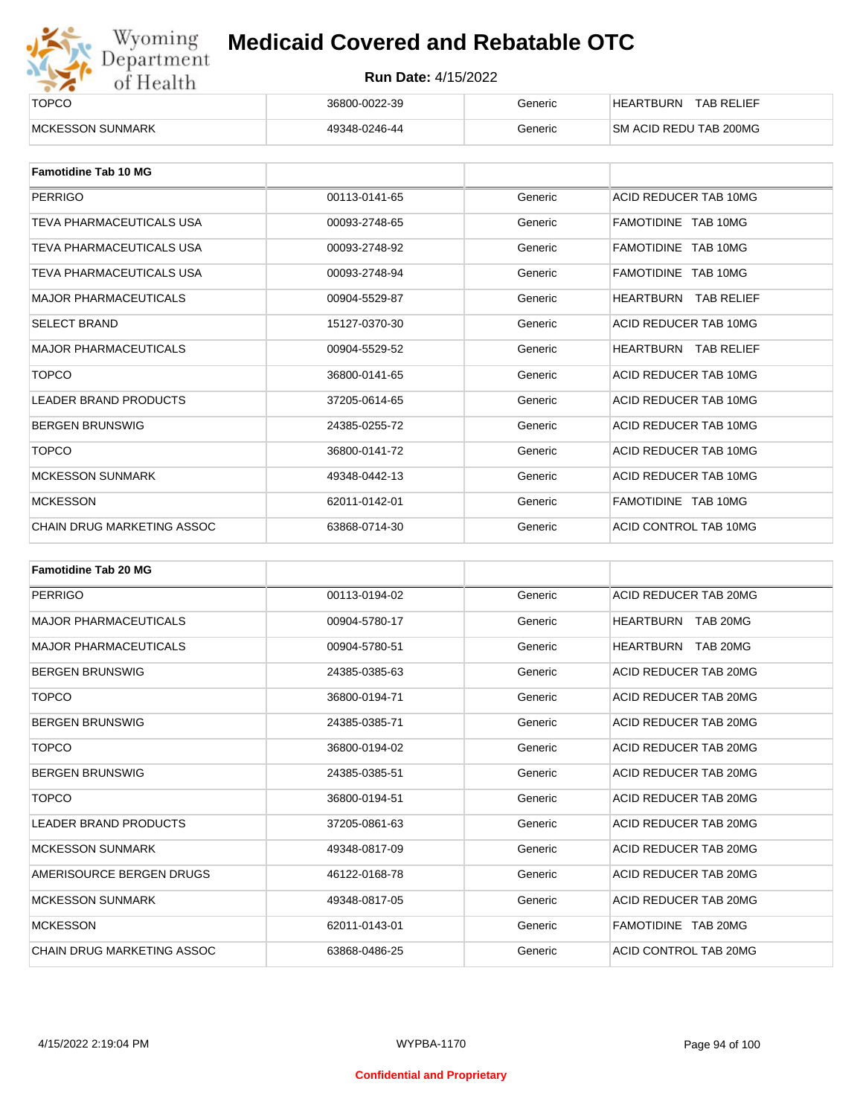

| ______<br><b>TOPCO</b>   | 36800-0022-39 | Generic | <b>TAB RELIEF</b><br><b>HEARTBURN</b> |
|--------------------------|---------------|---------|---------------------------------------|
| <b>IMCKESSON SUNMARK</b> | 49348-0246-44 | Generic | SM ACID REDU TAB 200MG                |

| <b>Famotidine Tab 10 MG</b>  |               |         |                             |
|------------------------------|---------------|---------|-----------------------------|
| <b>PERRIGO</b>               | 00113-0141-65 | Generic | ACID REDUCER TAB 10MG       |
| TEVA PHARMACEUTICALS USA     | 00093-2748-65 | Generic | FAMOTIDINE TAB 10MG         |
| TEVA PHARMACEUTICALS USA     | 00093-2748-92 | Generic | FAMOTIDINE TAB 10MG         |
| TEVA PHARMACEUTICALS USA     | 00093-2748-94 | Generic | FAMOTIDINE TAB 10MG         |
| <b>MAJOR PHARMACEUTICALS</b> | 00904-5529-87 | Generic | <b>HEARTBURN TAB RELIEF</b> |
| <b>SELECT BRAND</b>          | 15127-0370-30 | Generic | ACID REDUCER TAB 10MG       |
| <b>MAJOR PHARMACEUTICALS</b> | 00904-5529-52 | Generic | <b>HEARTBURN TAB RELIEF</b> |
| <b>TOPCO</b>                 | 36800-0141-65 | Generic | ACID REDUCER TAB 10MG       |
| <b>LEADER BRAND PRODUCTS</b> | 37205-0614-65 | Generic | ACID REDUCER TAB 10MG       |
| <b>BERGEN BRUNSWIG</b>       | 24385-0255-72 | Generic | ACID REDUCER TAB 10MG       |
| <b>TOPCO</b>                 | 36800-0141-72 | Generic | ACID REDUCER TAB 10MG       |
| <b>MCKESSON SUNMARK</b>      | 49348-0442-13 | Generic | ACID REDUCER TAB 10MG       |
| <b>MCKESSON</b>              | 62011-0142-01 | Generic | FAMOTIDINE TAB 10MG         |
| CHAIN DRUG MARKETING ASSOC   | 63868-0714-30 | Generic | ACID CONTROL TAB 10MG       |

| <b>Famotidine Tab 20 MG</b>       |               |         |                       |
|-----------------------------------|---------------|---------|-----------------------|
| PERRIGO                           | 00113-0194-02 | Generic | ACID REDUCER TAB 20MG |
| <b>MAJOR PHARMACEUTICALS</b>      | 00904-5780-17 | Generic | HEARTBURN TAB 20MG    |
| <b>MAJOR PHARMACEUTICALS</b>      | 00904-5780-51 | Generic | TAB 20MG<br>HEARTBURN |
| <b>BERGEN BRUNSWIG</b>            | 24385-0385-63 | Generic | ACID REDUCER TAB 20MG |
| <b>TOPCO</b>                      | 36800-0194-71 | Generic | ACID REDUCER TAB 20MG |
| <b>BERGEN BRUNSWIG</b>            | 24385-0385-71 | Generic | ACID REDUCER TAB 20MG |
| <b>TOPCO</b>                      | 36800-0194-02 | Generic | ACID REDUCER TAB 20MG |
| <b>BERGEN BRUNSWIG</b>            | 24385-0385-51 | Generic | ACID REDUCER TAB 20MG |
| <b>TOPCO</b>                      | 36800-0194-51 | Generic | ACID REDUCER TAB 20MG |
| <b>LEADER BRAND PRODUCTS</b>      | 37205-0861-63 | Generic | ACID REDUCER TAB 20MG |
| <b>MCKESSON SUNMARK</b>           | 49348-0817-09 | Generic | ACID REDUCER TAB 20MG |
| AMERISOURCE BERGEN DRUGS          | 46122-0168-78 | Generic | ACID REDUCER TAB 20MG |
| <b>MCKESSON SUNMARK</b>           | 49348-0817-05 | Generic | ACID REDUCER TAB 20MG |
| <b>MCKESSON</b>                   | 62011-0143-01 | Generic | FAMOTIDINE TAB 20MG   |
| <b>CHAIN DRUG MARKETING ASSOC</b> | 63868-0486-25 | Generic | ACID CONTROL TAB 20MG |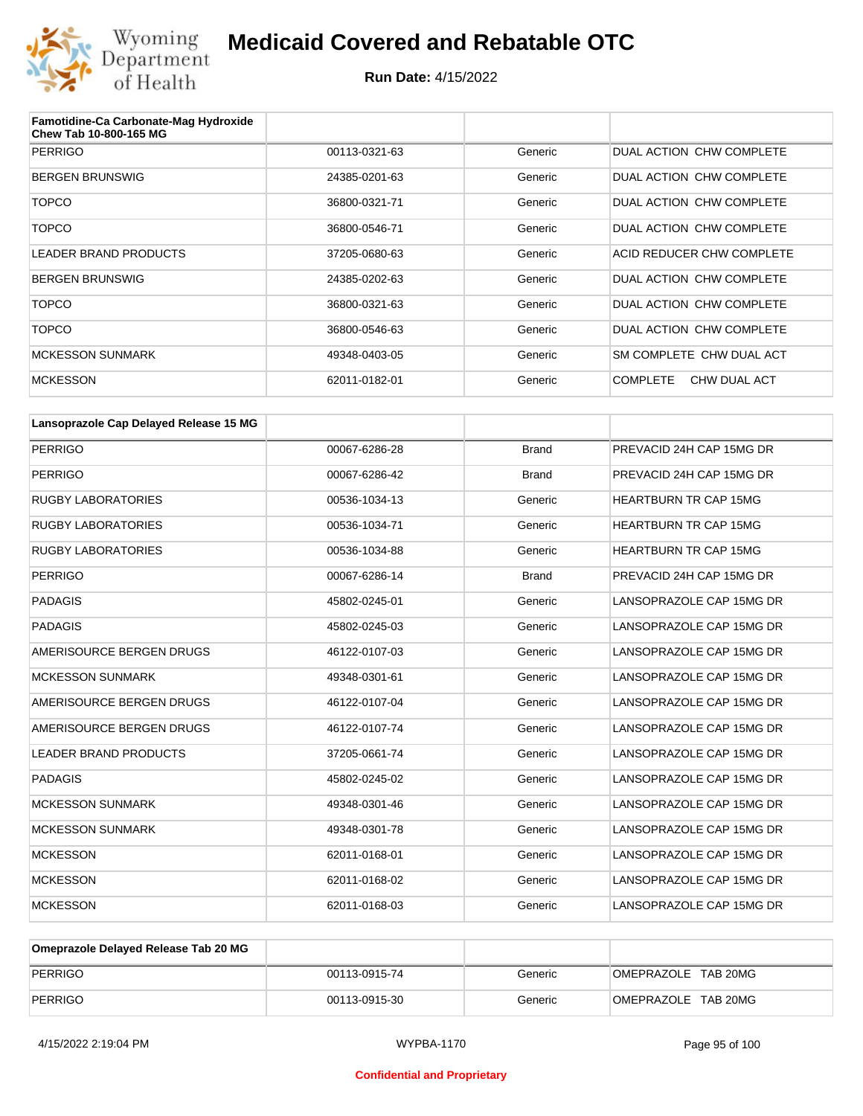

| Famotidine-Ca Carbonate-Mag Hydroxide<br>Chew Tab 10-800-165 MG |               |         |                                 |
|-----------------------------------------------------------------|---------------|---------|---------------------------------|
| <b>PERRIGO</b>                                                  | 00113-0321-63 | Generic | DUAL ACTION CHW COMPLETE        |
| <b>BERGEN BRUNSWIG</b>                                          | 24385-0201-63 | Generic | DUAL ACTION CHW COMPLETE        |
| <b>TOPCO</b>                                                    | 36800-0321-71 | Generic | DUAL ACTION CHW COMPLETE        |
| <b>TOPCO</b>                                                    | 36800-0546-71 | Generic | DUAL ACTION CHW COMPLETE        |
| LEADER BRAND PRODUCTS                                           | 37205-0680-63 | Generic | ACID REDUCER CHW COMPLETE       |
| <b>BERGEN BRUNSWIG</b>                                          | 24385-0202-63 | Generic | DUAL ACTION CHW COMPLETE        |
| <b>TOPCO</b>                                                    | 36800-0321-63 | Generic | DUAL ACTION CHW COMPLETE        |
| <b>TOPCO</b>                                                    | 36800-0546-63 | Generic | DUAL ACTION CHW COMPLETE        |
| <b>MCKESSON SUNMARK</b>                                         | 49348-0403-05 | Generic | SM COMPLETE CHW DUAL ACT        |
| <b>MCKESSON</b>                                                 | 62011-0182-01 | Generic | <b>COMPLETE</b><br>CHW DUAL ACT |

| Lansoprazole Cap Delayed Release 15 MG |               |              |                              |
|----------------------------------------|---------------|--------------|------------------------------|
| <b>PERRIGO</b>                         | 00067-6286-28 | <b>Brand</b> | PREVACID 24H CAP 15MG DR     |
| <b>PERRIGO</b>                         | 00067-6286-42 | <b>Brand</b> | PREVACID 24H CAP 15MG DR     |
| <b>RUGBY LABORATORIES</b>              | 00536-1034-13 | Generic      | <b>HEARTBURN TR CAP 15MG</b> |
| <b>RUGBY LABORATORIES</b>              | 00536-1034-71 | Generic      | <b>HEARTBURN TR CAP 15MG</b> |
| <b>RUGBY LABORATORIES</b>              | 00536-1034-88 | Generic      | <b>HEARTBURN TR CAP 15MG</b> |
| <b>PERRIGO</b>                         | 00067-6286-14 | <b>Brand</b> | PREVACID 24H CAP 15MG DR     |
| <b>PADAGIS</b>                         | 45802-0245-01 | Generic      | LANSOPRAZOLE CAP 15MG DR     |
| <b>PADAGIS</b>                         | 45802-0245-03 | Generic      | LANSOPRAZOLE CAP 15MG DR     |
| AMERISOURCE BERGEN DRUGS               | 46122-0107-03 | Generic      | LANSOPRAZOLE CAP 15MG DR     |
| <b>MCKESSON SUNMARK</b>                | 49348-0301-61 | Generic      | LANSOPRAZOLE CAP 15MG DR     |
| AMERISOURCE BERGEN DRUGS               | 46122-0107-04 | Generic      | LANSOPRAZOLE CAP 15MG DR     |
| AMERISOURCE BERGEN DRUGS               | 46122-0107-74 | Generic      | LANSOPRAZOLE CAP 15MG DR     |
| <b>LEADER BRAND PRODUCTS</b>           | 37205-0661-74 | Generic      | LANSOPRAZOLE CAP 15MG DR     |
| <b>PADAGIS</b>                         | 45802-0245-02 | Generic      | LANSOPRAZOLE CAP 15MG DR     |
| <b>MCKESSON SUNMARK</b>                | 49348-0301-46 | Generic      | LANSOPRAZOLE CAP 15MG DR     |
| <b>MCKESSON SUNMARK</b>                | 49348-0301-78 | Generic      | LANSOPRAZOLE CAP 15MG DR     |
| <b>MCKESSON</b>                        | 62011-0168-01 | Generic      | LANSOPRAZOLE CAP 15MG DR     |
| <b>MCKESSON</b>                        | 62011-0168-02 | Generic      | LANSOPRAZOLE CAP 15MG DR     |
| <b>MCKESSON</b>                        | 62011-0168-03 | Generic      | LANSOPRAZOLE CAP 15MG DR     |

| Omeprazole Delayed Release Tab 20 MG |               |         |                     |
|--------------------------------------|---------------|---------|---------------------|
| PERRIGO                              | 00113-0915-74 | Generic | OMEPRAZOLE TAB 20MG |
| PERRIGO                              | 00113-0915-30 | Generic | OMEPRAZOLE TAB 20MG |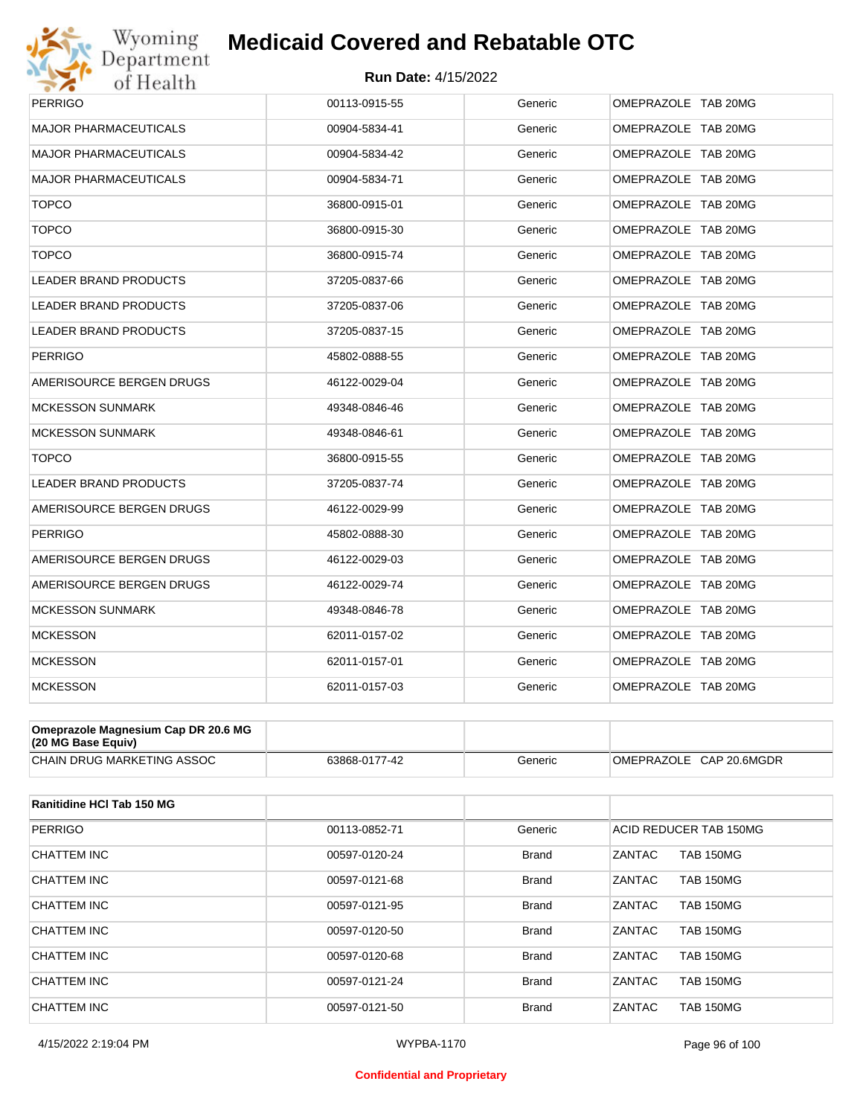

| <b>PERRIGO</b>               | 00113-0915-55 | Generic | OMEPRAZOLE TAB 20MG |
|------------------------------|---------------|---------|---------------------|
| <b>MAJOR PHARMACEUTICALS</b> | 00904-5834-41 | Generic | OMEPRAZOLE TAB 20MG |
| <b>MAJOR PHARMACEUTICALS</b> | 00904-5834-42 | Generic | OMEPRAZOLE TAB 20MG |
| <b>MAJOR PHARMACEUTICALS</b> | 00904-5834-71 | Generic | OMEPRAZOLE TAB 20MG |
| <b>TOPCO</b>                 | 36800-0915-01 | Generic | OMEPRAZOLE TAB 20MG |
| <b>TOPCO</b>                 | 36800-0915-30 | Generic | OMEPRAZOLE TAB 20MG |
| <b>TOPCO</b>                 | 36800-0915-74 | Generic | OMEPRAZOLE TAB 20MG |
| <b>LEADER BRAND PRODUCTS</b> | 37205-0837-66 | Generic | OMEPRAZOLE TAB 20MG |
| <b>LEADER BRAND PRODUCTS</b> | 37205-0837-06 | Generic | OMEPRAZOLE TAB 20MG |
| LEADER BRAND PRODUCTS        | 37205-0837-15 | Generic | OMEPRAZOLE TAB 20MG |
| <b>PERRIGO</b>               | 45802-0888-55 | Generic | OMEPRAZOLE TAB 20MG |
| AMERISOURCE BERGEN DRUGS     | 46122-0029-04 | Generic | OMEPRAZOLE TAB 20MG |
| <b>MCKESSON SUNMARK</b>      | 49348-0846-46 | Generic | OMEPRAZOLE TAB 20MG |
| <b>MCKESSON SUNMARK</b>      | 49348-0846-61 | Generic | OMEPRAZOLE TAB 20MG |
| <b>TOPCO</b>                 | 36800-0915-55 | Generic | OMEPRAZOLE TAB 20MG |
| <b>LEADER BRAND PRODUCTS</b> | 37205-0837-74 | Generic | OMEPRAZOLE TAB 20MG |
| AMERISOURCE BERGEN DRUGS     | 46122-0029-99 | Generic | OMEPRAZOLE TAB 20MG |
| <b>PERRIGO</b>               | 45802-0888-30 | Generic | OMEPRAZOLE TAB 20MG |
| AMERISOURCE BERGEN DRUGS     | 46122-0029-03 | Generic | OMEPRAZOLE TAB 20MG |
| AMERISOURCE BERGEN DRUGS     | 46122-0029-74 | Generic | OMEPRAZOLE TAB 20MG |
| <b>MCKESSON SUNMARK</b>      | 49348-0846-78 | Generic | OMEPRAZOLE TAB 20MG |
| <b>MCKESSON</b>              | 62011-0157-02 | Generic | OMEPRAZOLE TAB 20MG |
| <b>MCKESSON</b>              | 62011-0157-01 | Generic | OMEPRAZOLE TAB 20MG |
| <b>MCKESSON</b>              | 62011-0157-03 | Generic | OMEPRAZOLE TAB 20MG |

| Omeprazole Magnesium Cap DR 20.6 MG<br>$(20 \text{ MG Base}$ Equiv) |               |         |                         |
|---------------------------------------------------------------------|---------------|---------|-------------------------|
| <b>CHAIN DRUG MARKETING ASSOC</b>                                   | 63868-0177-42 | Generic | OMEPRAZOLE CAP 20.6MGDR |

| Ranitidine HCI Tab 150 MG |               |              |                                   |
|---------------------------|---------------|--------------|-----------------------------------|
| <b>PERRIGO</b>            | 00113-0852-71 | Generic      | ACID REDUCER TAB 150MG            |
| CHATTEM INC               | 00597-0120-24 | <b>Brand</b> | <b>ZANTAC</b><br><b>TAB 150MG</b> |
| CHATTEM INC               | 00597-0121-68 | <b>Brand</b> | ZANTAC<br><b>TAB 150MG</b>        |
| <b>CHATTEM INC</b>        | 00597-0121-95 | <b>Brand</b> | ZANTAC<br><b>TAB 150MG</b>        |
| <b>CHATTEM INC</b>        | 00597-0120-50 | <b>Brand</b> | <b>ZANTAC</b><br><b>TAB 150MG</b> |
| CHATTEM INC               | 00597-0120-68 | <b>Brand</b> | ZANTAC<br><b>TAB 150MG</b>        |
| <b>CHATTEM INC</b>        | 00597-0121-24 | <b>Brand</b> | <b>ZANTAC</b><br><b>TAB 150MG</b> |
| CHATTEM INC               | 00597-0121-50 | <b>Brand</b> | ZANTAC<br><b>TAB 150MG</b>        |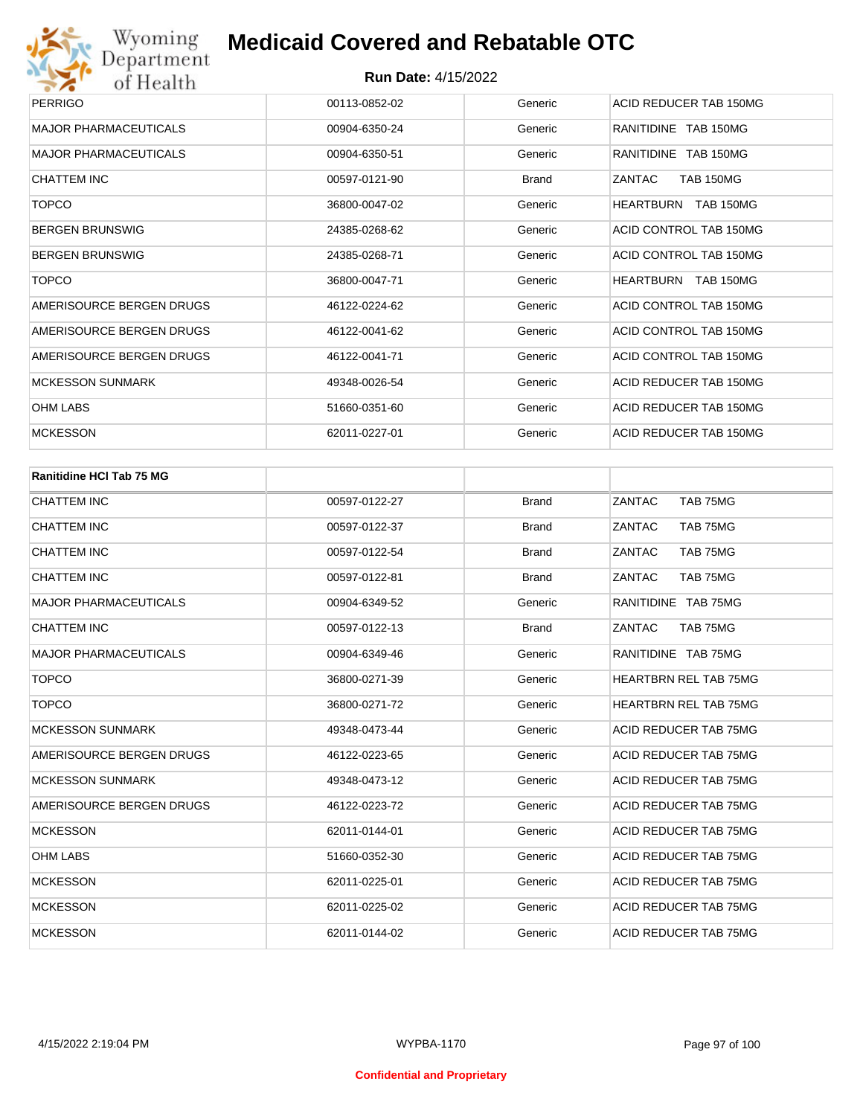| <b>PERRIGO</b>               | 00113-0852-02 | Generic      | ACID REDUCER TAB 150MG     |
|------------------------------|---------------|--------------|----------------------------|
| <b>MAJOR PHARMACEUTICALS</b> | 00904-6350-24 | Generic      | RANITIDINE TAB 150MG       |
| <b>MAJOR PHARMACEUTICALS</b> | 00904-6350-51 | Generic      | RANITIDINE TAB 150MG       |
| CHATTEM INC                  | 00597-0121-90 | <b>Brand</b> | <b>TAB 150MG</b><br>ZANTAC |
| <b>TOPCO</b>                 | 36800-0047-02 | Generic      | HEARTBURN TAB 150MG        |
| <b>BERGEN BRUNSWIG</b>       | 24385-0268-62 | Generic      | ACID CONTROL TAB 150MG     |
| <b>BERGEN BRUNSWIG</b>       | 24385-0268-71 | Generic      | ACID CONTROL TAB 150MG     |
| <b>TOPCO</b>                 | 36800-0047-71 | Generic      | HEARTBURN TAB 150MG        |
| AMERISOURCE BERGEN DRUGS     | 46122-0224-62 | Generic      | ACID CONTROL TAB 150MG     |
| AMERISOURCE BERGEN DRUGS     | 46122-0041-62 | Generic      | ACID CONTROL TAB 150MG     |
| AMERISOURCE BERGEN DRUGS     | 46122-0041-71 | Generic      | ACID CONTROL TAB 150MG     |
| <b>MCKESSON SUNMARK</b>      | 49348-0026-54 | Generic      | ACID REDUCER TAB 150MG     |
| <b>OHM LABS</b>              | 51660-0351-60 | Generic      | ACID REDUCER TAB 150MG     |
| <b>MCKESSON</b>              | 62011-0227-01 | Generic      | ACID REDUCER TAB 150MG     |
|                              |               |              |                            |

| <b>Ranitidine HCI Tab 75 MG</b> |               |              |                              |
|---------------------------------|---------------|--------------|------------------------------|
| CHATTEM INC                     | 00597-0122-27 | <b>Brand</b> | <b>ZANTAC</b><br>TAB 75MG    |
| <b>CHATTEM INC</b>              | 00597-0122-37 | <b>Brand</b> | ZANTAC<br>TAB 75MG           |
| <b>CHATTEM INC</b>              | 00597-0122-54 | <b>Brand</b> | ZANTAC<br>TAB 75MG           |
| <b>CHATTEM INC</b>              | 00597-0122-81 | <b>Brand</b> | ZANTAC<br>TAB 75MG           |
| <b>MAJOR PHARMACEUTICALS</b>    | 00904-6349-52 | Generic      | RANITIDINE TAB 75MG          |
| <b>CHATTEM INC</b>              | 00597-0122-13 | <b>Brand</b> | ZANTAC<br>TAB 75MG           |
| <b>MAJOR PHARMACEUTICALS</b>    | 00904-6349-46 | Generic      | RANITIDINE TAB 75MG          |
| <b>TOPCO</b>                    | 36800-0271-39 | Generic      | <b>HEARTBRN REL TAB 75MG</b> |
| <b>TOPCO</b>                    | 36800-0271-72 | Generic      | <b>HEARTBRN REL TAB 75MG</b> |
| <b>MCKESSON SUNMARK</b>         | 49348-0473-44 | Generic      | <b>ACID REDUCER TAB 75MG</b> |
| AMERISOURCE BERGEN DRUGS        | 46122-0223-65 | Generic      | <b>ACID REDUCER TAB 75MG</b> |
| <b>MCKESSON SUNMARK</b>         | 49348-0473-12 | Generic      | <b>ACID REDUCER TAB 75MG</b> |
| AMERISOURCE BERGEN DRUGS        | 46122-0223-72 | Generic      | <b>ACID REDUCER TAB 75MG</b> |
| <b>MCKESSON</b>                 | 62011-0144-01 | Generic      | <b>ACID REDUCER TAB 75MG</b> |
| <b>OHM LABS</b>                 | 51660-0352-30 | Generic      | ACID REDUCER TAB 75MG        |
| <b>MCKESSON</b>                 | 62011-0225-01 | Generic      | <b>ACID REDUCER TAB 75MG</b> |
| <b>MCKESSON</b>                 | 62011-0225-02 | Generic      | <b>ACID REDUCER TAB 75MG</b> |
| <b>MCKESSON</b>                 | 62011-0144-02 | Generic      | ACID REDUCER TAB 75MG        |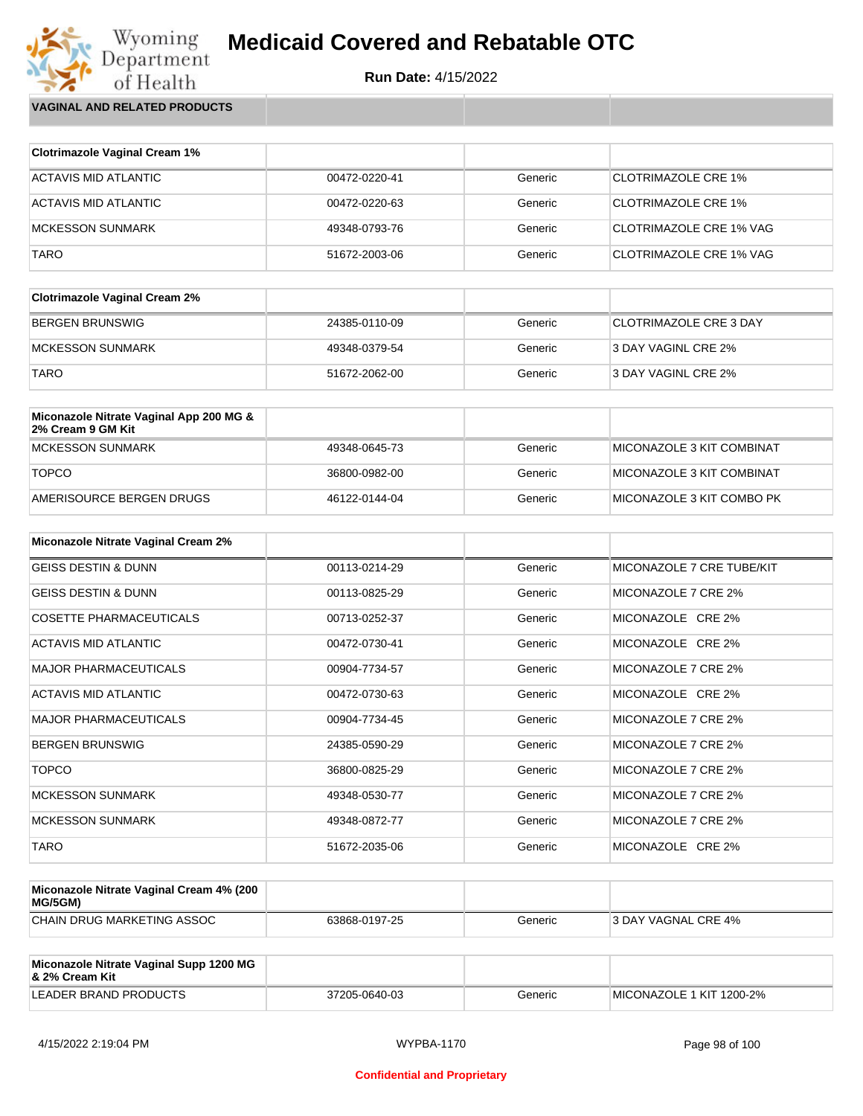

Wyoming<br>Department<br>of Health **VAGINAL AND RELATED PRODUCTS**

| <b>Clotrimazole Vaginal Cream 1%</b> |               |         |                            |
|--------------------------------------|---------------|---------|----------------------------|
| ACTAVIS MID ATLANTIC                 | 00472-0220-41 | Generic | <b>CLOTRIMAZOLE CRE 1%</b> |
| ACTAVIS MID ATLANTIC                 | 00472-0220-63 | Generic | <b>CLOTRIMAZOLE CRE 1%</b> |
| <b>MCKESSON SUNMARK</b>              | 49348-0793-76 | Generic | CLOTRIMAZOLE CRE 1% VAG    |
| TARO                                 | 51672-2003-06 | Generic | CLOTRIMAZOLE CRE 1% VAG    |

| <b>Clotrimazole Vaginal Cream 2%</b> |               |         |                        |
|--------------------------------------|---------------|---------|------------------------|
| BERGEN BRUNSWIG                      | 24385-0110-09 | Generic | CLOTRIMAZOLE CRE 3 DAY |
| MCKESSON SUNMARK                     | 49348-0379-54 | Generic | 3 DAY VAGINL CRE 2%    |
| <b>TARO</b>                          | 51672-2062-00 | Generic | 3 DAY VAGINL CRE 2%    |

| Miconazole Nitrate Vaginal App 200 MG &<br>2% Cream 9 GM Kit |               |         |                            |
|--------------------------------------------------------------|---------------|---------|----------------------------|
| MCKESSON SUNMARK                                             | 49348-0645-73 | Generic | MICONAZOLE 3 KIT COMBINAT  |
| <b>TOPCO</b>                                                 | 36800-0982-00 | Generic | ™IICONAZOLE 3 KIT COMBINAT |
| AMERISOURCE BERGEN DRUGS                                     | 46122-0144-04 | Generic | MICONAZOLE 3 KIT COMBO PK  |

| <b>Miconazole Nitrate Vaginal Cream 2%</b> |               |         |                           |
|--------------------------------------------|---------------|---------|---------------------------|
| <b>GEISS DESTIN &amp; DUNN</b>             | 00113-0214-29 | Generic | MICONAZOLE 7 CRE TUBE/KIT |
| <b>GEISS DESTIN &amp; DUNN</b>             | 00113-0825-29 | Generic | MICONAZOLE 7 CRE 2%       |
| COSETTE PHARMACEUTICALS                    | 00713-0252-37 | Generic | MICONAZOLE CRE 2%         |
| <b>ACTAVIS MID ATLANTIC</b>                | 00472-0730-41 | Generic | MICONAZOLE CRE 2%         |
| <b>MAJOR PHARMACEUTICALS</b>               | 00904-7734-57 | Generic | MICONAZOLE 7 CRE 2%       |
| ACTAVIS MID ATLANTIC                       | 00472-0730-63 | Generic | MICONAZOLE CRE 2%         |
| <b>MAJOR PHARMACEUTICALS</b>               | 00904-7734-45 | Generic | MICONAZOLE 7 CRE 2%       |
| <b>BERGEN BRUNSWIG</b>                     | 24385-0590-29 | Generic | MICONAZOLE 7 CRE 2%       |
| <b>TOPCO</b>                               | 36800-0825-29 | Generic | MICONAZOLE 7 CRE 2%       |
| <b>MCKESSON SUNMARK</b>                    | 49348-0530-77 | Generic | MICONAZOLE 7 CRE 2%       |
| <b>MCKESSON SUNMARK</b>                    | 49348-0872-77 | Generic | MICONAZOLE 7 CRE 2%       |
| <b>TARO</b>                                | 51672-2035-06 | Generic | MICONAZOLE CRE 2%         |

| Miconazole Nitrate Vaginal Cream 4% (200<br>MG/5GM) |               |         |                            |
|-----------------------------------------------------|---------------|---------|----------------------------|
| CHAIN DRUG MARKETING ASSOC                          | 63868-0197-25 | Generic | <b>3 DAY VAGNAL CRE 4%</b> |

| Miconazole Nitrate Vaginal Supp 1200 MG<br>8 2% Cream Kit |               |         |                          |
|-----------------------------------------------------------|---------------|---------|--------------------------|
| LEADER BRAND PRODUCTS                                     | 37205-0640-03 | Generic | MICONAZOLE 1 KIT 1200-2% |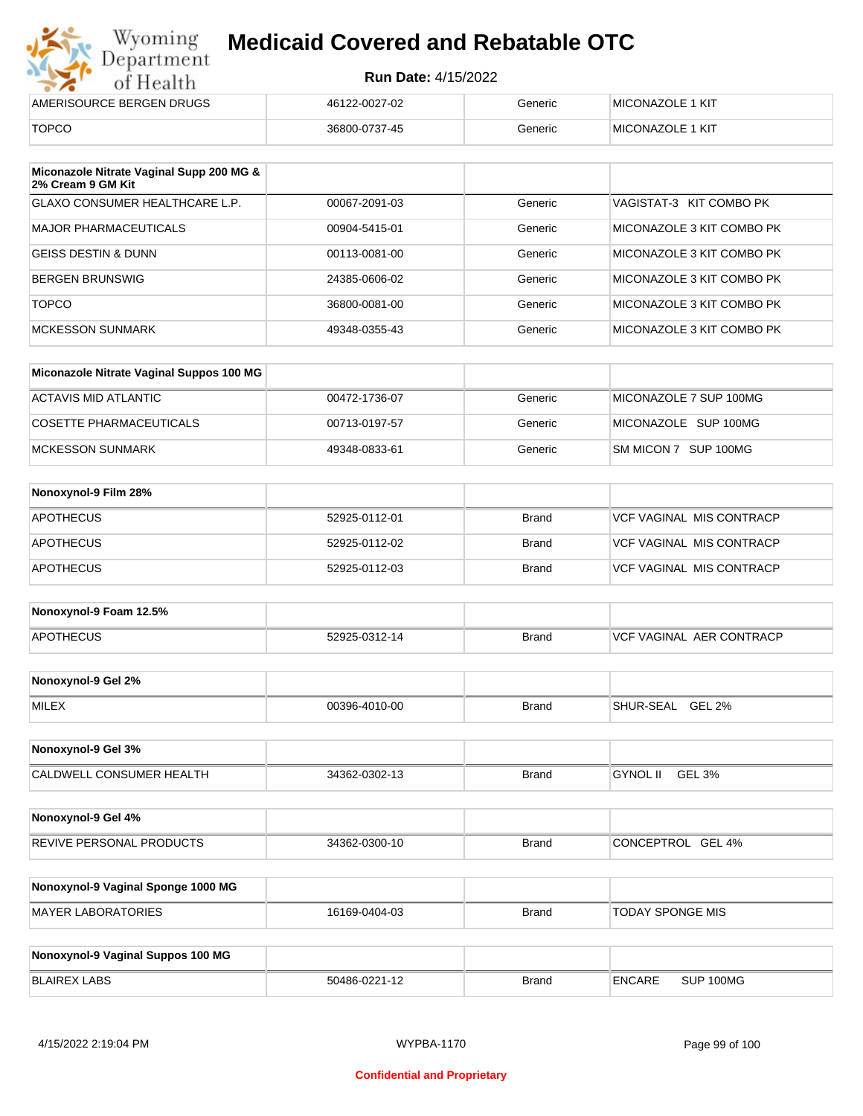|  | от пеани                 |          |
|--|--------------------------|----------|
|  | AMERISOURCE BERGEN DRUGS | 46122-00 |
|  |                          |          |

| AMERISOURCE BERGEN DRUGS | 46122-0027-02 | Generic | <b>IMICONAZOLE 1 KIT</b> |
|--------------------------|---------------|---------|--------------------------|
| <b>TOPCO</b>             | 36800-0737-45 | Generic | <b>IMICONAZOLE 1 KIT</b> |

| Miconazole Nitrate Vaginal Supp 200 MG &<br>2% Cream 9 GM Kit |               |         |                           |
|---------------------------------------------------------------|---------------|---------|---------------------------|
| GLAXO CONSUMER HEALTHCARE L.P.                                | 00067-2091-03 | Generic | VAGISTAT-3 KIT COMBO PK   |
| MAJOR PHARMACEUTICALS                                         | 00904-5415-01 | Generic | MICONAZOLE 3 KIT COMBO PK |
| GEISS DESTIN & DUNN                                           | 00113-0081-00 | Generic | MICONAZOLE 3 KIT COMBO PK |
| <b>BERGEN BRUNSWIG</b>                                        | 24385-0606-02 | Generic | MICONAZOLE 3 KIT COMBO PK |
| <b>TOPCO</b>                                                  | 36800-0081-00 | Generic | MICONAZOLE 3 KIT COMBO PK |
| MCKESSON SUNMARK                                              | 49348-0355-43 | Generic | MICONAZOLE 3 KIT COMBO PK |

| Miconazole Nitrate Vaginal Suppos 100 MG |               |         |                        |
|------------------------------------------|---------------|---------|------------------------|
| ACTAVIS MID ATLANTIC                     | 00472-1736-07 | Generic | MICONAZOLE 7 SUP 100MG |
| COSETTE PHARMACEUTICALS                  | 00713-0197-57 | Generic | MICONAZOLE SUP 100MG   |
| MCKESSON SUNMARK                         | 49348-0833-61 | Generic | SM MICON 7 SUP 100MG   |

| Nonoxynol-9 Film 28% |               |              |                                 |
|----------------------|---------------|--------------|---------------------------------|
| APOTHECUS            | 52925-0112-01 | <b>Brand</b> | <b>VCF VAGINAL MIS CONTRACP</b> |
| <b>APOTHECUS</b>     | 52925-0112-02 | <b>Brand</b> | <b>VCF VAGINAL MIS CONTRACP</b> |
| <b>APOTHECUS</b>     | 52925-0112-03 | <b>Brand</b> | <b>VCF VAGINAL MIS CONTRACP</b> |

| Nonoxynol-9 Foam 12.5% |               |              |                               |
|------------------------|---------------|--------------|-------------------------------|
| <b>APOTHECUS</b>       | 52925-0312-14 | <b>Brand</b> | . AER CONTRACP<br>VCF VAGINAL |

| Nonoxynol-9 Gel 2% |               |       |                            |
|--------------------|---------------|-------|----------------------------|
| <b>MILEX</b>       | 00396-4010-00 | Brand | <b>GEL 2%</b><br>SHUR-SEAL |

| Nonoxynol-9 Gel 3%              |               |       |                           |  |
|---------------------------------|---------------|-------|---------------------------|--|
| <b>CALDWELL CONSUMER HEALTH</b> | 34362-0302-13 | Brand | <b>GYNOL II</b><br>GEL 3% |  |

| Nonoxynol-9 Gel 4%              |               |       |                   |
|---------------------------------|---------------|-------|-------------------|
| <b>REVIVE PERSONAL PRODUCTS</b> | 34362-0300-10 | Brand | CONCEPTROL GEL 4% |

| Nonoxynol-9 Vaginal Sponge 1000 MG |               |       |                  |
|------------------------------------|---------------|-------|------------------|
| MAYER LABORATORIES                 | 16169-0404-03 | Brand | TODAY SPONGE MIS |

| Nonoxynol-9 Vaginal Suppos 100 MG |               |              |        |           |
|-----------------------------------|---------------|--------------|--------|-----------|
| BLAIREX LABS                      | 50486-0221-12 | <b>Brand</b> | ENCARE | SUP 100MG |